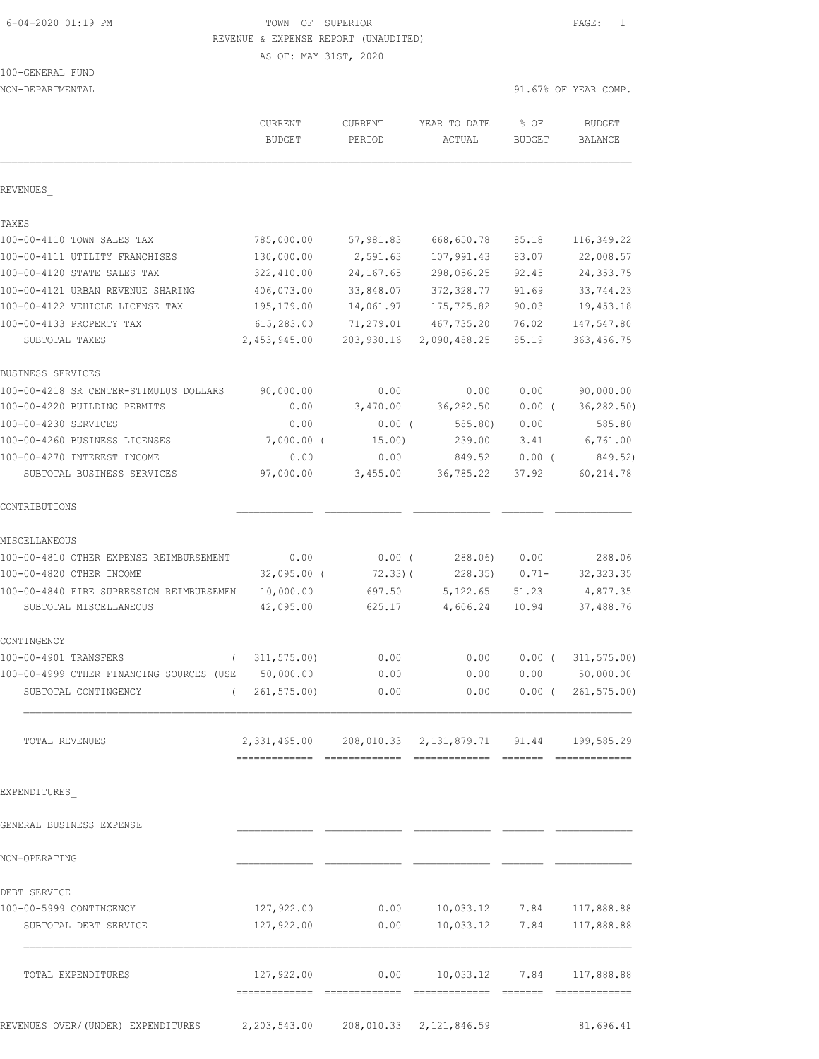## 6-04-2020 01:19 PM TOWN OF SUPERIOR PAGE: 1 REVENUE & EXPENSE REPORT (UNAUDITED)

AS OF: MAY 31ST, 2020

100-GENERAL FUND

NON-DEPARTMENTAL 91.67% OF YEAR COMP. CURRENT CURRENT YEAR TO DATE % OF BUDGET BUDGET PERIOD ACTUAL BUDGET BALANCE REVENUES\_ TAXES 100-00-4110 TOWN SALES TAX 785,000.00 57,981.83 668,650.78 85.18 116,349.22 100-00-4111 UTILITY FRANCHISES 130,000.00 2,591.63 107,991.43 83.07 22,008.57 100-00-4120 STATE SALES TAX 322,410.00 24,167.65 298,056.25 92.45 24,353.75 100-00-4121 URBAN REVENUE SHARING 406,073.00 33,848.07 372,328.77 91.69 33,744.23 100-00-4122 VEHICLE LICENSE TAX 195,179.00 14,061.97 175,725.82 90.03 19,453.18 100-00-4133 PROPERTY TAX 615,283.00 71,279.01 467,735.20 76.02 147,547.80 SUBTOTAL TAXES 2,453,945.00 203,930.16 2,090,488.25 85.19 363,456.75 BUSINESS SERVICES 100-00-4218 SR CENTER-STIMULUS DOLLARS 90,000.00 0.00 0.00 0.00 90,000.00 100-00-4220 BUILDING PERMITS 0.00 3,470.00 36,282.50 0.00 ( 36,282.50) 100-00-4230 SERVICES 0.00 0.00 ( 585.80) 0.00 585.80 100-00-4260 BUSINESS LICENSES 7,000.00 ( 15.00) 239.00 3.41 6,761.00 100-00-4270 INTEREST INCOME 0.00 0.00 849.52 0.00 ( 849.52) SUBTOTAL BUSINESS SERVICES 97,000.00 3,455.00 36,785.22 37.92 60,214.78 CONTRIBUTIONS MISCELLANEOUS 100-00-4810 OTHER EXPENSE REIMBURSEMENT 0.00 0.00 ( 288.06) 0.00 288.06 100-00-4820 OTHER INCOME 32,095.00 ( 72.33)( 228.35) 0.71- 32,323.35 100-00-4840 FIRE SUPRESSION REIMBURSEMEN 10,000.00 697.50 5,122.65 51.23 4,877.35 SUBTOTAL MISCELLANEOUS 42,095.00 625.17 4,606.24 10.94 37,488.76 CONTINGENCY 100-00-4901 TRANSFERS ( 311,575.00) 0.00 0.00 0.00 ( 311,575.00) 100-00-4999 OTHER FINANCING SOURCES (USE 50,000.00 0.00 0.00 0.00 50,000.00 SUBTOTAL CONTINGENCY ( 261,575.00) 0.00 0.00 0.00 ( 261,575.00) TOTAL REVENUES 2,331,465.00 208,010.33 2,131,879.71 91.44 199,585.29 ============= ============= ============= ======= ============= EXPENDITURES\_ GENERAL BUSINESS EXPENSE NON-OPERATING QUERATING AND RELEASE AND RELEASE AND RELEASE AND RELEASE AND RELEASE AND RELEASE AND RELEASE AND DEBT SERVICE 100-00-5999 CONTINGENCY 127,922.00 0.00 10,033.12 7.84 117,888.88 SUBTOTAL DEBT SERVICE 127,922.00 0.00 10,033.12 7.84 117,888.88  $\mathcal{L}_\text{max}$  TOTAL EXPENDITURES 127,922.00 0.00 10,033.12 7.84 117,888.88 ============= ============= ============= ======= =============

REVENUES OVER/(UNDER) EXPENDITURES 2,203,543.00 208,010.33 2,121,846.59 81,696.41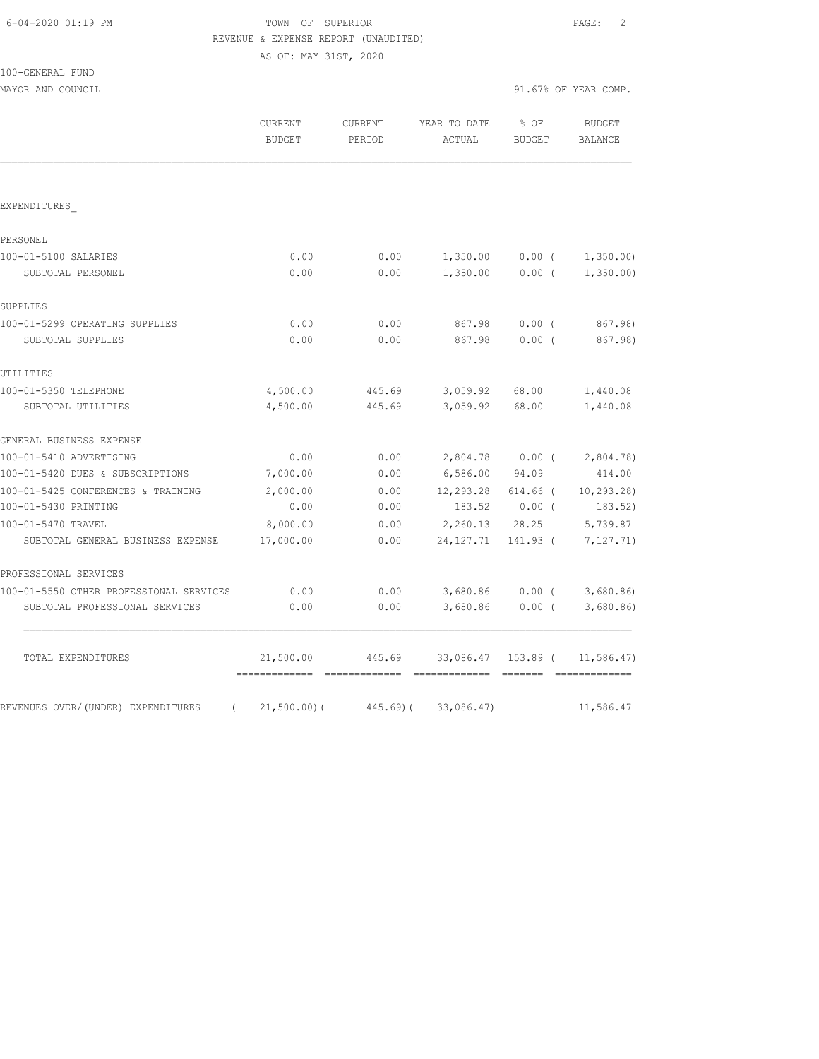# FOWN OF SUPERIOR **EXECUTER** PAGE: 2 REVENUE & EXPENSE REPORT (UNAUDITED)

AS OF: MAY 31ST, 2020

| 100-GENERAL FUND |  |
|------------------|--|
|------------------|--|

| MAYOR AND COUNCIL                              |                          |                   |                                      |                       | 91.67% OF YEAR COMP.      |
|------------------------------------------------|--------------------------|-------------------|--------------------------------------|-----------------------|---------------------------|
|                                                | CURRENT<br><b>BUDGET</b> | CURRENT<br>PERIOD | YEAR TO DATE<br>ACTUAL               | % OF<br><b>BUDGET</b> | BUDGET<br><b>BALANCE</b>  |
|                                                |                          |                   |                                      |                       |                           |
| EXPENDITURES                                   |                          |                   |                                      |                       |                           |
| PERSONEL                                       |                          |                   |                                      |                       |                           |
| 100-01-5100 SALARIES                           | 0.00                     | 0.00              | 1,350.00                             | $0.00$ (              | 1,350.00                  |
| SUBTOTAL PERSONEL                              | 0.00                     | 0.00              | $1,350.00$ 0.00 (                    |                       | 1,350.00                  |
| SUPPLIES                                       |                          |                   |                                      |                       |                           |
| 100-01-5299 OPERATING SUPPLIES                 | 0.00                     | 0.00              | 867.98                               | $0.00$ (              | 867.98)                   |
| SUBTOTAL SUPPLIES                              | 0.00                     | 0.00              | 867.98                               | 0.00(                 | 867.98)                   |
| UTILITIES                                      |                          |                   |                                      |                       |                           |
| 100-01-5350 TELEPHONE                          | 4,500.00                 | 445.69            | 3,059.92                             | 68.00                 | 1,440.08                  |
| SUBTOTAL UTILITIES                             | 4,500.00                 | 445.69            | 3,059.92                             | 68.00                 | 1,440.08                  |
| GENERAL BUSINESS EXPENSE                       |                          |                   |                                      |                       |                           |
| 100-01-5410 ADVERTISING                        | 0.00                     | 0.00              |                                      |                       | 2,804.78 0.00 ( 2,804.78) |
| 100-01-5420 DUES & SUBSCRIPTIONS               | 7,000.00                 | 0.00              | 6,586.00 94.09                       |                       | 414.00                    |
| 100-01-5425 CONFERENCES & TRAINING             | 2,000.00                 | 0.00              | 12,293.28 614.66 (                   |                       | 10, 293.28                |
| 100-01-5430 PRINTING                           | 0.00                     | 0.00              |                                      | 183.52 0.00 (         | 183.52)                   |
| 100-01-5470 TRAVEL                             | 8,000.00                 | 0.00              |                                      |                       | 2,260.13 28.25 5,739.87   |
| SUBTOTAL GENERAL BUSINESS EXPENSE              | 17,000.00                | 0.00              | 24, 127. 71                          |                       | 141.93 ( 7,127.71)        |
| PROFESSIONAL SERVICES                          |                          |                   |                                      |                       |                           |
| 100-01-5550 OTHER PROFESSIONAL SERVICES        | 0.00                     | 0.00              |                                      |                       | 3,680.86 0.00 (3,680.86)  |
| SUBTOTAL PROFESSIONAL SERVICES                 | 0.00                     | 0.00              |                                      | $3,680.86$ 0.00 (     | 3,680.86)                 |
| TOTAL EXPENDITURES                             | 21,500.00                |                   | 445.69 33,086.47 153.89 ( 11,586.47) |                       |                           |
| REVENUES OVER/(UNDER) EXPENDITURES<br>$\left($ | $21,500.00)$ (           |                   | 445.69) (33,086.47)                  |                       | 11,586.47                 |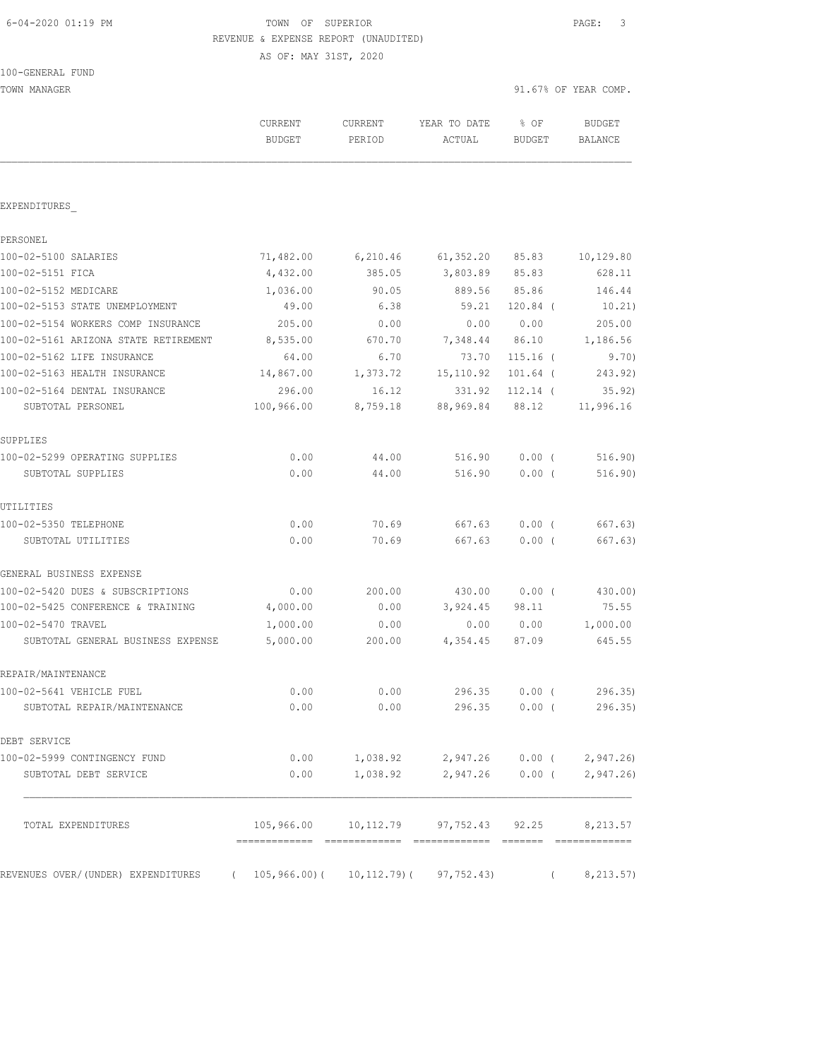# 6-04-2020 01:19 PM TOWN OF SUPERIOR PAGE: 3 REVENUE & EXPENSE REPORT (UNAUDITED)

AS OF: MAY 31ST, 2020

| TOWN MANAGER                         |                          |                   |                                |                       | 91.67% OF YEAR COMP.     |
|--------------------------------------|--------------------------|-------------------|--------------------------------|-----------------------|--------------------------|
|                                      | CURRENT<br><b>BUDGET</b> | CURRENT<br>PERIOD | YEAR TO DATE<br>ACTUAL         | % OF<br><b>BUDGET</b> | <b>BUDGET</b><br>BALANCE |
|                                      |                          |                   |                                |                       |                          |
| EXPENDITURES                         |                          |                   |                                |                       |                          |
| PERSONEL                             |                          |                   |                                |                       |                          |
| 100-02-5100 SALARIES                 | 71,482.00                | 6,210.46          | 61, 352.20                     | 85.83                 | 10,129.80                |
| 100-02-5151 FICA                     | 4,432.00                 | 385.05            | 3,803.89 85.83                 |                       | 628.11                   |
| 100-02-5152 MEDICARE                 | 1,036.00                 | 90.05             | 889.56 85.86                   |                       | 146.44                   |
| 100-02-5153 STATE UNEMPLOYMENT       | 49.00                    | 6.38              | 59.21                          | $120.84$ (            | 10.21)                   |
| 100-02-5154 WORKERS COMP INSURANCE   | 205.00                   | 0.00              | 0.00                           | 0.00                  | 205.00                   |
| 100-02-5161 ARIZONA STATE RETIREMENT | 8,535.00                 | 670.70            | 7,348.44 86.10                 |                       | 1,186.56                 |
| 100-02-5162 LIFE INSURANCE           | 64.00                    | 6.70              | 73.70                          | $115.16$ (            | 9.70)                    |
| 100-02-5163 HEALTH INSURANCE         | 14,867.00                | 1,373.72          | 15,110.92                      | $101.64$ (            | 243.92)                  |
| 100-02-5164 DENTAL INSURANCE         | 296.00                   | 16.12             | 331.92                         | $112.14$ (            | 35.92)                   |
| SUBTOTAL PERSONEL                    | 100,966.00               | 8,759.18          | 88,969.84                      | 88.12                 | 11,996.16                |
| SUPPLIES                             |                          |                   |                                |                       |                          |
| 100-02-5299 OPERATING SUPPLIES       | 0.00                     | 44.00             | 516.90                         | $0.00$ (              | 516.90)                  |
| SUBTOTAL SUPPLIES                    | 0.00                     | 44.00             | 516.90                         | $0.00$ (              | 516.90)                  |
| UTILITIES                            |                          |                   |                                |                       |                          |
| 100-02-5350 TELEPHONE                | 0.00                     | 70.69             | 667.63                         | $0.00$ (              | 667.63)                  |
| SUBTOTAL UTILITIES                   | 0.00                     | 70.69             | 667.63                         | $0.00$ (              | 667.63)                  |
| GENERAL BUSINESS EXPENSE             |                          |                   |                                |                       |                          |
| 100-02-5420 DUES & SUBSCRIPTIONS     | 0.00                     | 200.00            | 430.00                         | $0.00$ (              | 430.00)                  |
| 100-02-5425 CONFERENCE & TRAINING    | 4,000.00                 | 0.00              | 3,924.45                       | 98.11                 | 75.55                    |
| 100-02-5470 TRAVEL                   | 1,000.00                 | 0.00              | 0.00                           | 0.00                  | 1,000.00                 |
| SUBTOTAL GENERAL BUSINESS EXPENSE    | 5,000.00                 | 200.00            | 4,354.45                       | 87.09                 | 645.55                   |
| REPAIR/MAINTENANCE                   |                          |                   |                                |                       |                          |
| 100-02-5641 VEHICLE FUEL             | 0.00                     | 0.00              | 296.35                         | $0.00$ (              | 296.35                   |
| SUBTOTAL REPAIR/MAINTENANCE          | 0.00                     | 0.00              | 296.35                         | $0.00$ (              | 296.35                   |
| DEBT SERVICE                         |                          |                   |                                |                       |                          |
| 100-02-5999 CONTINGENCY FUND         | 0.00                     | 1,038.92          | 2,947.26                       | $0.00$ (              | 2,947.26                 |
| SUBTOTAL DEBT SERVICE                | 0.00                     | 1,038.92          | 2,947.26                       | $0.00$ (              | 2,947.26                 |
| TOTAL EXPENDITURES                   |                          |                   | 105,966.00 10,112.79 97,752.43 | 92.25                 | 8,213.57                 |
|                                      |                          |                   |                                |                       |                          |
| REVENUES OVER/(UNDER) EXPENDITURES   | 105,966.00)(<br>$\left($ | $10, 112.79$ ) (  | 97, 752.43)                    |                       | 8, 213.57)               |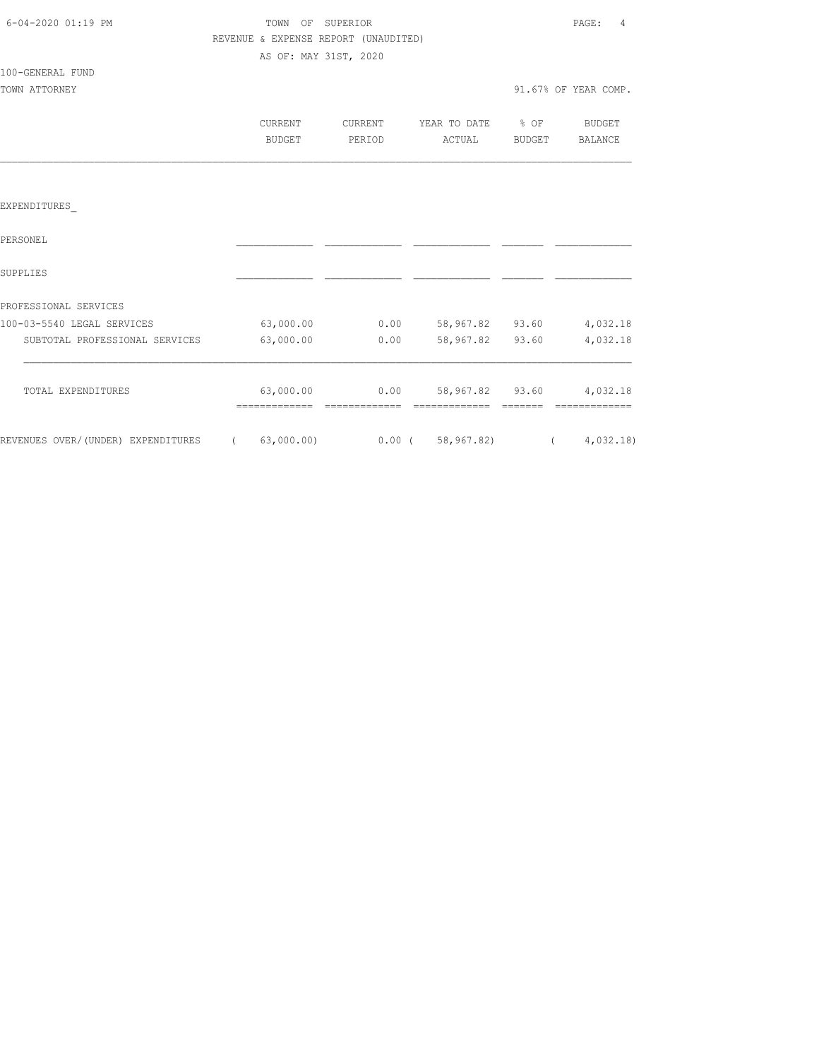| 6-04-2020 01:19 PM |  |
|--------------------|--|

100-GENERAL FUND

## TOWN OF SUPERIOR **Example 2010** PAGE: 4 REVENUE & EXPENSE REPORT (UNAUDITED) AS OF: MAY 31ST, 2020

| TOWN ATTORNEY |         |         |              |        | 91.67% OF YEAR COMP. |
|---------------|---------|---------|--------------|--------|----------------------|
|               | CURRENT | CURRENT | YEAR TO DATE | % OF   | BUDGET               |
|               | BUDGET  | PERIOD  | ACTUAL       | BUDGET | BALANCE              |
|               |         |         |              |        |                      |
|               |         |         |              |        |                      |

## EXPENDITURES\_

| PERSONEL                           |            |          |            |       |          |
|------------------------------------|------------|----------|------------|-------|----------|
| SUPPLIES                           |            |          |            |       |          |
| PROFESSIONAL SERVICES              |            |          |            |       |          |
| 100-03-5540 LEGAL SERVICES         | 63,000.00  | 0.00     | 58,967.82  | 93.60 | 4,032.18 |
| SUBTOTAL PROFESSIONAL SERVICES     | 63,000.00  | 0.00     | 58,967.82  | 93.60 | 4,032.18 |
| TOTAL EXPENDITURES                 | 63,000.00  | 0.00     | 58,967.82  | 93.60 | 4,032.18 |
|                                    |            |          |            |       |          |
| REVENUES OVER/(UNDER) EXPENDITURES | 63,000.00) | $0.00$ ( | 58,967.82) |       | 4,032,18 |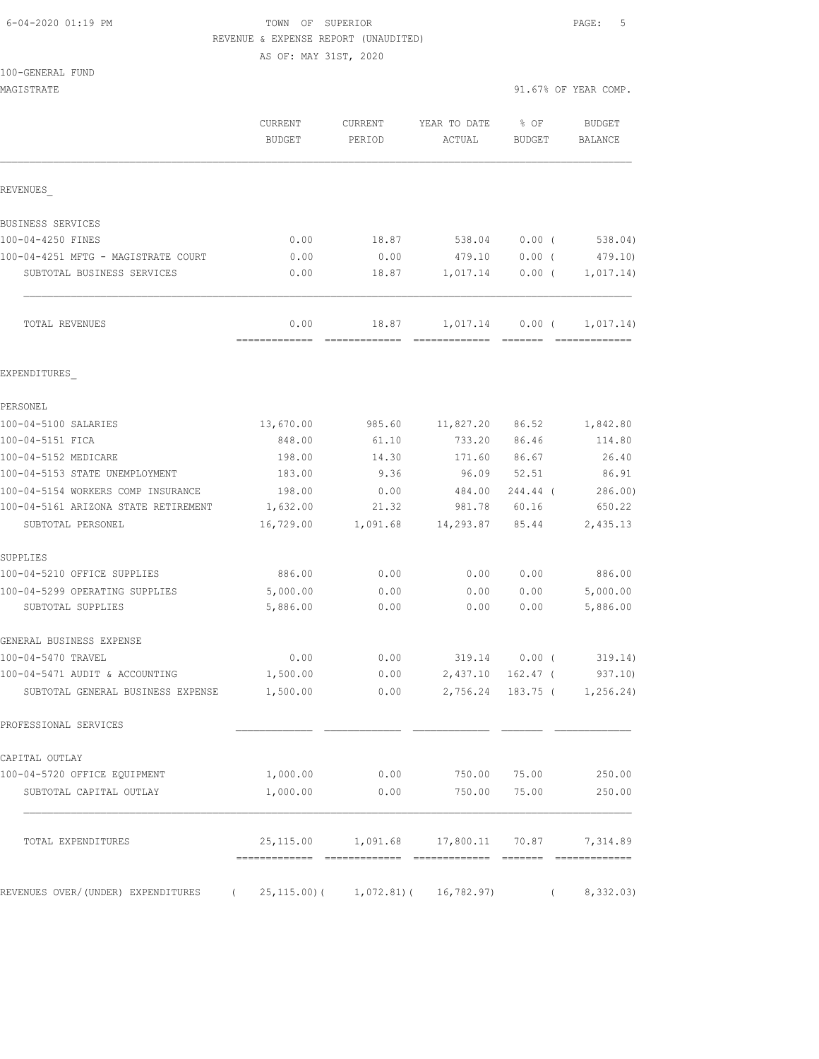100-GENERAL FUND

## 6-04-2020 01:19 PM TOWN OF SUPERIOR PAGE: 5 REVENUE & EXPENSE REPORT (UNAUDITED)

AS OF: MAY 31ST, 2020

| MAGISTRATE                                 |                          |                        |                                                 |                       | 91.67% OF YEAR COMP.       |
|--------------------------------------------|--------------------------|------------------------|-------------------------------------------------|-----------------------|----------------------------|
|                                            | CURRENT<br><b>BUDGET</b> | CURRENT<br>PERIOD      | YEAR TO DATE<br>ACTUAL                          | % OF<br><b>BUDGET</b> | BUDGET<br>BALANCE          |
| REVENUES                                   |                          |                        |                                                 |                       |                            |
| BUSINESS SERVICES                          |                          |                        |                                                 |                       |                            |
| 100-04-4250 FINES                          | 0.00                     | 18.87                  | 538.04                                          | 0.00(                 | 538.04)                    |
| 100-04-4251 MFTG - MAGISTRATE COURT        | 0.00                     | 0.00                   | 479.10                                          | $0.00$ (              | 479.10)                    |
| SUBTOTAL BUSINESS SERVICES                 | 0.00                     | 18.87                  | 1,017.14                                        | $0.00$ (              | 1,017.14)                  |
| TOTAL REVENUES                             | 0.00<br>=============    | 18.87<br>============= | 1,017.14                                        | $0.00$ (              | 1,017.14)<br>============= |
| EXPENDITURES                               |                          |                        |                                                 |                       |                            |
| PERSONEL                                   |                          |                        |                                                 |                       |                            |
| 100-04-5100 SALARIES                       | 13,670.00                | 985.60                 | 11,827.20                                       | 86.52                 | 1,842.80                   |
| 100-04-5151 FICA                           | 848.00                   | 61.10                  | 733.20                                          | 86.46                 | 114.80                     |
| 100-04-5152 MEDICARE                       | 198.00                   | 14.30                  | 171.60                                          | 86.67                 | 26.40                      |
| 100-04-5153 STATE UNEMPLOYMENT             | 183.00                   | 9.36                   | 96.09                                           | 52.51                 | 86.91                      |
| 100-04-5154 WORKERS COMP INSURANCE         | 198.00                   | 0.00                   | 484.00                                          | 244.44 (              | 286.00                     |
| 100-04-5161 ARIZONA STATE RETIREMENT       | 1,632.00                 | 21.32                  | 981.78                                          | 60.16                 | 650.22                     |
| SUBTOTAL PERSONEL                          | 16,729.00                | 1,091.68               | 14,293.87                                       | 85.44                 | 2,435.13                   |
| SUPPLIES                                   |                          |                        |                                                 |                       |                            |
| 100-04-5210 OFFICE SUPPLIES                | 886.00                   | 0.00                   | 0.00                                            | 0.00                  | 886.00                     |
| 100-04-5299 OPERATING SUPPLIES             | 5,000.00                 | 0.00                   | 0.00                                            | 0.00                  | 5,000.00                   |
| SUBTOTAL SUPPLIES                          | 5,886.00                 | 0.00                   | 0.00                                            | 0.00                  | 5,886.00                   |
| GENERAL BUSINESS EXPENSE                   |                          |                        |                                                 |                       |                            |
| 100-04-5470 TRAVEL                         | 0.00                     | 0.00                   | 319.14                                          | $0.00$ (              | 319.14)                    |
| 100-04-5471 AUDIT & ACCOUNTING             | 1,500.00                 | 0.00                   | 2,437.10                                        | $162.47$ (            | 937.10                     |
| SUBTOTAL GENERAL BUSINESS EXPENSE 1,500.00 |                          |                        | $0.00$ 2,756.24 183.75 ( 1,256.24)              |                       |                            |
| PROFESSIONAL SERVICES                      |                          |                        |                                                 |                       |                            |
| CAPITAL OUTLAY                             |                          |                        |                                                 |                       |                            |
| 100-04-5720 OFFICE EQUIPMENT               | 1,000.00                 |                        | $0.00$ 750.00 75.00                             |                       | 250.00                     |
| SUBTOTAL CAPITAL OUTLAY                    | 1,000.00                 | 0.00                   | 750.00                                          | 75.00                 | 250.00                     |
| TOTAL EXPENDITURES                         |                          |                        | 25,115.00  1,091.68  17,800.11  70.87  7,314.89 |                       |                            |

REVENUES OVER/(UNDER) EXPENDITURES ( 25,115.00)( 1,072.81)( 16,782.97) ( 8,332.03)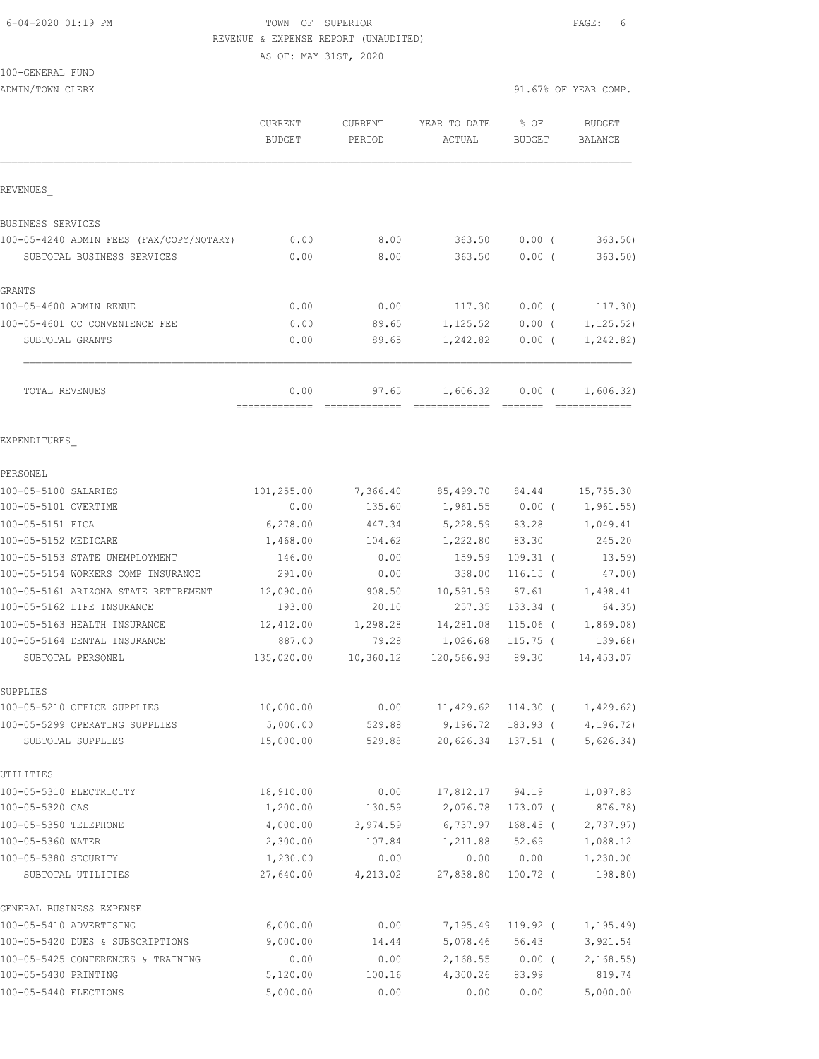#### 6-04-2020 01:19 PM TOWN OF SUPERIOR PAGE: 6 REVENUE & EXPENSE REPORT (UNAUDITED) AS OF: MAY 31ST, 2020

100-GENERAL FUND

|                                          | CURRENT<br><b>BUDGET</b> | CURRENT<br>PERIOD | YEAR TO DATE<br>ACTUAL   | % OF<br><b>BUDGET</b> | <b>BUDGET</b><br>BALANCE   |
|------------------------------------------|--------------------------|-------------------|--------------------------|-----------------------|----------------------------|
| REVENUES                                 |                          |                   |                          |                       |                            |
| <b>BUSINESS SERVICES</b>                 |                          |                   |                          |                       |                            |
| 100-05-4240 ADMIN FEES (FAX/COPY/NOTARY) | 0.00                     | 8.00              | 363.50                   | $0.00$ (              | 363.50                     |
| SUBTOTAL BUSINESS SERVICES               | 0.00                     | 8.00              | 363.50                   | 0.00(                 | 363.50)                    |
| GRANTS                                   |                          |                   |                          |                       |                            |
| 100-05-4600 ADMIN RENUE                  | 0.00                     | 0.00              | 117.30                   | $0.00$ (              | 117.30)                    |
| 100-05-4601 CC CONVENIENCE FEE           | 0.00                     | 89.65             | 1, 125.52                | $0.00$ (              | 1, 125.52)                 |
| SUBTOTAL GRANTS                          | 0.00                     | 89.65             | 1,242.82                 | $0.00$ (              | 1,242.82)                  |
| TOTAL REVENUES                           | 0.00<br>-------------    | 97.65             | 1,606.32                 | $0.00$ (              | 1,606.32)<br>============= |
| EXPENDITURES                             |                          |                   |                          |                       |                            |
| PERSONEL                                 |                          |                   |                          |                       |                            |
| 100-05-5100 SALARIES                     | 101,255.00               |                   | 7,366.40 85,499.70 84.44 |                       | 15,755.30                  |
| 100-05-5101 OVERTIME                     | 0.00                     | 135.60            |                          | 1,961.55 0.00 (       | 1,961.55)                  |
| 100-05-5151 FICA                         | 6,278.00                 | 447.34            | 5,228.59                 | 83.28                 | 1,049.41                   |
| 100-05-5152 MEDICARE                     | 1,468.00                 | 104.62            | 1,222.80                 | 83.30                 | 245.20                     |
| 100-05-5153 STATE UNEMPLOYMENT           | 146.00                   | 0.00              | 159.59                   | $109.31$ (            | 13.59)                     |
| 100-05-5154 WORKERS COMP INSURANCE       | 291.00                   | 0.00              | 338.00                   | $116.15$ (            | $47.00$ )                  |
| 100-05-5161 ARIZONA STATE RETIREMENT     | 12,090.00                | 908.50            | 10,591.59                | 87.61                 | 1,498.41                   |
| 100-05-5162 LIFE INSURANCE               | 193.00                   | 20.10             | 257.35                   | $133.34$ (            | 64.35)                     |
| 100-05-5163 HEALTH INSURANCE             | 12,412.00                | 1,298.28          | 14,281.08                | 115.06 (              | 1,869.08)                  |
| 100-05-5164 DENTAL INSURANCE             | 887.00                   | 79.28             | 1,026.68                 | $115.75$ (            | 139.68)                    |
| SUBTOTAL PERSONEL                        | 135,020.00               | 10,360.12         | 120,566.93               | 89.30                 | 14,453.07                  |
| SUPPLIES                                 |                          |                   |                          |                       |                            |
| 100-05-5210 OFFICE SUPPLIES              | 10,000.00                | 0.00              | 11,429.62                |                       | 114.30(1, 429.62)          |
| 100-05-5299 OPERATING SUPPLIES           | 5,000.00                 | 529.88            | 9,196.72                 | 183.93 (              | 4,196.72)                  |
| SUBTOTAL SUPPLIES                        | 15,000.00                | 529.88            | 20,626.34                | $137.51$ (            | 5,626.34)                  |
| UTILITIES                                |                          |                   |                          |                       |                            |
| 100-05-5310 ELECTRICITY                  | 18,910.00                | 0.00              | 17,812.17                | 94.19                 | 1,097.83                   |
| 100-05-5320 GAS                          | 1,200.00                 | 130.59            | 2,076.78                 | 173.07 (              | 876.78)                    |
| 100-05-5350 TELEPHONE                    | 4,000.00                 | 3,974.59          | 6,737.97                 | $168.45$ (            | 2,737.97)                  |
| 100-05-5360 WATER                        | 2,300.00                 | 107.84            | 1,211.88                 | 52.69                 | 1,088.12                   |
| 100-05-5380 SECURITY                     | 1,230.00                 | 0.00              | 0.00                     | 0.00                  | 1,230.00                   |
| SUBTOTAL UTILITIES                       | 27,640.00                | 4,213.02          | 27,838.80                | $100.72$ (            | 198.80)                    |
| GENERAL BUSINESS EXPENSE                 |                          |                   |                          |                       |                            |
| 100-05-5410 ADVERTISING                  | 6,000.00                 | 0.00              | 7,195.49                 | 119.92 (              | 1, 195.49                  |
| 100-05-5420 DUES & SUBSCRIPTIONS         | 9,000.00                 | 14.44             | 5,078.46                 | 56.43                 | 3,921.54                   |
| 100-05-5425 CONFERENCES & TRAINING       | 0.00                     | 0.00              | 2,168.55                 | $0.00$ (              | 2, 168.55                  |
| 100-05-5430 PRINTING                     | 5,120.00                 | 100.16            | 4,300.26                 | 83.99                 | 819.74                     |
| 100-05-5440 ELECTIONS                    | 5,000.00                 | 0.00              | 0.00                     | 0.00                  | 5,000.00                   |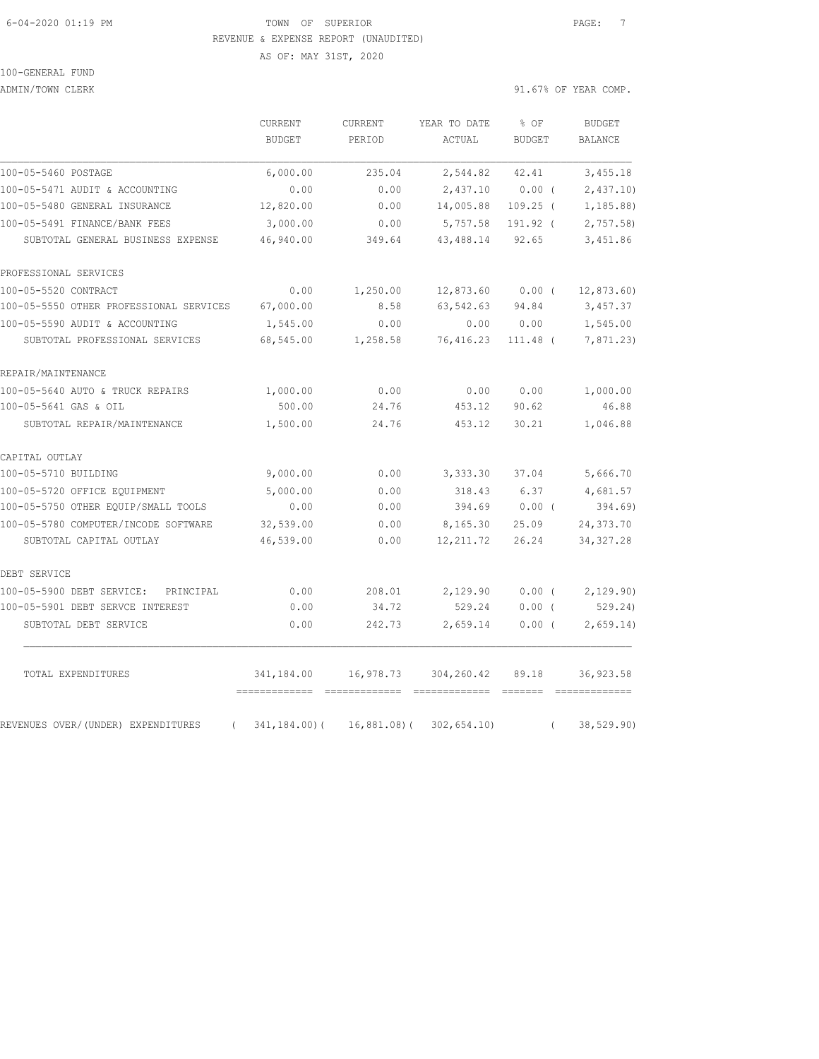## 6-04-2020 01:19 PM TOWN OF SUPERIOR PAGE: 7 REVENUE & EXPENSE REPORT (UNAUDITED)

AS OF: MAY 31ST, 2020

# 100-GENERAL FUND

ADMIN/TOWN CLERK 3. ALL AND SERVICE OF THE SERVICE OF THE SERVICE OF THE SERVICE OF THE SERVICE OF THE SERVICE OF THE SERVICE OF THE SERVICE OF THE SERVICE OF THE SERVICE OF THE SERVICE OF THE SERVICE OF THE SERVICE OF THE

|                                                | CURRENT         | CURRENT   | YEAR TO DATE                 | % OF<br><b>BUDGET</b> | <b>BUDGET</b><br>BALANCE |
|------------------------------------------------|-----------------|-----------|------------------------------|-----------------------|--------------------------|
|                                                | <b>BUDGET</b>   | PERIOD    | ACTUAL                       |                       |                          |
| 100-05-5460 POSTAGE                            | 6,000.00        | 235.04    | 2,544.82                     | 42.41                 | 3,455.18                 |
| 100-05-5471 AUDIT & ACCOUNTING                 | 0.00            | 0.00      | 2,437.10                     | 0.00(                 | 2,437.10                 |
| 100-05-5480 GENERAL INSURANCE                  | 12,820.00       | 0.00      | 14,005.88                    | $109.25$ (            | 1,185.88)                |
| 100-05-5491 FINANCE/BANK FEES                  | 3,000.00        | 0.00      | 5,757.58                     | 191.92 (              | 2,757.58                 |
| SUBTOTAL GENERAL BUSINESS EXPENSE              | 46,940.00       | 349.64    | 43, 488.14                   | 92.65                 | 3,451.86                 |
| PROFESSIONAL SERVICES                          |                 |           |                              |                       |                          |
| 100-05-5520 CONTRACT                           | 0.00            | 1,250.00  | $12,873.60$ 0.00 (           |                       | 12,873.60                |
| 100-05-5550 OTHER PROFESSIONAL SERVICES        | 67,000.00       | 8.58      | 63,542.63                    | 94.84                 | 3,457.37                 |
| 100-05-5590 AUDIT & ACCOUNTING                 | 1,545.00        | 0.00      | 0.00                         | 0.00                  | 1,545.00                 |
| SUBTOTAL PROFESSIONAL SERVICES                 | 68,545.00       | 1,258.58  | 76,416.23                    | $111.48$ (            | 7,871.23)                |
| REPAIR/MAINTENANCE                             |                 |           |                              |                       |                          |
| 100-05-5640 AUTO & TRUCK REPAIRS               | 1,000.00        | 0.00      | 0.00                         | 0.00                  | 1,000.00                 |
| 100-05-5641 GAS & OIL                          | 500.00          | 24.76     | 453.12                       | 90.62                 | 46.88                    |
| SUBTOTAL REPAIR/MAINTENANCE                    | 1,500.00        | 24.76     | 453.12                       | 30.21                 | 1,046.88                 |
| CAPITAL OUTLAY                                 |                 |           |                              |                       |                          |
| 100-05-5710 BUILDING                           | 9,000.00        | 0.00      | 3,333.30                     | 37.04                 | 5,666.70                 |
| 100-05-5720 OFFICE EQUIPMENT                   | 5,000.00        | 0.00      | 318.43                       | 6.37                  | 4,681.57                 |
| 100-05-5750 OTHER EQUIP/SMALL TOOLS            | 0.00            | 0.00      | 394.69                       | $0.00$ (              | 394.69                   |
| 100-05-5780 COMPUTER/INCODE SOFTWARE           | 32,539.00       | 0.00      | 8,165.30                     | 25.09                 | 24, 373.70               |
| SUBTOTAL CAPITAL OUTLAY                        | 46,539.00       | 0.00      | 12, 211.72                   | 26.24                 | 34, 327.28               |
| DEBT SERVICE                                   |                 |           |                              |                       |                          |
| 100-05-5900 DEBT SERVICE:<br>PRINCIPAL         | 0.00            | 208.01    | 2,129.90                     | $0.00$ (              | 2,129.90)                |
| 100-05-5901 DEBT SERVCE INTEREST               | 0.00            | 34.72     | 529.24                       | 0.00(                 | 529.24)                  |
| SUBTOTAL DEBT SERVICE                          | 0.00            | 242.73    | 2,659.14                     | $0.00$ (              | 2,659.14)                |
| TOTAL EXPENDITURES                             | 341,184.00      | 16,978.73 | 304,260.42                   | 89.18                 | 36, 923.58               |
| REVENUES OVER/(UNDER) EXPENDITURES<br>$\left($ | $341, 184.00$ ( |           | $16,881.08$ ( $302,654.10$ ) | $\left($              | 38, 529.90)              |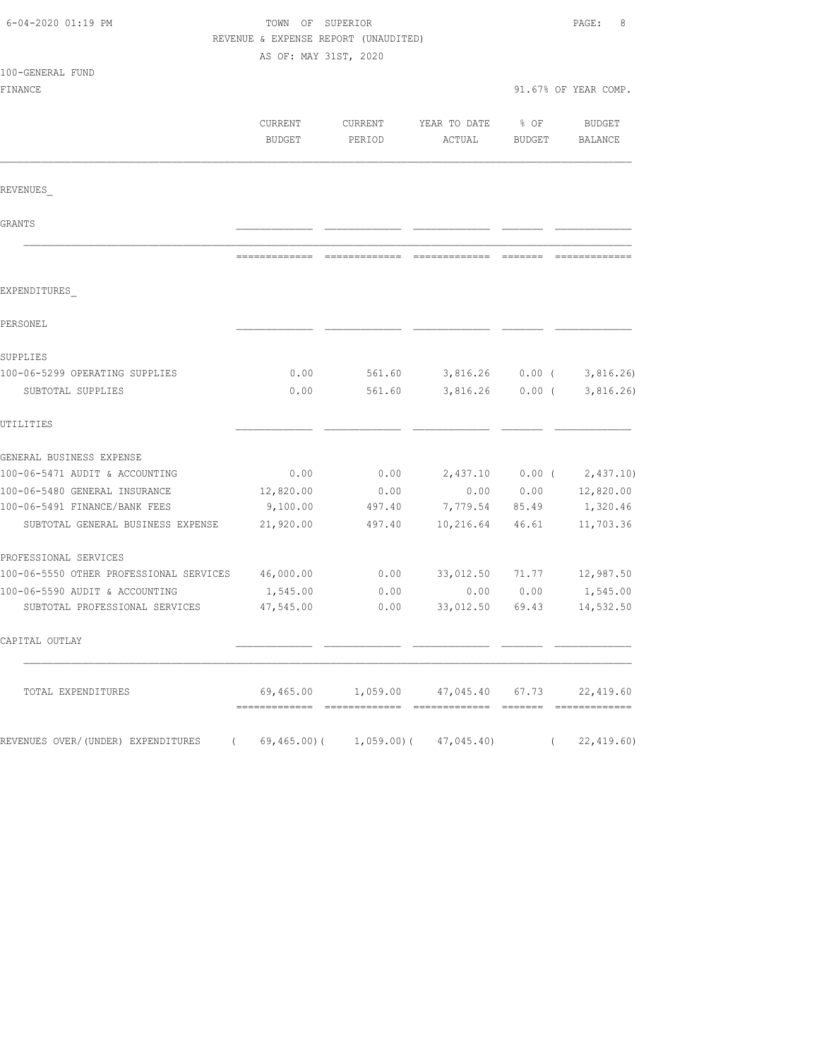| 6-04-2020 01:19 PM                               |                          | TOWN OF SUPERIOR<br>REVENUE & EXPENSE REPORT (UNAUDITED)<br>AS OF: MAY 31ST, 2020 |                                                  |                |                             |  |
|--------------------------------------------------|--------------------------|-----------------------------------------------------------------------------------|--------------------------------------------------|----------------|-----------------------------|--|
| 100-GENERAL FUND                                 |                          |                                                                                   |                                                  |                |                             |  |
| FINANCE                                          |                          |                                                                                   |                                                  |                | 91.67% OF YEAR COMP.        |  |
|                                                  | CURRENT<br><b>BUDGET</b> | CURRENT<br>PERIOD                                                                 | YEAR TO DATE<br>ACTUAL                           | % OF<br>BUDGET | BUDGET<br>BALANCE           |  |
| REVENUES                                         |                          |                                                                                   |                                                  |                |                             |  |
| GRANTS                                           |                          |                                                                                   |                                                  |                |                             |  |
|                                                  |                          |                                                                                   |                                                  |                |                             |  |
| EXPENDITURES                                     |                          |                                                                                   |                                                  |                |                             |  |
| PERSONEL                                         |                          |                                                                                   |                                                  |                |                             |  |
| SUPPLIES                                         |                          |                                                                                   |                                                  |                |                             |  |
| 100-06-5299 OPERATING SUPPLIES                   | 0.00                     |                                                                                   | 561.60 3,816.26 0.00 (                           |                | 3,816.26                    |  |
| SUBTOTAL SUPPLIES                                | 0.00                     | 561.60                                                                            | 3,816.26                                         | $0.00$ (       | 3,816.26)                   |  |
| UTILITIES                                        |                          |                                                                                   |                                                  |                |                             |  |
| GENERAL BUSINESS EXPENSE                         |                          |                                                                                   |                                                  |                |                             |  |
| 100-06-5471 AUDIT & ACCOUNTING                   | 0.00                     | 0.00                                                                              |                                                  |                | $2,437.10$ 0.00 ( 2,437.10) |  |
| 100-06-5480 GENERAL INSURANCE                    | 12,820.00                | 0.00                                                                              | 0.00                                             | 0.00           | 12,820.00                   |  |
| 100-06-5491 FINANCE/BANK FEES                    | 9,100.00                 | 497.40                                                                            | 7,779.54 85.49                                   |                | 1,320.46                    |  |
| SUBTOTAL GENERAL BUSINESS EXPENSE                | 21,920.00                | 497.40                                                                            | 10,216.64                                        | 46.61          | 11,703.36                   |  |
| PROFESSIONAL SERVICES                            |                          |                                                                                   |                                                  |                |                             |  |
| 100-06-5550 OTHER PROFESSIONAL SERVICES          | 46,000.00                | 0.00                                                                              | 33,012.50                                        |                | 71.77 12,987.50             |  |
| 100-06-5590 AUDIT & ACCOUNTING                   | 1,545.00                 | 0.00                                                                              | 0.00                                             | 0.00           | 1,545.00                    |  |
| SUBTOTAL PROFESSIONAL SERVICES                   | 47,545.00                | 0.00                                                                              | 33,012.50                                        | 69.43          | 14,532.50                   |  |
| CAPITAL OUTLAY                                   |                          |                                                                                   |                                                  |                |                             |  |
| TOTAL EXPENDITURES                               |                          |                                                                                   | $69,465.00$ 1,059.00 $47,045.40$ 67.73 22,419.60 |                |                             |  |
| REVENUES OVER/(UNDER) EXPENDITURES<br>$\sqrt{2}$ |                          |                                                                                   | 69,465.00)( 1,059.00)( 47,045.40)                | $\left($       | 22,419.60)                  |  |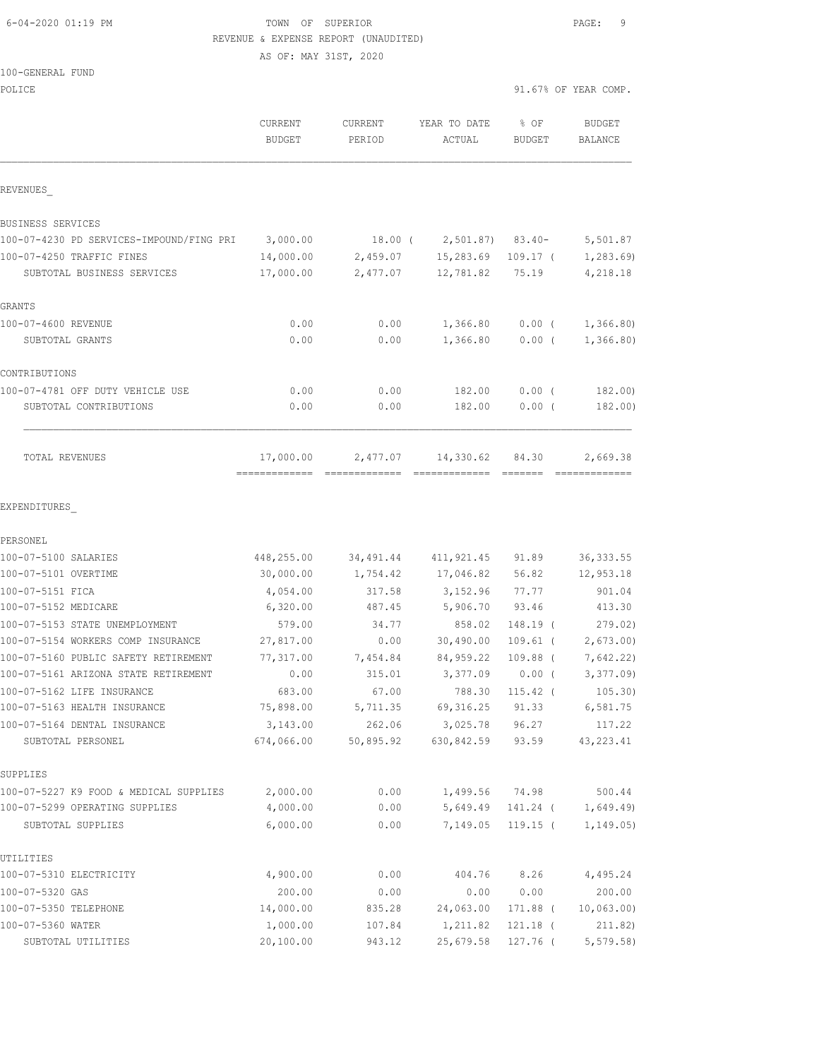### 6-04-2020 01:19 PM TOWN OF SUPERIOR PAGE: 9 REVENUE & EXPENSE REPORT (UNAUDITED)

AS OF: MAY 31ST, 2020

#### 100-GENERAL FUND

| POLICE                                            |                                              |                     |                                 |                       | 91.67% OF YEAR COMP.      |
|---------------------------------------------------|----------------------------------------------|---------------------|---------------------------------|-----------------------|---------------------------|
|                                                   | <b>CURRENT</b><br>BUDGET                     | CURRENT<br>PERIOD   | YEAR TO DATE<br>ACTUAL          | % OF<br><b>BUDGET</b> | BUDGET<br>BALANCE         |
| REVENUES                                          |                                              |                     |                                 |                       |                           |
| BUSINESS SERVICES                                 |                                              |                     |                                 |                       |                           |
| 100-07-4230 PD SERVICES-IMPOUND/FING PRI          | 3,000.00                                     |                     | $18.00$ ( $2,501.87$ ) $83.40-$ |                       | 5,501.87                  |
| 100-07-4250 TRAFFIC FINES                         | 14,000.00                                    | 2,459.07            | 15,283.69                       | $109.17$ (            | 1,283.69                  |
| SUBTOTAL BUSINESS SERVICES                        | 17,000.00                                    | 2,477.07            | 12,781.82                       | 75.19                 | 4,218.18                  |
| GRANTS                                            |                                              |                     |                                 |                       |                           |
| 100-07-4600 REVENUE                               | 0.00                                         | 0.00                | 1,366.80                        | $0.00$ (              | 1,366.80                  |
| SUBTOTAL GRANTS                                   | 0.00                                         | 0.00                | 1,366.80                        | $0.00$ (              | 1,366.80                  |
| CONTRIBUTIONS                                     |                                              |                     |                                 |                       |                           |
| 100-07-4781 OFF DUTY VEHICLE USE                  | 0.00                                         | 0.00                | 182.00                          | 0.00(                 | 182.00)                   |
| SUBTOTAL CONTRIBUTIONS                            | 0.00                                         | 0.00                | 182.00                          | $0.00$ (              | 182.00)                   |
| TOTAL REVENUES                                    | 17,000.00<br>=============================== | 2,477.07            | 14,330.62<br>=============      | 84.30<br>--------     | 2,669.38<br>============= |
| PERSONEL                                          |                                              |                     |                                 |                       |                           |
| 100-07-5100 SALARIES                              | 448,255.00                                   | 34,491.44           | 411,921.45                      | 91.89                 | 36, 333.55                |
| 100-07-5101 OVERTIME                              | 30,000.00                                    | 1,754.42            | 17,046.82                       | 56.82                 | 12,953.18                 |
| 100-07-5151 FICA                                  | 4,054.00                                     | 317.58              | 3,152.96                        | 77.77                 | 901.04                    |
| 100-07-5152 MEDICARE                              | 6,320.00                                     | 487.45              | 5,906.70                        | 93.46                 | 413.30                    |
| 100-07-5153 STATE UNEMPLOYMENT                    | 579.00                                       | 34.77               | 858.02                          | 148.19 (              | 279.02)                   |
| 100-07-5154 WORKERS COMP INSURANCE                | 27,817.00                                    | 0.00                | 30,490.00                       | $109.61$ (            | 2,673.00                  |
| 100-07-5160 PUBLIC SAFETY RETIREMENT              | 77,317.00                                    | 7,454.84            | 84,959.22                       | $109.88$ (            | 7,642.22)                 |
| 100-07-5161 ARIZONA STATE RETIREMENT              | 0.00                                         | 315.01              | 3,377.09                        | $0.00$ (              | 3,377.09                  |
| 100-07-5162 LIFE INSURANCE                        | 683.00                                       | 67.00               | 788.30                          | $115.42$ (            | 105.30)                   |
| 100-07-5163 HEALTH INSURANCE                      | 75,898.00                                    | 5,711.35            | 69, 316.25                      | 91.33                 | 6,581.75                  |
| 100-07-5164 DENTAL INSURANCE<br>SUBTOTAL PERSONEL | 3,143.00<br>674,066.00                       | 262.06<br>50,895.92 | 3,025.78<br>630,842.59          | 96.27<br>93.59        | 117.22<br>43, 223.41      |
| SUPPLIES                                          |                                              |                     |                                 |                       |                           |
| 100-07-5227 K9 FOOD & MEDICAL SUPPLIES            | 2,000.00                                     | 0.00                | 1,499.56                        | 74.98                 | 500.44                    |
| 100-07-5299 OPERATING SUPPLIES                    | 4,000.00                                     | 0.00                | 5,649.49                        | 141.24 (              | 1,649.49)                 |
| SUBTOTAL SUPPLIES                                 | 6,000.00                                     | 0.00                | 7,149.05                        | $119.15$ (            | 1, 149.05)                |
| UTILITIES                                         |                                              |                     |                                 |                       |                           |
| 100-07-5310 ELECTRICITY                           | 4,900.00                                     | 0.00                | 404.76                          | 8.26                  | 4,495.24                  |
| 100-07-5320 GAS                                   | 200.00                                       | 0.00                | 0.00                            | 0.00                  | 200.00                    |
| 100-07-5350 TELEPHONE                             | 14,000.00                                    | 835.28              | 24,063.00                       | 171.88 (              | 10,063.00                 |
| 100-07-5360 WATER                                 | 1,000.00                                     | 107.84              | 1,211.82                        | 121.18 (              | 211.82)                   |

SUBTOTAL UTILITIES 20,100.00 943.12 25,679.58 127.76 ( 5,579.58)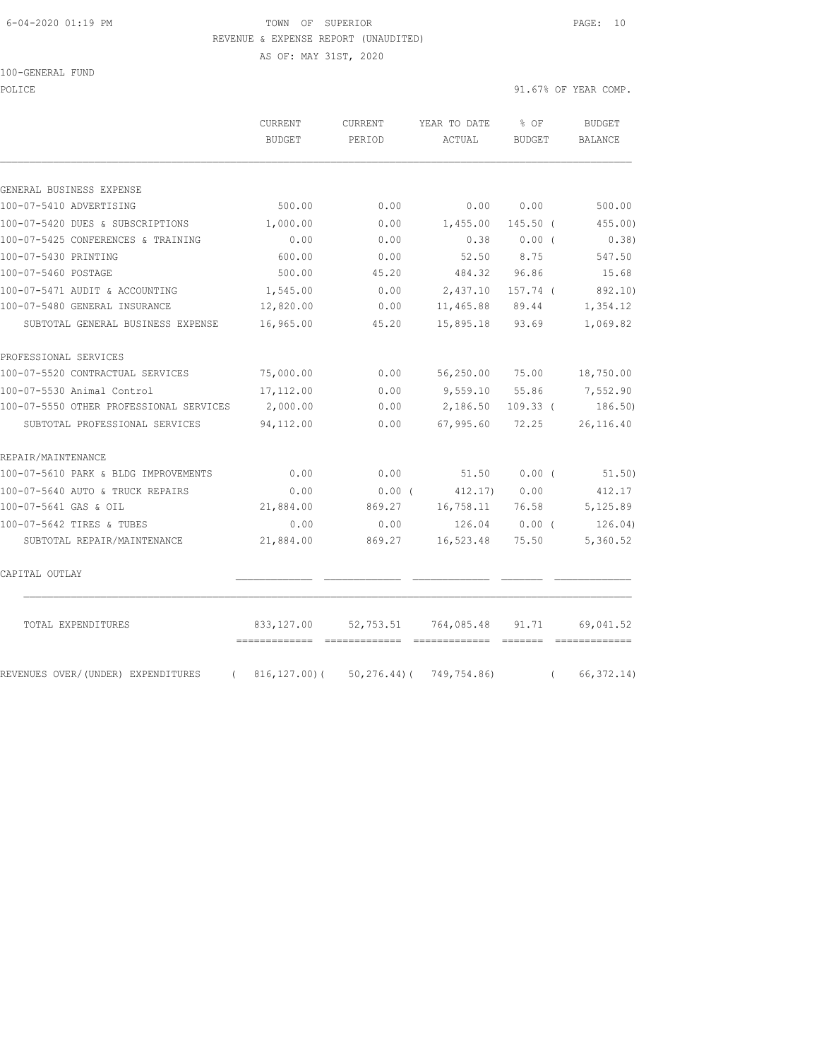#### 6-04-2020 01:19 PM TOWN OF SUPERIOR PAGE: 10 REVENUE & EXPENSE REPORT (UNAUDITED)

AS OF: MAY 31ST, 2020

100-GENERAL FUND

POLICE 91.67% OF YEAR COMP.

|                                                | <b>CURRENT</b><br><b>BUDGET</b> | <b>CURRENT</b><br>PERIOD                 | YEAR TO DATE<br>ACTUAL      | $8$ OF<br>BUDGET                     | <b>BUDGET</b><br>BALANCE |
|------------------------------------------------|---------------------------------|------------------------------------------|-----------------------------|--------------------------------------|--------------------------|
|                                                |                                 |                                          |                             |                                      |                          |
| GENERAL BUSINESS EXPENSE                       |                                 |                                          |                             |                                      |                          |
| 100-07-5410 ADVERTISING                        | 500.00                          | 0.00                                     | 0.00                        | 0.00                                 | 500.00                   |
| 100-07-5420 DUES & SUBSCRIPTIONS               | 1,000.00                        | 0.00                                     | 1,455.00                    | $145.50$ (                           | 455.00)                  |
| 100-07-5425 CONFERENCES & TRAINING             | 0.00                            | 0.00                                     | 0.38                        | $0.00$ (                             | 0.38)                    |
| 100-07-5430 PRINTING                           | 600.00                          | 0.00                                     | 52.50                       | 8.75                                 | 547.50                   |
| 100-07-5460 POSTAGE                            | 500.00                          | 45.20                                    | 484.32                      | 96.86                                | 15.68                    |
| 100-07-5471 AUDIT & ACCOUNTING                 | 1,545.00                        | 0.00                                     | 2,437.10                    | $157.74$ (                           | 892.10)                  |
| 100-07-5480 GENERAL INSURANCE                  | 12,820.00                       | 0.00                                     | 11,465.88                   | 89.44                                | 1,354.12                 |
| SUBTOTAL GENERAL BUSINESS EXPENSE              | 16,965.00                       | 45.20                                    | 15,895.18                   | 93.69                                | 1,069.82                 |
| PROFESSIONAL SERVICES                          |                                 |                                          |                             |                                      |                          |
| 100-07-5520 CONTRACTUAL SERVICES               | 75,000.00                       | 0.00                                     | 56,250.00                   | 75.00                                | 18,750.00                |
| 100-07-5530 Animal Control                     | 17,112.00                       | 0.00                                     | 9,559.10                    | 55.86                                | 7,552.90                 |
| 100-07-5550 OTHER PROFESSIONAL SERVICES        | 2,000.00                        | 0.00                                     | 2,186.50                    | $109.33$ (                           | 186.50)                  |
| SUBTOTAL PROFESSIONAL SERVICES                 | 94,112.00                       | 0.00                                     | 67,995.60                   | 72.25                                | 26, 116.40               |
| REPAIR/MAINTENANCE                             |                                 |                                          |                             |                                      |                          |
| 100-07-5610 PARK & BLDG IMPROVEMENTS           | 0.00                            | 0.00                                     | 51.50                       | $0.00$ (                             | 51.50)                   |
| 100-07-5640 AUTO & TRUCK REPAIRS               | 0.00                            | $0.00$ (                                 | 412.17                      | 0.00                                 | 412.17                   |
| 100-07-5641 GAS & OIL                          | 21,884.00                       | 869.27                                   | 16,758.11                   | 76.58                                | 5,125.89                 |
| 100-07-5642 TIRES & TUBES                      | 0.00                            | 0.00                                     | 126.04                      | 0.00(                                | 126.04)                  |
| SUBTOTAL REPAIR/MAINTENANCE                    | 21,884.00                       | 869.27                                   | 16,523.48                   | 75.50                                | 5,360.52                 |
| CAPITAL OUTLAY                                 |                                 |                                          |                             |                                      |                          |
| TOTAL EXPENDITURES                             | 833, 127.00<br>=============    | 52,753.51                                | 764,085.48<br>============= | 91.71<br>$=$ $=$ $=$ $=$ $=$ $=$ $=$ | 69,041.52                |
| REVENUES OVER/(UNDER) EXPENDITURES<br>$\left($ |                                 | $816, 127.00$ (50, 276.44) (749, 754.86) |                             | $\left($                             | 66, 372.14)              |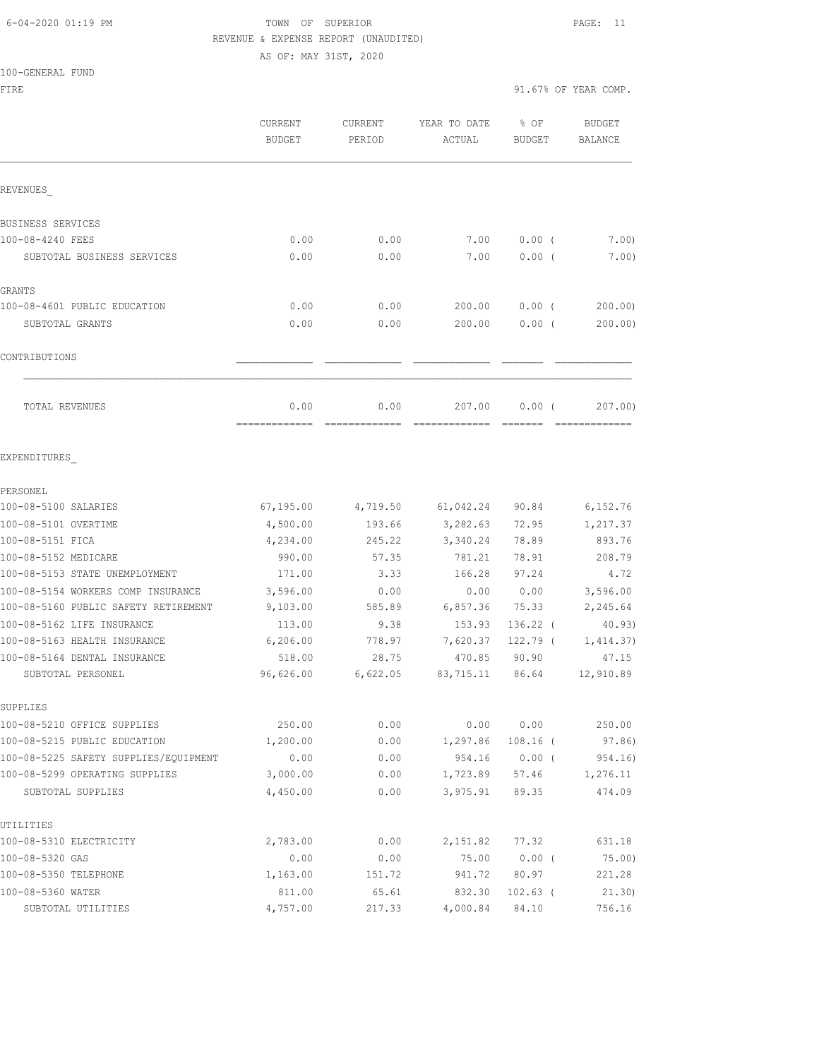## 6-04-2020 01:19 PM TOWN OF SUPERIOR PAGE: 11 REVENUE & EXPENSE REPORT (UNAUDITED)

AS OF: MAY 31ST, 2020

100-GENERAL FUND

FIRE  $91.67%$  OF YEAR COMP. CURRENT CURRENT YEAR TO DATE % OF BUDGET BUDGET PERIOD ACTUAL BUDGET BALANCE REVENUES\_ BUSINESS SERVICES 100-08-4240 FEES 0.00 0.00 7.00 0.00 ( 7.00) SUBTOTAL BUSINESS SERVICES 0.00 0.00 7.00 0.00 ( 7.00) GRANTS 100-08-4601 PUBLIC EDUCATION 0.00 0.00 200.00 0.00 ( 200.00) SUBTOTAL GRANTS 0.00 0.00 200.00 0.00 ( 200.00)  $\texttt{CONTRIBUTIONS} \hspace{20mm}$  TOTAL REVENUES 0.00 0.00 207.00 0.00 ( 207.00) ============= ============= ============= ======= ============= EXPENDITURES\_ PERSONEL 100-08-5100 SALARIES 67,195.00 4,719.50 61,042.24 90.84 6,152.76 100-08-5101 OVERTIME 4,500.00 193.66 3,282.63 72.95 1,217.37 100-08-5151 FICA 4,234.00 245.22 3,340.24 78.89 893.76 100-08-5152 MEDICARE 990.00 57.35 781.21 78.91 208.79 100-08-5153 STATE UNEMPLOYMENT 171.00 3.33 166.28 97.24 4.72 100-08-5154 WORKERS COMP INSURANCE 3,596.00 0.00 0.00 0.00 3,596.00 100-08-5160 PUBLIC SAFETY RETIREMENT 9,103.00 585.89 6,857.36 75.33 2,245.64 100-08-5162 LIFE INSURANCE 113.00 9.38 153.93 136.22 ( 40.93)

100-08-5163 HEALTH INSURANCE 6,206.00 778.97 7,620.37 122.79 ( 1,414.37) 100-08-5164 DENTAL INSURANCE 518.00 28.75 470.85 90.90 47.15 SUBTOTAL PERSONEL 96,626.00 6,622.05 83,715.11 86.64 12,910.89 SUPPLIES 100-08-5210 OFFICE SUPPLIES 250.00 0.00 0.00 0.00 250.00 100-08-5215 PUBLIC EDUCATION 1,200.00 0.00 1,297.86 108.16 ( 97.86) 100-08-5225 SAFETY SUPPLIES/EQUIPMENT 0.00 0.00 0.00 954.16 0.00 (954.16)<br>100-08-5299 OPERATING SUPPLIES 3,000.00 0.00 1,723.89 57.46 1,276.11 100-08-5299 OPERATING SUPPLIES  $\begin{array}{cccc} 3,000.00 & 0.00 & 1,723.89 & 57.46 \end{array}$  SUBTOTAL SUPPLIES 4,450.00 0.00 3,975.91 89.35 474.09 UTILITIES 100-08-5310 ELECTRICITY 2,783.00 0.00 2,151.82 77.32 631.18 100-08-5320 GAS 0.00 0.00 75.00 0.00 ( 75.00) 100-08-5350 TELEPHONE 1,163.00 151.72 941.72 80.97 221.28 100-08-5360 WATER 811.00 65.61 832.30 102.63 ( 21.30) SUBTOTAL UTILITIES 4,757.00 217.33 4,000.84 84.10 756.16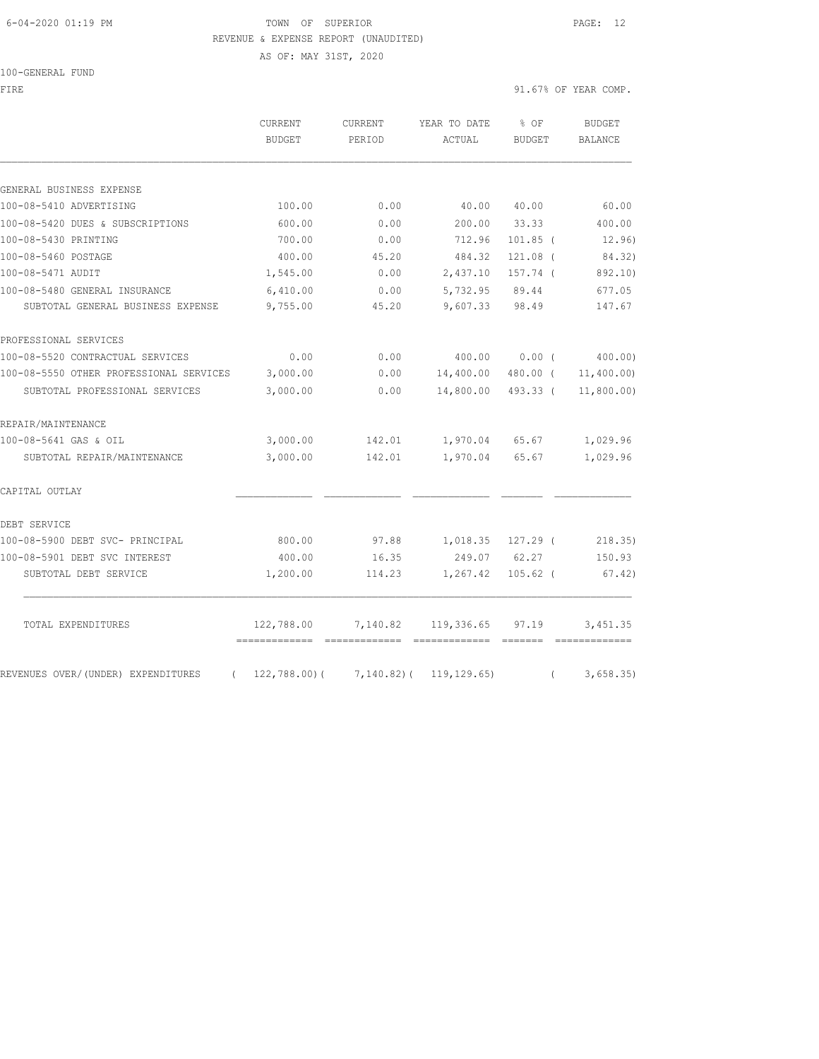#### 6-04-2020 01:19 PM TOWN OF SUPERIOR PAGE: 12 REVENUE & EXPENSE REPORT (UNAUDITED)

AS OF: MAY 31ST, 2020

100-GENERAL FUND

| FIRE                                             |                          |                   |                                               |                         | 91.67% OF YEAR COMP. |
|--------------------------------------------------|--------------------------|-------------------|-----------------------------------------------|-------------------------|----------------------|
|                                                  | CURRENT<br><b>BUDGET</b> | CURRENT<br>PERIOD | YEAR TO DATE<br>ACTUAL                        | $8$ OF<br><b>BUDGET</b> | BUDGET<br>BALANCE    |
|                                                  |                          |                   |                                               |                         |                      |
| GENERAL BUSINESS EXPENSE                         |                          |                   |                                               |                         |                      |
| 100-08-5410 ADVERTISING                          | 100.00                   | 0.00              | 40.00                                         | 40.00                   | 60.00                |
| 100-08-5420 DUES & SUBSCRIPTIONS                 | 600.00                   | 0.00              | 200.00                                        | 33.33                   | 400.00               |
| 100-08-5430 PRINTING                             | 700.00                   | 0.00              | 712.96                                        | $101.85$ (              | 12.96)               |
| 100-08-5460 POSTAGE                              | 400.00                   | 45.20             | 484.32                                        | $121.08$ (              | 84.32)               |
| 100-08-5471 AUDIT                                | 1,545.00                 | 0.00              | 2,437.10                                      | 157.74 (                | 892.10)              |
| 100-08-5480 GENERAL INSURANCE                    | 6,410.00                 | 0.00              | 5,732.95                                      | 89.44                   | 677.05               |
| SUBTOTAL GENERAL BUSINESS EXPENSE                | 9,755.00                 | 45.20             | 9,607.33                                      | 98.49                   | 147.67               |
| PROFESSIONAL SERVICES                            |                          |                   |                                               |                         |                      |
| 100-08-5520 CONTRACTUAL SERVICES                 | 0.00                     | 0.00              | 400.00                                        | $0.00$ (                | 400.00)              |
| 100-08-5550 OTHER PROFESSIONAL SERVICES          | 3,000.00                 | 0.00              | 14,400.00                                     | 480.00 (                | 11,400.00)           |
| SUBTOTAL PROFESSIONAL SERVICES                   | 3,000.00                 | 0.00              | 14,800.00                                     | 493.33 (                | 11,800.00)           |
| REPAIR/MAINTENANCE                               |                          |                   |                                               |                         |                      |
| 100-08-5641 GAS & OIL                            | 3,000.00                 | 142.01            | 1,970.04                                      | 65.67                   | 1,029.96             |
| SUBTOTAL REPAIR/MAINTENANCE                      | 3,000.00                 | 142.01            | 1,970.04                                      | 65.67                   | 1,029.96             |
| CAPITAL OUTLAY                                   |                          |                   |                                               |                         |                      |
| DEBT SERVICE                                     |                          |                   |                                               |                         |                      |
| 100-08-5900 DEBT SVC- PRINCIPAL                  | 800.00                   |                   |                                               |                         | 218.35)              |
| 100-08-5901 DEBT SVC INTEREST                    | 400.00                   | 16.35             | 249.07                                        | 62.27                   | 150.93               |
| SUBTOTAL DEBT SERVICE                            | 1,200.00                 | 114.23            | 1,267.42                                      | $105.62$ (              | 67.42)               |
| TOTAL EXPENDITURES                               | 122,788.00               | 7,140.82          | 119,336.65                                    | 97.19                   | 3,451.35             |
| REVENUES OVER/(UNDER) EXPENDITURES<br>$\sqrt{2}$ |                          |                   | $122, 788.00$ ( $7, 140.82$ ( $119, 129.65$ ) | $\left($                | 3,658.35             |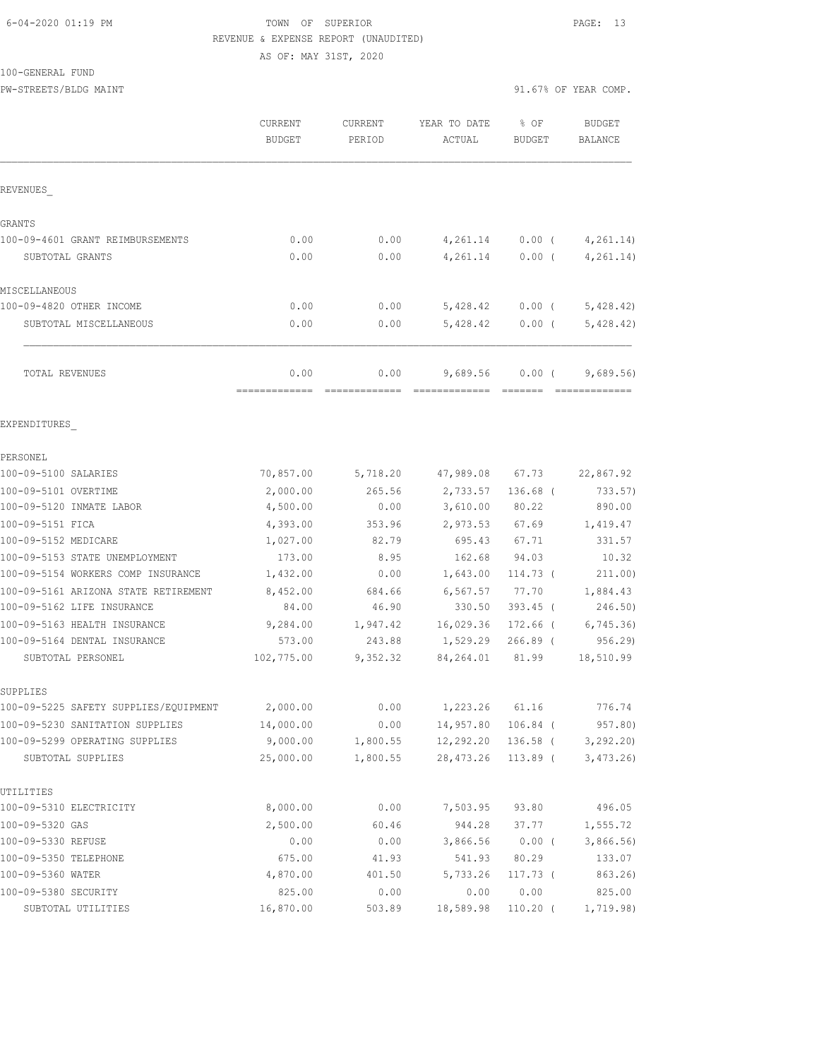#### 6-04-2020 01:19 PM TOWN OF SUPERIOR PAGE: 13 REVENUE & EXPENSE REPORT (UNAUDITED)

#### 100-GENERAL FUND

PW-STREETS/BLDG MAINT 91.67% OF YEAR COMP.

AS OF: MAY 31ST, 2020

|                                       | CURRENT<br><b>BUDGET</b> | <b>CURRENT</b><br>PERIOD | YEAR TO DATE<br>ACTUAL | % OF<br><b>BUDGET</b> | <b>BUDGET</b><br>BALANCE |
|---------------------------------------|--------------------------|--------------------------|------------------------|-----------------------|--------------------------|
| REVENUES                              |                          |                          |                        |                       |                          |
| <b>GRANTS</b>                         |                          |                          |                        |                       |                          |
| 100-09-4601 GRANT REIMBURSEMENTS      | 0.00                     | 0.00                     | 4,261.14               | $0.00$ (              | 4, 261.14)               |
| SUBTOTAL GRANTS                       | 0.00                     | 0.00                     | 4,261.14               | $0.00$ (              | 4, 261.14)               |
| MISCELLANEOUS                         |                          |                          |                        |                       |                          |
| 100-09-4820 OTHER INCOME              | 0.00                     | 0.00                     | 5,428.42               | $0.00$ (              | 5,428.42)                |
| SUBTOTAL MISCELLANEOUS                | 0.00                     | 0.00                     | 5,428.42               | $0.00$ (              | 5,428.42)                |
| TOTAL REVENUES                        | 0.00<br>-------------    | 0.00                     | 9,689.56               | 0.00(                 | 9,689.56                 |
| EXPENDITURES                          |                          |                          |                        |                       |                          |
|                                       |                          |                          |                        |                       |                          |
| PERSONEL<br>100-09-5100 SALARIES      | 70,857.00                | 5,718.20                 | 47,989.08              | 67.73                 | 22,867.92                |
| 100-09-5101 OVERTIME                  | 2,000.00                 | 265.56                   | 2,733.57               | $136.68$ (            | 733.57)                  |
| 100-09-5120 INMATE LABOR              | 4,500.00                 | 0.00                     | 3,610.00               | 80.22                 | 890.00                   |
| 100-09-5151 FICA                      | 4,393.00                 | 353.96                   | 2,973.53               | 67.69                 | 1,419.47                 |
| 100-09-5152 MEDICARE                  | 1,027.00                 | 82.79                    | 695.43                 | 67.71                 | 331.57                   |
| 100-09-5153 STATE UNEMPLOYMENT        | 173.00                   | 8.95                     | 162.68                 | 94.03                 | 10.32                    |
| 100-09-5154 WORKERS COMP INSURANCE    | 1,432.00                 | 0.00                     | 1,643.00               | $114.73$ (            | 211.00)                  |
| 100-09-5161 ARIZONA STATE RETIREMENT  | 8,452.00                 | 684.66                   | 6,567.57               | 77.70                 | 1,884.43                 |
| 100-09-5162 LIFE INSURANCE            | 84.00                    | 46.90                    | 330.50                 | $393.45$ (            | 246.50)                  |
| 100-09-5163 HEALTH INSURANCE          | 9,284.00                 | 1,947.42                 | 16,029.36              | $172.66$ (            | 6, 745.36                |
| 100-09-5164 DENTAL INSURANCE          | 573.00                   | 243.88                   | 1,529.29               | $266.89$ (            | 956.29                   |
| SUBTOTAL PERSONEL                     | 102,775.00               | 9,352.32                 | 84,264.01              | 81.99                 | 18,510.99                |
| SUPPLIES                              |                          |                          |                        |                       |                          |
| 100-09-5225 SAFETY SUPPLIES/EQUIPMENT | 2,000.00                 | 0.00                     | 1,223.26               | 61.16                 | 776.74                   |
| 100-09-5230 SANITATION SUPPLIES       | 14,000.00                | 0.00                     | 14,957.80              | $106.84$ (            | 957.80)                  |
| 100-09-5299 OPERATING SUPPLIES        | 9,000.00                 | 1,800.55                 | 12,292.20              | 136.58 (              | 3, 292.20                |
| SUBTOTAL SUPPLIES                     | 25,000.00                | 1,800.55                 | 28, 473.26             | $113.89$ (            | 3,473.26                 |
| UTILITIES                             |                          |                          |                        |                       |                          |
| 100-09-5310 ELECTRICITY               | 8,000.00                 | 0.00                     | 7,503.95               | 93.80                 | 496.05                   |
| 100-09-5320 GAS                       | 2,500.00                 | 60.46                    | 944.28                 | 37.77                 | 1,555.72                 |
| 100-09-5330 REFUSE                    | 0.00                     | 0.00                     | 3,866.56               | $0.00$ (              | 3,866.56)                |
| 100-09-5350 TELEPHONE                 | 675.00                   | 41.93                    | 541.93                 | 80.29                 | 133.07                   |
| 100-09-5360 WATER                     | 4,870.00                 | 401.50                   | 5,733.26               | $117.73$ (            | 863.26)                  |
| 100-09-5380 SECURITY                  | 825.00                   | 0.00                     | 0.00                   | 0.00                  | 825.00                   |
| SUBTOTAL UTILITIES                    | 16,870.00                | 503.89                   | 18,589.98              | $110.20$ (            | 1,719.98)                |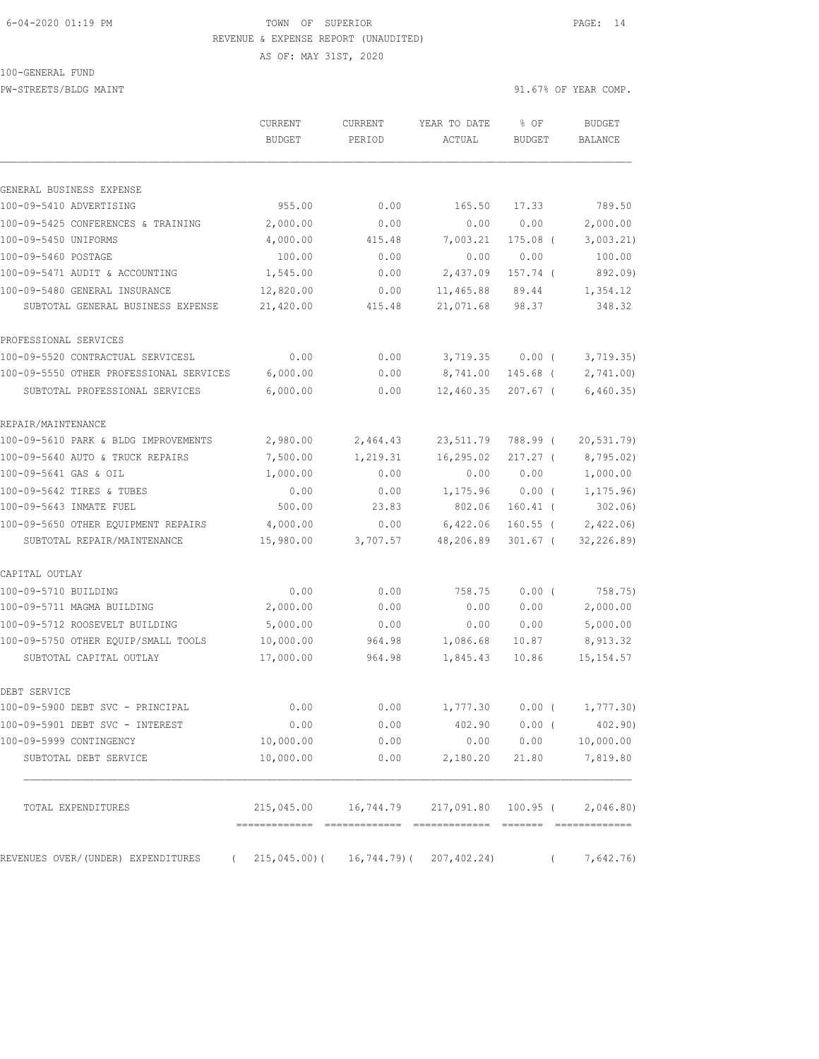#### 6-04-2020 01:19 PM TOWN OF SUPERIOR PAGE: 14 REVENUE & EXPENSE REPORT (UNAUDITED)

AS OF: MAY 31ST, 2020

100-GENERAL FUND

PW-STREETS/BLDG MAINT 91.67% OF YEAR COMP.

 CURRENT CURRENT YEAR TO DATE % OF BUDGET BUDGET PERIOD ACTUAL BUDGET BALANCE GENERAL BUSINESS EXPENSE 100-09-5410 ADVERTISING 955.00 0.00 165.50 17.33 789.50 100-09-5425 CONFERENCES & TRAINING 2,000.00 0.00 0.00 0.00 2,000.00 100-09-5450 UNIFORMS 4,000.00 415.48 7,003.21 175.08 ( 3,003.21) 100-09-5460 POSTAGE 100.00 0.00 0.00 0.00 100.00 100-09-5471 AUDIT & ACCOUNTING 1,545.00 0.00 2,437.09 157.74 ( 892.09) 100-09-5480 GENERAL INSURANCE 12,820.00 0.00 11,465.88 89.44 1,354.12 SUBTOTAL GENERAL BUSINESS EXPENSE 21,420.00 415.48 21,071.68 98.37 348.32 PROFESSIONAL SERVICES 100-09-5520 CONTRACTUAL SERVICESL 0.00 0.00 3,719.35 0.00 ( 3,719.35) 100-09-5550 OTHER PROFESSIONAL SERVICES 6,000.00 0.00 8,741.00 145.68 ( 2,741.00) SUBTOTAL PROFESSIONAL SERVICES 6,000.00 0.00 12,460.35 207.67 ( 6,460.35) REPAIR/MAINTENANCE 100-09-5610 PARK & BLDG IMPROVEMENTS 2,980.00 2,464.43 23,511.79 788.99 ( 20,531.79) 100-09-5640 AUTO & TRUCK REPAIRS 7,500.00 1,219.31 16,295.02 217.27 ( 8,795.02) 100-09-5641 GAS & OIL 1,000.00 0.00 0.00 0.00 1,000.00 100-09-5642 TIRES & TUBES 0.00 0.00 1,175.96 0.00 ( 1,175.96) 100-09-5643 INMATE FUEL 500.00 23.83 802.06 160.41 (302.06)<br>100-09-5650 OTHER EQUIPMENT REPAIRS 4,000.00 0.00 6,422.06 160.55 (2,422.06) 100-09-5650 OTHER EQUIPMENT REPAIRS 4,000.00 0.00 6,422.06 160.55 ( 2,422.06) SUBTOTAL REPAIR/MAINTENANCE 15,980.00 3,707.57 48,206.89 301.67 ( 32,226.89) CAPITAL OUTLAY 100-09-5710 BUILDING 0.00 0.00 758.75 0.00 ( 758.75) 100-09-5711 MAGMA BUILDING 2,000.00 0.00 0.00 0.00 2,000.00 100-09-5712 ROOSEVELT BUILDING 5,000.00 0.00 0.00 0.00 5,000.00 100-09-5750 OTHER EQUIP/SMALL TOOLS 10,000.00 964.98 1,086.68 10.87 8,913.32 SUBTOTAL CAPITAL OUTLAY 17,000.00 964.98 1,845.43 10.86 15,154.57 DEBT SERVICE 100-09-5900 DEBT SVC - PRINCIPAL 0.00 0.00 1,777.30 0.00 ( 1,777.30) 100-09-5901 DEBT SVC - INTEREST 0.00 0.00 402.90 0.00 ( 402.90) 100-09-5999 CONTINGENCY 10,000.00 0.00 0.00 0.00 10,000.00 SUBTOTAL DEBT SERVICE 10,000.00 0.00 2,180.20 21.80 7,819.80 TOTAL EXPENDITURES 215,045.00 16,744.79 217,091.80 100.95 ( 2,046.80) ============= ============= ============= ======= =============

REVENUES OVER/(UNDER) EXPENDITURES ( 215,045.00)( 16,744.79)( 207,402.24) ( 7,642.76)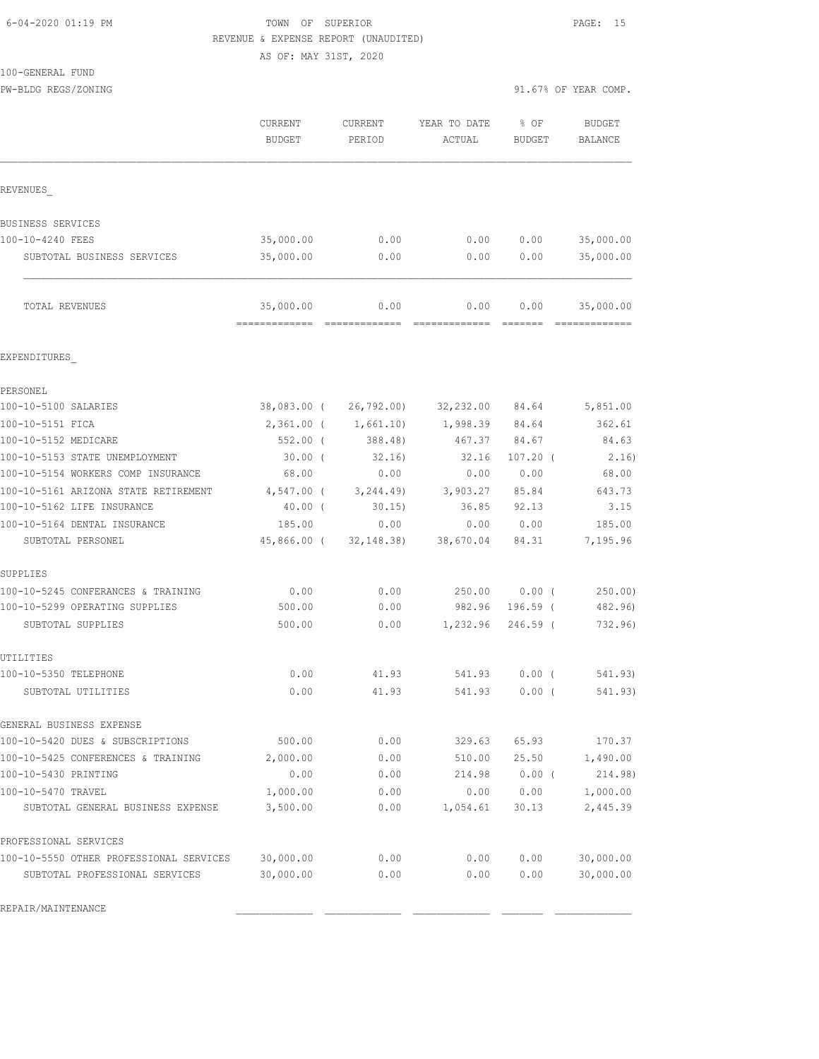#### 6-04-2020 01:19 PM TOWN OF SUPERIOR PAGE: 15 REVENUE & EXPENSE REPORT (UNAUDITED) AS OF: MAY 31ST, 2020

100-GENERAL FUND

PW-BLDG REGS/ZONING 91.67% OF YEAR COMP.

|                                         | CURRENT<br><b>BUDGET</b> | CURRENT<br>PERIOD | YEAR TO DATE<br>ACTUAL | % OF<br>BUDGET | <b>BUDGET</b><br>BALANCE |
|-----------------------------------------|--------------------------|-------------------|------------------------|----------------|--------------------------|
| REVENUES                                |                          |                   |                        |                |                          |
| BUSINESS SERVICES                       |                          |                   |                        |                |                          |
| 100-10-4240 FEES                        | 35,000.00                | 0.00              | 0.00                   | 0.00           | 35,000.00                |
| SUBTOTAL BUSINESS SERVICES              | 35,000.00                | 0.00              | 0.00                   | 0.00           | 35,000.00                |
| TOTAL REVENUES                          | 35,000.00                | 0.00              | 0.00                   | 0.00           | 35,000.00                |
| EXPENDITURES                            |                          |                   |                        |                |                          |
| PERSONEL                                |                          |                   |                        |                |                          |
| 100-10-5100 SALARIES                    | 38,083.00 (              | 26,792.00         | 32,232.00              | 84.64          | 5,851.00                 |
| 100-10-5151 FICA                        | $2,361.00$ (             | 1,661.10)         | 1,998.39               | 84.64          | 362.61                   |
| 100-10-5152 MEDICARE                    | $552.00$ (               | 388.48)           | 467.37                 | 84.67          | 84.63                    |
| 100-10-5153 STATE UNEMPLOYMENT          | $30.00$ (                | 32,16)            | 32.16                  | $107.20$ (     | 2.16)                    |
| 100-10-5154 WORKERS COMP INSURANCE      | 68.00                    | 0.00              | 0.00                   | 0.00           | 68.00                    |
| 100-10-5161 ARIZONA STATE RETIREMENT    | $4,547.00$ (             | 3, 244.49         | 3,903.27               | 85.84          | 643.73                   |
| 100-10-5162 LIFE INSURANCE              | $40.00$ (                | 30.15)            | 36.85                  | 92.13          | 3.15                     |
| 100-10-5164 DENTAL INSURANCE            | 185.00                   | 0.00              | 0.00                   | 0.00           | 185.00                   |
| SUBTOTAL PERSONEL                       | 45,866.00 (              | 32, 148.38        | 38,670.04              | 84.31          | 7,195.96                 |
| SUPPLIES                                |                          |                   |                        |                |                          |
| 100-10-5245 CONFERANCES & TRAINING      | 0.00                     | 0.00              | 250.00                 | $0.00$ (       | 250.00                   |
| 100-10-5299 OPERATING SUPPLIES          | 500.00                   | 0.00              | 982.96                 | 196.59 (       | 482.96)                  |
| SUBTOTAL SUPPLIES                       | 500.00                   | 0.00              | 1,232.96               | $246.59$ (     | 732.96)                  |
| UTILITIES                               |                          |                   |                        |                |                          |
| 100-10-5350 TELEPHONE                   | 0.00                     | 41.93             | 541.93                 | $0.00$ (       | 541.93)                  |
| SUBTOTAL UTILITIES                      | 0.00                     | 41.93             | 541.93                 | 0.00(          | 541.93)                  |
| GENERAL BUSINESS EXPENSE                |                          |                   |                        |                |                          |
| 100-10-5420 DUES & SUBSCRIPTIONS        | 500.00                   | 0.00              | 329.63                 | 65.93          | 170.37                   |
| 100-10-5425 CONFERENCES & TRAINING      | 2,000.00                 | 0.00              | 510.00                 | 25.50          | 1,490.00                 |
| 100-10-5430 PRINTING                    | 0.00                     | 0.00              | 214.98                 | $0.00$ (       | 214.98)                  |
| 100-10-5470 TRAVEL                      | 1,000.00                 | 0.00              | 0.00                   | 0.00           | 1,000.00                 |
| SUBTOTAL GENERAL BUSINESS EXPENSE       | 3,500.00                 | 0.00              | 1,054.61               | 30.13          | 2,445.39                 |
| PROFESSIONAL SERVICES                   |                          |                   |                        |                |                          |
| 100-10-5550 OTHER PROFESSIONAL SERVICES | 30,000.00                | 0.00              | 0.00                   | 0.00           | 30,000.00                |
| SUBTOTAL PROFESSIONAL SERVICES          | 30,000.00                | 0.00              | 0.00                   | 0.00           | 30,000.00                |

REPAIR/MAINTENANCE \_\_\_\_\_\_\_\_\_\_\_\_\_ \_\_\_\_\_\_\_\_\_\_\_\_\_ \_\_\_\_\_\_\_\_\_\_\_\_\_ \_\_\_\_\_\_\_ \_\_\_\_\_\_\_\_\_\_\_\_\_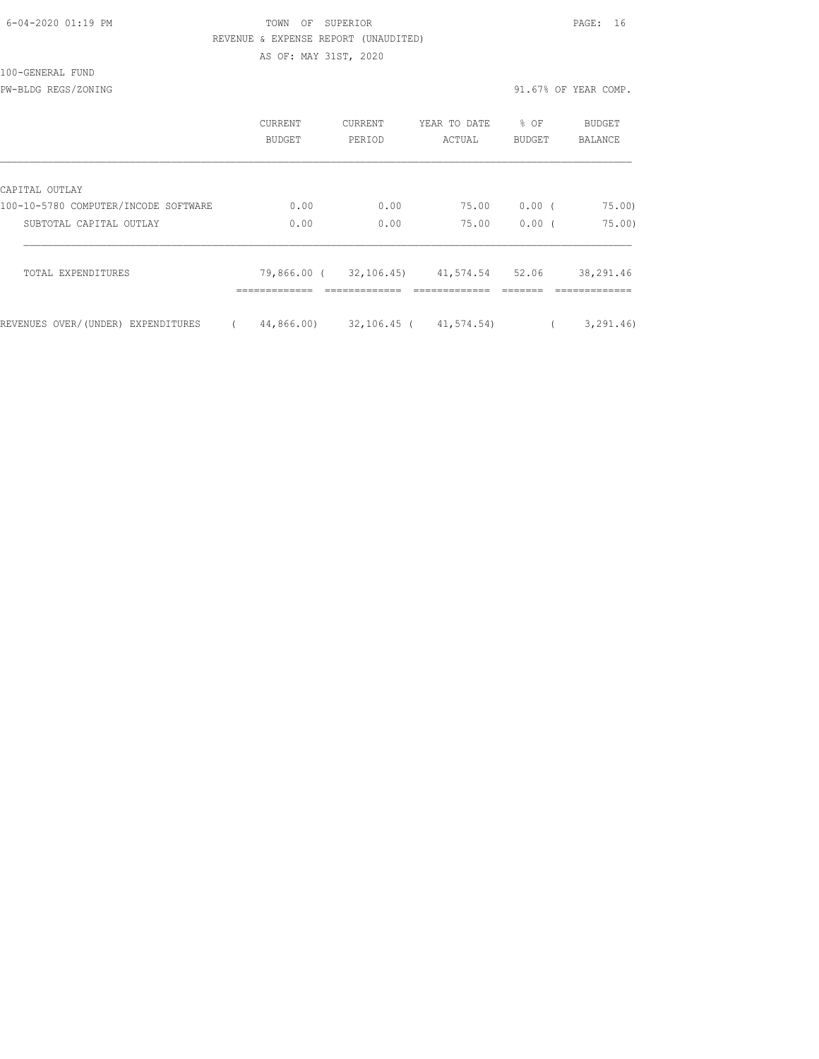| 6-04-2020 01:19 PM |  |
|--------------------|--|
|                    |  |

### TOWN OF SUPERIOR **Example 2010** PAGE: 16 REVENUE & EXPENSE REPORT (UNAUDITED) AS OF: MAY 31ST, 2020

100-GENERAL FUND

PW-BLDG REGS/ZONING 91.67% OF YEAR COMP.

|                                      | <b>CURRENT</b><br>BUDGET | CURRENT<br>PERIOD | YEAR TO DATE<br>ACTUAL                                 | % OF<br><b>BUDGET</b> | BUDGET<br><b>BALANCE</b>   |
|--------------------------------------|--------------------------|-------------------|--------------------------------------------------------|-----------------------|----------------------------|
| CAPITAL OUTLAY                       |                          |                   |                                                        |                       |                            |
| 100-10-5780 COMPUTER/INCODE SOFTWARE | 0.00                     | 0.00              | 75.00                                                  | $0.00$ (              | 75.00                      |
| SUBTOTAL CAPITAL OUTLAY              | 0.00                     | 0.00              | 75.00                                                  | 0.00(                 | 75.00                      |
| TOTAL EXPENDITURES                   | -------------            | ------------      | 79,866.00 (32,106.45) 41,574.54 52.06<br>------------- |                       | 38,291.46<br>------------- |
| REVENUES OVER/(UNDER) EXPENDITURES   | 44,866.00)               | 32,106.45 (       | 41,574.54)                                             |                       | 3, 291, 46)                |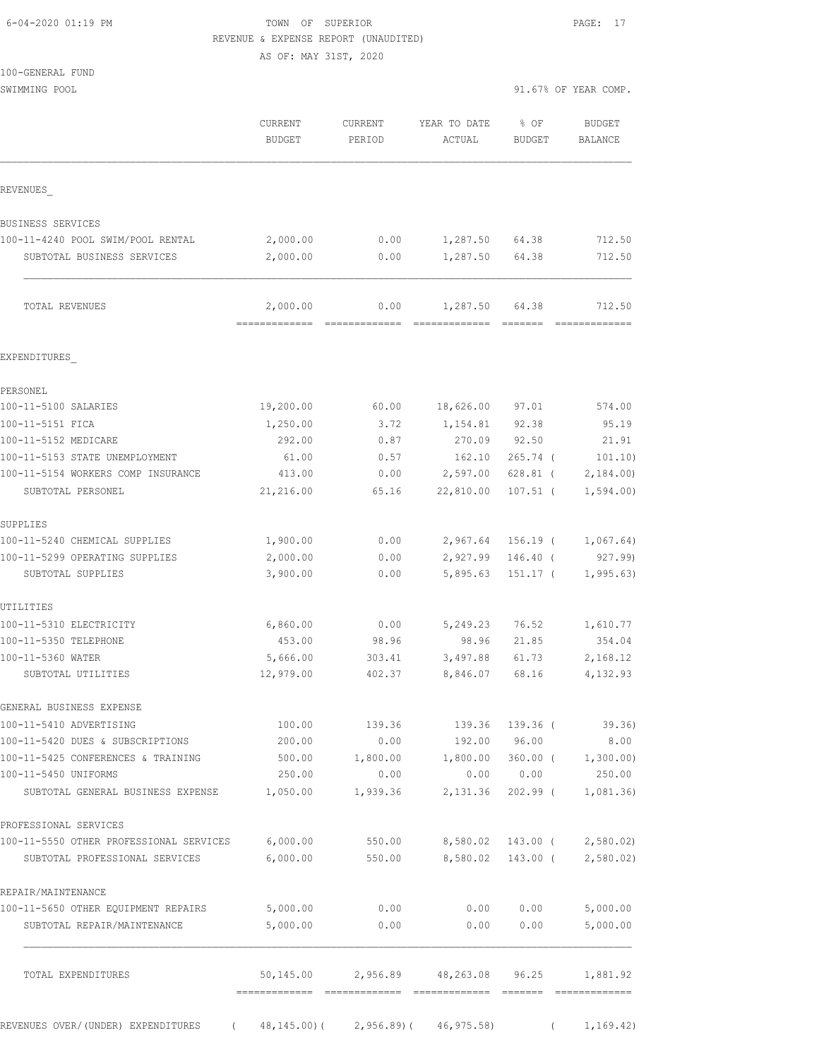| 6-04-2020 01:19 PM |  |
|--------------------|--|
|                    |  |

100-GENERAL FUND

## TOWN OF SUPERIOR **Example 2014** PAGE: 17 REVENUE & EXPENSE REPORT (UNAUDITED)

AS OF: MAY 31ST, 2020

| SWIMMING POOL                                             |                                       |                   |                               |                       | 91.67% OF YEAR COMP.     |
|-----------------------------------------------------------|---------------------------------------|-------------------|-------------------------------|-----------------------|--------------------------|
|                                                           | CURRENT<br><b>BUDGET</b>              | CURRENT<br>PERIOD | YEAR TO DATE<br>ACTUAL        | % OF<br><b>BUDGET</b> | <b>BUDGET</b><br>BALANCE |
| REVENUES                                                  |                                       |                   |                               |                       |                          |
| BUSINESS SERVICES                                         |                                       |                   |                               |                       |                          |
| 100-11-4240 POOL SWIM/POOL RENTAL                         | 2,000.00                              | 0.00              | 1,287.50 64.38                |                       | 712.50                   |
| SUBTOTAL BUSINESS SERVICES                                | 2,000.00                              | 0.00              | 1,287.50                      | 64.38                 | 712.50                   |
| TOTAL REVENUES                                            | 2,000.00                              | 0.00              | 1,287.50                      | 64.38                 | 712.50                   |
| EXPENDITURES                                              |                                       |                   |                               |                       |                          |
| PERSONEL                                                  |                                       |                   |                               |                       |                          |
| 100-11-5100 SALARIES                                      | 19,200.00                             | 60.00             | 18,626.00                     | 97.01                 | 574.00                   |
| 100-11-5151 FICA                                          | 1,250.00                              | 3.72              | 1,154.81                      | 92.38                 | 95.19                    |
| 100-11-5152 MEDICARE                                      | 292.00                                | 0.87              | 270.09                        | 92.50                 | 21.91                    |
| 100-11-5153 STATE UNEMPLOYMENT                            | 61.00                                 | 0.57              | 162.10                        | $265.74$ (            | 101.10)                  |
| 100-11-5154 WORKERS COMP INSURANCE                        | 413.00                                | 0.00              | 2,597.00                      | $628.81$ (            | 2,184.00                 |
| SUBTOTAL PERSONEL                                         | 21,216.00                             | 65.16             | 22,810.00                     | $107.51$ (            | 1,594.00                 |
| SUPPLIES                                                  |                                       |                   |                               |                       |                          |
| 100-11-5240 CHEMICAL SUPPLIES                             | 1,900.00                              | 0.00              | 2,967.64 156.19 (             |                       | 1,067.64)                |
| 100-11-5299 OPERATING SUPPLIES<br>SUBTOTAL SUPPLIES       | 2,000.00<br>3,900.00                  | 0.00<br>0.00      | 2,927.99 146.40 (<br>5,895.63 | 151.17 (              | 927.99)<br>1, 995.63     |
| UTILITIES                                                 |                                       |                   |                               |                       |                          |
| 100-11-5310 ELECTRICITY                                   | 6,860.00                              | 0.00              | 5,249.23                      | 76.52                 | 1,610.77                 |
| 100-11-5350 TELEPHONE                                     | 453.00                                | 98.96             | 98.96                         | 21.85                 | 354.04                   |
| 100-11-5360 WATER                                         | 5,666.00                              | 303.41            | 3,497.88                      | 61.73                 | 2,168.12                 |
| SUBTOTAL UTILITIES                                        | 12,979.00                             | 402.37            | 8,846.07                      | 68.16                 | 4,132.93                 |
| GENERAL BUSINESS EXPENSE                                  |                                       |                   |                               |                       |                          |
| 100-11-5410 ADVERTISING                                   | 100.00                                | 139.36            | 139.36                        | 139.36 (              | 39.36)                   |
| 100-11-5420 DUES & SUBSCRIPTIONS                          | 200.00                                | 0.00              | 192.00                        | 96.00                 | 8.00                     |
| 100-11-5425 CONFERENCES & TRAINING                        | 500.00                                | 1,800.00          | 1,800.00                      | $360.00$ (            | 1,300.00)                |
| 100-11-5450 UNIFORMS<br>SUBTOTAL GENERAL BUSINESS EXPENSE | 250.00<br>1,050.00                    | 0.00<br>1,939.36  | 0.00<br>2,131.36              | 0.00<br>$202.99$ (    | 250.00<br>1,081.36       |
| PROFESSIONAL SERVICES                                     |                                       |                   |                               |                       |                          |
| 100-11-5550 OTHER PROFESSIONAL SERVICES                   | 6,000.00                              | 550.00            | 8,580.02 143.00 (             |                       | 2,580.02                 |
| SUBTOTAL PROFESSIONAL SERVICES                            | 6,000.00                              | 550.00            | 8,580.02                      | 143.00 (              | 2,580.02                 |
| REPAIR/MAINTENANCE                                        |                                       |                   |                               |                       |                          |
| 100-11-5650 OTHER EQUIPMENT REPAIRS                       | 5,000.00                              | 0.00              | 0.00                          | 0.00                  | 5,000.00                 |
| SUBTOTAL REPAIR/MAINTENANCE                               | 5,000.00                              | 0.00              | 0.00                          | 0.00                  | 5,000.00                 |
| TOTAL EXPENDITURES                                        | 50,145.00                             | 2,956.89          | 48,263.08 96.25               |                       | 1,881.92                 |
|                                                           | (48, 145.00) (2, 956.89) (46, 975.58) |                   |                               |                       |                          |
| REVENUES OVER/(UNDER) EXPENDITURES                        |                                       |                   |                               |                       | 1,169.42)<br>$\left($    |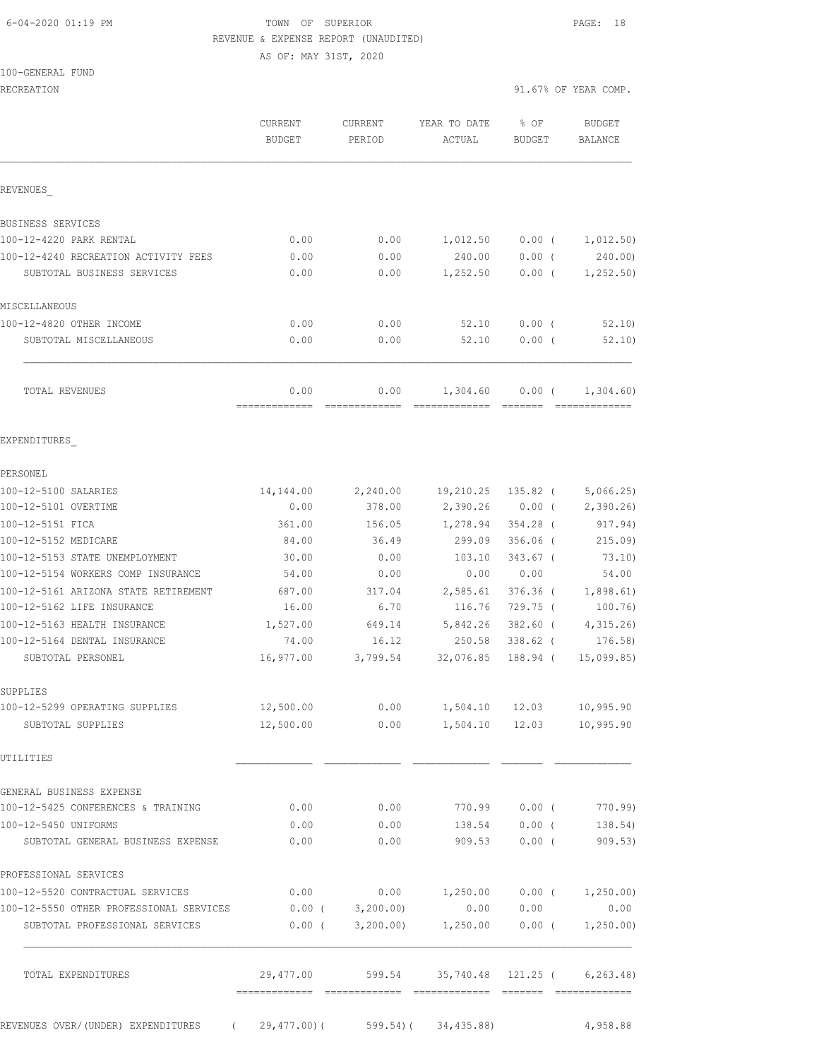### 6-04-2020 01:19 PM TOWN OF SUPERIOR PAGE: 18 REVENUE & EXPENSE REPORT (UNAUDITED) AS OF: MAY 31ST, 2020

100-GENERAL FUND

|                                                                     | <b>CURRENT</b><br><b>BUDGET</b> | CURRENT<br>PERIOD | YEAR TO DATE<br>ACTUAL                          | % OF<br><b>BUDGET</b>          | <b>BUDGET</b><br>BALANCE |
|---------------------------------------------------------------------|---------------------------------|-------------------|-------------------------------------------------|--------------------------------|--------------------------|
| REVENUES                                                            |                                 |                   |                                                 |                                |                          |
| BUSINESS SERVICES                                                   |                                 |                   |                                                 |                                |                          |
| 100-12-4220 PARK RENTAL                                             | 0.00                            | 0.00              | 1,012.50                                        | $0.00$ (                       | 1,012.50)                |
| 100-12-4240 RECREATION ACTIVITY FEES                                | 0.00                            | 0.00              | 240.00                                          | $0.00$ (                       | 240.00)                  |
| SUBTOTAL BUSINESS SERVICES                                          | 0.00                            | 0.00              |                                                 | $1,252.50$ 0.00 (              | 1,252.50)                |
| MISCELLANEOUS                                                       |                                 |                   |                                                 |                                |                          |
| 100-12-4820 OTHER INCOME                                            | 0.00                            | 0.00              | 52.10                                           | $0.00$ (                       | 52.10                    |
| SUBTOTAL MISCELLANEOUS                                              | 0.00                            | 0.00              | 52.10                                           | $0.00$ (                       | 52.10                    |
| TOTAL REVENUES                                                      | 0.00                            | 0.00              | 1,304.60                                        | $0.00$ (                       | 1,304.60)                |
| EXPENDITURES                                                        |                                 |                   |                                                 |                                |                          |
| PERSONEL                                                            |                                 |                   |                                                 |                                |                          |
| 100-12-5100 SALARIES                                                | 14,144.00                       |                   | 2,240.00 19,210.25                              |                                | $135.82$ ( $5,066.25$ )  |
| 100-12-5101 OVERTIME                                                | 0.00                            |                   | 378.00 2,390.26 0.00 ( 2,390.26)                |                                |                          |
| 100-12-5151 FICA                                                    | 361.00                          | 156.05            | 1,278.94                                        | $354.28$ (                     | 917.94)                  |
| 100-12-5152 MEDICARE                                                | 84.00                           | 36.49             | 299.09                                          | $356.06$ (                     | 215.09                   |
| 100-12-5153 STATE UNEMPLOYMENT                                      | 30.00                           | 0.00              | 103.10                                          | $343.67$ (                     | 73.10)                   |
| 100-12-5154 WORKERS COMP INSURANCE                                  | 54.00                           | 0.00              | 0.00                                            | 0.00                           | 54.00                    |
| 100-12-5161 ARIZONA STATE RETIREMENT                                | 687.00                          | 317.04            | 2,585.61                                        | $376.36$ (                     | 1,898.61)                |
| 100-12-5162 LIFE INSURANCE                                          | 16.00                           | 6.70              | 116.76                                          | 729.75 (                       | 100.76)                  |
| 100-12-5163 HEALTH INSURANCE<br>100-12-5164 DENTAL INSURANCE        | 1,527.00<br>74.00               | 649.14<br>16.12   | 5,842.26<br>250.58                              | 382.60 (<br>338.62 (           | 4,315.26)<br>176.58)     |
| SUBTOTAL PERSONEL                                                   | 16,977.00                       | 3,799.54          | 32,076.85                                       | 188.94 (                       | 15,099.85                |
|                                                                     |                                 |                   |                                                 |                                |                          |
| SUPPLIES                                                            |                                 |                   |                                                 |                                |                          |
| 100-12-5299 OPERATING SUPPLIES                                      | 12,500.00                       | 0.00              | 1,504.10                                        | 12.03                          | 10,995.90                |
| SUBTOTAL SUPPLIES                                                   |                                 |                   | 12,500.00   0.00   1,504.10   12.03   10,995.90 |                                |                          |
| UTILITIES                                                           |                                 |                   |                                                 |                                |                          |
| GENERAL BUSINESS EXPENSE                                            |                                 |                   |                                                 |                                |                          |
| 100-12-5425 CONFERENCES & TRAINING                                  | 0.00                            | 0.00              |                                                 | 770.99 0.00 (                  | 770.99)                  |
| 100-12-5450 UNIFORMS<br>SUBTOTAL GENERAL BUSINESS EXPENSE           | 0.00<br>0.00                    | 0.00<br>0.00      |                                                 | 138.54 0.00 (<br>909.53 0.00 ( | 138.54)<br>909.53)       |
| PROFESSIONAL SERVICES                                               |                                 |                   |                                                 |                                |                          |
| 100-12-5520 CONTRACTUAL SERVICES                                    |                                 |                   | $0.00$ 0.00 1,250.00 0.00 ( 1,250.00)           |                                |                          |
| 100-12-5550 OTHER PROFESSIONAL SERVICES 0.00 (                      |                                 | 3,200.00          | 0.00                                            | 0.00                           | 0.00                     |
| SUBTOTAL PROFESSIONAL SERVICES                                      | $0.00$ (                        | 3,200.00)         |                                                 | $1,250.00$ 0.00 (              | 1,250.00)                |
| TOTAL EXPENDITURES                                                  | 29,477.00                       |                   | 599.54 35,740.48 121.25 ( 6,263.48)             |                                |                          |
| REVENUES OVER/(UNDER) EXPENDITURES (29,477.00) (599.54) (34,435.88) |                                 |                   |                                                 |                                | 4,958.88                 |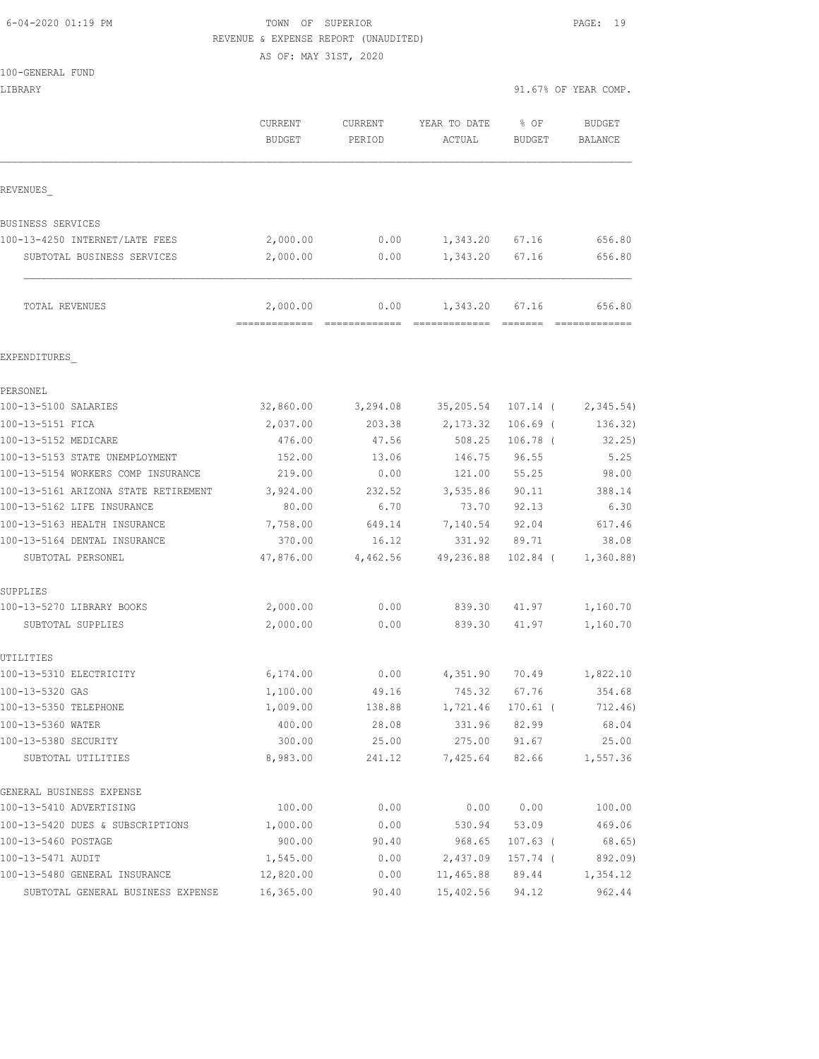#### 6-04-2020 01:19 PM TOWN OF SUPERIOR PAGE: 19 REVENUE & EXPENSE REPORT (UNAUDITED)

AS OF: MAY 31ST, 2020

100-GENERAL FUND

LIBRARY 91.67% OF YEAR COMP.

|                                      | <b>CURRENT</b><br><b>BUDGET</b> | CURRENT<br>PERIOD | YEAR TO DATE<br>ACTUAL | % OF<br><b>BUDGET</b> | <b>BUDGET</b><br>BALANCE |
|--------------------------------------|---------------------------------|-------------------|------------------------|-----------------------|--------------------------|
| REVENUES                             |                                 |                   |                        |                       |                          |
| BUSINESS SERVICES                    |                                 |                   |                        |                       |                          |
| 100-13-4250 INTERNET/LATE FEES       | 2,000.00                        | 0.00              | 1,343.20               | 67.16                 | 656.80                   |
| SUBTOTAL BUSINESS SERVICES           | 2,000.00                        | 0.00              | 1,343.20               | 67.16                 | 656.80                   |
| TOTAL REVENUES                       | 2,000.00                        | 0.00              | 1,343.20               | 67.16                 | 656.80                   |
| EXPENDITURES                         |                                 |                   |                        |                       |                          |
| PERSONEL                             |                                 |                   |                        |                       |                          |
| 100-13-5100 SALARIES                 | 32,860.00                       | 3,294.08          | 35,205.54              | $107.14$ (            | 2,345.54)                |
| 100-13-5151 FICA                     | 2,037.00                        | 203.38            | 2,173.32               | $106.69$ (            | 136.32)                  |
| 100-13-5152 MEDICARE                 | 476.00                          | 47.56             | 508.25                 | $106.78$ (            | 32.25)                   |
| 100-13-5153 STATE UNEMPLOYMENT       | 152.00                          | 13.06             | 146.75                 | 96.55                 | 5.25                     |
| 100-13-5154 WORKERS COMP INSURANCE   | 219.00                          | 0.00              | 121.00                 | 55.25                 | 98.00                    |
| 100-13-5161 ARIZONA STATE RETIREMENT | 3,924.00                        | 232.52            | 3,535.86               | 90.11                 | 388.14                   |
| 100-13-5162 LIFE INSURANCE           | 80.00                           | 6.70              | 73.70                  | 92.13                 | 6.30                     |
| 100-13-5163 HEALTH INSURANCE         | 7,758.00                        | 649.14            | 7,140.54               | 92.04                 | 617.46                   |
| 100-13-5164 DENTAL INSURANCE         | 370.00                          | 16.12             | 331.92                 | 89.71                 | 38.08                    |
| SUBTOTAL PERSONEL                    | 47,876.00                       | 4,462.56          | 49,236.88              | $102.84$ (            | 1,360.88)                |
| SUPPLIES                             |                                 |                   |                        |                       |                          |
| 100-13-5270 LIBRARY BOOKS            | 2,000.00                        | 0.00              | 839.30                 | 41.97                 | 1,160.70                 |
| SUBTOTAL SUPPLIES                    | 2,000.00                        | 0.00              | 839.30                 | 41.97                 | 1,160.70                 |
| UTILITIES                            |                                 |                   |                        |                       |                          |
| 100-13-5310 ELECTRICITY              | 6,174.00                        | 0.00              | 4,351.90               | 70.49                 | 1,822.10                 |
| 100-13-5320 GAS                      | 1,100.00                        | 49.16             | 745.32                 | 67.76                 | 354.68                   |
| 100-13-5350 TELEPHONE                | 1,009.00                        | 138.88            | 1,721.46               | 170.61 (              | 712.46)                  |
| 100-13-5360 WATER                    | 400.00                          | 28.08             | 331.96                 | 82.99                 | 68.04                    |
| 100-13-5380 SECURITY                 | 300.00                          | 25.00             | 275.00                 | 91.67                 | 25.00                    |
| SUBTOTAL UTILITIES                   | 8,983.00                        | 241.12            | 7,425.64               | 82.66                 | 1,557.36                 |
| GENERAL BUSINESS EXPENSE             |                                 |                   |                        |                       |                          |
| 100-13-5410 ADVERTISING              | 100.00                          | 0.00              | 0.00                   | 0.00                  | 100.00                   |
| 100-13-5420 DUES & SUBSCRIPTIONS     | 1,000.00                        | 0.00              | 530.94                 | 53.09                 | 469.06                   |
| 100-13-5460 POSTAGE                  | 900.00                          | 90.40             | 968.65                 | $107.63$ (            | 68.65)                   |
| 100-13-5471 AUDIT                    | 1,545.00                        | 0.00              | 2,437.09               | $157.74$ (            | 892.09)                  |
| 100-13-5480 GENERAL INSURANCE        | 12,820.00                       | 0.00              | 11,465.88              | 89.44                 | 1,354.12                 |
| SUBTOTAL GENERAL BUSINESS EXPENSE    | 16,365.00                       | 90.40             | 15,402.56              | 94.12                 | 962.44                   |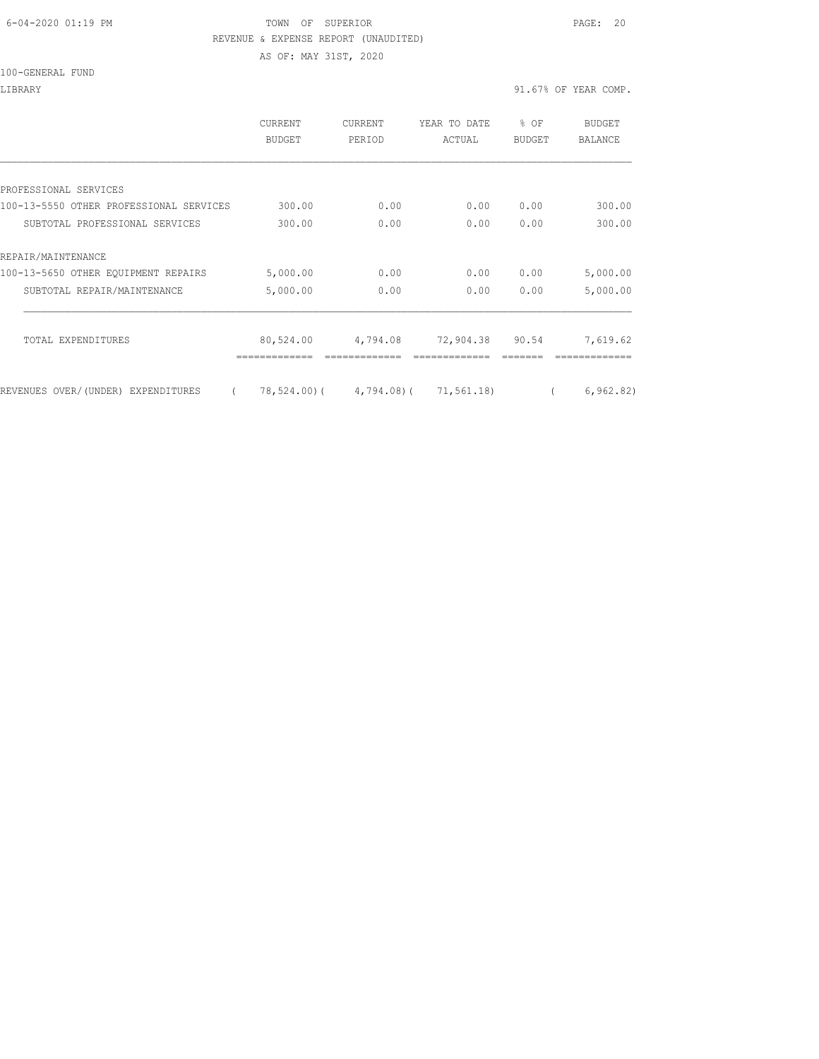#### 6-04-2020 01:19 PM TOWN OF SUPERIOR PAGE: 20 REVENUE & EXPENSE REPORT (UNAUDITED)

AS OF: MAY 31ST, 2020

100-GENERAL FUND

LIBRARY 91.67% OF YEAR COMP.

|                                                | <b>CURRENT</b><br>BUDGET | <b>CURRENT</b><br>PERIOD          | YEAR TO DATE<br>ACTUAL | % OF<br><b>BUDGET</b> | BUDGET<br><b>BALANCE</b> |
|------------------------------------------------|--------------------------|-----------------------------------|------------------------|-----------------------|--------------------------|
|                                                |                          |                                   |                        |                       |                          |
| PROFESSIONAL SERVICES                          |                          |                                   |                        |                       |                          |
| 100-13-5550 OTHER PROFESSIONAL SERVICES        | 300.00                   | 0.00                              | 0.00                   | 0.00                  | 300.00                   |
| SUBTOTAL PROFESSIONAL SERVICES                 | 300.00                   | 0.00                              | 0.00                   | 0.00                  | 300.00                   |
| REPAIR/MAINTENANCE                             |                          |                                   |                        |                       |                          |
| 100-13-5650 OTHER EQUIPMENT REPAIRS            | 5,000.00                 | 0.00                              | 0.00                   | 0.00                  | 5,000.00                 |
| SUBTOTAL REPAIR/MAINTENANCE                    | 5,000.00                 | 0.00                              | 0.00                   | 0.00                  | 5,000.00                 |
| TOTAL EXPENDITURES                             | 80,524.00                | 4,794.08                          | 72,904.38              | 90.54                 | 7,619.62                 |
| REVENUES OVER/(UNDER) EXPENDITURES<br>$\left($ |                          | 78,524.00) (4,794.08) (71,561.18) |                        |                       | 6, 962.82)               |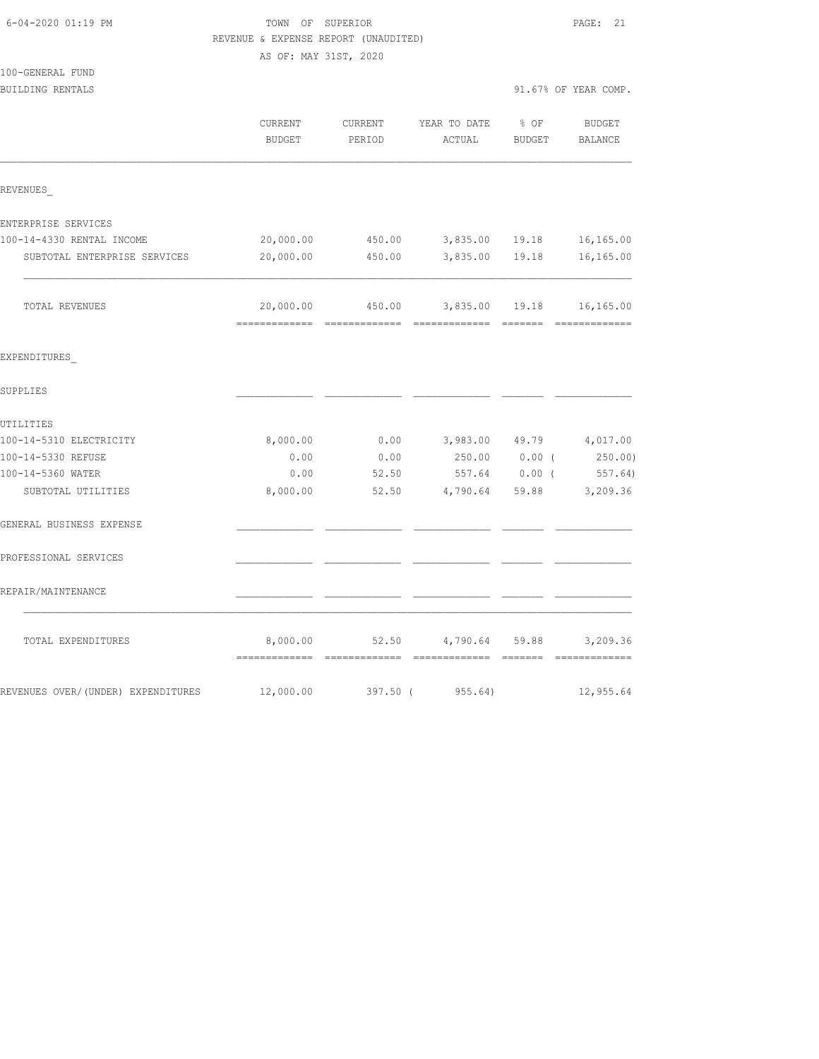|                                    | REVENUE & EXPENSE REPORT (UNAUDITED) |                   |                        |                |                             |
|------------------------------------|--------------------------------------|-------------------|------------------------|----------------|-----------------------------|
|                                    | AS OF: MAY 31ST, 2020                |                   |                        |                |                             |
| 100-GENERAL FUND                   |                                      |                   |                        |                |                             |
| BUILDING RENTALS                   |                                      |                   |                        |                | 91.67% OF YEAR COMP.        |
|                                    | CURRENT<br>BUDGET                    | CURRENT<br>PERIOD | YEAR TO DATE<br>ACTUAL | % OF<br>BUDGET | <b>BUDGET</b><br>BALANCE    |
| REVENUES                           |                                      |                   |                        |                |                             |
| ENTERPRISE SERVICES                |                                      |                   |                        |                |                             |
| 100-14-4330 RENTAL INCOME          | 20,000.00                            | 450.00            |                        | 3,835.00 19.18 | 16,165.00                   |
| SUBTOTAL ENTERPRISE SERVICES       | 20,000.00                            | 450.00            | 3,835.00               | 19.18          | 16,165.00                   |
| TOTAL REVENUES                     | 20,000.00                            | 450.00            |                        | 3,835.00 19.18 | 16,165.00<br>-------------- |
| EXPENDITURES                       |                                      |                   |                        |                |                             |
| SUPPLIES                           |                                      |                   |                        |                |                             |
| UTILITIES                          |                                      |                   |                        |                |                             |
| 100-14-5310 ELECTRICITY            | 8,000.00                             | 0.00              | 3,983.00               | 49.79          | 4,017.00                    |
| 100-14-5330 REFUSE                 | 0.00                                 | 0.00              | 250.00                 | $0.00$ (       | 250.00)                     |
| 100-14-5360 WATER                  | 0.00                                 | 52.50             | 557.64                 | $0.00$ (       | 557.64)                     |
| SUBTOTAL UTILITIES                 | 8,000.00                             | 52.50             | 4,790.64               | 59.88          | 3,209.36                    |
| GENERAL BUSINESS EXPENSE           |                                      |                   |                        |                |                             |
| PROFESSIONAL SERVICES              |                                      |                   |                        |                |                             |
| REPAIR/MAINTENANCE                 |                                      |                   |                        |                |                             |
| TOTAL EXPENDITURES                 | 8,000.00                             | 52.50             | 4,790.64               | 59.88          | 3,209.36                    |
| REVENUES OVER/(UNDER) EXPENDITURES | 12,000.00                            | 397.50 (          | 955.64)                |                | 12,955.64                   |

6-04-2020 01:19 PM TOWN OF SUPERIOR PAGE: 21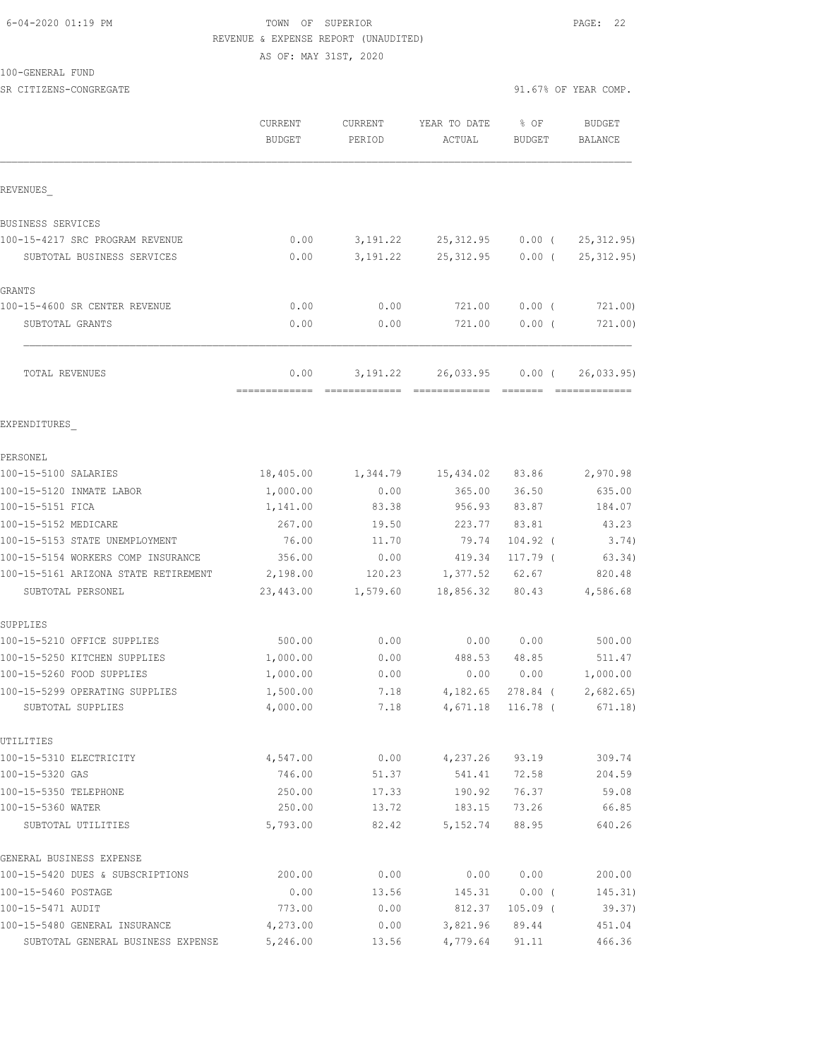## 6-04-2020 01:19 PM TOWN OF SUPERIOR PAGE: 22 REVENUE & EXPENSE REPORT (UNAUDITED)

AS OF: MAY 31ST, 2020

100-GENERAL FUND

SR CITIZENS-CONGREGATE 91.67% OF YEAR COMP.

|                                      | <b>CURRENT</b><br><b>BUDGET</b> | <b>CURRENT</b><br>PERIOD | YEAR TO DATE<br>ACTUAL     | % OF<br>BUDGET | <b>BUDGET</b><br>BALANCE   |
|--------------------------------------|---------------------------------|--------------------------|----------------------------|----------------|----------------------------|
| REVENUES                             |                                 |                          |                            |                |                            |
| BUSINESS SERVICES                    |                                 |                          |                            |                |                            |
| 100-15-4217 SRC PROGRAM REVENUE      | 0.00                            | 3,191.22                 | 25, 312.95                 | $0.00$ (       | 25, 312.95                 |
| SUBTOTAL BUSINESS SERVICES           | 0.00                            | 3,191.22                 | 25, 312.95                 | $0.00$ (       | 25, 312.95)                |
| GRANTS                               |                                 |                          |                            |                |                            |
| 100-15-4600 SR CENTER REVENUE        | 0.00                            | 0.00                     | 721.00                     | $0.00$ (       | 721.00)                    |
| SUBTOTAL GRANTS                      | 0.00                            | 0.00                     | 721.00                     | $0.00$ (       | 721.00)                    |
| TOTAL REVENUES                       | 0.00<br>=============           | 3, 191. 22               | 26,033.95<br>============= | $0.00$ (       | 26,033.95<br>============= |
| EXPENDITURES                         |                                 |                          |                            |                |                            |
| PERSONEL                             |                                 |                          |                            |                |                            |
| 100-15-5100 SALARIES                 | 18,405.00                       | 1,344.79                 | 15,434.02                  | 83.86          | 2,970.98                   |
| 100-15-5120 INMATE LABOR             | 1,000.00                        | 0.00                     | 365.00                     | 36.50          | 635.00                     |
| 100-15-5151 FICA                     | 1,141.00                        | 83.38                    | 956.93                     | 83.87          | 184.07                     |
| 100-15-5152 MEDICARE                 | 267.00                          | 19.50                    | 223.77                     | 83.81          | 43.23                      |
| 100-15-5153 STATE UNEMPLOYMENT       | 76.00                           | 11.70                    | 79.74                      | 104.92 (       | 3.74)                      |
| 100-15-5154 WORKERS COMP INSURANCE   | 356.00                          | 0.00                     | 419.34                     | 117.79 (       | 63.34)                     |
| 100-15-5161 ARIZONA STATE RETIREMENT | 2,198.00                        | 120.23                   | 1,377.52                   | 62.67          | 820.48                     |
| SUBTOTAL PERSONEL                    | 23,443.00                       | 1,579.60                 | 18,856.32                  | 80.43          | 4,586.68                   |
| SUPPLIES                             |                                 |                          |                            |                |                            |
| 100-15-5210 OFFICE SUPPLIES          | 500.00                          | 0.00                     | 0.00                       | 0.00           | 500.00                     |
| 100-15-5250 KITCHEN SUPPLIES         | 1,000.00                        | 0.00                     | 488.53                     | 48.85          | 511.47                     |
| 100-15-5260 FOOD SUPPLIES            | 1,000.00                        | 0.00                     | 0.00                       | 0.00           | 1,000.00                   |
| 100-15-5299 OPERATING SUPPLIES       | 1,500.00                        | 7.18                     | 4,182.65                   | $278.84$ (     | 2,682.65                   |
| SUBTOTAL SUPPLIES                    | 4,000.00                        | 7.18                     | 4,671.18                   | 116.78 (       | 671.18)                    |
| UTILITIES                            |                                 |                          |                            |                |                            |
| 100-15-5310 ELECTRICITY              | 4,547.00                        | 0.00                     | 4,237.26                   | 93.19          | 309.74                     |
| 100-15-5320 GAS                      | 746.00                          | 51.37                    | 541.41                     | 72.58          | 204.59                     |
| 100-15-5350 TELEPHONE                | 250.00                          | 17.33                    | 190.92                     | 76.37          | 59.08                      |
| 100-15-5360 WATER                    | 250.00                          | 13.72                    | 183.15                     | 73.26          | 66.85                      |
| SUBTOTAL UTILITIES                   | 5,793.00                        | 82.42                    | 5,152.74                   | 88.95          | 640.26                     |
| GENERAL BUSINESS EXPENSE             |                                 |                          |                            |                |                            |
| 100-15-5420 DUES & SUBSCRIPTIONS     | 200.00                          | 0.00                     | 0.00                       | 0.00           | 200.00                     |
| 100-15-5460 POSTAGE                  | 0.00                            | 13.56                    | 145.31                     | $0.00$ (       | 145.31)                    |
| 100-15-5471 AUDIT                    | 773.00                          | 0.00                     | 812.37                     | $105.09$ (     | 39.37)                     |
| 100-15-5480 GENERAL INSURANCE        | 4,273.00                        | 0.00                     | 3,821.96                   | 89.44          | 451.04                     |
| SUBTOTAL GENERAL BUSINESS EXPENSE    | 5,246.00                        | 13.56                    | 4,779.64                   | 91.11          | 466.36                     |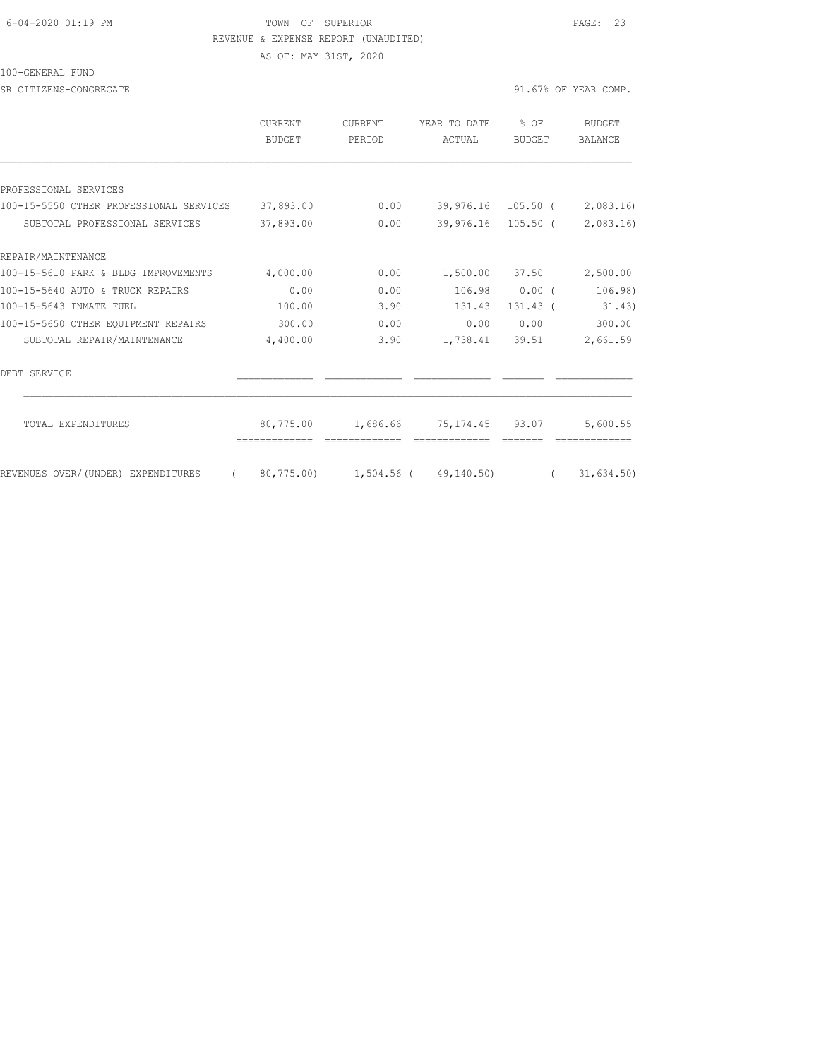#### 6-04-2020 01:19 PM TOWN OF SUPERIOR PAGE: 23 REVENUE & EXPENSE REPORT (UNAUDITED)

AS OF: MAY 31ST, 2020

100-GENERAL FUND

SR CITIZENS-CONGREGATE 91.67% OF YEAR COMP.

|                                                | <b>CURRENT</b><br>BUDGET | <b>CURRENT</b><br>PERIOD | YEAR TO DATE<br>ACTUAL          | % OF<br><b>BUDGET</b> | <b>BUDGET</b><br>BALANCE |
|------------------------------------------------|--------------------------|--------------------------|---------------------------------|-----------------------|--------------------------|
|                                                |                          |                          |                                 |                       |                          |
| PROFESSIONAL SERVICES                          |                          |                          |                                 |                       |                          |
| 100-15-5550 OTHER PROFESSIONAL SERVICES        | 37,893.00                | 0.00                     |                                 | 39,976.16 105.50 (    | 2,083.16)                |
| SUBTOTAL PROFESSIONAL SERVICES                 | 37,893.00                | 0.00                     |                                 | 39,976.16 105.50 (    | 2,083.16)                |
| REPAIR/MAINTENANCE                             |                          |                          |                                 |                       |                          |
| 100-15-5610 PARK & BLDG IMPROVEMENTS           | 4,000.00                 | 0.00                     |                                 | 1,500.00 37.50        | 2,500.00                 |
| 100-15-5640 AUTO & TRUCK REPAIRS               | 0.00                     | 0.00                     | 106.98                          | 0.00(                 | 106.98)                  |
| 100-15-5643 INMATE FUEL                        | 100.00                   | 3.90                     | 131.43                          | $131.43$ (            | 31.43)                   |
| 100-15-5650 OTHER EOUIPMENT REPAIRS            | 300.00                   | 0.00                     | 0.00                            | 0.00                  | 300.00                   |
| SUBTOTAL REPAIR/MAINTENANCE                    | 4,400.00                 | 3.90                     |                                 | 1,738.41 39.51        | 2,661.59                 |
| DEBT SERVICE                                   |                          |                          |                                 |                       |                          |
| TOTAL EXPENDITURES                             | 80,775.00                |                          | 1,686.66 75,174.45 93.07        |                       | 5,600.55                 |
| REVENUES OVER/(UNDER) EXPENDITURES<br>$\left($ |                          |                          | 80,775.00) 1,504.56 (49,140.50) | $\sqrt{2}$            | 31,634.50)               |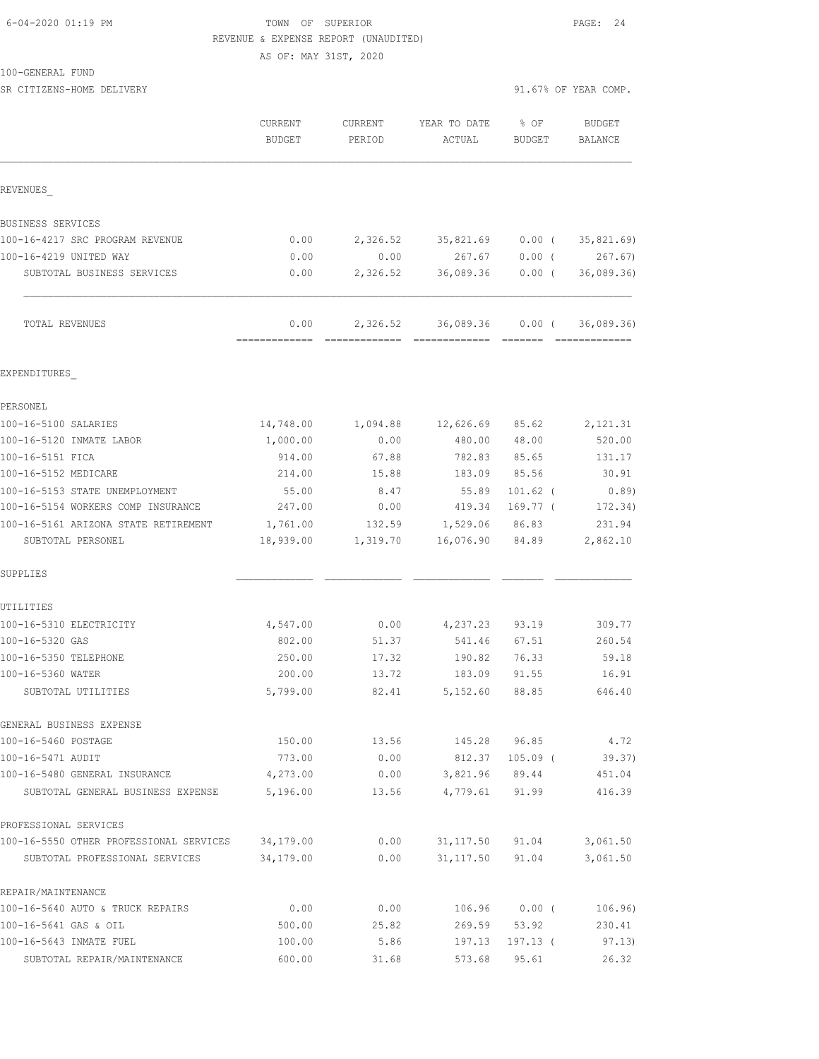100-GENERAL FUND

#### TOWN OF SUPERIOR **Example 24** PAGE: 24 REVENUE & EXPENSE REPORT (UNAUDITED)

AS OF: MAY 31ST, 2020

SR CITIZENS-HOME DELIVERY 31.67% OF YEAR COMP.

|                                                                           | CURRENT<br><b>BUDGET</b> | CURRENT<br>PERIOD | YEAR TO DATE<br>ACTUAL   | $8$ OF<br><b>BUDGET</b> | <b>BUDGET</b><br><b>BALANCE</b> |
|---------------------------------------------------------------------------|--------------------------|-------------------|--------------------------|-------------------------|---------------------------------|
| REVENUES                                                                  |                          |                   |                          |                         |                                 |
| BUSINESS SERVICES                                                         |                          |                   |                          |                         |                                 |
| 100-16-4217 SRC PROGRAM REVENUE                                           | 0.00                     | 2,326.52          | 35,821.69                | $0.00$ (                | 35,821.69)                      |
| 100-16-4219 UNITED WAY                                                    | 0.00                     | 0.00              | 267.67                   | $0.00$ (                | 267.67)                         |
| SUBTOTAL BUSINESS SERVICES                                                | 0.00                     | 2,326.52          | 36,089.36                | $0.00$ (                | 36,089.36                       |
| TOTAL REVENUES                                                            | 0.00<br>=============    | 2,326.52          | 36,089.36                | $0.00$ (                | 36,089.36<br>=============      |
| EXPENDITURES                                                              |                          |                   |                          |                         |                                 |
| PERSONEL                                                                  |                          |                   |                          |                         |                                 |
| 100-16-5100 SALARIES                                                      | 14,748.00                | 1,094.88          | 12,626.69                | 85.62                   | 2,121.31                        |
| 100-16-5120 INMATE LABOR                                                  | 1,000.00                 | 0.00              | 480.00                   | 48.00                   | 520.00                          |
| 100-16-5151 FICA                                                          | 914.00                   | 67.88             | 782.83                   | 85.65                   | 131.17                          |
| 100-16-5152 MEDICARE                                                      | 214.00                   | 15.88             | 183.09                   | 85.56                   | 30.91                           |
| 100-16-5153 STATE UNEMPLOYMENT                                            | 55.00                    | 8.47              | 55.89                    | $101.62$ (              | 0.89                            |
| 100-16-5154 WORKERS COMP INSURANCE                                        | 247.00                   | 0.00              | 419.34                   | 169.77 (                | 172.34)                         |
| 100-16-5161 ARIZONA STATE RETIREMENT                                      | 1,761.00                 | 132.59            | 1,529.06                 | 86.83                   | 231.94                          |
| SUBTOTAL PERSONEL                                                         | 18,939.00                | 1,319.70          | 16,076.90                | 84.89                   | 2,862.10                        |
| SUPPLIES                                                                  |                          |                   |                          |                         |                                 |
| UTILITIES                                                                 |                          |                   |                          |                         |                                 |
| 100-16-5310 ELECTRICITY                                                   | 4,547.00                 | 0.00              | 4,237.23                 | 93.19                   | 309.77                          |
| 100-16-5320 GAS                                                           | 802.00                   | 51.37             | 541.46                   | 67.51                   | 260.54                          |
| 100-16-5350 TELEPHONE                                                     | 250.00                   | 17.32             | 190.82                   | 76.33                   | 59.18                           |
| 100-16-5360 WATER                                                         | 200.00                   | 13.72             | 183.09                   | 91.55                   | 16.91                           |
| SUBTOTAL UTILITIES                                                        | 5,799.00                 | 82.41             | 5,152.60                 | 88.85                   | 646.40                          |
| GENERAL BUSINESS EXPENSE                                                  |                          |                   |                          |                         |                                 |
| 100-16-5460 POSTAGE                                                       | 150.00                   | 13.56             | 145.28                   | 96.85                   | 4.72                            |
| 100-16-5471 AUDIT                                                         | 773.00                   | 0.00              | 812.37                   | $105.09$ (              | 39.37)                          |
| 100-16-5480 GENERAL INSURANCE                                             | 4,273.00                 | 0.00              | 3,821.96                 | 89.44                   | 451.04                          |
| SUBTOTAL GENERAL BUSINESS EXPENSE                                         | 5,196.00                 | 13.56             | 4,779.61                 | 91.99                   | 416.39                          |
| PROFESSIONAL SERVICES                                                     |                          |                   |                          |                         |                                 |
| 100-16-5550 OTHER PROFESSIONAL SERVICES<br>SUBTOTAL PROFESSIONAL SERVICES | 34,179.00<br>34,179.00   | 0.00<br>0.00      | 31, 117.50<br>31, 117.50 | 91.04<br>91.04          | 3,061.50<br>3,061.50            |
| REPAIR/MAINTENANCE                                                        |                          |                   |                          |                         |                                 |
| 100-16-5640 AUTO & TRUCK REPAIRS                                          | 0.00                     | 0.00              | 106.96                   | $0.00$ (                | 106.96)                         |
| 100-16-5641 GAS & OIL                                                     | 500.00                   | 25.82             | 269.59                   | 53.92                   | 230.41                          |
| 100-16-5643 INMATE FUEL                                                   | 100.00                   | 5.86              | 197.13                   | 197.13 (                | 97.13)                          |
| SUBTOTAL REPAIR/MAINTENANCE                                               | 600.00                   | 31.68             | 573.68                   | 95.61                   | 26.32                           |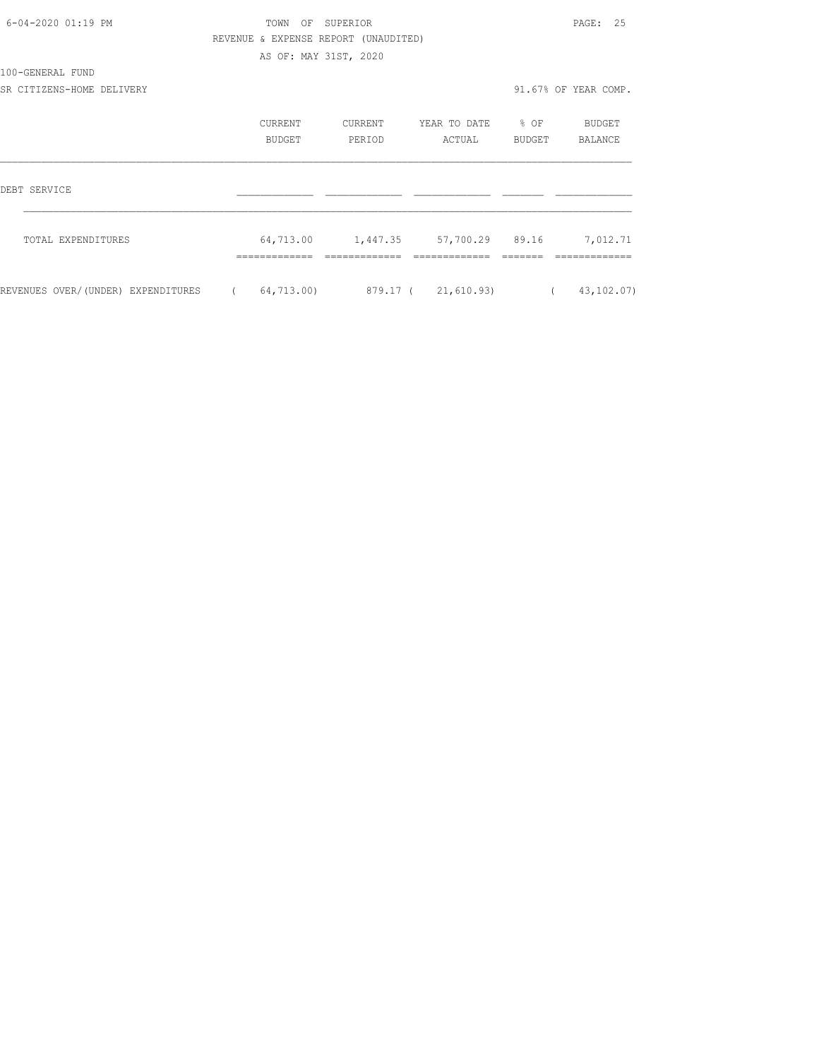| 6-04-2020 01:19 PM                 | OF SUPERIOR<br>TOWN |                       |                                      |                   |          | 25<br>PAGE:          |  |
|------------------------------------|---------------------|-----------------------|--------------------------------------|-------------------|----------|----------------------|--|
|                                    |                     |                       | REVENUE & EXPENSE REPORT (UNAUDITED) |                   |          |                      |  |
|                                    |                     | AS OF: MAY 31ST, 2020 |                                      |                   |          |                      |  |
| 100-GENERAL FUND                   |                     |                       |                                      |                   |          |                      |  |
| SR CITIZENS-HOME DELIVERY          |                     |                       |                                      |                   |          | 91.67% OF YEAR COMP. |  |
|                                    |                     | CURRENT               | CURRENT                              | YEAR TO DATE % OF |          | BUDGET               |  |
|                                    | BUDGET              |                       | PERIOD<br>ACTUAL                     |                   | BUDGET   | BALANCE              |  |
| DEBT SERVICE                       |                     |                       |                                      |                   |          |                      |  |
| TOTAL EXPENDITURES                 |                     |                       |                                      |                   |          | 7,012.71             |  |
|                                    |                     |                       |                                      |                   |          |                      |  |
| REVENUES OVER/(UNDER) EXPENDITURES | $\sqrt{2}$          | 64,713.00)            | 879.17 (21,610.93)                   |                   | $\left($ | 43, 102.07)          |  |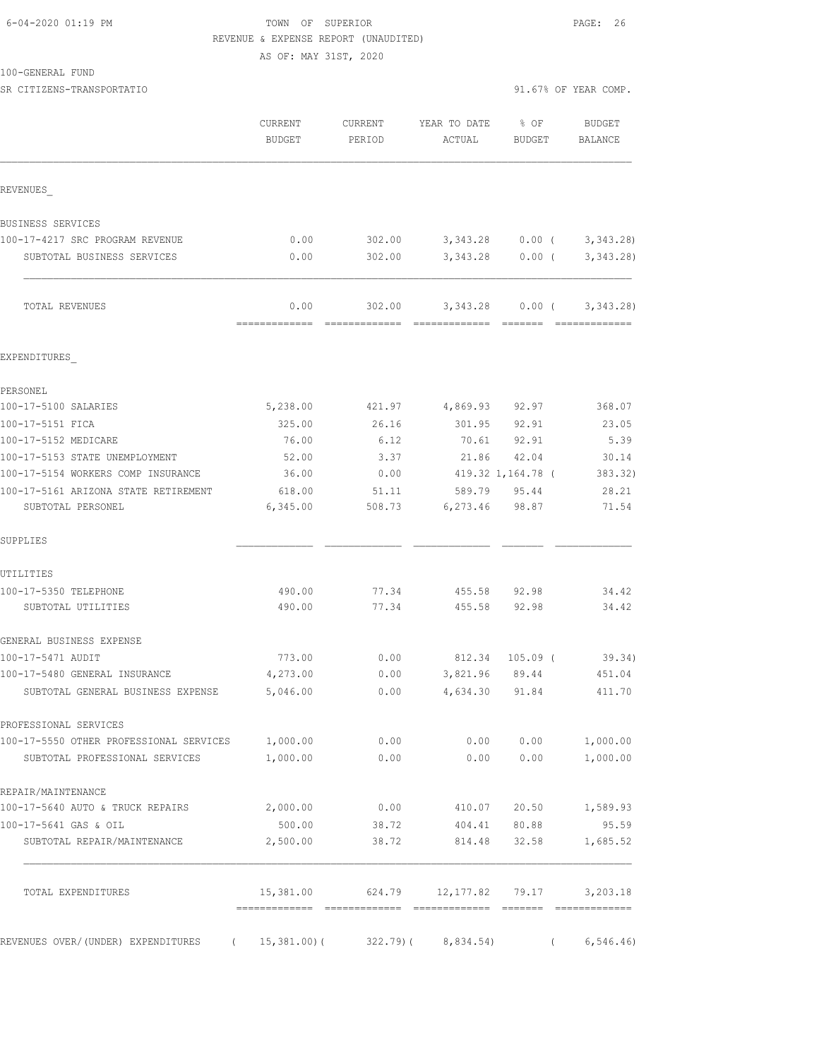| 6-04-2020 01:19 PM |  |
|--------------------|--|
|                    |  |

## TOWN OF SUPERIOR **Example 26** PAGE: 26 REVENUE & EXPENSE REPORT (UNAUDITED)

AS OF: MAY 31ST, 2020

100-GENERAL FUND

SR CITIZENS-TRANSPORTATIO SERVERS OF YEAR COMP.

| REVENUES<br>BUSINESS SERVICES<br>100-17-4217 SRC PROGRAM REVENUE<br>SUBTOTAL BUSINESS SERVICES | 0.00<br>0.00<br>0.00<br>5,238.00 | 302.00<br>302.00<br>302.00 | 3,343.28 0.00 (<br>3, 343.28 | 3,343.28 0.00 (<br>$0.00$ ( |            | 3,343.28)<br>3,343.28<br>3,343.28 |
|------------------------------------------------------------------------------------------------|----------------------------------|----------------------------|------------------------------|-----------------------------|------------|-----------------------------------|
|                                                                                                |                                  |                            |                              |                             |            |                                   |
|                                                                                                |                                  |                            |                              |                             |            |                                   |
|                                                                                                |                                  |                            |                              |                             |            |                                   |
|                                                                                                |                                  |                            |                              |                             |            |                                   |
| TOTAL REVENUES                                                                                 |                                  |                            |                              |                             |            |                                   |
| EXPENDITURES                                                                                   |                                  |                            |                              |                             |            |                                   |
| PERSONEL                                                                                       |                                  |                            |                              |                             |            |                                   |
| 100-17-5100 SALARIES                                                                           |                                  | 421.97                     | 4,869.93 92.97               |                             |            | 368.07                            |
| 100-17-5151 FICA                                                                               | 325.00                           | 26.16                      | 301.95                       | 92.91                       |            | 23.05                             |
| 100-17-5152 MEDICARE                                                                           | 76.00                            | 6.12                       |                              | 70.61 92.91                 |            | 5.39                              |
| 100-17-5153 STATE UNEMPLOYMENT                                                                 | 52.00                            | 3.37                       |                              | 21.86 42.04                 |            | 30.14                             |
| 100-17-5154 WORKERS COMP INSURANCE                                                             | 36.00                            | 0.00                       | 419.32 1,164.78 (            |                             |            | 383.32)                           |
| 100-17-5161 ARIZONA STATE RETIREMENT                                                           | 618.00                           | 51.11                      |                              | 589.79 95.44                |            | 28.21                             |
| SUBTOTAL PERSONEL                                                                              | 6,345.00                         | 508.73                     |                              | 6,273.46 98.87              |            | 71.54                             |
| SUPPLIES                                                                                       |                                  |                            |                              |                             |            |                                   |
| UTILITIES                                                                                      |                                  |                            |                              |                             |            |                                   |
| 100-17-5350 TELEPHONE                                                                          | 490.00                           | 77.34                      |                              | 455.58 92.98                |            | 34.42                             |
| SUBTOTAL UTILITIES                                                                             | 490.00                           | 77.34                      | 455.58                       | 92.98                       |            | 34.42                             |
| GENERAL BUSINESS EXPENSE                                                                       |                                  |                            |                              |                             |            |                                   |
| 100-17-5471 AUDIT                                                                              | 773.00                           | 0.00                       | 812.34 105.09 (              |                             |            | 39.34)                            |
| 100-17-5480 GENERAL INSURANCE                                                                  | 4,273.00                         | 0.00                       |                              | 3,821.96 89.44              |            | 451.04                            |
| SUBTOTAL GENERAL BUSINESS EXPENSE                                                              | 5,046.00                         | 0.00                       | 4,634.30 91.84               |                             |            | 411.70                            |
| PROFESSIONAL SERVICES                                                                          |                                  |                            |                              |                             |            |                                   |
| 100-17-5550 OTHER PROFESSIONAL SERVICES 1,000.00                                               |                                  | 0.00                       | 0.00                         | 0.00                        |            | 1,000.00                          |
| SUBTOTAL PROFESSIONAL SERVICES                                                                 | 1,000.00                         | 0.00                       | 0.00                         | 0.00                        |            | 1,000.00                          |
| REPAIR/MAINTENANCE                                                                             |                                  |                            |                              |                             |            |                                   |
| 100-17-5640 AUTO & TRUCK REPAIRS                                                               | 2,000.00                         | 0.00                       | 410.07                       | 20.50                       |            | 1,589.93                          |
| 100-17-5641 GAS & OIL                                                                          | 500.00                           | 38.72                      | 404.41                       | 80.88                       |            | 95.59                             |
| SUBTOTAL REPAIR/MAINTENANCE                                                                    | 2,500.00                         | 38.72                      | 814.48                       | 32.58                       |            | 1,685.52                          |
| TOTAL EXPENDITURES                                                                             | 15,381.00                        |                            | 624.79 12,177.82 79.17       |                             |            | 3,203.18                          |
| REVENUES OVER/(UNDER) EXPENDITURES ( 15,381.00)(                                               |                                  |                            | $322.79$ ( $8,834.54$ )      |                             | $\sqrt{2}$ | 6, 546.46)                        |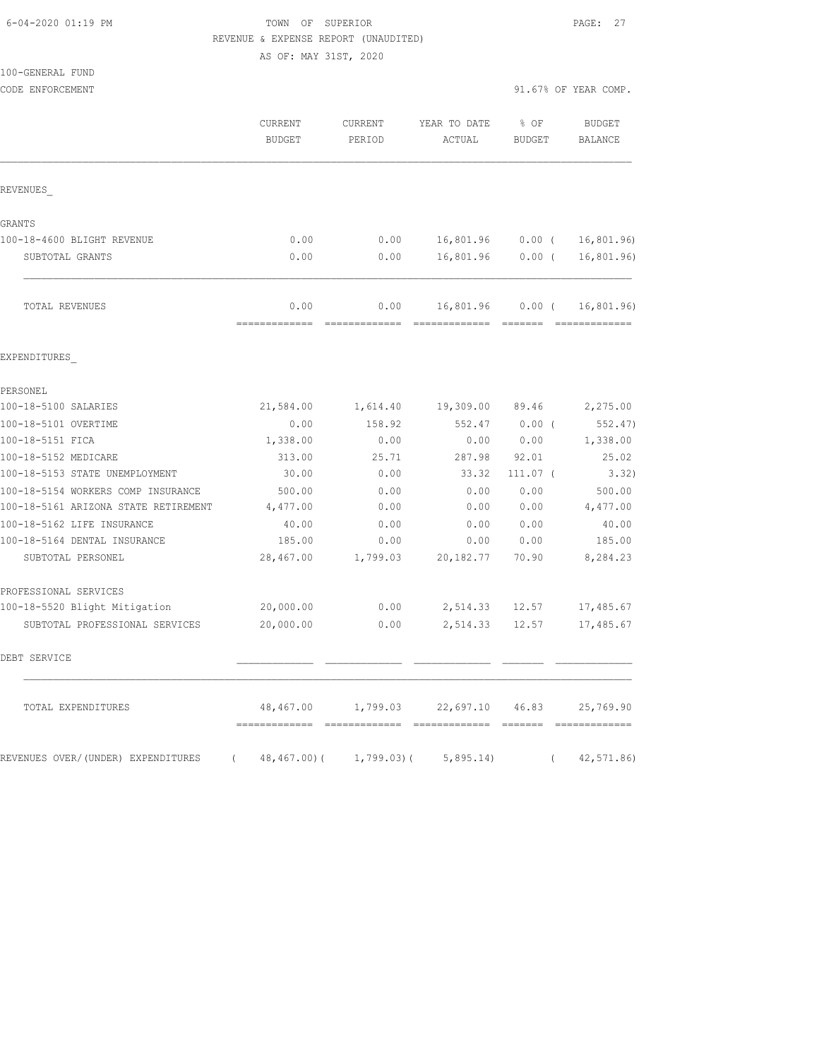## 6-04-2020 01:19 PM TOWN OF SUPERIOR PAGE: 27 REVENUE & EXPENSE REPORT (UNAUDITED)

AS OF: MAY 31ST, 2020

| 100-GENERAL FUND                               |                          |                          |                                    |                                         |                          |
|------------------------------------------------|--------------------------|--------------------------|------------------------------------|-----------------------------------------|--------------------------|
| CODE ENFORCEMENT                               |                          |                          |                                    |                                         | 91.67% OF YEAR COMP.     |
|                                                | CURRENT<br><b>BUDGET</b> | CURRENT<br>PERIOD        | YEAR TO DATE<br><b>ACTUAL</b>      | % OF<br><b>BUDGET</b>                   | <b>BUDGET</b><br>BALANCE |
| REVENUES                                       |                          |                          |                                    |                                         |                          |
| GRANTS                                         |                          |                          |                                    |                                         |                          |
| 100-18-4600 BLIGHT REVENUE                     | 0.00                     | 0.00                     | 16,801.96                          | $0.00$ (                                | 16,801.96                |
| SUBTOTAL GRANTS                                | 0.00                     | 0.00                     | 16,801.96                          | $0.00$ (                                | 16, 801.96)              |
| TOTAL REVENUES                                 | 0.00<br>=============    | 0.00                     | 16,801.96                          | $0.00$ (<br>$=$ $=$ $=$ $=$ $=$ $=$ $=$ | 16, 801.96)              |
| EXPENDITURES                                   |                          |                          |                                    |                                         |                          |
| PERSONEL                                       |                          |                          |                                    |                                         |                          |
| 100-18-5100 SALARIES                           | 21,584.00                | 1,614.40                 | 19,309.00                          | 89.46                                   | 2,275.00                 |
| 100-18-5101 OVERTIME                           | 0.00                     | 158.92                   | 552.47                             | 0.00(                                   | 552.47)                  |
| 100-18-5151 FICA                               | 1,338.00                 | 0.00                     | 0.00                               | 0.00                                    | 1,338.00                 |
| 100-18-5152 MEDICARE                           | 313.00                   | 25.71                    | 287.98                             | 92.01                                   | 25.02                    |
| 100-18-5153 STATE UNEMPLOYMENT                 | 30.00                    | 0.00                     | 33.32                              | $111.07$ (                              | 3.32)                    |
| 100-18-5154 WORKERS COMP INSURANCE             | 500.00                   | 0.00                     | 0.00                               | 0.00                                    | 500.00                   |
| 100-18-5161 ARIZONA STATE RETIREMENT           | 4,477.00                 | 0.00                     | 0.00                               | 0.00                                    | 4,477.00                 |
| 100-18-5162 LIFE INSURANCE                     | 40.00                    | 0.00                     | 0.00                               | 0.00                                    | 40.00                    |
| 100-18-5164 DENTAL INSURANCE                   | 185.00                   | 0.00                     | 0.00                               | 0.00                                    | 185.00                   |
| SUBTOTAL PERSONEL                              | 28,467.00                | 1,799.03                 | 20, 182.77                         | 70.90                                   | 8,284.23                 |
| PROFESSIONAL SERVICES                          |                          |                          |                                    |                                         |                          |
| 100-18-5520 Blight Mitigation                  | 20,000.00                | 0.00                     | 2,514.33                           | 12.57                                   | 17,485.67                |
| SUBTOTAL PROFESSIONAL SERVICES                 | 20,000.00                | 0.00                     | 2,514.33                           | 12.57                                   | 17,485.67                |
| DEBT SERVICE                                   |                          |                          |                                    |                                         |                          |
| TOTAL EXPENDITURES                             |                          |                          | 48,467.00 1,799.03 22,697.10 46.83 |                                         | 25,769.90                |
| REVENUES OVER/(UNDER) EXPENDITURES<br>$\left($ |                          | 48,467.00) ( 1,799.03) ( | 5,895.14)                          |                                         | 42, 571.86               |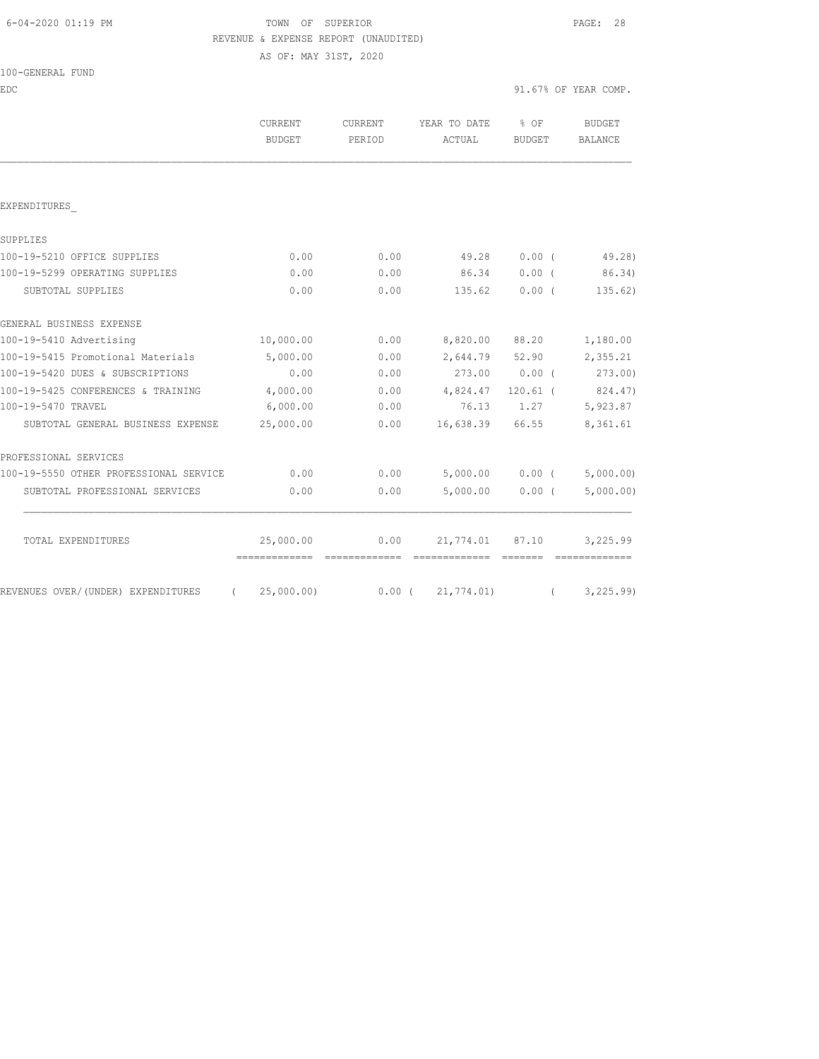# 6-04-2020 01:19 PM TOWN OF SUPERIOR PAGE: 28 REVENUE & EXPENSE REPORT (UNAUDITED)

AS OF: MAY 31ST, 2020

| 100-GENERAL FUND |  |
|------------------|--|
|                  |  |

EDC 91.67% OF YEAR COMP.

|                                                | <b>CURRENT</b><br>BUDGET | <b>CURRENT</b><br>PERIOD | YEAR TO DATE<br>ACTUAL | $8$ OF<br>BUDGET | <b>BUDGET</b><br>BALANCE       |
|------------------------------------------------|--------------------------|--------------------------|------------------------|------------------|--------------------------------|
|                                                |                          |                          |                        |                  |                                |
| EXPENDITURES                                   |                          |                          |                        |                  |                                |
| SUPPLIES                                       |                          |                          |                        |                  |                                |
| 100-19-5210 OFFICE SUPPLIES                    | 0.00                     | 0.00                     | 49.28                  | 0.00(            | 49.28)                         |
| 100-19-5299 OPERATING SUPPLIES                 | 0.00                     | 0.00                     | 86.34                  | $0.00$ (         | 86.34)                         |
| SUBTOTAL SUPPLIES                              | 0.00                     | 0.00                     | 135.62                 | $0.00$ (         | 135.62)                        |
| GENERAL BUSINESS EXPENSE                       |                          |                          |                        |                  |                                |
| 100-19-5410 Advertising                        | 10,000.00                | 0.00                     | 8,820.00               | 88.20            | 1,180.00                       |
| 100-19-5415 Promotional Materials              | 5,000.00                 | 0.00                     | 2,644.79               | 52.90            | 2,355.21                       |
| 100-19-5420 DUES & SUBSCRIPTIONS               | 0.00                     | 0.00                     |                        | 273.00 0.00 (    | 273.00)                        |
| 100-19-5425 CONFERENCES & TRAINING             | 4,000.00                 | 0.00                     | 4,824.47               | $120.61$ (       | 824.47)                        |
| 100-19-5470 TRAVEL                             | 6,000.00                 | 0.00                     | 76.13                  | 1.27             | 5,923.87                       |
| SUBTOTAL GENERAL BUSINESS EXPENSE              | 25,000.00                | 0.00                     | 16,638.39 66.55        |                  | 8,361.61                       |
| PROFESSIONAL SERVICES                          |                          |                          |                        |                  |                                |
| 100-19-5550 OTHER PROFESSIONAL SERVICE         | 0.00                     | 0.00                     |                        |                  | $5,000.00$ 0.00 ( $5,000.00$ ) |
| SUBTOTAL PROFESSIONAL SERVICES                 | 0.00                     | 0.00                     | 5,000.00               | 0.00(            | 5,000.00)                      |
| TOTAL EXPENDITURES                             | 25,000.00                | 0.00                     | 21,774.01 87.10        |                  | 3,225.99                       |
| REVENUES OVER/(UNDER) EXPENDITURES<br>$\left($ | 25,000.00)               | $0.00$ (                 | 21,774.01)             |                  | 3, 225.99                      |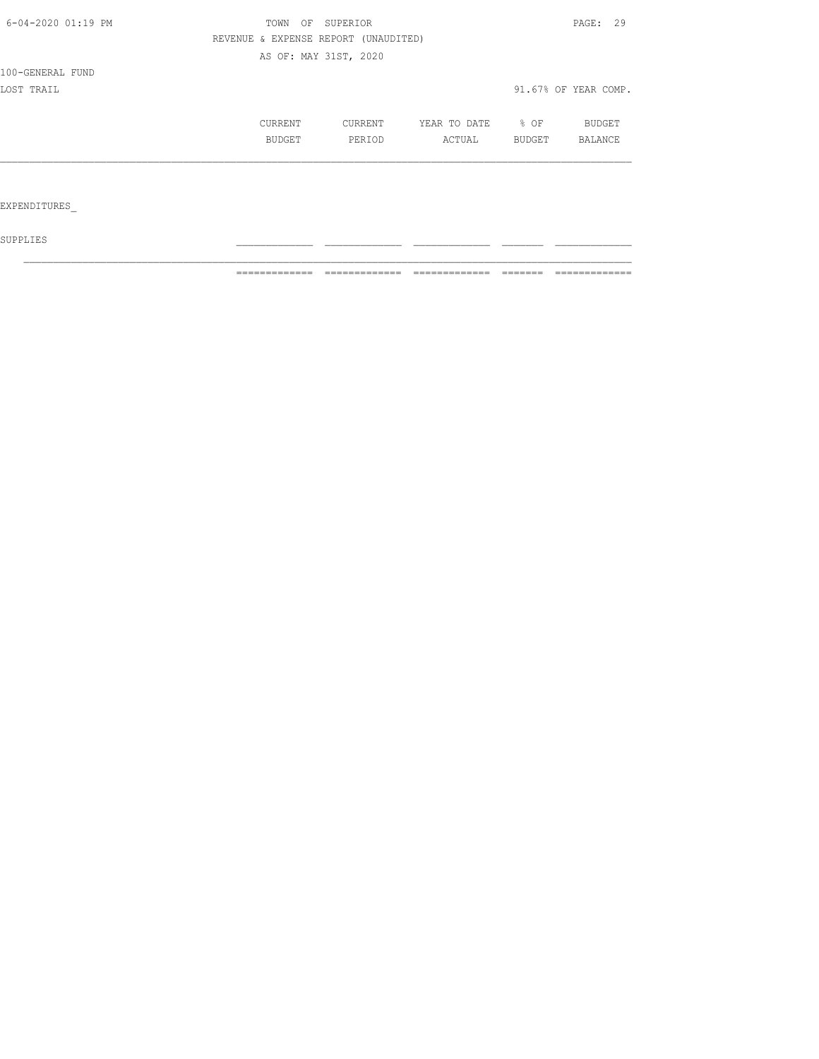| 6-04-2020 01:19 PM | TOWN          | OF | SUPERIOR                             |              |        | PAGE: 29             |  |
|--------------------|---------------|----|--------------------------------------|--------------|--------|----------------------|--|
|                    |               |    | REVENUE & EXPENSE REPORT (UNAUDITED) |              |        |                      |  |
|                    |               |    | AS OF: MAY 31ST, 2020                |              |        |                      |  |
| 100-GENERAL FUND   |               |    |                                      |              |        |                      |  |
| LOST TRAIL         |               |    |                                      |              |        | 91.67% OF YEAR COMP. |  |
|                    | CURRENT       |    | CURRENT                              | YEAR TO DATE | $8$ OF | BUDGET               |  |
|                    | <b>BUDGET</b> |    | PERIOD                               | ACTUAL       | BUDGET | <b>BALANCE</b>       |  |
|                    |               |    |                                      |              |        |                      |  |
|                    |               |    |                                      |              |        |                      |  |

EXPENDITURES\_

 ${\tt SUPPLIES}$ 

============= ============= ============= ======= =============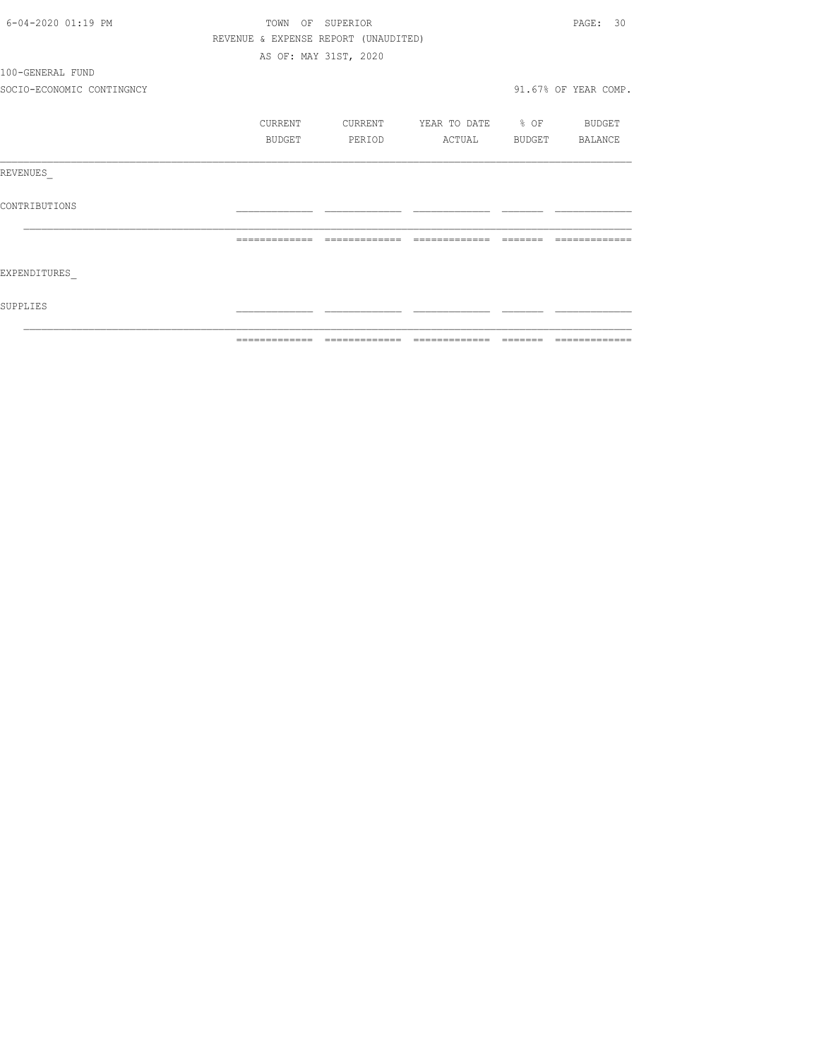| 6-04-2020 01:19 PM        |               | TOWN OF SUPERIOR                     |                                                                                                                                                                                                                                                                                                                                                                                                                                                                                        |          | PAGE: 30             |
|---------------------------|---------------|--------------------------------------|----------------------------------------------------------------------------------------------------------------------------------------------------------------------------------------------------------------------------------------------------------------------------------------------------------------------------------------------------------------------------------------------------------------------------------------------------------------------------------------|----------|----------------------|
|                           |               | REVENUE & EXPENSE REPORT (UNAUDITED) |                                                                                                                                                                                                                                                                                                                                                                                                                                                                                        |          |                      |
|                           |               | AS OF: MAY 31ST, 2020                |                                                                                                                                                                                                                                                                                                                                                                                                                                                                                        |          |                      |
| 100-GENERAL FUND          |               |                                      |                                                                                                                                                                                                                                                                                                                                                                                                                                                                                        |          |                      |
| SOCIO-ECONOMIC CONTINGNCY |               |                                      |                                                                                                                                                                                                                                                                                                                                                                                                                                                                                        |          | 91.67% OF YEAR COMP. |
|                           | CURRENT       | CURRENT                              | YEAR TO DATE % OF BUDGET                                                                                                                                                                                                                                                                                                                                                                                                                                                               |          |                      |
|                           | BUDGET        | PERIOD                               | ACTUAL BUDGET BALANCE                                                                                                                                                                                                                                                                                                                                                                                                                                                                  |          |                      |
| REVENUES                  |               |                                      |                                                                                                                                                                                                                                                                                                                                                                                                                                                                                        |          |                      |
| CONTRIBUTIONS             |               |                                      |                                                                                                                                                                                                                                                                                                                                                                                                                                                                                        |          |                      |
|                           | ============= | =============                        | $\begin{array}{cccccccccccccc} \multicolumn{2}{c}{} & \multicolumn{2}{c}{} & \multicolumn{2}{c}{} & \multicolumn{2}{c}{} & \multicolumn{2}{c}{} & \multicolumn{2}{c}{} & \multicolumn{2}{c}{} & \multicolumn{2}{c}{} & \multicolumn{2}{c}{} & \multicolumn{2}{c}{} & \multicolumn{2}{c}{} & \multicolumn{2}{c}{} & \multicolumn{2}{c}{} & \multicolumn{2}{c}{} & \multicolumn{2}{c}{} & \multicolumn{2}{c}{} & \multicolumn{2}{c}{} & \multicolumn{2}{c}{} & \multicolumn{2}{c}{} & \$ | -------- |                      |
| EXPENDITURES              |               |                                      |                                                                                                                                                                                                                                                                                                                                                                                                                                                                                        |          |                      |
| SUPPLIES                  |               |                                      |                                                                                                                                                                                                                                                                                                                                                                                                                                                                                        |          |                      |
|                           | ------------- |                                      |                                                                                                                                                                                                                                                                                                                                                                                                                                                                                        |          | -------------        |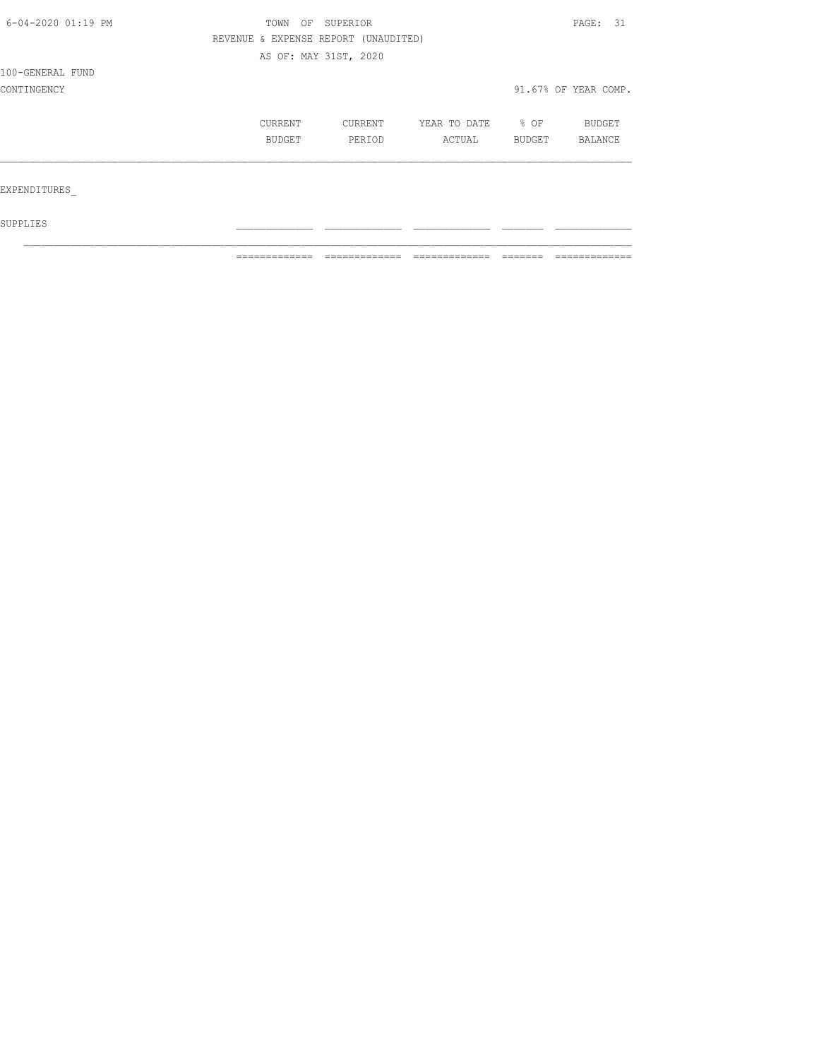| 6-04-2020 01:19 PM | TOWN                                 | OF SUPERIOR |              |        | PAGE: 31             |  |
|--------------------|--------------------------------------|-------------|--------------|--------|----------------------|--|
|                    | REVENUE & EXPENSE REPORT (UNAUDITED) |             |              |        |                      |  |
|                    | AS OF: MAY 31ST, 2020                |             |              |        |                      |  |
| 100-GENERAL FUND   |                                      |             |              |        |                      |  |
| CONTINGENCY        |                                      |             |              |        | 91.67% OF YEAR COMP. |  |
|                    | CURRENT                              | CURRENT     | YEAR TO DATE | % OF   | BUDGET               |  |
|                    | BUDGET                               | PERIOD      | ACTUAL       | BUDGET | BALANCE              |  |
|                    |                                      |             |              |        |                      |  |
| EXPENDITURES       |                                      |             |              |        |                      |  |
| SUPPLIES           |                                      |             |              |        |                      |  |

 $\mathcal{L}_\text{max}$ 

 $\blacksquare$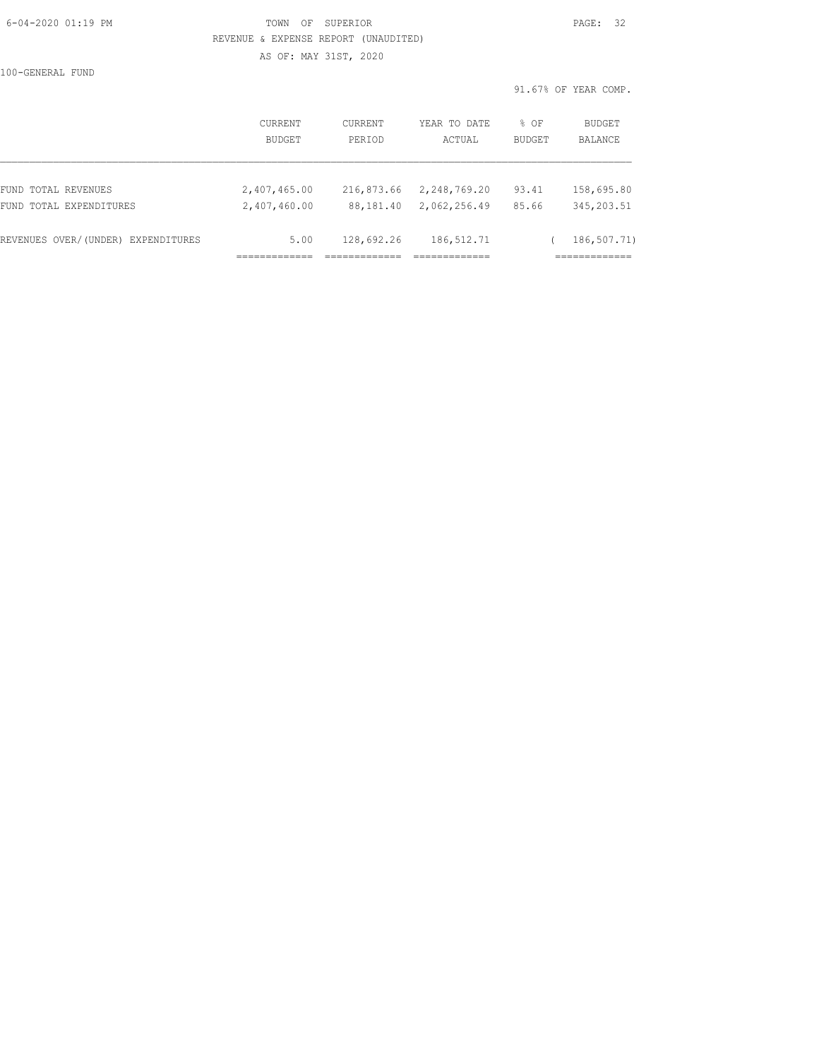## 6-04-2020 01:19 PM TOWN OF SUPERIOR PAGE: 32 REVENUE & EXPENSE REPORT (UNAUDITED)

AS OF: MAY 31ST, 2020

100-GENERAL FUND

91.67% OF YEAR COMP.

|                                    | <b>CURRENT</b> | CURRENT    | YEAR TO DATE | % OF          | BUDGET      |
|------------------------------------|----------------|------------|--------------|---------------|-------------|
|                                    | <b>BUDGET</b>  | PERIOD     | ACTUAL       | <b>BUDGET</b> | BALANCE     |
| FUND TOTAL REVENUES                | 2,407,465.00   | 216,873.66 | 2,248,769.20 | 93.41         | 158,695.80  |
| FUND TOTAL EXPENDITURES            | 2,407,460.00   | 88,181.40  | 2,062,256.49 | 85.66         | 345, 203.51 |
| REVENUES OVER/(UNDER) EXPENDITURES | 5.00           | 128,692.26 | 186, 512.71  |               | 186,507.71) |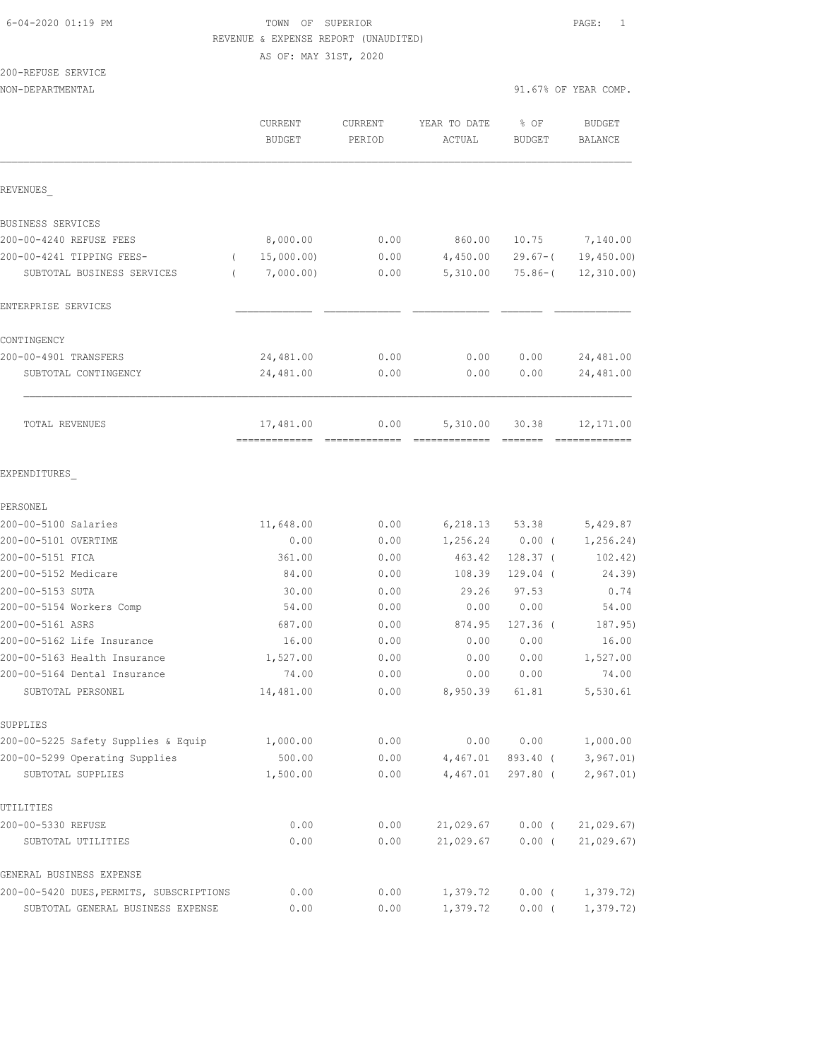## 6-04-2020 01:19 PM TOWN OF SUPERIOR PAGE: 1 REVENUE & EXPENSE REPORT (UNAUDITED)

AS OF: MAY 31ST, 2020

# 200-REFUSE SERVICE

|                                          | <b>CURRENT</b><br><b>BUDGET</b> | <b>CURRENT</b><br>PERIOD | YEAR TO DATE<br>ACTUAL | % OF<br><b>BUDGET</b> | <b>BUDGET</b><br>BALANCE |
|------------------------------------------|---------------------------------|--------------------------|------------------------|-----------------------|--------------------------|
| REVENUES                                 |                                 |                          |                        |                       |                          |
| BUSINESS SERVICES                        |                                 |                          |                        |                       |                          |
| 200-00-4240 REFUSE FEES                  | 8,000.00                        | 0.00                     | 860.00                 | 10.75                 | 7,140.00                 |
| 200-00-4241 TIPPING FEES-<br>$\left($    | 15,000.00)                      | 0.00                     | 4,450.00               | $29.67 - ($           | 19,450.00                |
| SUBTOTAL BUSINESS SERVICES<br>$\left($   | 7,000.00)                       | 0.00                     | 5,310.00               | $75.86 - ($           | 12, 310.00               |
| ENTERPRISE SERVICES                      |                                 |                          |                        |                       |                          |
| CONTINGENCY                              |                                 |                          |                        |                       |                          |
| 200-00-4901 TRANSFERS                    | 24,481.00                       | 0.00                     | 0.00                   | 0.00                  | 24,481.00                |
| SUBTOTAL CONTINGENCY                     | 24,481.00                       | 0.00                     | 0.00                   | 0.00                  | 24,481.00                |
| <b>TOTAL REVENUES</b>                    | 17,481.00<br>--------------     | 0.00                     | 5,310.00               | 30.38                 | 12,171.00                |
| EXPENDITURES                             |                                 |                          |                        |                       |                          |
| PERSONEL                                 |                                 |                          |                        |                       |                          |
| 200-00-5100 Salaries                     | 11,648.00                       | 0.00                     | 6,218.13               | 53.38                 | 5,429.87                 |
| 200-00-5101 OVERTIME                     | 0.00                            | 0.00                     | 1,256.24               | 0.00(                 | 1,256.24)                |
| 200-00-5151 FICA                         | 361.00                          | 0.00                     | 463.42                 | $128.37$ (            | 102.42)                  |
| 200-00-5152 Medicare                     | 84.00                           | 0.00                     | 108.39                 | $129.04$ (            | 24.39)                   |
| 200-00-5153 SUTA                         | 30.00                           | 0.00                     | 29.26                  | 97.53                 | 0.74                     |
| 200-00-5154 Workers Comp                 | 54.00                           | 0.00                     | 0.00                   | 0.00                  | 54.00                    |
| 200-00-5161 ASRS                         | 687.00                          | 0.00                     | 874.95                 | $127.36$ (            | 187.95)                  |
| 200-00-5162 Life Insurance               | 16.00                           | 0.00                     | 0.00                   | 0.00                  | 16.00                    |
| 200-00-5163 Health Insurance             | 1,527.00                        | 0.00                     | 0.00                   | 0.00                  | 1,527.00                 |
| 200-00-5164 Dental Insurance             | 74.00                           | 0.00                     | 0.00                   | 0.00                  | 74.00                    |
| SUBTOTAL PERSONEL                        | 14,481.00                       | 0.00                     | 8,950.39               | 61.81                 | 5,530.61                 |
| SUPPLIES                                 |                                 |                          |                        |                       |                          |
| 200-00-5225 Safety Supplies & Equip      | 1,000.00                        | 0.00                     | 0.00                   | 0.00                  | 1,000.00                 |
| 200-00-5299 Operating Supplies           | 500.00                          | 0.00                     | 4,467.01               | 893.40 (              | 3,967.01)                |
| SUBTOTAL SUPPLIES                        | 1,500.00                        | 0.00                     | 4,467.01               | 297.80 (              | 2,967.01)                |
| UTILITIES                                |                                 |                          |                        |                       |                          |
| 200-00-5330 REFUSE                       | 0.00                            | 0.00                     | 21,029.67              | $0.00$ (              | 21,029.67                |
| SUBTOTAL UTILITIES                       | 0.00                            | 0.00                     | 21,029.67              | $0.00$ (              | 21,029.67)               |
| GENERAL BUSINESS EXPENSE                 |                                 |                          |                        |                       |                          |
| 200-00-5420 DUES, PERMITS, SUBSCRIPTIONS | 0.00                            | 0.00                     | 1,379.72               | $0.00$ (              | 1,379.72                 |
| SUBTOTAL GENERAL BUSINESS EXPENSE        | 0.00                            | 0.00                     | 1,379.72               | $0.00$ (              | 1,379.72)                |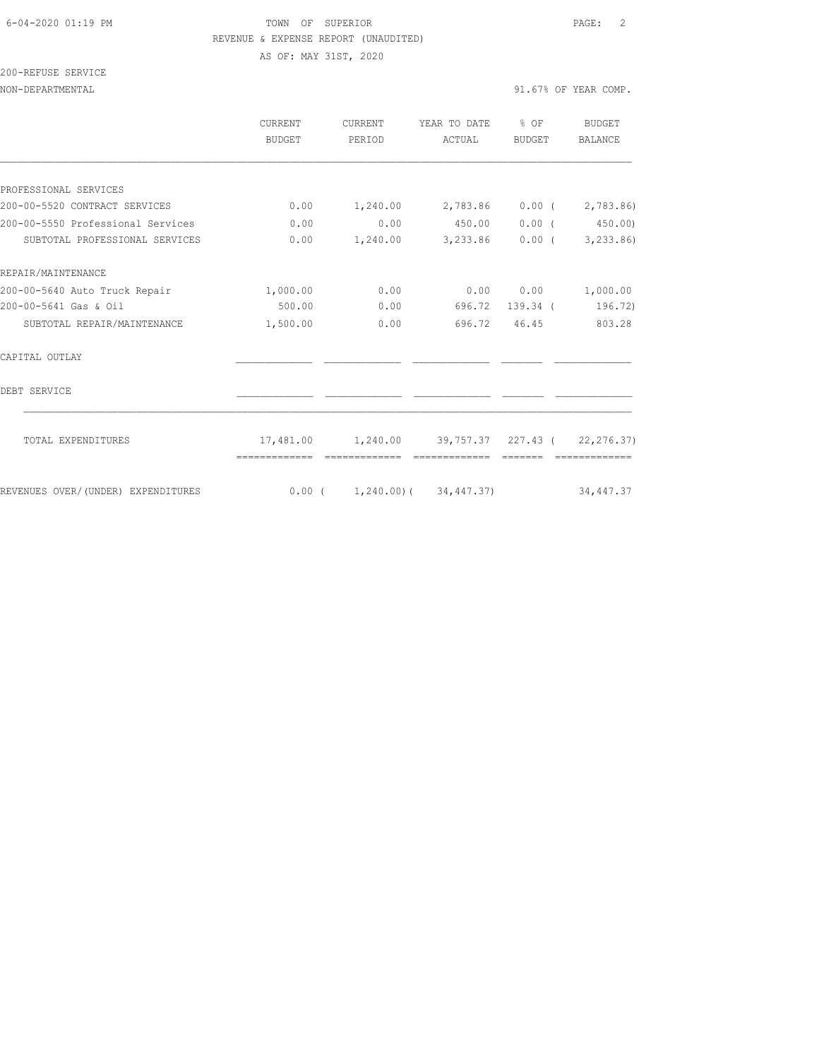#### 6-04-2020 01:19 PM TOWN OF SUPERIOR PAGE: 2 REVENUE & EXPENSE REPORT (UNAUDITED) AS OF: MAY 31ST, 2020

200-REFUSE SERVICE

NON-DEPARTMENTAL 91.67% OF YEAR COMP.

|                                    | CURRENT<br><b>BUDGET</b> | CURRENT<br>PERIOD                     | YEAR TO DATE<br>ACTUAL                                      | $\frac{1}{2}$ of<br><b>BUDGET</b> | <b>BUDGET</b><br>BALANCE |
|------------------------------------|--------------------------|---------------------------------------|-------------------------------------------------------------|-----------------------------------|--------------------------|
|                                    |                          |                                       |                                                             |                                   |                          |
| PROFESSIONAL SERVICES              |                          |                                       |                                                             |                                   |                          |
| 200-00-5520 CONTRACT SERVICES      | 0.00                     |                                       | $1,240.00$ $2,783.86$ $0.00$ ( $2,783.86$ )                 |                                   |                          |
| 200-00-5550 Professional Services  | 0.00                     | 0.00                                  | 450.00                                                      | $0.00$ (                          | 450.00                   |
| SUBTOTAL PROFESSIONAL SERVICES     | 0.00                     | 1,240.00                              | 3,233.86                                                    | $0.00$ (                          | 3,233.86)                |
| REPAIR/MAINTENANCE                 |                          |                                       |                                                             |                                   |                          |
| 200-00-5640 Auto Truck Repair      | 1,000.00                 | 0.00                                  |                                                             | 0.00 0.00                         | 1,000.00                 |
| 200-00-5641 Gas & Oil              | 500.00                   | 0.00                                  |                                                             | 696.72 139.34 (                   | 196.72)                  |
| SUBTOTAL REPAIR/MAINTENANCE        | 1,500.00                 | 0.00                                  | 696.72                                                      | 46.45                             | 803.28                   |
| CAPITAL OUTLAY                     |                          |                                       |                                                             |                                   |                          |
| DEBT SERVICE                       |                          |                                       |                                                             |                                   |                          |
| TOTAL EXPENDITURES                 |                          |                                       | $17,481.00$ $1,240.00$ $39,757.37$ $227.43$ ( $22,276.37$ ) |                                   |                          |
| REVENUES OVER/(UNDER) EXPENDITURES |                          | $0.00$ ( $1,240.00$ ) ( $34,447.37$ ) |                                                             |                                   | 34, 447.37               |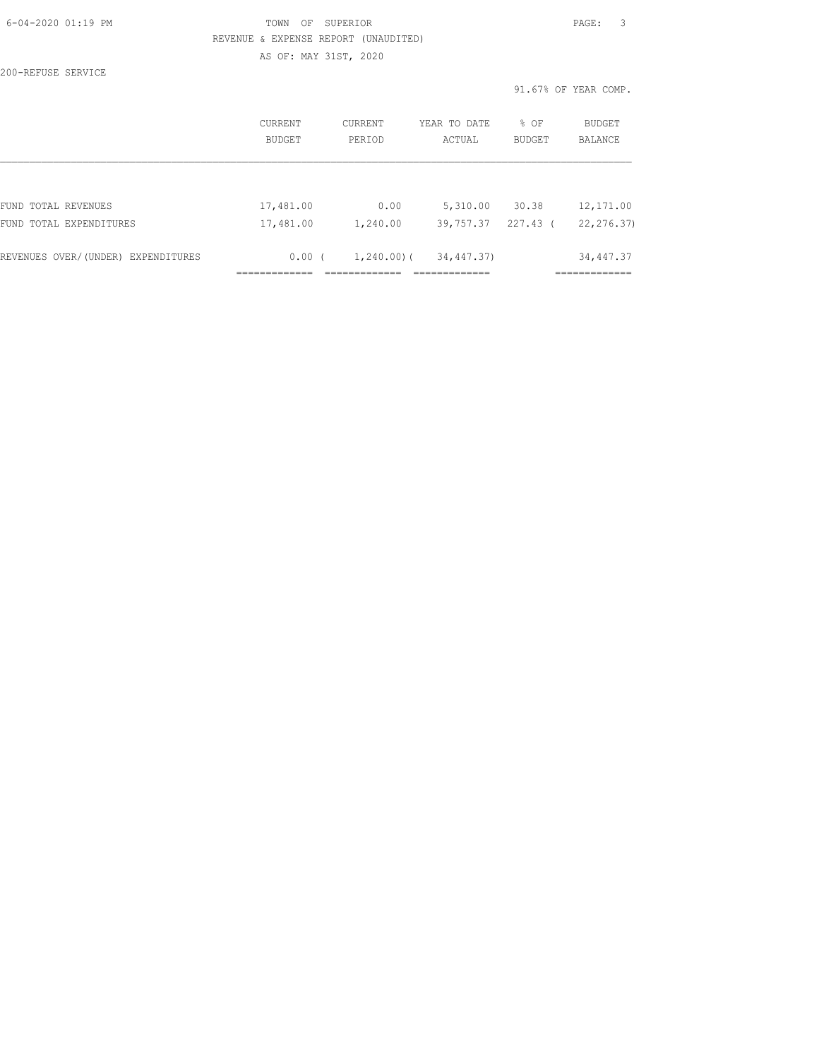| 6-04-2020 01:19 PM |  |
|--------------------|--|
|                    |  |

# FOWN OF SUPERIOR **Example 2014** PAGE: 3 REVENUE & EXPENSE REPORT (UNAUDITED)

AS OF: MAY 31ST, 2020

200-REFUSE SERVICE

91.67% OF YEAR COMP.

|                                    | <b>CURRENT</b><br>BUDGET | CURRENT<br>PERIOD | YEAR TO DATE<br>ACTUAL | % OF<br>BUDGET | <b>BUDGET</b><br><b>BALANCE</b> |
|------------------------------------|--------------------------|-------------------|------------------------|----------------|---------------------------------|
|                                    |                          |                   |                        |                |                                 |
| FUND TOTAL REVENUES                | 17,481.00                | 0.00              | 5,310.00               | 30.38          | 12, 171.00                      |
| FUND TOTAL EXPENDITURES            | 17,481.00                | 1,240.00          | 39,757.37              | 227.43 (       | 22, 276.37)                     |
| REVENUES OVER/(UNDER) EXPENDITURES | $0.00$ (                 | $1,240.00$ ) (    | 34,447.37)             |                | 34, 447.37                      |
|                                    |                          |                   |                        |                |                                 |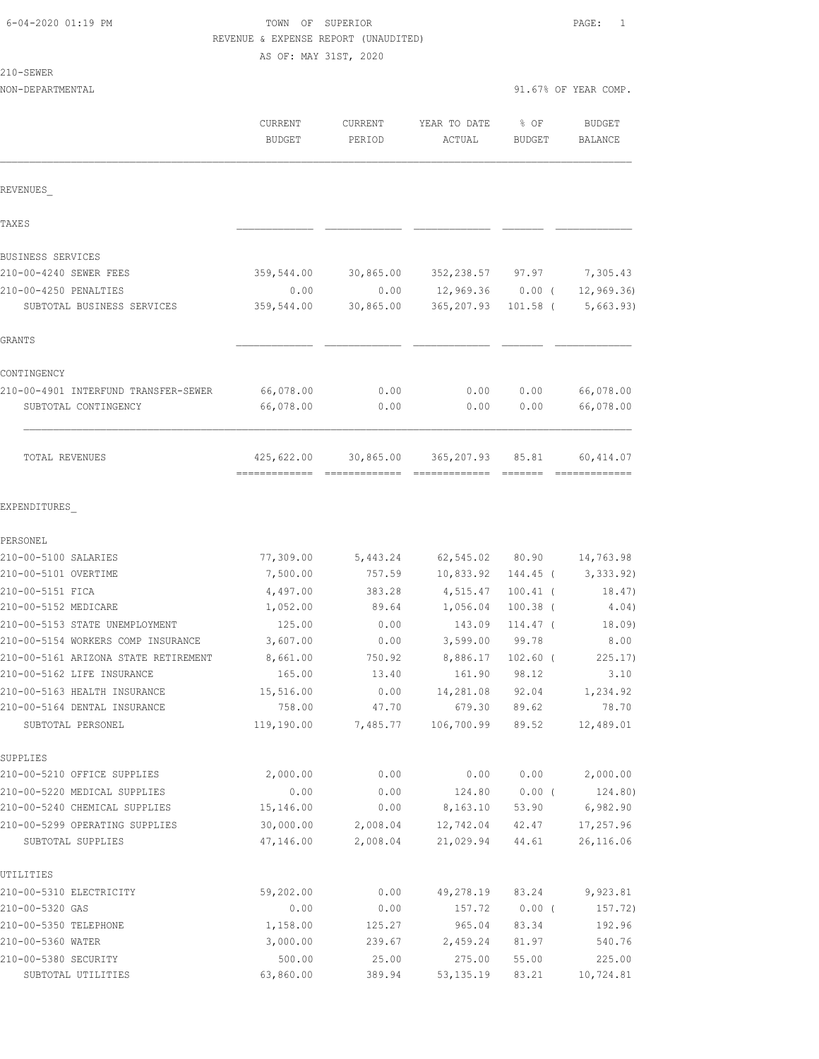210-SEWER

# TOWN OF SUPERIOR **Example 2010** PAGE: 1 REVENUE & EXPENSE REPORT (UNAUDITED)

AS OF: MAY 31ST, 2020

NON-DEPARTMENTAL 91.67% OF YEAR COMP.

|                                                                 | CURRENT<br><b>BUDGET</b>                    | CURRENT<br>PERIOD    | YEAR TO DATE<br>ACTUAL      | % OF<br><b>BUDGET</b> | <b>BUDGET</b><br>BALANCE |
|-----------------------------------------------------------------|---------------------------------------------|----------------------|-----------------------------|-----------------------|--------------------------|
| REVENUES                                                        |                                             |                      |                             |                       |                          |
| TAXE S                                                          |                                             |                      |                             |                       |                          |
| <b>BUSINESS SERVICES</b>                                        |                                             |                      |                             |                       |                          |
| 210-00-4240 SEWER FEES                                          | 359,544.00                                  | 30,865.00            | 352,238.57 97.97            |                       | 7,305.43                 |
| 210-00-4250 PENALTIES                                           | 0.00                                        | 0.00                 | $12,969.36$ 0.00 (          |                       | 12, 969.36               |
| SUBTOTAL BUSINESS SERVICES                                      | 359,544.00                                  | 30,865.00            | 365,207.93                  | $101.58$ (            | 5,663.93)                |
| GRANTS                                                          |                                             |                      |                             |                       |                          |
| CONTINGENCY                                                     |                                             |                      |                             |                       |                          |
| 210-00-4901 INTERFUND TRANSFER-SEWER                            | 66,078.00                                   | 0.00                 | 0.00                        | 0.00                  | 66,078.00                |
| SUBTOTAL CONTINGENCY                                            | 66,078.00                                   | 0.00                 | 0.00                        | 0.00                  | 66,078.00                |
| TOTAL REVENUES                                                  | 425,622.00<br>-------------- -------------- | 30,865.00            | 365,207.93<br>============= | 85.81                 | 60,414.07                |
| EXPENDITURES                                                    |                                             |                      |                             |                       |                          |
| PERSONEL                                                        |                                             |                      |                             |                       |                          |
| 210-00-5100 SALARIES                                            | 77,309.00                                   | 5,443.24             |                             | 62,545.02 80.90       | 14,763.98                |
| 210-00-5101 OVERTIME                                            | 7,500.00                                    | 757.59               | 10,833.92                   | 144.45 (              | 3,333.92)                |
| 210-00-5151 FICA                                                | 4,497.00                                    | 383.28               | 4,515.47                    | $100.41$ (            | 18.47)                   |
| 210-00-5152 MEDICARE                                            | 1,052.00                                    | 89.64                | 1,056.04                    | $100.38$ (            | 4.04)                    |
| 210-00-5153 STATE UNEMPLOYMENT                                  | 125.00                                      | 0.00                 | 143.09                      | $114.47$ (            | 18.09)                   |
| 210-00-5154 WORKERS COMP INSURANCE                              | 3,607.00                                    | 0.00                 | 3,599.00                    | 99.78                 | 8.00                     |
| 210-00-5161 ARIZONA STATE RETIREMENT                            | 8,661.00                                    | 750.92               | 8,886.17                    | $102.60$ (            | 225.17)                  |
| 210-00-5162 LIFE INSURANCE                                      | 165.00                                      | 13.40                | 161.90                      | 98.12                 | 3.10                     |
| 210-00-5163 HEALTH INSURANCE                                    | 15,516.00                                   | 0.00                 | 14,281.08                   | 92.04                 | 1,234.92                 |
| 210-00-5164 DENTAL INSURANCE                                    | 758.00                                      | 47.70                | 679.30                      | 89.62                 | 78.70                    |
| SUBTOTAL PERSONEL                                               | 119,190.00                                  | 7,485.77             | 106,700.99                  | 89.52                 | 12,489.01                |
| SUPPLIES                                                        |                                             |                      |                             |                       |                          |
| 210-00-5210 OFFICE SUPPLIES                                     | 2,000.00                                    | 0.00                 | 0.00                        | 0.00                  | 2,000.00                 |
| 210-00-5220 MEDICAL SUPPLIES                                    | 0.00                                        | 0.00                 | 124.80                      | $0.00$ (              | 124.80)                  |
| 210-00-5240 CHEMICAL SUPPLIES<br>210-00-5299 OPERATING SUPPLIES | 15,146.00                                   | 0.00                 | 8,163.10                    | 53.90                 | 6,982.90                 |
| SUBTOTAL SUPPLIES                                               | 30,000.00<br>47,146.00                      | 2,008.04<br>2,008.04 | 12,742.04<br>21,029.94      | 42.47<br>44.61        | 17,257.96<br>26,116.06   |
| UTILITIES                                                       |                                             |                      |                             |                       |                          |
| 210-00-5310 ELECTRICITY                                         | 59,202.00                                   | 0.00                 | 49,278.19                   | 83.24                 | 9,923.81                 |
| 210-00-5320 GAS                                                 | 0.00                                        | 0.00                 | 157.72                      | $0.00$ (              | 157.72)                  |
| 210-00-5350 TELEPHONE                                           | 1,158.00                                    | 125.27               | 965.04                      | 83.34                 | 192.96                   |
| 210-00-5360 WATER                                               | 3,000.00                                    | 239.67               | 2,459.24                    | 81.97                 | 540.76                   |
| 210-00-5380 SECURITY                                            | 500.00                                      | 25.00                | 275.00                      | 55.00                 | 225.00                   |
| SUBTOTAL UTILITIES                                              | 63,860.00                                   | 389.94               | 53, 135.19                  | 83.21                 | 10,724.81                |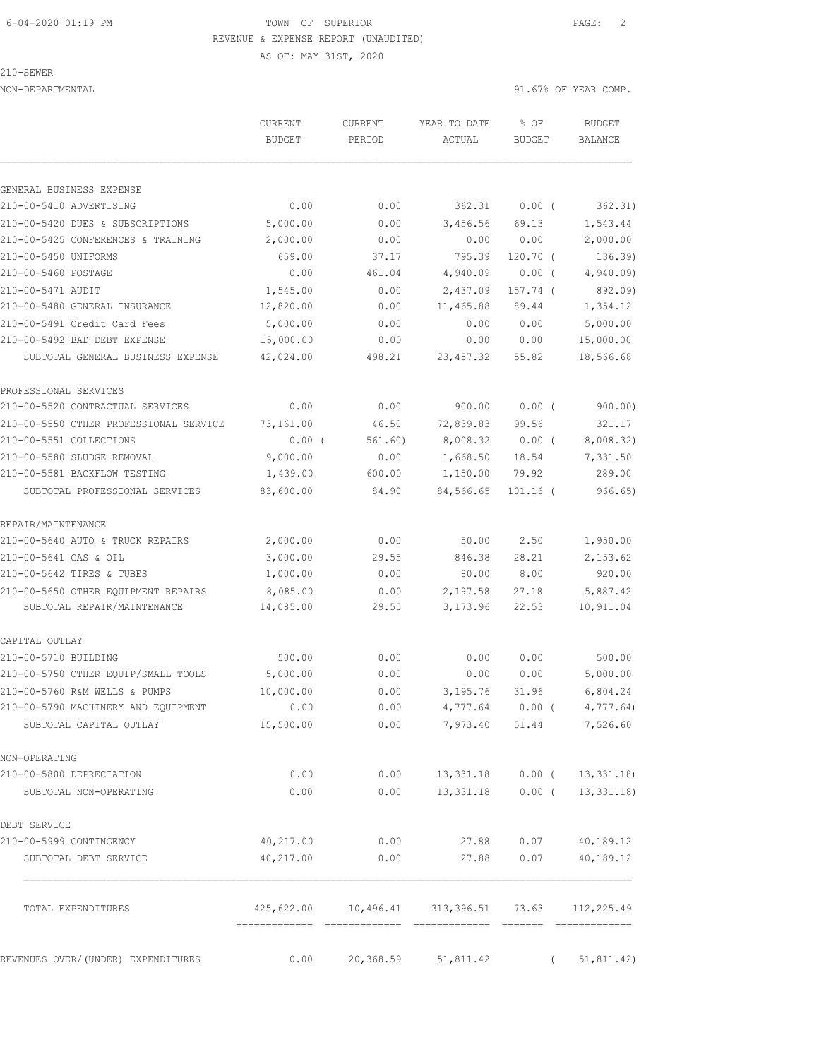#### 6-04-2020 01:19 PM TOWN OF SUPERIOR PAGE: 2 REVENUE & EXPENSE REPORT (UNAUDITED)

AS OF: MAY 31ST, 2020

#### 210-SEWER

|                                        | CURRENT<br><b>BUDGET</b> | CURRENT<br>PERIOD | YEAR TO DATE<br>ACTUAL                         | % OF<br><b>BUDGET</b> | <b>BUDGET</b><br>BALANCE |
|----------------------------------------|--------------------------|-------------------|------------------------------------------------|-----------------------|--------------------------|
| GENERAL BUSINESS EXPENSE               |                          |                   |                                                |                       |                          |
| 210-00-5410 ADVERTISING                | 0.00                     | 0.00              | 362.31                                         | 0.00(                 | 362.31)                  |
| 210-00-5420 DUES & SUBSCRIPTIONS       | 5,000.00                 | 0.00              | 3,456.56                                       | 69.13                 | 1,543.44                 |
| 210-00-5425 CONFERENCES & TRAINING     | 2,000.00                 | 0.00              | 0.00                                           | 0.00                  | 2,000.00                 |
| 210-00-5450 UNIFORMS                   | 659.00                   | 37.17             | 795.39                                         | $120.70$ (            | 136.39)                  |
| 210-00-5460 POSTAGE                    | 0.00                     | 461.04            | 4,940.09                                       | $0.00$ (              | 4,940.09                 |
| 210-00-5471 AUDIT                      | 1,545.00                 | 0.00              | 2,437.09                                       | 157.74 (              | 892.09)                  |
| 210-00-5480 GENERAL INSURANCE          | 12,820.00                | 0.00              | 11,465.88                                      | 89.44                 | 1,354.12                 |
| 210-00-5491 Credit Card Fees           | 5,000.00                 | 0.00              | 0.00                                           | 0.00                  | 5,000.00                 |
| 210-00-5492 BAD DEBT EXPENSE           | 15,000.00                | 0.00              | 0.00                                           | 0.00                  | 15,000.00                |
| SUBTOTAL GENERAL BUSINESS EXPENSE      | 42,024.00                | 498.21            | 23, 457.32                                     | 55.82                 | 18,566.68                |
| PROFESSIONAL SERVICES                  |                          |                   |                                                |                       |                          |
| 210-00-5520 CONTRACTUAL SERVICES       | 0.00                     | 0.00              | 900.00                                         | 0.00(                 | 900.00)                  |
| 210-00-5550 OTHER PROFESSIONAL SERVICE | 73,161.00                | 46.50             | 72,839.83                                      | 99.56                 | 321.17                   |
| 210-00-5551 COLLECTIONS                | $0.00$ (                 | 561.60)           | 8,008.32                                       | $0.00$ (              | 8,008.32)                |
| 210-00-5580 SLUDGE REMOVAL             | 9,000.00                 | 0.00              | 1,668.50                                       | 18.54                 | 7,331.50                 |
| 210-00-5581 BACKFLOW TESTING           | 1,439.00                 | 600.00            | 1,150.00                                       | 79.92                 | 289.00                   |
| SUBTOTAL PROFESSIONAL SERVICES         | 83,600.00                | 84.90             | 84,566.65                                      | $101.16$ (            | 966.65)                  |
| REPAIR/MAINTENANCE                     |                          |                   |                                                |                       |                          |
| 210-00-5640 AUTO & TRUCK REPAIRS       | 2,000.00                 | 0.00              | 50.00                                          | 2.50                  | 1,950.00                 |
| 210-00-5641 GAS & OIL                  | 3,000.00                 | 29.55             | 846.38                                         | 28.21                 | 2,153.62                 |
| 210-00-5642 TIRES & TUBES              | 1,000.00                 | 0.00              | 80.00                                          | 8.00                  | 920.00                   |
| 210-00-5650 OTHER EQUIPMENT REPAIRS    | 8,085.00                 | 0.00              | 2,197.58                                       | 27.18                 | 5,887.42                 |
| SUBTOTAL REPAIR/MAINTENANCE            | 14,085.00                | 29.55             | 3,173.96                                       | 22.53                 | 10,911.04                |
| CAPITAL OUTLAY                         |                          |                   |                                                |                       |                          |
| 210-00-5710 BUILDING                   | 500.00                   | 0.00              | 0.00                                           | 0.00                  | 500.00                   |
| 210-00-5750 OTHER EQUIP/SMALL TOOLS    | 5,000.00                 | 0.00              | 0.00                                           | 0.00                  | 5,000.00                 |
| 210-00-5760 R&M WELLS & PUMPS          | 10,000.00                | 0.00              | 3,195.76                                       | 31.96                 | 6,804.24                 |
| 210-00-5790 MACHINERY AND EQUIPMENT    | 0.00                     | 0.00              | 4,777.64                                       | $0.00$ (              | 4,777.64)                |
| SUBTOTAL CAPITAL OUTLAY                | 15,500.00                | 0.00              | 7,973.40                                       | 51.44                 | 7,526.60                 |
| NON-OPERATING                          |                          |                   |                                                |                       |                          |
| 210-00-5800 DEPRECIATION               | 0.00                     | 0.00              |                                                | 13,331.18 0.00 (      | 13,331.18                |
| SUBTOTAL NON-OPERATING                 | 0.00                     | 0.00              | 13,331.18                                      | $0.00$ (              | 13,331.18                |
| DEBT SERVICE                           |                          |                   |                                                |                       |                          |
| 210-00-5999 CONTINGENCY                | 40,217.00                | 0.00              |                                                | 27.88 0.07            | 40,189.12                |
| SUBTOTAL DEBT SERVICE                  | 40,217.00                | 0.00              | 27.88                                          | 0.07                  | 40,189.12                |
| TOTAL EXPENDITURES                     |                          |                   | 425,622.00    10,496.41    313,396.51    73.63 |                       | 112,225.49               |
| REVENUES OVER/(UNDER) EXPENDITURES     | 0.00                     | 20,368.59         | 51,811.42                                      | $\left($              | 51,811.42)               |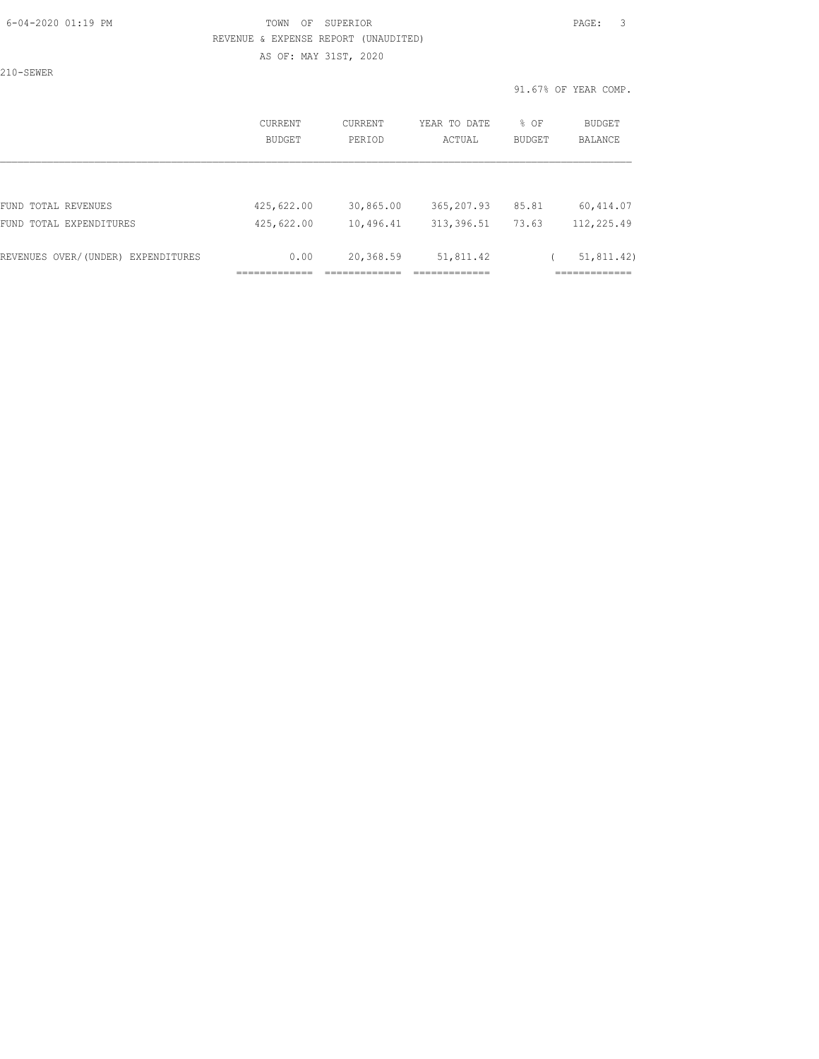## 6-04-2020 01:19 PM TOWN OF SUPERIOR PAGE: 3 REVENUE & EXPENSE REPORT (UNAUDITED) AS OF: MAY 31ST, 2020

210-SEWER

|                                    | <b>CURRENT</b><br><b>BUDGET</b> | CURRENT<br>PERIOD | YEAR TO DATE<br>ACTUAL | % OF<br><b>BUDGET</b> | <b>BUDGET</b><br><b>BALANCE</b> |
|------------------------------------|---------------------------------|-------------------|------------------------|-----------------------|---------------------------------|
|                                    |                                 |                   |                        |                       |                                 |
| FUND TOTAL REVENUES                | 425,622.00                      | 30,865.00         | 365,207.93             | 85.81                 | 60, 414.07                      |
| FUND TOTAL EXPENDITURES            | 425,622.00                      | 10,496.41         | 313, 396.51            | 73.63                 | 112,225.49                      |
| REVENUES OVER/(UNDER) EXPENDITURES | 0.00                            | 20,368.59         | 51,811.42              |                       | 51, 811.42)                     |
|                                    |                                 |                   |                        |                       |                                 |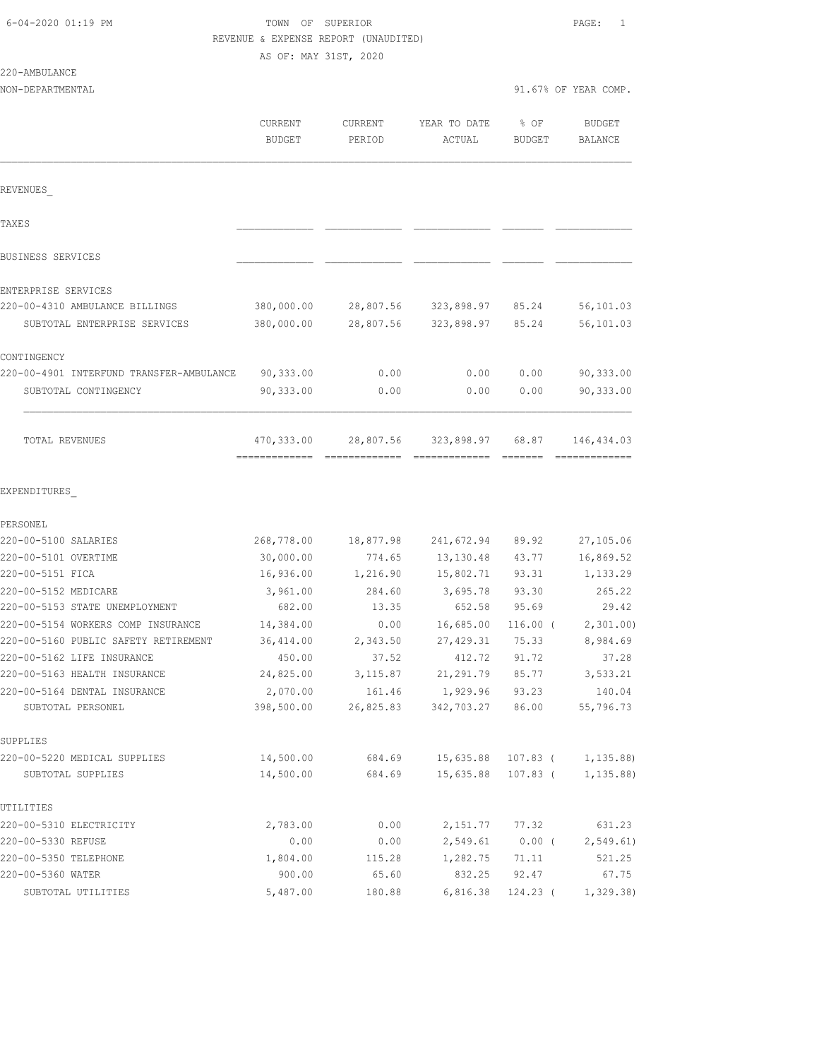# TOWN OF SUPERIOR **Example 2014** PAGE: 1 REVENUE & EXPENSE REPORT (UNAUDITED)

AS OF: MAY 31ST, 2020

|                                          | CURRENT<br><b>BUDGET</b> | CURRENT<br>PERIOD  | YEAR TO DATE<br>ACTUAL | % OF<br><b>BUDGET</b> | <b>BUDGET</b><br><b>BALANCE</b> |
|------------------------------------------|--------------------------|--------------------|------------------------|-----------------------|---------------------------------|
| REVENUES                                 |                          |                    |                        |                       |                                 |
| TAXE S                                   |                          |                    |                        |                       |                                 |
| <b>BUSINESS SERVICES</b>                 |                          |                    |                        |                       |                                 |
| ENTERPRISE SERVICES                      |                          |                    |                        |                       |                                 |
| 220-00-4310 AMBULANCE BILLINGS           | 380,000.00               | 28,807.56          | 323,898.97             | 85.24                 | 56,101.03                       |
| SUBTOTAL ENTERPRISE SERVICES             | 380,000.00               | 28,807.56          | 323,898.97             | 85.24                 | 56,101.03                       |
| CONTINGENCY                              |                          |                    |                        |                       |                                 |
| 220-00-4901 INTERFUND TRANSFER-AMBULANCE | 90,333.00                | 0.00               | 0.00                   | 0.00                  | 90, 333.00                      |
| SUBTOTAL CONTINGENCY                     | 90,333.00                | 0.00               | 0.00                   | 0.00                  | 90,333.00                       |
| TOTAL REVENUES                           | 470,333.00               | 28,807.56          | 323,898.97             | 68.87                 | 146,434.03                      |
| EXPENDITURES                             |                          |                    |                        |                       |                                 |
| PERSONEL                                 |                          |                    |                        |                       |                                 |
| 220-00-5100 SALARIES                     | 268,778.00               | 18,877.98          | 241,672.94             | 89.92                 | 27,105.06                       |
| 220-00-5101 OVERTIME<br>220-00-5151 FICA | 30,000.00                | 774.65             | 13,130.48              | 43.77                 | 16,869.52                       |
| 220-00-5152 MEDICARE                     | 16,936.00<br>3,961.00    | 1,216.90<br>284.60 | 15,802.71<br>3,695.78  | 93.31<br>93.30        | 1,133.29<br>265.22              |
| 220-00-5153 STATE UNEMPLOYMENT           | 682.00                   | 13.35              | 652.58                 | 95.69                 | 29.42                           |
| 220-00-5154 WORKERS COMP INSURANCE       | 14,384.00                | 0.00               | 16,685.00              | $116.00$ (            | 2,301.00                        |
| 220-00-5160 PUBLIC SAFETY RETIREMENT     | 36,414.00                | 2,343.50           | 27,429.31              | 75.33                 | 8,984.69                        |
| 220-00-5162 LIFE INSURANCE               | 450.00                   | 37.52              | 412.72                 | 91.72                 | 37.28                           |
| 220-00-5163 HEALTH INSURANCE             | 24,825.00                | 3,115.87           | 21,291.79              | 85.77                 | 3,533.21                        |
| 220-00-5164 DENTAL INSURANCE             | 2,070.00                 | 161.46             | 1,929.96               | 93.23                 | 140.04                          |
| SUBTOTAL PERSONEL                        | 398,500.00               | 26,825.83          | 342,703.27             | 86.00                 | 55,796.73                       |
| SUPPLIES                                 |                          |                    |                        |                       |                                 |
| 220-00-5220 MEDICAL SUPPLIES             | 14,500.00                | 684.69             | 15,635.88              | 107.83 (              | 1,135.88)                       |
| SUBTOTAL SUPPLIES                        | 14,500.00                | 684.69             | 15,635.88              | 107.83 (              | 1, 135.88                       |
| UTILITIES                                |                          |                    |                        |                       |                                 |
| 220-00-5310 ELECTRICITY                  | 2,783.00                 | 0.00               | 2,151.77               | 77.32                 | 631.23                          |
| 220-00-5330 REFUSE                       | 0.00                     | 0.00               | 2,549.61               | $0.00$ (              | 2, 549.61)                      |
| 220-00-5350 TELEPHONE                    | 1,804.00                 | 115.28             | 1,282.75               | 71.11                 | 521.25                          |
| 220-00-5360 WATER                        | 900.00                   | 65.60              | 832.25                 | 92.47                 | 67.75                           |

SUBTOTAL UTILITIES 5,487.00 180.88 6,816.38 124.23 ( 1,329.38)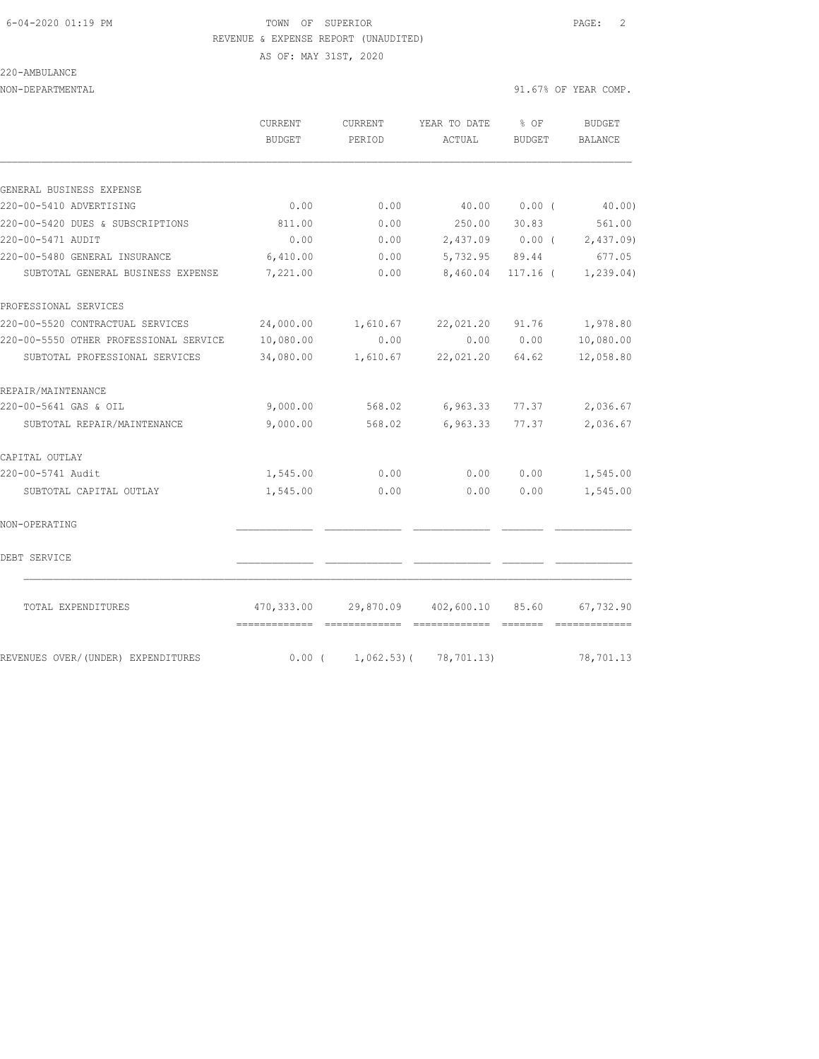#### 6-04-2020 01:19 PM TOWN OF SUPERIOR PAGE: 2 REVENUE & EXPENSE REPORT (UNAUDITED)

AS OF: MAY 31ST, 2020

220-AMBULANCE

NON-DEPARTMENTAL 91.67% OF YEAR COMP.

|                                        | CURRENT<br><b>BUDGET</b> | CURRENT<br>PERIOD               | YEAR TO DATE<br>ACTUAL     | $8$ OF<br><b>BUDGET</b> | <b>BUDGET</b><br><b>BALANCE</b> |
|----------------------------------------|--------------------------|---------------------------------|----------------------------|-------------------------|---------------------------------|
|                                        |                          |                                 |                            |                         |                                 |
| GENERAL BUSINESS EXPENSE               |                          |                                 |                            |                         |                                 |
| 220-00-5410 ADVERTISING                | 0.00                     | 0.00                            | 40.00                      | $0.00$ (                | 40.00)                          |
| 220-00-5420 DUES & SUBSCRIPTIONS       | 811.00                   | 0.00                            | 250.00                     | 30.83                   | 561.00                          |
| 220-00-5471 AUDIT                      | 0.00                     | 0.00                            |                            |                         | 2,437.09 0.00 ( 2,437.09)       |
| 220-00-5480 GENERAL INSURANCE          | 6,410.00                 | 0.00                            | 5,732.95 89.44             |                         | 677.05                          |
| SUBTOTAL GENERAL BUSINESS EXPENSE      | 7,221.00                 | 0.00                            | 8,460.04                   | $117.16$ (              | 1, 239.04)                      |
| PROFESSIONAL SERVICES                  |                          |                                 |                            |                         |                                 |
| 220-00-5520 CONTRACTUAL SERVICES       | 24,000.00                | 1,610.67                        | 22,021.20 91.76            |                         | 1,978.80                        |
| 220-00-5550 OTHER PROFESSIONAL SERVICE | 10,080.00                | 0.00                            |                            | 0.00 0.00               | 10,080.00                       |
| SUBTOTAL PROFESSIONAL SERVICES         | 34,080.00                | 1,610.67                        | 22,021.20 64.62            |                         | 12,058.80                       |
| REPAIR/MAINTENANCE                     |                          |                                 |                            |                         |                                 |
| 220-00-5641 GAS & OIL                  | 9,000.00                 | 568.02                          | 6,963.33                   | 77.37                   | 2,036.67                        |
| SUBTOTAL REPAIR/MAINTENANCE            | 9,000.00                 | 568.02                          | 6,963.33                   | 77.37                   | 2,036.67                        |
| CAPITAL OUTLAY                         |                          |                                 |                            |                         |                                 |
| 220-00-5741 Audit                      | 1,545.00                 | 0.00                            | 0.00                       | 0.00                    | 1,545.00                        |
| SUBTOTAL CAPITAL OUTLAY                | 1,545.00                 | 0.00                            | 0.00                       | 0.00                    | 1,545.00                        |
| NON-OPERATING                          |                          |                                 |                            |                         |                                 |
| DEBT SERVICE                           |                          |                                 |                            |                         |                                 |
| TOTAL EXPENDITURES                     | 470,333.00               |                                 | 29,870.09 402,600.10 85.60 |                         | 67,732.90                       |
|                                        |                          |                                 |                            |                         |                                 |
| REVENUES OVER/(UNDER) EXPENDITURES     |                          | $0.00$ ( 1,062.53) ( 78,701.13) |                            |                         | 78,701.13                       |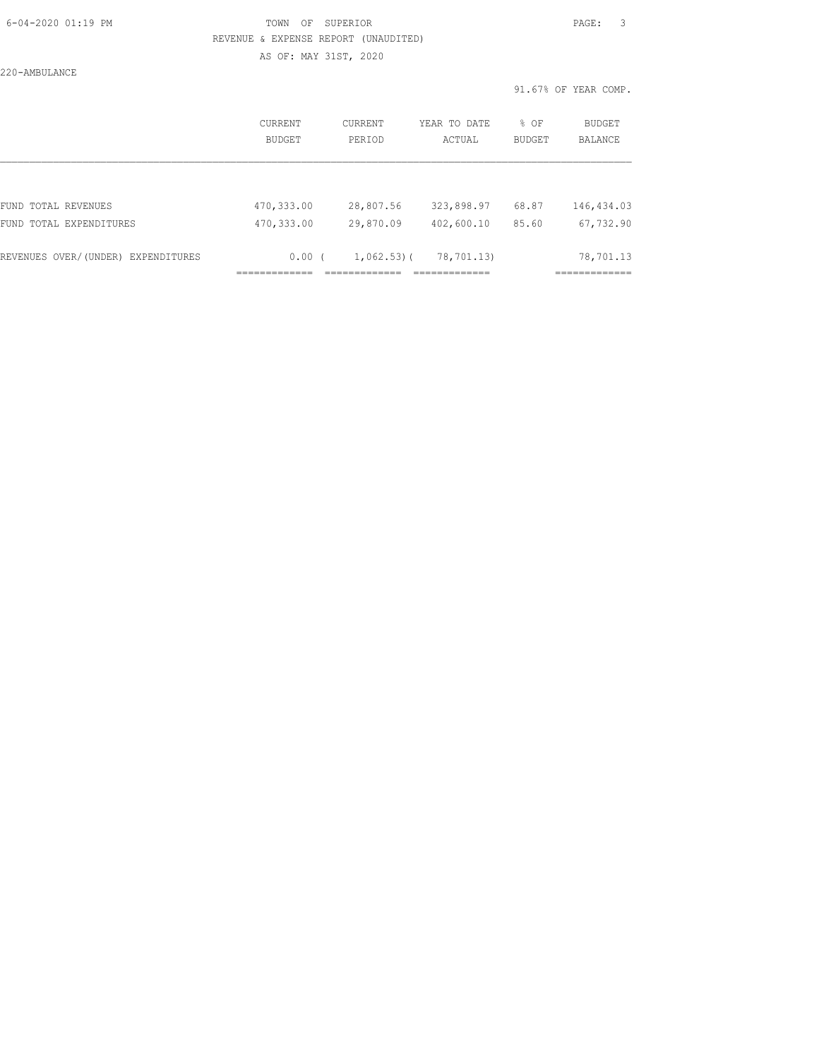## 6-04-2020 01:19 PM TOWN OF SUPERIOR PAGE: 3 REVENUE & EXPENSE REPORT (UNAUDITED) AS OF: MAY 31ST, 2020

220-AMBULANCE

|                                    | <b>CURRENT</b><br><b>BUDGET</b> | CURRENT<br>PERIOD | YEAR TO DATE<br>ACTUAL | % OF<br><b>BUDGET</b> | <b>BUDGET</b><br><b>BALANCE</b> |
|------------------------------------|---------------------------------|-------------------|------------------------|-----------------------|---------------------------------|
|                                    |                                 |                   |                        |                       |                                 |
| FUND TOTAL REVENUES                | 470,333.00                      | 28,807.56         | 323,898.97             | 68.87                 | 146, 434.03                     |
| FUND TOTAL EXPENDITURES            | 470,333.00                      | 29,870.09         | 402,600.10             | 85.60                 | 67,732.90                       |
| REVENUES OVER/(UNDER) EXPENDITURES | 0.00(                           | $1,062.53$ ) (    | 78,701.13)             |                       | 78,701.13                       |
|                                    |                                 |                   |                        |                       |                                 |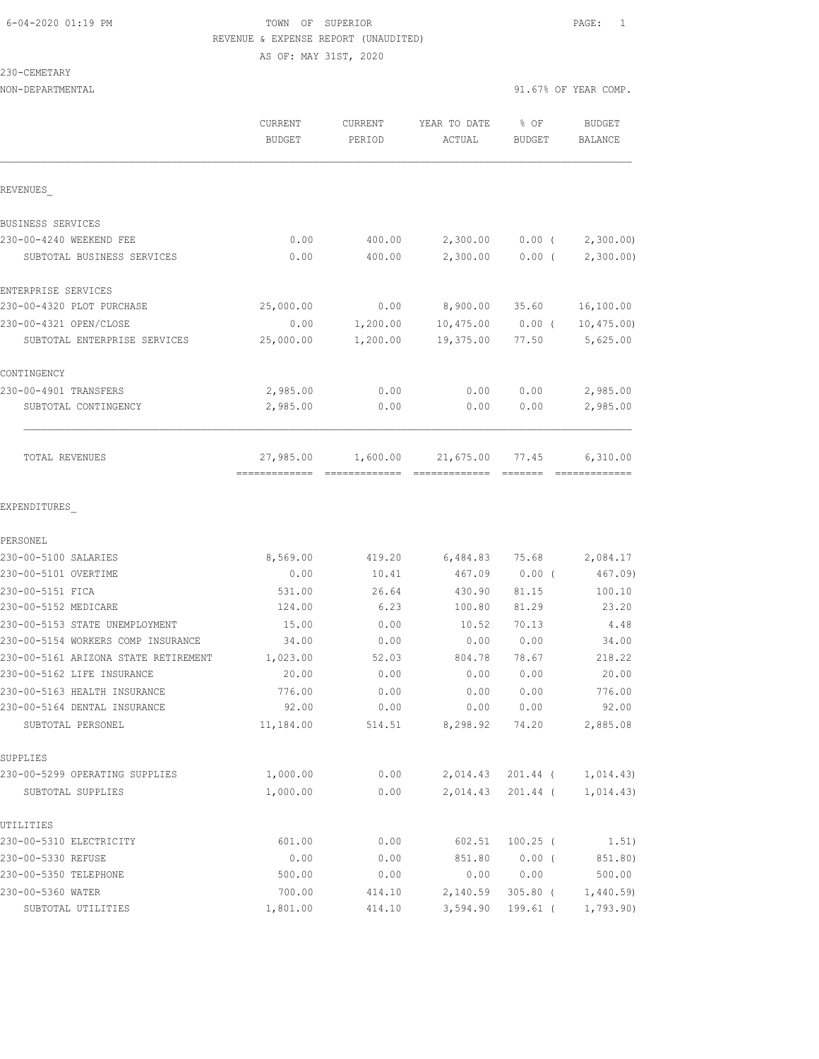## 6-04-2020 01:19 PM TOWN OF SUPERIOR PAGE: 1 REVENUE & EXPENSE REPORT (UNAUDITED) AS OF: MAY 31ST, 2020

| 230-CEMETARY                         |                          |                   |                        |                       |                       |
|--------------------------------------|--------------------------|-------------------|------------------------|-----------------------|-----------------------|
| NON-DEPARTMENTAL                     |                          |                   |                        |                       | 91.67% OF YEAR COMP.  |
|                                      | CURRENT<br><b>BUDGET</b> | CURRENT<br>PERIOD | YEAR TO DATE<br>ACTUAL | % OF<br><b>BUDGET</b> | BUDGET<br>BALANCE     |
|                                      |                          |                   |                        |                       |                       |
| REVENUES                             |                          |                   |                        |                       |                       |
| BUSINESS SERVICES                    |                          |                   |                        |                       |                       |
| 230-00-4240 WEEKEND FEE              | 0.00                     | 400.00            | 2,300.00               |                       | $0.00$ ( $2,300.00$ ) |
| SUBTOTAL BUSINESS SERVICES           | 0.00                     | 400.00            | 2,300.00               |                       | $0.00$ ( $2,300.00$ ) |
| ENTERPRISE SERVICES                  |                          |                   |                        |                       |                       |
| 230-00-4320 PLOT PURCHASE            | 25,000.00                |                   | $0.00$ 8,900.00 35.60  |                       | 16,100.00             |
| 230-00-4321 OPEN/CLOSE               | 0.00                     | 1,200.00          | 10,475.00 0.00 (       |                       | 10, 475.00            |
| SUBTOTAL ENTERPRISE SERVICES         | 25,000.00                | 1,200.00          | 19,375.00              | 77.50                 | 5,625.00              |
| CONTINGENCY                          |                          |                   |                        |                       |                       |
| 230-00-4901 TRANSFERS                | 2,985.00                 | 0.00              | 0.00                   | 0.00                  | 2,985.00              |
| SUBTOTAL CONTINGENCY                 | 2,985.00                 | 0.00              | 0.00                   | 0.00                  | 2,985.00              |
| TOTAL REVENUES                       | 27,985.00                | 1,600.00          | 21,675.00 77.45        |                       | 6,310.00              |
| EXPENDITURES                         |                          |                   |                        |                       |                       |
| PERSONEL                             |                          |                   |                        |                       |                       |
| 230-00-5100 SALARIES                 | 8,569.00                 | 419.20            | 6,484.83               | 75.68                 | 2,084.17              |
| 230-00-5101 OVERTIME                 | 0.00                     | 10.41             | 467.09                 | $0.00$ (              | 467.09)               |
| 230-00-5151 FICA                     | 531.00                   | 26.64             | 430.90                 | 81.15                 | 100.10                |
| 230-00-5152 MEDICARE                 | 124.00                   | 6.23              | 100.80                 | 81.29                 | 23.20                 |
| 230-00-5153 STATE UNEMPLOYMENT       | 15.00                    | 0.00              | 10.52                  | 70.13                 | 4.48                  |
| 230-00-5154 WORKERS COMP INSURANCE   | 34.00                    | 0.00              | 0.00                   | 0.00                  | 34.00                 |
| 230-00-5161 ARIZONA STATE RETIREMENT | 1,023.00                 | 52.03             | 804.78                 | 78.67                 | 218.22                |
| 230-00-5162 LIFE INSURANCE           | 20.00                    | 0.00              | 0.00                   | 0.00                  | 20.00                 |
| 230-00-5163 HEALTH INSURANCE         | 776.00                   | 0.00              | 0.00                   | 0.00                  | 776.00                |
| 230-00-5164 DENTAL INSURANCE         | 92.00                    | 0.00              | 0.00                   | 0.00                  | 92.00                 |
| SUBTOTAL PERSONEL                    | 11,184.00                | 514.51            | 8,298.92               | 74.20                 | 2,885.08              |
| SUPPLIES                             |                          |                   |                        |                       |                       |
| 230-00-5299 OPERATING SUPPLIES       | 1,000.00                 | 0.00              | 2,014.43               | 201.44 (              | 1,014.43)             |
| SUBTOTAL SUPPLIES                    | 1,000.00                 | 0.00              | 2,014.43               | 201.44 (              | 1,014.43)             |

|               | 0.00          | 400.00                                | 2,300.00 0.00 (    |          | 2, 3(          |
|---------------|---------------|---------------------------------------|--------------------|----------|----------------|
| <b>RVICES</b> | 0.00          | 400.00                                | 2,300.00           | $0.00$ ( | 2, 3(          |
|               |               |                                       |                    |          |                |
|               |               |                                       |                    |          |                |
| SΕ            | 25,000.00     | 0.00                                  | 8,900.00           | 35.60    | 16, 10         |
|               | 0.00          | 1,200.00                              | $10,475.00$ 0.00 ( |          | 10,4           |
| SERVICES      | 25,000.00     | 1,200.00                              | 19,375.00          | 77.50    | 5, 62          |
|               |               |                                       |                    |          |                |
|               | 2,985.00      | 0.00                                  | 0.00               | 0.00     | 2,98           |
|               | 2,985.00      | 0.00                                  | 0.00               | 0.00     | 2,98           |
|               |               |                                       |                    |          |                |
|               |               |                                       |                    |          |                |
|               |               | 27,985.00  1,600.00  21,675.00  77.45 |                    |          | 6, 31          |
|               | ============= | -------------                         | =============      |          | ========       |
|               |               |                                       |                    |          |                |
|               |               |                                       |                    |          |                |
|               |               |                                       |                    |          |                |
|               | 8,569.00      | 419.20                                | 6,484.83           | 75.68    | 2,01           |
|               | 0.00          | 10.41                                 | 467.09             | $0.00$ ( | $\overline{4}$ |

| 230-00-5151 FICA                     | 531.00    | 26.64  | 430.90   |                |
|--------------------------------------|-----------|--------|----------|----------------|
| 230-00-5152 MEDICARE                 | 124.00    | 6.23   | 100.80   |                |
| 230-00-5153 STATE UNEMPLOYMENT       | 15.00     | 0.00   | 10.52    |                |
| 230-00-5154 WORKERS COMP INSURANCE   | 34.00     | 0.00   | 0.00     |                |
| 230-00-5161 ARIZONA STATE RETIREMENT | 1,023.00  | 52.03  | 804.78   |                |
| 230-00-5162 LIFE INSURANCE           | 20.00     | 0.00   | 0.00     |                |
| 230-00-5163 HEALTH INSURANCE         | 776.00    | 0.00   | 0.00     |                |
| 230-00-5164 DENTAL INSURANCE         | 92.00     | 0.00   | 0.00     |                |
| SUBTOTAL PERSONEL                    | 11,184.00 | 514.51 | 8,298.92 |                |
| SUPPLIES                             |           |        |          |                |
| 230-00-5299 OPERATING SUPPLIES       | 1,000.00  | 0.00   | 2,014.43 | -2             |
| SUBTOTAL SUPPLIES                    | 1,000.00  | 0.00   | 2,014.43 | $\overline{c}$ |
| UTILITIES                            |           |        |          |                |
| 230-00-5310 RIRCTRICITY              | 601 00    |        | 602 51   | $\overline{1}$ |

| 230-00-5310 ELECTRICITY | 601.00   | 0.00   | 602.51            | 100.25 ( | 1.51)     |
|-------------------------|----------|--------|-------------------|----------|-----------|
| 230-00-5330 REFUSE      | 0.00     | 0.00   | 851.80            | 0.00     | 851.80)   |
| 230-00-5350 TELEPHONE   | 500.00   | 0.00   | 0.00              | 0.00     | 500.00    |
| 230-00-5360 WATER       | 700.00   | 414.10 | 2,140.59 305.80 ( |          | 1,440.59  |
| SUBTOTAL UTILITIES      | 1,801.00 | 414.10 | 3,594.90          | 199.61 ( | 1,793.90) |
|                         |          |        |                   |          |           |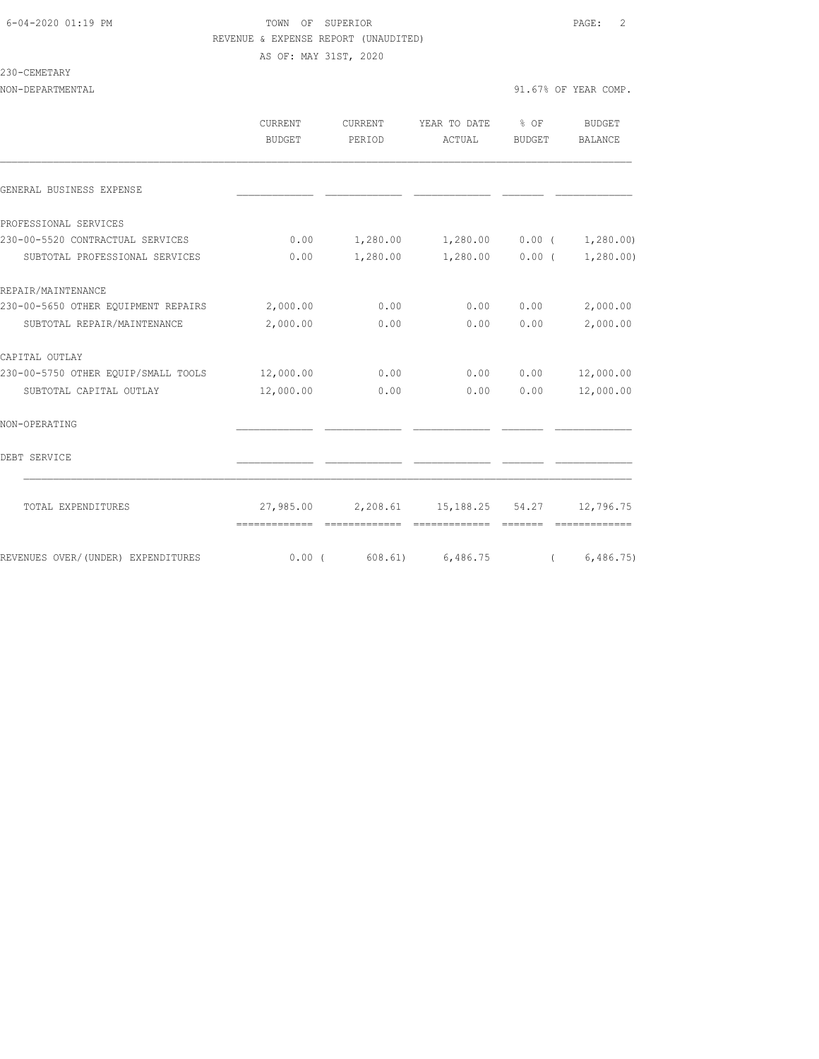## 6-04-2020 01:19 PM TOWN OF SUPERIOR PAGE: 2 REVENUE & EXPENSE REPORT (UNAUDITED) AS OF: MAY 31ST, 2020

#### 230-CEMETARY

|                                     | <b>CURRENT</b><br>BUDGET | <b>CURRENT</b><br>PERIOD | YEAR TO DATE<br>ACTUAL                    | % OF<br>BUDGET | BUDGET<br><b>BALANCE</b> |
|-------------------------------------|--------------------------|--------------------------|-------------------------------------------|----------------|--------------------------|
| GENERAL BUSINESS EXPENSE            |                          |                          |                                           |                |                          |
| PROFESSIONAL SERVICES               |                          |                          |                                           |                |                          |
| 230-00-5520 CONTRACTUAL SERVICES    | 0.00                     |                          | $1,280.00$ $1,280.00$ $0.00$ $(1,280.00)$ |                |                          |
| SUBTOTAL PROFESSIONAL SERVICES      | 0.00                     | 1,280.00                 | 1,280.00                                  | 0.00(          | 1,280.00)                |
| REPAIR/MAINTENANCE                  |                          |                          |                                           |                |                          |
| 230-00-5650 OTHER EQUIPMENT REPAIRS | 2,000.00                 | 0.00                     | 0.00                                      | 0.00           | 2,000.00                 |
| SUBTOTAL REPAIR/MAINTENANCE         | 2,000.00                 | 0.00                     | 0.00                                      | 0.00           | 2,000.00                 |
| CAPITAL OUTLAY                      |                          |                          |                                           |                |                          |
| 230-00-5750 OTHER EQUIP/SMALL TOOLS | 12,000.00                | 0.00                     | 0.00                                      | 0.00           | 12,000.00                |
| SUBTOTAL CAPITAL OUTLAY             | 12,000.00                | 0.00                     | 0.00                                      | 0.00           | 12,000.00                |
| NON-OPERATING                       |                          |                          |                                           |                |                          |
| DEBT SERVICE                        |                          |                          |                                           |                |                          |
| TOTAL EXPENDITURES                  |                          |                          | 27,985.00 2,208.61 15,188.25 54.27        |                | 12,796.75                |
| REVENUES OVER/(UNDER) EXPENDITURES  | 0.00(                    | 608.61)                  | 6,486.75                                  |                | 6,486.75                 |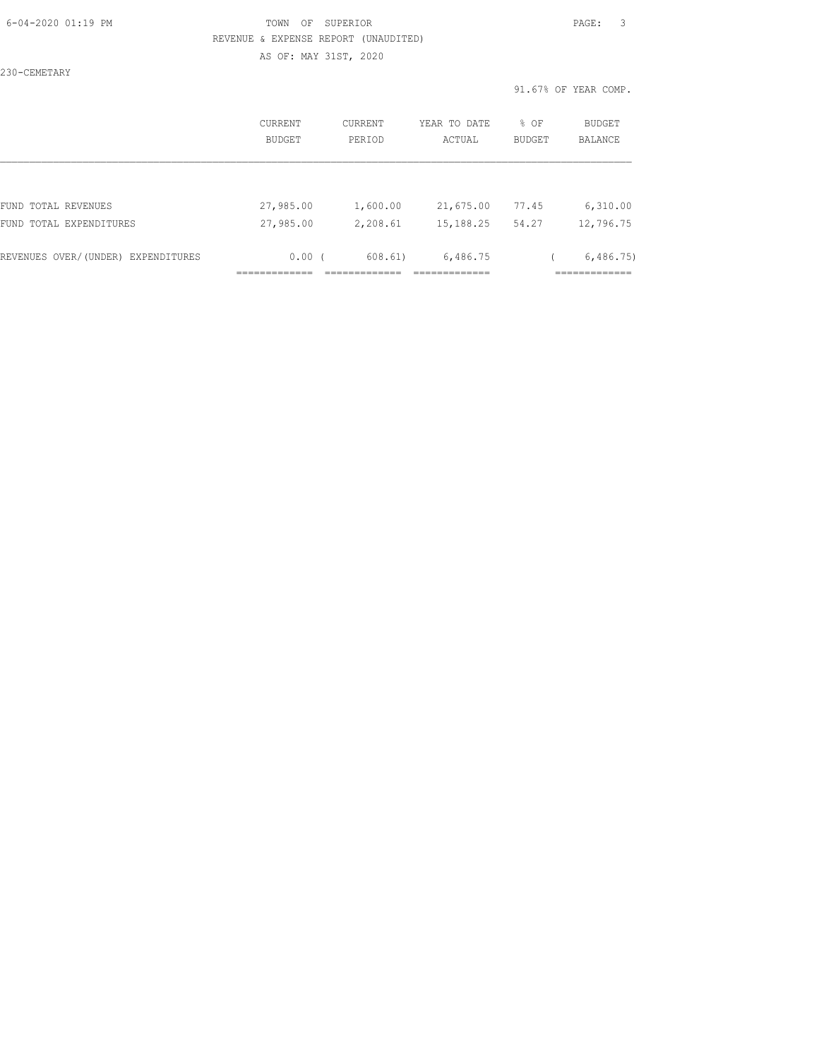## 6-04-2020 01:19 PM TOWN OF SUPERIOR PAGE: 3 REVENUE & EXPENSE REPORT (UNAUDITED)

AS OF: MAY 31ST, 2020

230-CEMETARY

|                                    | <b>CURRENT</b><br><b>BUDGET</b> | CURRENT<br>PERIOD | YEAR TO DATE<br>ACTUAL | % OF<br><b>BUDGET</b> | BUDGET<br><b>BALANCE</b> |
|------------------------------------|---------------------------------|-------------------|------------------------|-----------------------|--------------------------|
|                                    |                                 |                   |                        |                       |                          |
| FUND TOTAL REVENUES                | 27,985.00                       | 1,600.00          | 21,675.00              | 77.45                 | 6,310.00                 |
| FUND TOTAL EXPENDITURES            | 27,985.00                       | 2,208.61          | 15,188.25              | 54.27                 | 12,796.75                |
| REVENUES OVER/(UNDER) EXPENDITURES | 0.00(                           | 608.61)           | 6,486.75               |                       | 6,486,75                 |
|                                    |                                 |                   |                        |                       |                          |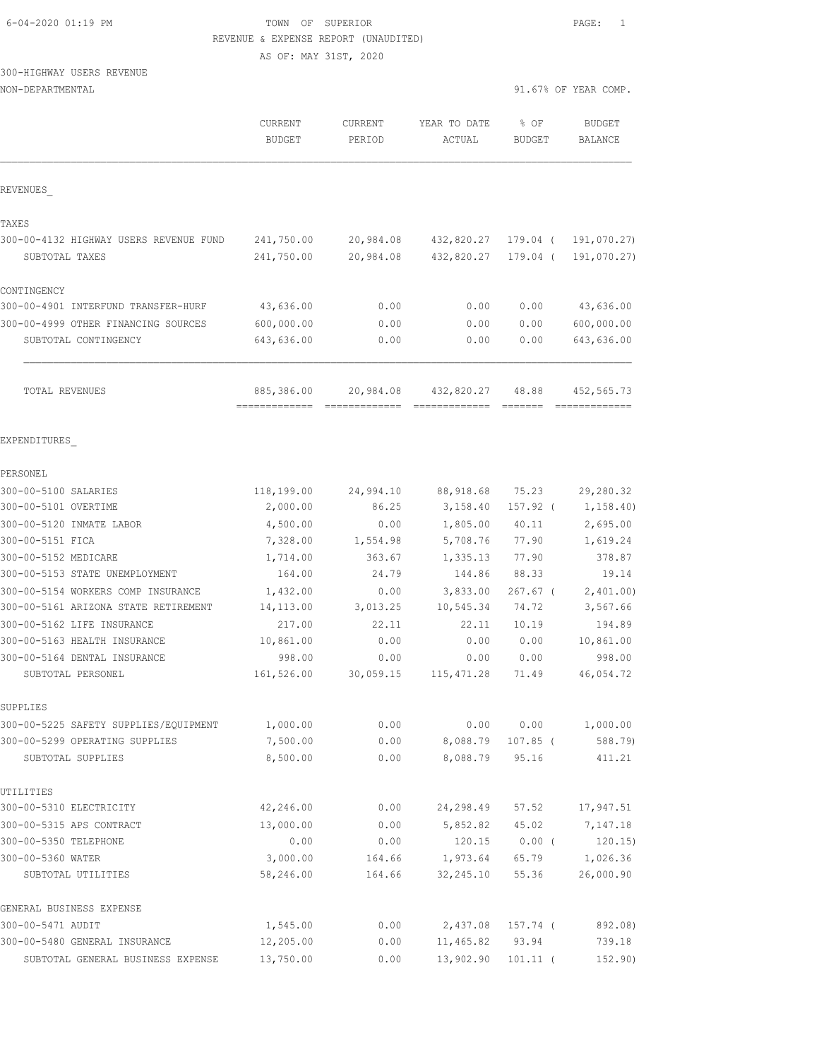| 6-04-2020 01:19 PM |  |  |
|--------------------|--|--|
|                    |  |  |

### TOWN OF SUPERIOR **Example 2010** PAGE: 1 REVENUE & EXPENSE REPORT (UNAUDITED)

AS OF: MAY 31ST, 2020

#### NON-DEPARTMENTAL 31.67% OF YEAR COMP.

|                                         | CURRENT<br><b>BUDGET</b> | <b>CURRENT</b><br>PERIOD | YEAR TO DATE<br>ACTUAL | % OF<br><b>BUDGET</b> | <b>BUDGET</b><br>BALANCE |
|-----------------------------------------|--------------------------|--------------------------|------------------------|-----------------------|--------------------------|
| REVENUES                                |                          |                          |                        |                       |                          |
| TAXES                                   |                          |                          |                        |                       |                          |
| 300-00-4132 HIGHWAY USERS REVENUE FUND  | 241,750.00               | 20,984.08                | 432,820.27             | 179.04 (              | 191,070.27)              |
| SUBTOTAL TAXES                          | 241,750.00               | 20,984.08                | 432,820.27             | 179.04 (              | 191,070.27)              |
| CONTINGENCY                             |                          |                          |                        |                       |                          |
| 300-00-4901 INTERFUND TRANSFER-HURF     | 43,636.00                | 0.00                     | 0.00                   | 0.00                  | 43,636.00                |
| 300-00-4999 OTHER FINANCING SOURCES     | 600,000.00               | 0.00                     | 0.00                   | 0.00                  | 600,000.00               |
| SUBTOTAL CONTINGENCY                    | 643,636.00               | 0.00                     | 0.00                   | 0.00                  | 643,636.00               |
| TOTAL REVENUES                          | 885,386.00               | 20,984.08                | 432,820.27 48.88       |                       | 452,565.73               |
| EXPENDITURES                            |                          |                          |                        |                       |                          |
| PERSONEL                                |                          |                          |                        |                       |                          |
| 300-00-5100 SALARIES                    | 118,199.00               | 24,994.10                | 88,918.68              | 75.23                 | 29,280.32                |
| 300-00-5101 OVERTIME                    | 2,000.00                 | 86.25                    | 3,158.40               | 157.92 (              | 1, 158.40)               |
| 300-00-5120 INMATE LABOR                | 4,500.00                 | 0.00                     | 1,805.00               | 40.11                 | 2,695.00                 |
| 300-00-5151 FICA                        | 7,328.00                 | 1,554.98                 | 5,708.76               | 77.90                 | 1,619.24                 |
| 300-00-5152 MEDICARE                    | 1,714.00                 | 363.67                   | 1,335.13               | 77.90                 | 378.87                   |
| 300-00-5153 STATE UNEMPLOYMENT          | 164.00                   | 24.79                    | 144.86                 | 88.33                 | 19.14                    |
| 300-00-5154 WORKERS COMP INSURANCE      | 1,432.00                 | 0.00                     | 3,833.00               | $267.67$ (            | 2,401.00)                |
| 300-00-5161 ARIZONA STATE RETIREMENT    | 14, 113.00               | 3,013.25                 | 10,545.34              | 74.72                 | 3,567.66                 |
| 300-00-5162 LIFE INSURANCE              | 217.00                   | 22.11                    | 22.11                  | 10.19                 | 194.89                   |
| 300-00-5163 HEALTH INSURANCE            | 10,861.00                | 0.00                     | 0.00                   | 0.00                  | 10,861.00                |
| 300-00-5164 DENTAL INSURANCE            | 998.00                   | 0.00                     | 0.00                   | 0.00                  | 998.00                   |
| SUBTOTAL PERSONEL                       | 161,526.00               | 30,059.15                | 115, 471.28            | 71.49                 | 46,054.72                |
| SUPPLIES                                |                          |                          |                        |                       |                          |
| 300-00-5225 SAFETY SUPPLIES/EQUIPMENT   | 1,000.00                 | 0.00                     | 0.00                   | 0.00                  | 1,000.00                 |
| 300-00-5299 OPERATING SUPPLIES          | 7,500.00                 | 0.00                     | 8,088.79               | $107.85$ (            | 588.79)                  |
| SUBTOTAL SUPPLIES                       | 8,500.00                 | 0.00                     | 8,088.79               | 95.16                 | 411.21                   |
| UTILITIES                               |                          |                          |                        |                       |                          |
| 300-00-5310 ELECTRICITY                 | 42,246.00                | 0.00                     | 24,298.49              | 57.52                 | 17,947.51                |
| 300-00-5315 APS CONTRACT                | 13,000.00                | 0.00                     | 5,852.82               | 45.02                 | 7,147.18                 |
| 300-00-5350 TELEPHONE                   | 0.00                     | 0.00                     | 120.15                 | $0.00$ (              | 120.15)                  |
| 300-00-5360 WATER<br>SUBTOTAL UTILITIES | 3,000.00<br>58,246.00    | 164.66<br>164.66         | 1,973.64<br>32,245.10  | 65.79<br>55.36        | 1,026.36<br>26,000.90    |
| GENERAL BUSINESS EXPENSE                |                          |                          |                        |                       |                          |
| 300-00-5471 AUDIT                       | 1,545.00                 | 0.00                     | 2,437.08               | 157.74 (              | 892.08)                  |
| 300-00-5480 GENERAL INSURANCE           | 12,205.00                | 0.00                     | 11,465.82              | 93.94                 | 739.18                   |
| SUBTOTAL GENERAL BUSINESS EXPENSE       | 13,750.00                | 0.00                     | 13,902.90              | $101.11$ (            | 152.90)                  |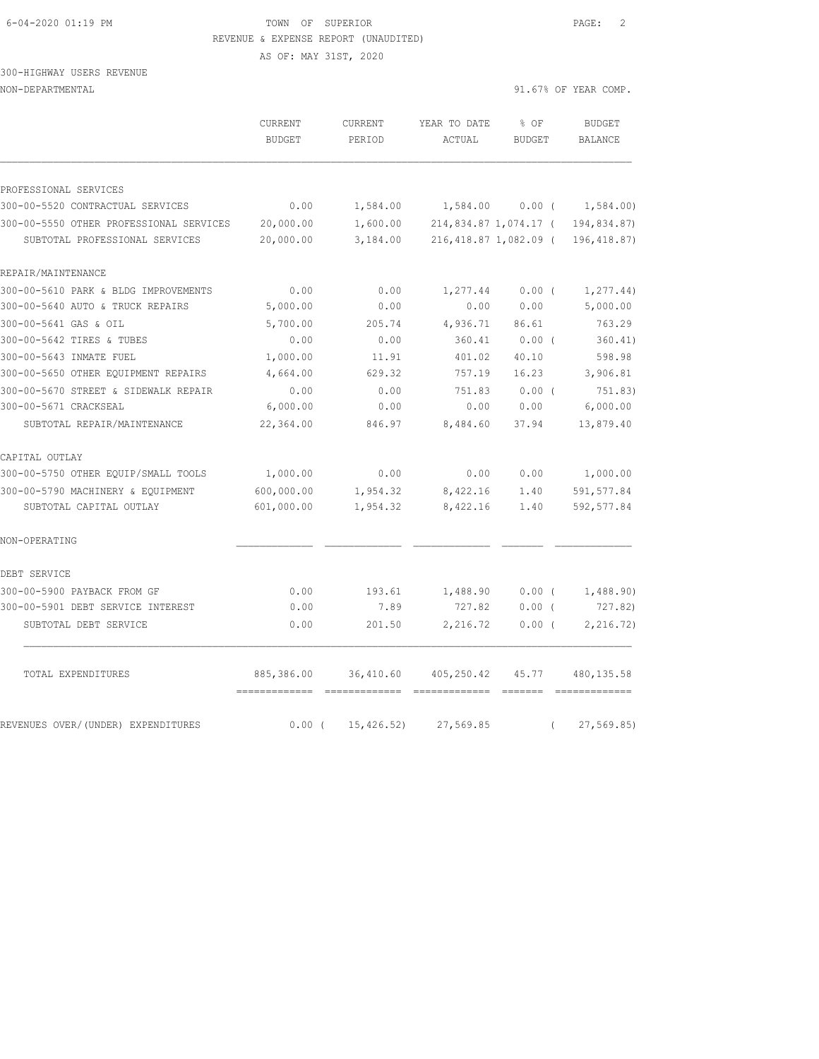## 6-04-2020 01:19 PM TOWN OF SUPERIOR PAGE: 2 REVENUE & EXPENSE REPORT (UNAUDITED)

AS OF: MAY 31ST, 2020

300-HIGHWAY USERS REVENUE

NON-DEPARTMENTAL 91.67% OF YEAR COMP.

|                                         | CURRENT<br><b>BUDGET</b> | <b>CURRENT</b><br>PERIOD | YEAR TO DATE<br>ACTUAL | % OF<br><b>BUDGET</b> |          | <b>BUDGET</b><br>BALANCE |
|-----------------------------------------|--------------------------|--------------------------|------------------------|-----------------------|----------|--------------------------|
| PROFESSIONAL SERVICES                   |                          |                          |                        |                       |          |                          |
| 300-00-5520 CONTRACTUAL SERVICES        | 0.00                     | 1,584.00                 | 1,584.00               | 0.00(                 |          | 1,584.00                 |
| 300-00-5550 OTHER PROFESSIONAL SERVICES | 20,000.00                | 1,600.00                 | 214,834.87 1,074.17 (  |                       |          | 194,834.87)              |
| SUBTOTAL PROFESSIONAL SERVICES          | 20,000.00                | 3,184.00                 | 216,418.87 1,082.09 (  |                       |          | 196, 418.87)             |
| REPAIR/MAINTENANCE                      |                          |                          |                        |                       |          |                          |
| 300-00-5610 PARK & BLDG IMPROVEMENTS    | 0.00                     | 0.00                     | 1,277.44               | 0.00(                 |          | 1, 277.44)               |
| 300-00-5640 AUTO & TRUCK REPAIRS        | 5,000.00                 | 0.00                     | 0.00                   | 0.00                  |          | 5,000.00                 |
| 300-00-5641 GAS & OIL                   | 5,700.00                 | 205.74                   | 4,936.71               | 86.61                 |          | 763.29                   |
| 300-00-5642 TIRES & TUBES               | 0.00                     | 0.00                     | 360.41                 | $0.00$ (              |          | 360.41)                  |
| 300-00-5643 INMATE FUEL                 | 1,000.00                 | 11.91                    | 401.02                 | 40.10                 |          | 598.98                   |
| 300-00-5650 OTHER EQUIPMENT REPAIRS     | 4,664.00                 | 629.32                   | 757.19                 | 16.23                 |          | 3,906.81                 |
| 300-00-5670 STREET & SIDEWALK REPAIR    | 0.00                     | 0.00                     | 751.83                 | 0.00(                 |          | 751.83)                  |
| 300-00-5671 CRACKSEAL                   | 6,000.00                 | 0.00                     | 0.00                   | 0.00                  |          | 6,000.00                 |
| SUBTOTAL REPAIR/MAINTENANCE             | 22,364.00                | 846.97                   | 8,484.60               | 37.94                 |          | 13,879.40                |
| CAPITAL OUTLAY                          |                          |                          |                        |                       |          |                          |
| 300-00-5750 OTHER EQUIP/SMALL TOOLS     | 1,000.00                 | 0.00                     | 0.00                   | 0.00                  |          | 1,000.00                 |
| 300-00-5790 MACHINERY & EQUIPMENT       | 600,000.00               | 1,954.32                 | 8,422.16               | 1.40                  |          | 591, 577.84              |
| SUBTOTAL CAPITAL OUTLAY                 | 601,000.00               | 1,954.32                 | 8,422.16               | 1.40                  |          | 592, 577.84              |
| NON-OPERATING                           |                          |                          |                        |                       |          |                          |
| DEBT SERVICE                            |                          |                          |                        |                       |          |                          |
| 300-00-5900 PAYBACK FROM GF             | 0.00                     | 193.61                   | 1,488.90               | 0.00(                 |          | 1,488.90)                |
| 300-00-5901 DEBT SERVICE INTEREST       | 0.00                     | 7.89                     | 727.82                 | $0.00$ (              |          | 727.82)                  |
| SUBTOTAL DEBT SERVICE                   | 0.00                     | 201.50                   | 2,216.72               | 0.00(                 |          | 2, 216.72)               |
| TOTAL EXPENDITURES                      | 885,386.00               | 36,410.60                | 405,250.42             | 45.77                 |          | 480, 135.58              |
| REVENUES OVER/(UNDER) EXPENDITURES      | 0.00(                    | 15,426.52)               | 27,569.85              |                       | $\left($ | 27, 569.85               |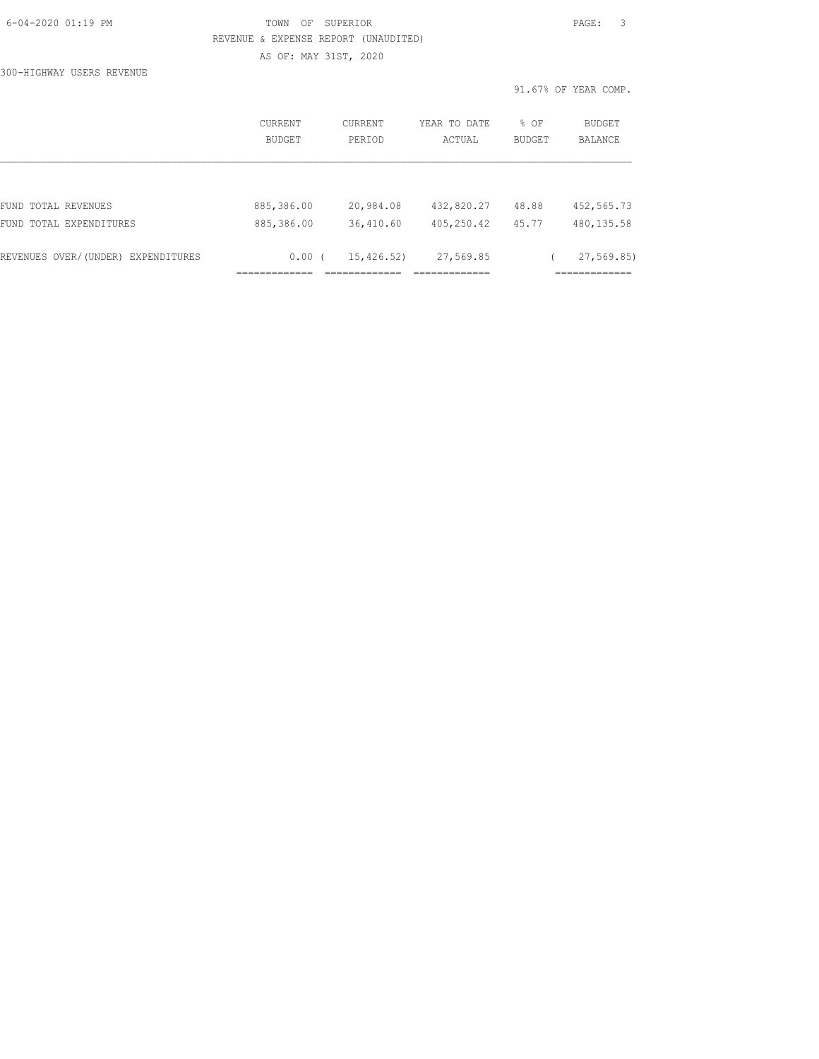| 6-04-2020 01:19 PM |  |
|--------------------|--|
|                    |  |

## FOWN OF SUPERIOR **Example 2014** PAGE: 3 REVENUE & EXPENSE REPORT (UNAUDITED) AS OF: MAY 31ST, 2020

300-HIGHWAY USERS REVENUE

|                                    | CURRENT<br><b>BUDGET</b> | CURRENT<br>PERTOD | YEAR TO DATE<br>ACTUAL | % OF<br><b>BUDGET</b> | BUDGET<br><b>BALANCE</b> |
|------------------------------------|--------------------------|-------------------|------------------------|-----------------------|--------------------------|
|                                    |                          |                   |                        |                       |                          |
| FUND TOTAL REVENUES                | 885,386.00               | 20,984.08         | 432,820.27             | 48.88                 | 452,565.73               |
| FUND TOTAL EXPENDITURES            | 885,386.00               | 36,410.60         | 405,250.42             | 45.77                 | 480, 135.58              |
| REVENUES OVER/(UNDER) EXPENDITURES | $0.00$ (                 | 15,426.52)        | 27,569.85              |                       | 27, 569.85               |
|                                    |                          |                   |                        |                       |                          |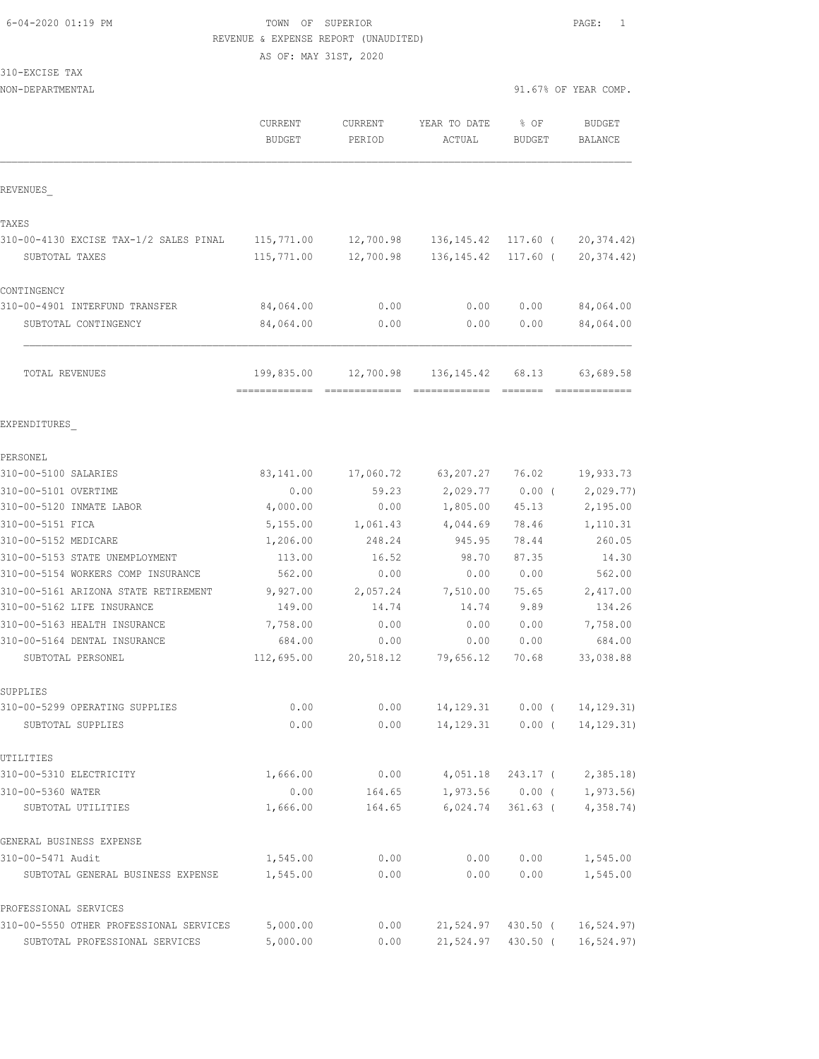## 6-04-2020 01:19 PM TOWN OF SUPERIOR PAGE: 1 REVENUE & EXPENSE REPORT (UNAUDITED)

AS OF: MAY 31ST, 2020

 $310 -$ 

| 310-EXCISE TAX                                    |                          |                   |                                      |                       |                                 |
|---------------------------------------------------|--------------------------|-------------------|--------------------------------------|-----------------------|---------------------------------|
| NON-DEPARTMENTAL                                  |                          |                   |                                      |                       | 91.67% OF YEAR COMP.            |
|                                                   | CURRENT<br><b>BUDGET</b> | CURRENT<br>PERIOD | YEAR TO DATE<br>ACTUAL               | % OF<br><b>BUDGET</b> | <b>BUDGET</b><br><b>BALANCE</b> |
| REVENUES                                          |                          |                   |                                      |                       |                                 |
| TAXES                                             |                          |                   |                                      |                       |                                 |
| 310-00-4130 EXCISE TAX-1/2 SALES PINAL            | 115,771.00               | 12,700.98         | 136,145.42                           | 117.60 (              | 20, 374.42)                     |
| SUBTOTAL TAXES                                    | 115,771.00               | 12,700.98         | 136, 145.42                          | $117.60$ (            | 20, 374.42)                     |
| CONTINGENCY                                       |                          |                   |                                      |                       |                                 |
| 310-00-4901 INTERFUND TRANSFER                    | 84,064.00                | 0.00              | 0.00                                 | 0.00                  | 84,064.00                       |
| SUBTOTAL CONTINGENCY                              | 84,064.00                | 0.00              | 0.00                                 | 0.00                  | 84,064.00                       |
| TOTAL REVENUES                                    | 199,835.00               | 12,700.98         | 136, 145.42                          | 68.13                 | 63,689.58                       |
|                                                   |                          |                   |                                      |                       | -------------                   |
| EXPENDITURES                                      |                          |                   |                                      |                       |                                 |
| PERSONEL                                          |                          |                   |                                      |                       |                                 |
| 310-00-5100 SALARIES                              | 83,141.00                | 17,060.72         | 63,207.27                            | 76.02                 | 19,933.73                       |
| 310-00-5101 OVERTIME                              | 0.00                     | 59.23             | 2,029.77                             | $0.00$ (              | 2,029.77)                       |
| 310-00-5120 INMATE LABOR                          | 4,000.00                 | 0.00              | 1,805.00                             | 45.13                 | 2,195.00                        |
| 310-00-5151 FICA                                  | 5,155.00                 | 1,061.43          | 4,044.69                             | 78.46                 | 1,110.31                        |
| 310-00-5152 MEDICARE                              | 1,206.00                 | 248.24            | 945.95                               | 78.44                 | 260.05                          |
| 310-00-5153 STATE UNEMPLOYMENT                    | 113.00                   | 16.52             | 98.70                                | 87.35                 | 14.30                           |
| 310-00-5154 WORKERS COMP INSURANCE                | 562.00                   | 0.00              | 0.00                                 | 0.00                  | 562.00                          |
| 310-00-5161 ARIZONA STATE RETIREMENT              | 9,927.00                 | 2,057.24          | 7,510.00                             | 75.65                 | 2,417.00                        |
| 310-00-5162 LIFE INSURANCE                        | 149.00                   | 14.74             | 14.74                                | 9.89                  | 134.26                          |
| 310-00-5163 HEALTH INSURANCE                      | 7,758.00                 | 0.00              | 0.00                                 | 0.00                  | 7,758.00                        |
| 310-00-5164 DENTAL INSURANCE<br>SUBTOTAL PERSONEL | 684.00<br>112,695.00     | 0.00<br>20,518.12 | 0.00<br>79,656.12                    | 0.00<br>70.68         | 684.00<br>33,038.88             |
|                                                   |                          |                   |                                      |                       |                                 |
| SUPPLIES                                          |                          |                   |                                      |                       |                                 |
| 310-00-5299 OPERATING SUPPLIES                    | 0.00                     | 0.00              | 14, 129. 31                          | $0.00$ (              | 14, 129. 31)                    |
| SUBTOTAL SUPPLIES                                 | 0.00                     | 0.00              | 14, 129. 31                          | $0.00$ (              | 14, 129.31)                     |
| UTILITIES                                         |                          |                   |                                      |                       |                                 |
| 310-00-5310 ELECTRICITY                           | 1,666.00                 | 0.00              | 4,051.18                             | 243.17 (              | 2,385.18)                       |
| 310-00-5360 WATER                                 | 0.00                     | 164.65            |                                      | $1,973.56$ 0.00 (     | 1,973.56)                       |
| SUBTOTAL UTILITIES                                | 1,666.00                 | 164.65            | 6,024.74                             | 361.63 (              | 4,358.74)                       |
| GENERAL BUSINESS EXPENSE                          |                          |                   |                                      |                       |                                 |
| 310-00-5471 Audit                                 | 1,545.00                 | 0.00              | 0.00                                 | 0.00                  | 1,545.00                        |
| SUBTOTAL GENERAL BUSINESS EXPENSE                 | 1,545.00                 | 0.00              | 0.00                                 | 0.00                  | 1,545.00                        |
| PROFESSIONAL SERVICES                             |                          |                   |                                      |                       |                                 |
| 310-00-5550 OTHER PROFESSIONAL SERVICES           | 5,000.00                 |                   | $0.00$ 21,524.97 430.50 ( 16,524.97) |                       |                                 |

SUBTOTAL PROFESSIONAL SERVICES 5,000.00 0.00 21,524.97 430.50 ( 16,524.97)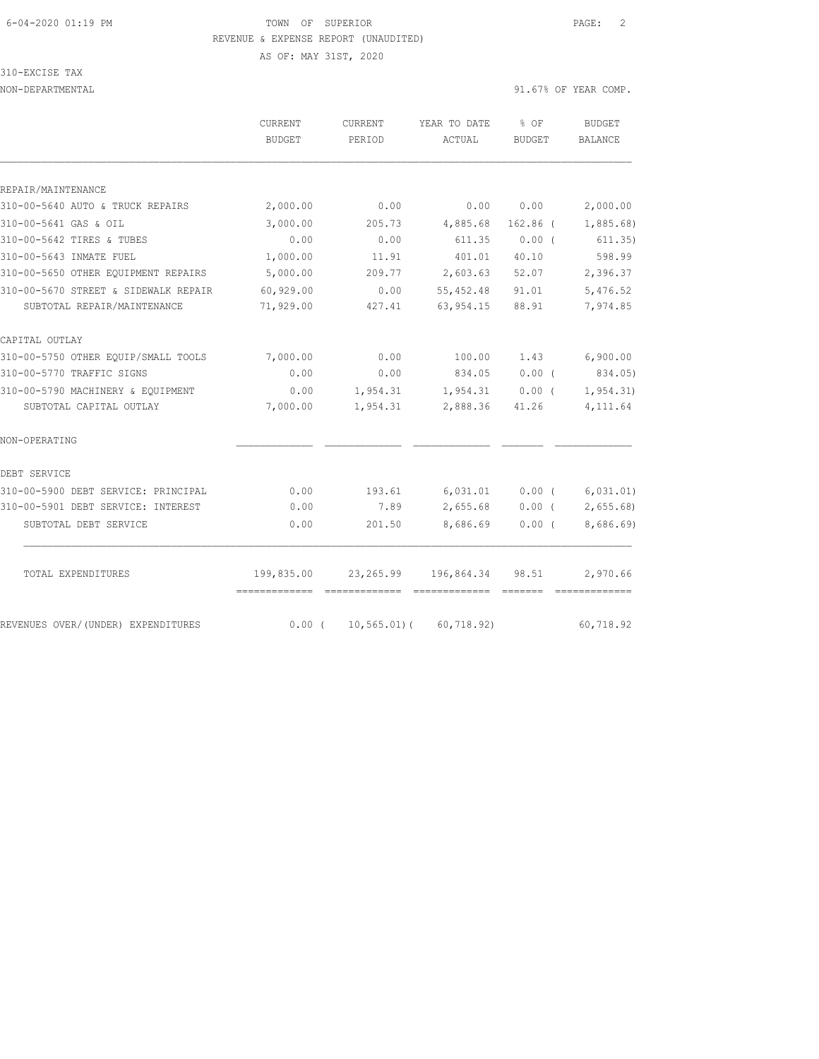#### 6-04-2020 01:19 PM TOWN OF SUPERIOR PAGE: 2 REVENUE & EXPENSE REPORT (UNAUDITED)

## 310-EXCISE TAX

NON-DEPARTMENTAL 31.67% OF YEAR COMP.

|                                      | <b>CURRENT</b>              | <b>CURRENT</b> | YEAR TO DATE | % OF          | <b>BUDGET</b>  |
|--------------------------------------|-----------------------------|----------------|--------------|---------------|----------------|
|                                      | <b>BUDGET</b>               | PERIOD         | ACTUAL       | <b>BUDGET</b> | <b>BALANCE</b> |
|                                      |                             |                |              |               |                |
| REPAIR/MAINTENANCE                   |                             |                |              |               |                |
| 310-00-5640 AUTO & TRUCK REPAIRS     | 2,000.00                    | 0.00           | 0.00         | 0.00          | 2,000.00       |
| 310-00-5641 GAS & OIL                | 3,000.00                    | 205.73         | 4,885.68     | $162.86$ (    | 1,885.68)      |
| 310-00-5642 TIRES & TUBES            | 0.00                        | 0.00           | 611.35       | 0.00(         | 611.35)        |
| 310-00-5643 INMATE FUEL              | 1,000.00                    | 11.91          | 401.01       | 40.10         | 598.99         |
| 310-00-5650 OTHER EQUIPMENT REPAIRS  | 5,000.00                    | 209.77         | 2,603.63     | 52.07         | 2,396.37       |
| 310-00-5670 STREET & SIDEWALK REPAIR | 60,929.00                   | 0.00           | 55,452.48    | 91.01         | 5,476.52       |
| SUBTOTAL REPAIR/MAINTENANCE          | 71,929.00                   | 427.41         | 63, 954.15   | 88.91         | 7,974.85       |
| CAPITAL OUTLAY                       |                             |                |              |               |                |
| 310-00-5750 OTHER EOUIP/SMALL TOOLS  | 7,000.00                    | 0.00           | 100.00       | 1.43          | 6,900.00       |
| 310-00-5770 TRAFFIC SIGNS            | 0.00                        | 0.00           | 834.05       | $0.00$ (      | 834.05)        |
| 310-00-5790 MACHINERY & EQUIPMENT    | 0.00                        | 1,954.31       | 1,954.31     | $0.00$ (      | 1, 954.31)     |
| SUBTOTAL CAPITAL OUTLAY              | 7,000.00                    | 1,954.31       | 2,888.36     | 41.26         | 4,111.64       |
| NON-OPERATING                        |                             |                |              |               |                |
| DEBT SERVICE                         |                             |                |              |               |                |
| 310-00-5900 DEBT SERVICE: PRINCIPAL  | 0.00                        | 193.61         | 6,031.01     | $0.00$ (      | 6,031.01)      |
| 310-00-5901 DEBT SERVICE: INTEREST   | 0.00                        | 7.89           | 2,655.68     | $0.00$ (      | 2,655.68       |
| SUBTOTAL DEBT SERVICE                | 0.00                        | 201.50         | 8,686.69     | $0.00$ (      | 8,686.69)      |
|                                      |                             |                |              |               |                |
| TOTAL EXPENDITURES                   | 199,835.00<br>============= | 23,265.99      | 196,864.34   | 98.51         | 2,970.66       |
| REVENUES OVER/(UNDER) EXPENDITURES   | $0.00$ (                    | $10, 565.01$ ( | 60, 718.92)  |               | 60,718.92      |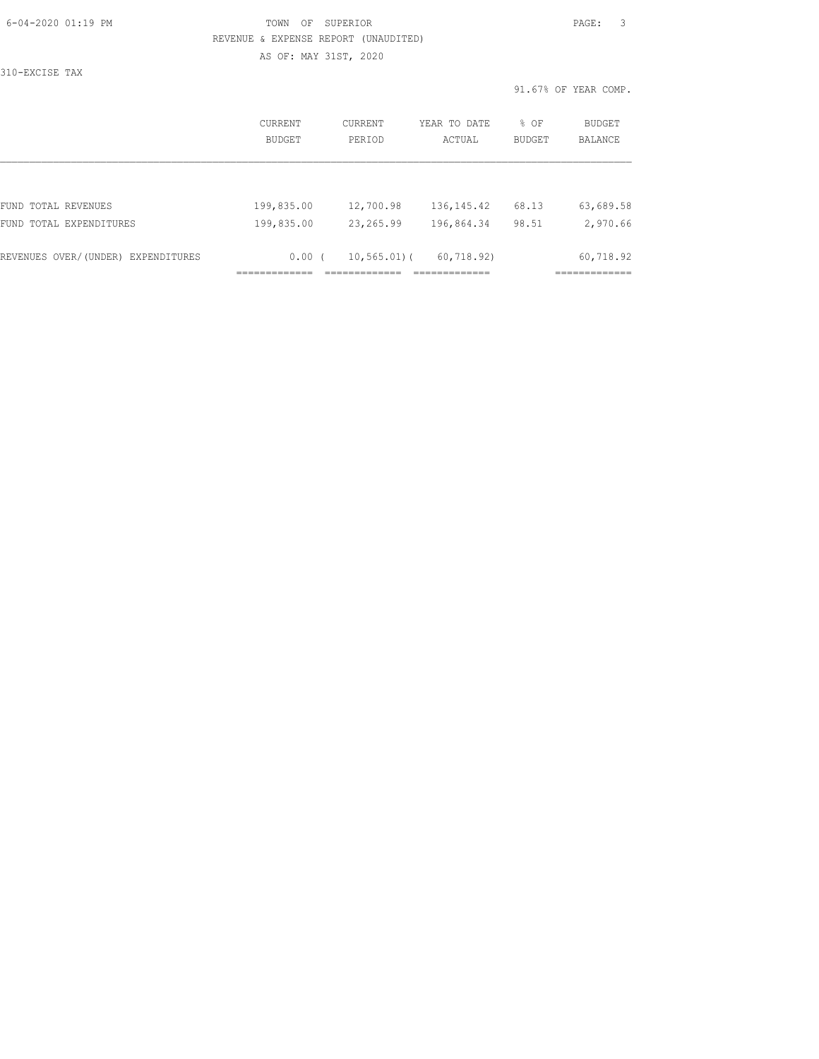## 6-04-2020 01:19 PM TOWN OF SUPERIOR PAGE: 3 REVENUE & EXPENSE REPORT (UNAUDITED) AS OF: MAY 31ST, 2020

310-EXCISE TAX

|                                    | CURRENT<br>BUDGET | <b>CURRENT</b><br>PERIOD | YEAR TO DATE<br>ACTUAL | % OF<br><b>BUDGET</b> | <b>BUDGET</b><br><b>BALANCE</b> |
|------------------------------------|-------------------|--------------------------|------------------------|-----------------------|---------------------------------|
|                                    |                   |                          |                        |                       |                                 |
| FUND TOTAL REVENUES                | 199,835.00        | 12,700.98                | 136, 145.42            | 68.13                 | 63,689.58                       |
| FUND TOTAL EXPENDITURES            | 199,835.00        | 23, 265.99               | 196,864.34             | 98.51                 | 2,970.66                        |
| REVENUES OVER/(UNDER) EXPENDITURES | $0.00$ (          | $10, 565.01$ (           | 60, 718, 92)           |                       | 60,718.92                       |
|                                    |                   |                          |                        |                       |                                 |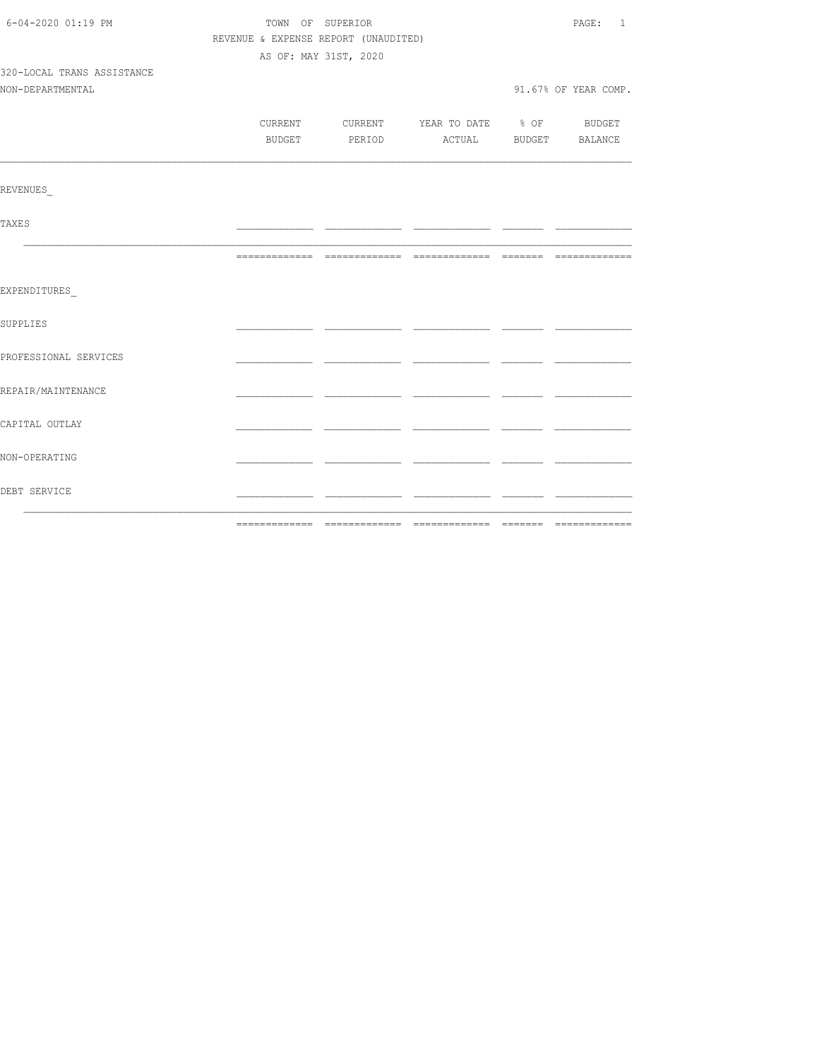| 6-04-2020 01:19 PM         | TOWN OF SUPERIOR                     | PAGE: 1               |                                          |  |                      |
|----------------------------|--------------------------------------|-----------------------|------------------------------------------|--|----------------------|
|                            | REVENUE & EXPENSE REPORT (UNAUDITED) |                       |                                          |  |                      |
|                            |                                      | AS OF: MAY 31ST, 2020 |                                          |  |                      |
| 320-LOCAL TRANS ASSISTANCE |                                      |                       |                                          |  |                      |
| NON-DEPARTMENTAL           |                                      |                       |                                          |  | 91.67% OF YEAR COMP. |
|                            |                                      |                       |                                          |  |                      |
|                            |                                      |                       | CURRENT CURRENT YEAR TO DATE % OF BUDGET |  |                      |
|                            |                                      |                       | BUDGET PERIOD ACTUAL BUDGET BALANCE      |  |                      |
|                            |                                      |                       |                                          |  |                      |
| <b>REVENUES</b>            |                                      |                       |                                          |  |                      |
| <b>TAXES</b>               |                                      |                       |                                          |  |                      |
|                            |                                      |                       |                                          |  |                      |
| EXPENDITURES               |                                      |                       |                                          |  |                      |
| SUPPLIES                   |                                      |                       |                                          |  |                      |
| PROFESSIONAL SERVICES      |                                      |                       |                                          |  |                      |
| REPAIR/MAINTENANCE         |                                      |                       |                                          |  |                      |
| CAPITAL OUTLAY             |                                      |                       |                                          |  |                      |
| NON-OPERATING              |                                      |                       |                                          |  |                      |
| DEBT SERVICE               |                                      |                       |                                          |  |                      |
|                            |                                      |                       |                                          |  |                      |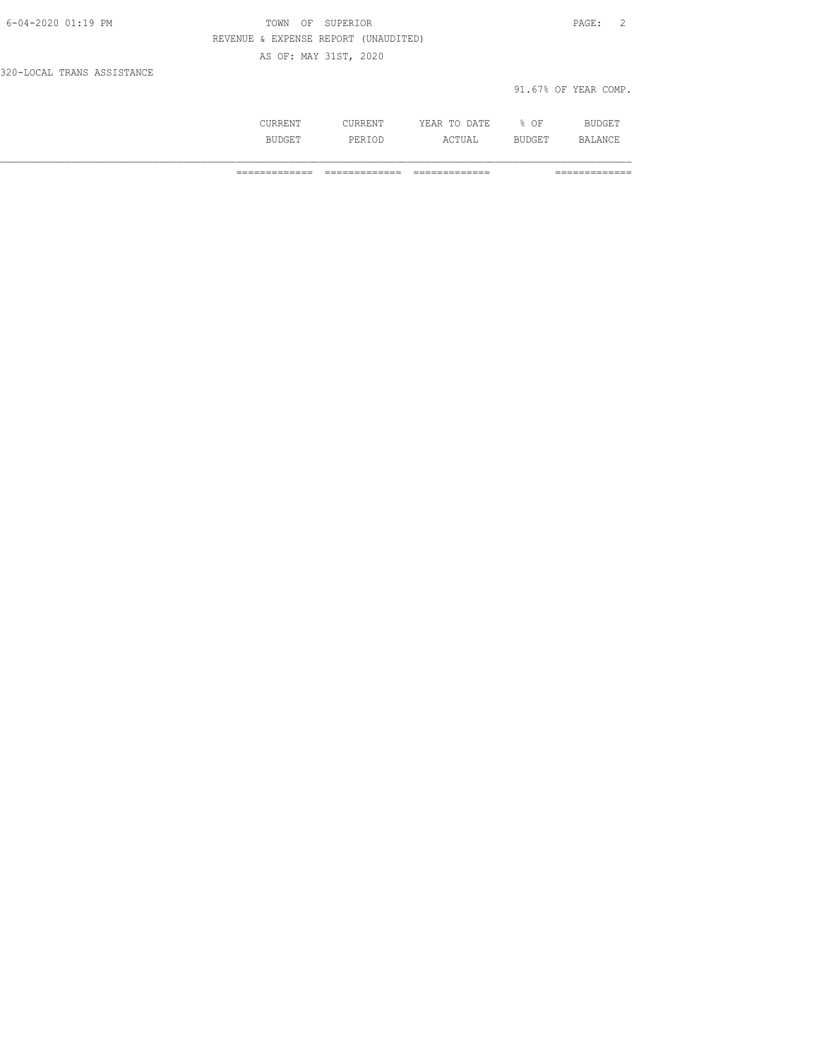| 6-04-2020 01:19 PM         | OF SUPERIOR<br>TOWN                  | PAGE:                |
|----------------------------|--------------------------------------|----------------------|
|                            | REVENUE & EXPENSE REPORT (UNAUDITED) |                      |
|                            | AS OF: MAY 31ST, 2020                |                      |
| 320-LOCAL TRANS ASSISTANCE |                                      |                      |
|                            |                                      | 91.67% OF YEAR COMP. |

| .     | .<br>.           | : A T F<br>. .<br>----<br>----- | OF<br><br>ັ |                |
|-------|------------------|---------------------------------|-------------|----------------|
| ----- | י הבנ⊢<br>------ | $\cdots$<br>.                   | .           | $\mathbb{R}^n$ |

============= ============= ============= =============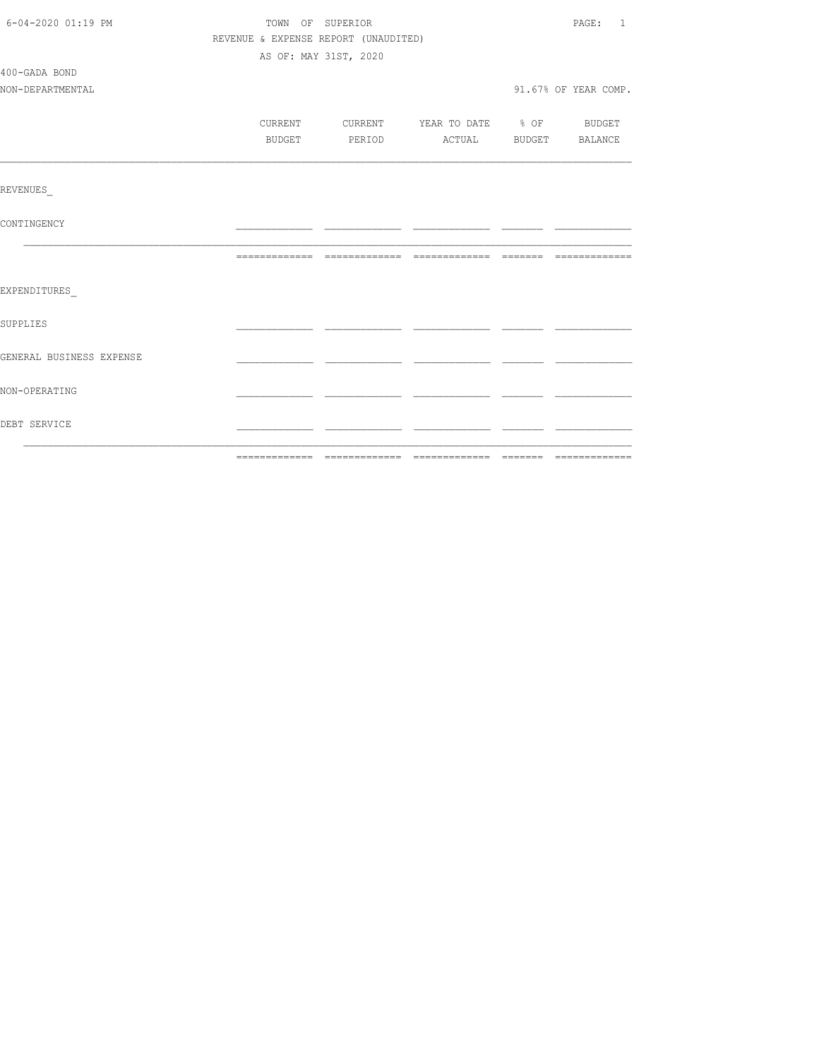| 6-04-2020 01:19 PM       | TOWN OF SUPERIOR                     |                                                                          | PAGE: 1              |
|--------------------------|--------------------------------------|--------------------------------------------------------------------------|----------------------|
|                          | REVENUE & EXPENSE REPORT (UNAUDITED) |                                                                          |                      |
|                          | AS OF: MAY 31ST, 2020                |                                                                          |                      |
| 400-GADA BOND            |                                      |                                                                          |                      |
| NON-DEPARTMENTAL         |                                      |                                                                          | 91.67% OF YEAR COMP. |
|                          |                                      |                                                                          |                      |
|                          | BUDGET                               | CURRENT CURRENT YEAR TO DATE % OF BUDGET<br>PERIOD ACTUAL BUDGET BALANCE |                      |
|                          |                                      |                                                                          |                      |
| <b>REVENUES</b>          |                                      |                                                                          |                      |
| CONTINGENCY              |                                      |                                                                          |                      |
|                          |                                      |                                                                          |                      |
| EXPENDITURES             |                                      |                                                                          |                      |
| SUPPLIES                 |                                      |                                                                          |                      |
| GENERAL BUSINESS EXPENSE |                                      |                                                                          |                      |
| NON-OPERATING            |                                      |                                                                          |                      |
| DEBT SERVICE             |                                      |                                                                          |                      |
|                          |                                      |                                                                          |                      |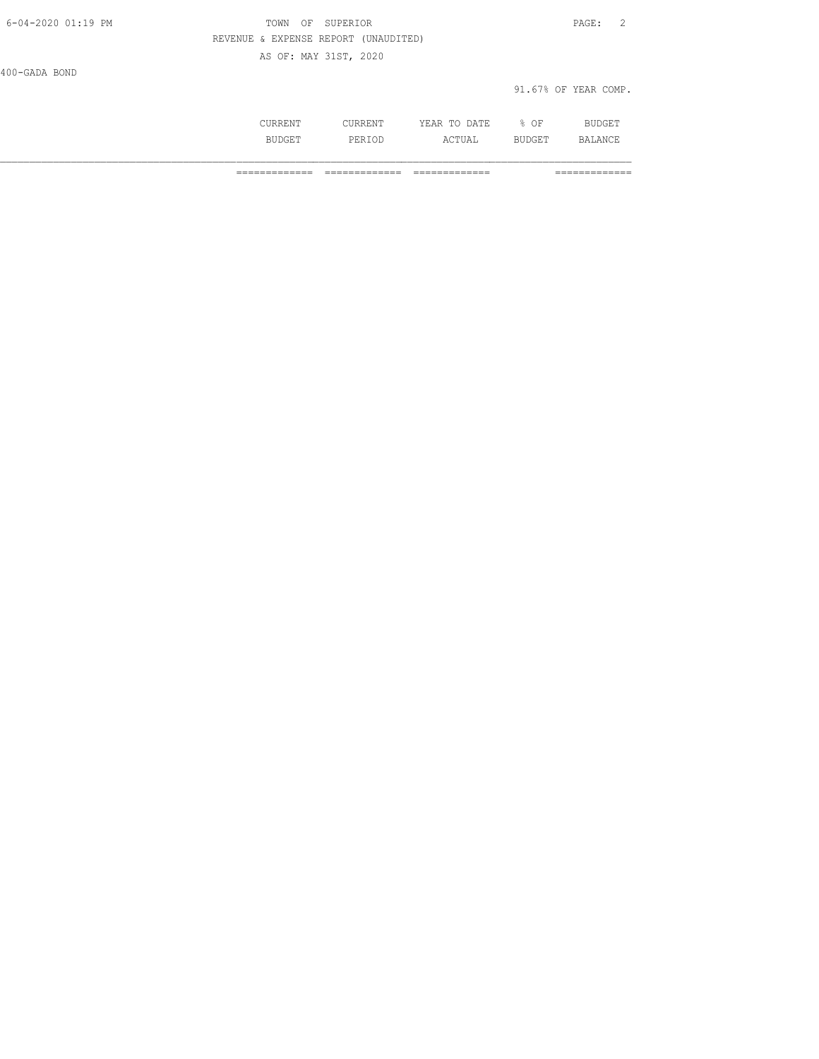| 6-04-2020 01:19 PM | OF SUPERIOR<br>TOWN                  | PAGE:                |  |
|--------------------|--------------------------------------|----------------------|--|
|                    | REVENUE & EXPENSE REPORT (UNAUDITED) |                      |  |
|                    | AS OF: MAY 31ST, 2020                |                      |  |
| 400-GADA BOND      |                                      |                      |  |
|                    |                                      | 91.67% OF YEAR COMP. |  |

|             | ----<br>. .<br>.<br>シンエルプロエッエ | . אידי ב <i>ו</i><br>. .<br>⊶ ∧<br>----- | ΟF<br>u.<br>∽ | ---                           |
|-------------|-------------------------------|------------------------------------------|---------------|-------------------------------|
| र ग<br>.5TT | ח הם P<br>PERIOD              | $\cdots$<br>770 T OTT                    | .             | ΔNΙ<br>$\mathbb{R}^N$<br>---- |

============= ============= ============= =============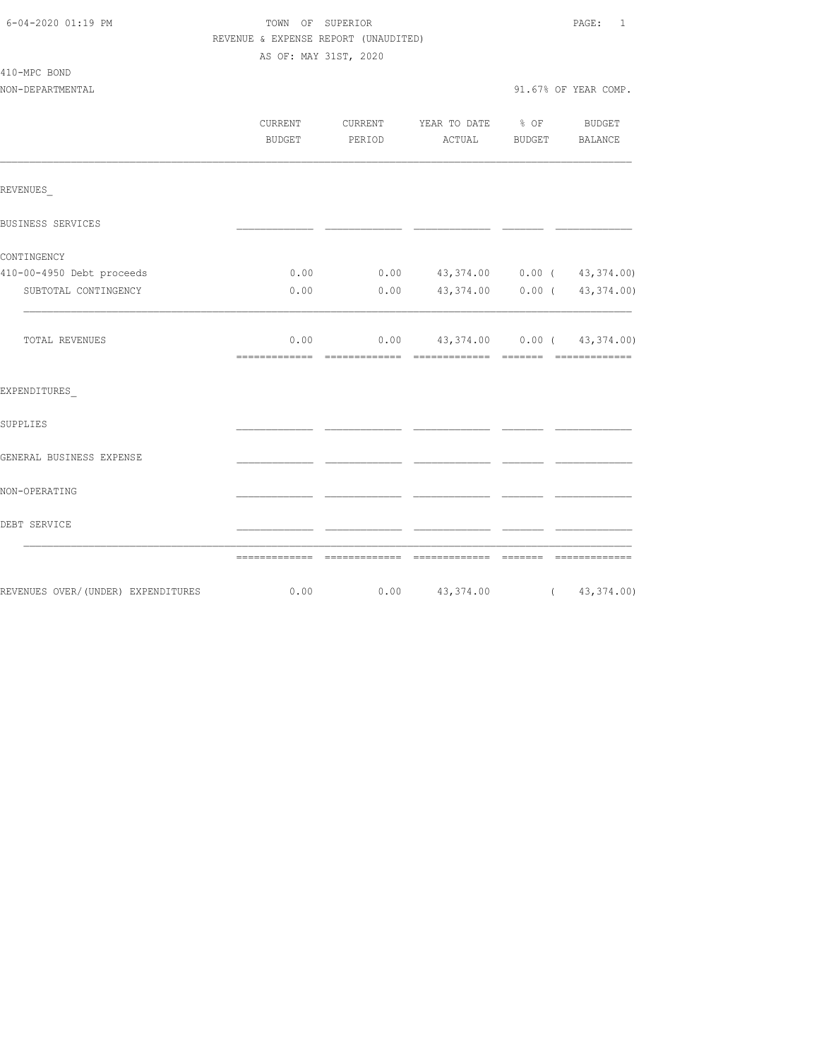| 6-04-2020 01:19 PM |  |
|--------------------|--|
|                    |  |

410-MPC BOND

## TOWN OF SUPERIOR **Example 2014** PAGE: 1 REVENUE & EXPENSE REPORT (UNAUDITED) AS OF: MAY 31ST, 2020

NON-DEPARTMENTAL 91.67% OF YEAR COMP.

|                                    | CURRENT<br><b>BUDGET</b> | CURRENT<br>PERIOD | YEAR TO DATE % OF<br>ACTUAL                | BUDGET   | <b>BUDGET</b><br>BALANCE        |
|------------------------------------|--------------------------|-------------------|--------------------------------------------|----------|---------------------------------|
| REVENUES                           |                          |                   |                                            |          |                                 |
| BUSINESS SERVICES                  |                          |                   |                                            |          |                                 |
| CONTINGENCY                        |                          |                   |                                            |          |                                 |
| 410-00-4950 Debt proceeds          | 0.00                     |                   | $0.00$ $43,374.00$ $0.00$ $($ $43,374.00)$ |          |                                 |
| SUBTOTAL CONTINGENCY               | 0.00                     | 0.00              |                                            |          | 43, 374.00   0.00   43, 374.00) |
| TOTAL REVENUES                     | 0.00                     |                   | $0.00$ 43, 374.00 0.00 ( 43, 374.00)       |          | <b>CONSECTIONS</b>              |
| EXPENDITURES                       |                          |                   |                                            |          |                                 |
| SUPPLIES                           |                          |                   |                                            |          |                                 |
| GENERAL BUSINESS EXPENSE           |                          |                   |                                            |          |                                 |
| NON-OPERATING                      |                          |                   |                                            |          |                                 |
| DEBT SERVICE                       |                          |                   |                                            |          |                                 |
|                                    |                          |                   |                                            | -------- | --------------                  |
| REVENUES OVER/(UNDER) EXPENDITURES | 0.00                     |                   | $0.00$ 43,374.00 (43,374.00)               |          |                                 |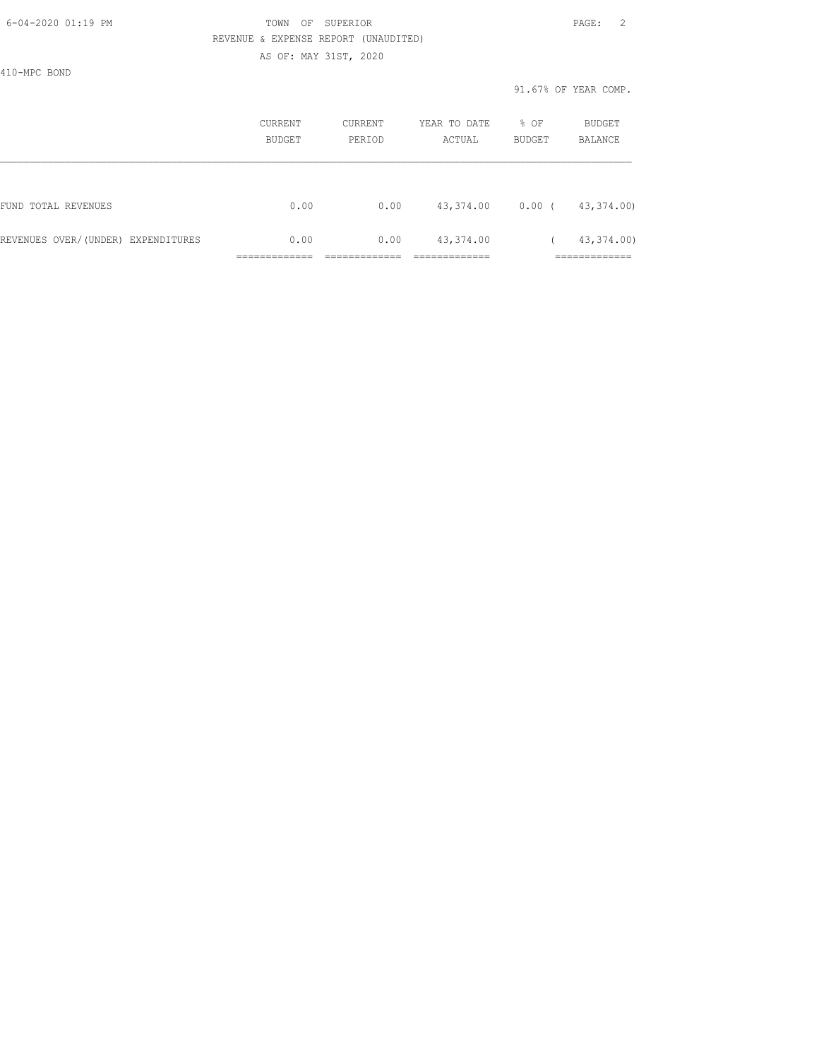| 6-04-2020 01:19 PM |  |
|--------------------|--|

## FOWN OF SUPERIOR **Example 2** PAGE: 2 REVENUE & EXPENSE REPORT (UNAUDITED) AS OF: MAY 31ST, 2020

410-MPC BOND

|                                    | CURRENT<br>BUDGET | CURRENT<br>PERIOD | YEAR TO DATE<br>ACTUAL | % OF<br>BUDGET | <b>BUDGET</b><br><b>BALANCE</b> |
|------------------------------------|-------------------|-------------------|------------------------|----------------|---------------------------------|
|                                    |                   |                   |                        |                |                                 |
| FUND TOTAL REVENUES                | 0.00              | 0.00              | 43,374.00              | $0.00$ (       | 43,374.00)                      |
| REVENUES OVER/(UNDER) EXPENDITURES | 0.00              | 0.00              | 43,374.00              |                | 43,374.00)                      |
|                                    |                   |                   |                        |                | ___________                     |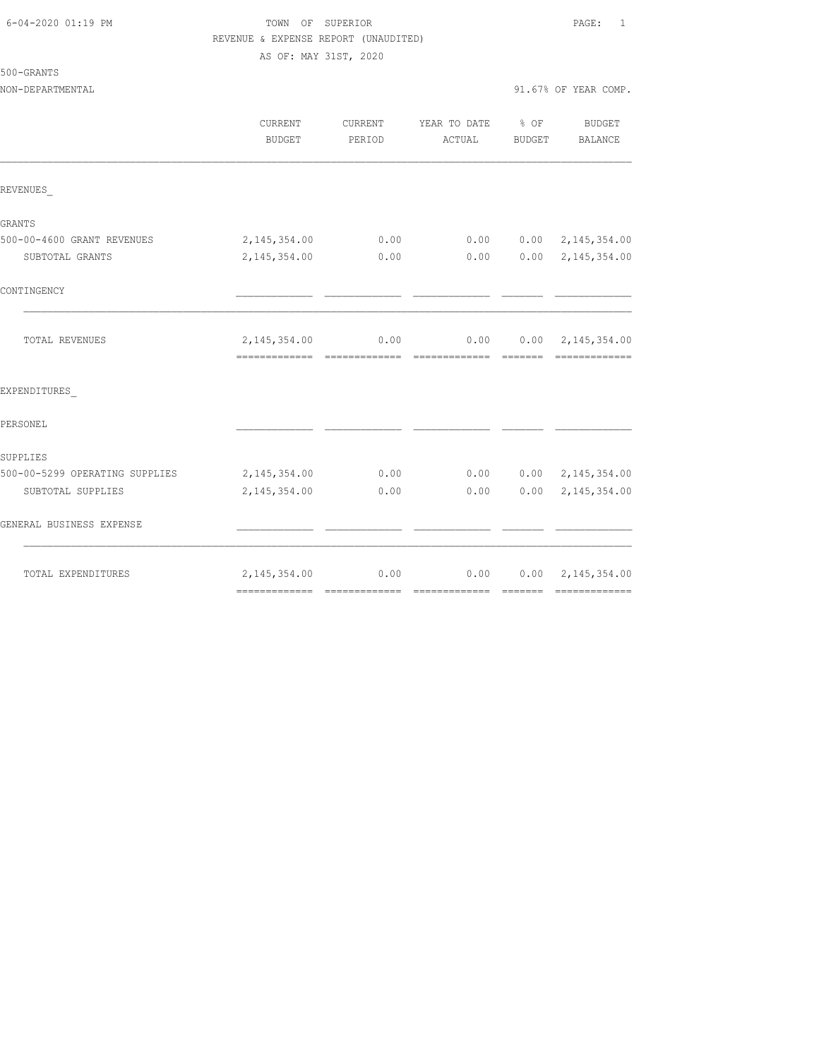| 6-04-2020 01:19 PM |  |
|--------------------|--|
|                    |  |

## FOWN OF SUPERIOR **Example 2010** PAGE: 1 REVENUE & EXPENSE REPORT (UNAUDITED) AS OF: MAY 31ST, 2020

|  | 500-GRANTS |  |
|--|------------|--|
|--|------------|--|

| NON-DEPARTMENTAL | 91.67% OF YEAR COMP. |
|------------------|----------------------|
|                  |                      |

|                                | CURRENT<br><b>BUDGET</b> | CURRENT<br>PERIOD | YEAR TO DATE<br>ACTUAL                        | $\frac{8}{6}$ OF<br>BUDGET | BUDGET<br><b>BALANCE</b>  |
|--------------------------------|--------------------------|-------------------|-----------------------------------------------|----------------------------|---------------------------|
| REVENUES                       |                          |                   |                                               |                            |                           |
| GRANTS                         |                          |                   |                                               |                            |                           |
| 500-00-4600 GRANT REVENUES     | 2, 145, 354.00           | 0.00              | 0.00                                          |                            | $0.00 \quad 2,145,354.00$ |
| SUBTOTAL GRANTS                | 2, 145, 354.00           | 0.00              | 0.00                                          |                            | $0.00 \quad 2,145,354.00$ |
| CONTINGENCY                    |                          |                   |                                               |                            |                           |
| TOTAL REVENUES                 | 2, 145, 354.00 0.00      | --------------    | $0.00$ $0.00$ $2,145,354.00$<br>============= | --------                   |                           |
| EXPENDITURES                   |                          |                   |                                               |                            |                           |
| PERSONEL                       |                          |                   |                                               |                            |                           |
| SUPPLIES                       |                          |                   |                                               |                            |                           |
| 500-00-5299 OPERATING SUPPLIES | 2,145,354.00             | 0.00              | 0.00                                          |                            | $0.00 \quad 2,145,354.00$ |
| SUBTOTAL SUPPLIES              | 2, 145, 354.00           | 0.00              | 0.00                                          |                            | $0.00 \quad 2,145,354.00$ |
| GENERAL BUSINESS EXPENSE       |                          |                   |                                               |                            |                           |
| TOTAL EXPENDITURES             | 2, 145, 354.00           | 0.00              | 0.00                                          |                            | $0.00 \quad 2,145,354.00$ |
|                                |                          |                   |                                               |                            |                           |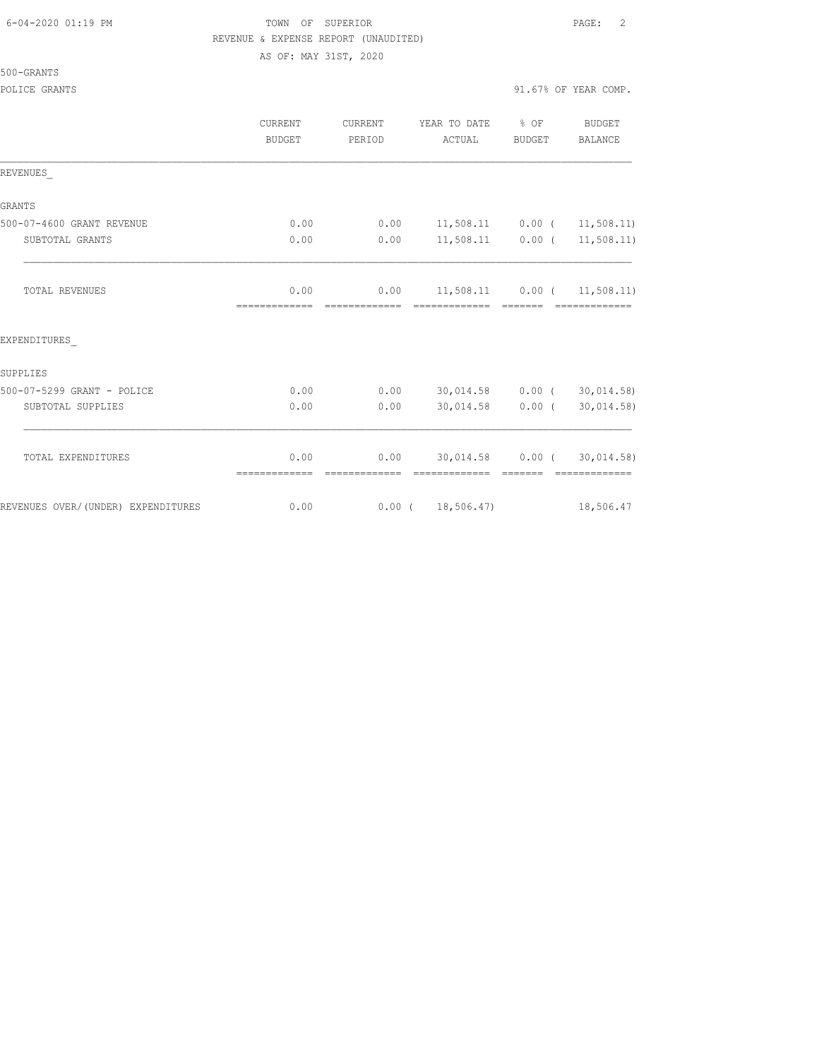### 6-04-2020 01:19 PM TOWN OF SUPERIOR PAGE: 2 REVENUE & EXPENSE REPORT (UNAUDITED) AS OF: MAY 31ST, 2020

|  | 500-GRANTS |  |
|--|------------|--|
|  |            |  |

|                                    | <b>CURRENT</b><br>BUDGET | CURRENT<br>PERIOD | YEAR TO DATE % OF<br>ACTUAL               | BUDGET | BUDGET<br>BALANCE          |
|------------------------------------|--------------------------|-------------------|-------------------------------------------|--------|----------------------------|
| REVENUES                           |                          |                   |                                           |        |                            |
| GRANTS                             |                          |                   |                                           |        |                            |
| 500-07-4600 GRANT REVENUE          | 0.00                     |                   | $0.00$ 11,508.11 0.00 ( 11,508.11)        |        |                            |
| SUBTOTAL GRANTS                    | 0.00                     | 0.00              | $11,508.11$ 0.00 ( 11,508.11)             |        |                            |
| <b>TOTAL REVENUES</b>              | 0.00<br>=============    |                   | $0.00$ 11,508.11 0.00 ( 11,508.11)        |        | --------------             |
| EXPENDITURES                       |                          |                   |                                           |        |                            |
| SUPPLIES                           |                          |                   |                                           |        |                            |
| 500-07-5299 GRANT - POLICE         | 0.00                     |                   | $0.00$ $30,014.58$ $0.00$ ( $30,014.58$ ) |        |                            |
| SUBTOTAL SUPPLIES                  | 0.00                     | 0.00              |                                           |        | 30,014.58 0.00 (30,014.58) |
| TOTAL EXPENDITURES                 | 0.00                     |                   | $0.00$ $30,014.58$ $0.00$ ( $30,014.58$ ) |        |                            |
| REVENUES OVER/(UNDER) EXPENDITURES | 0.00                     |                   | 0.00(18,506.47)                           |        | 18,506.47                  |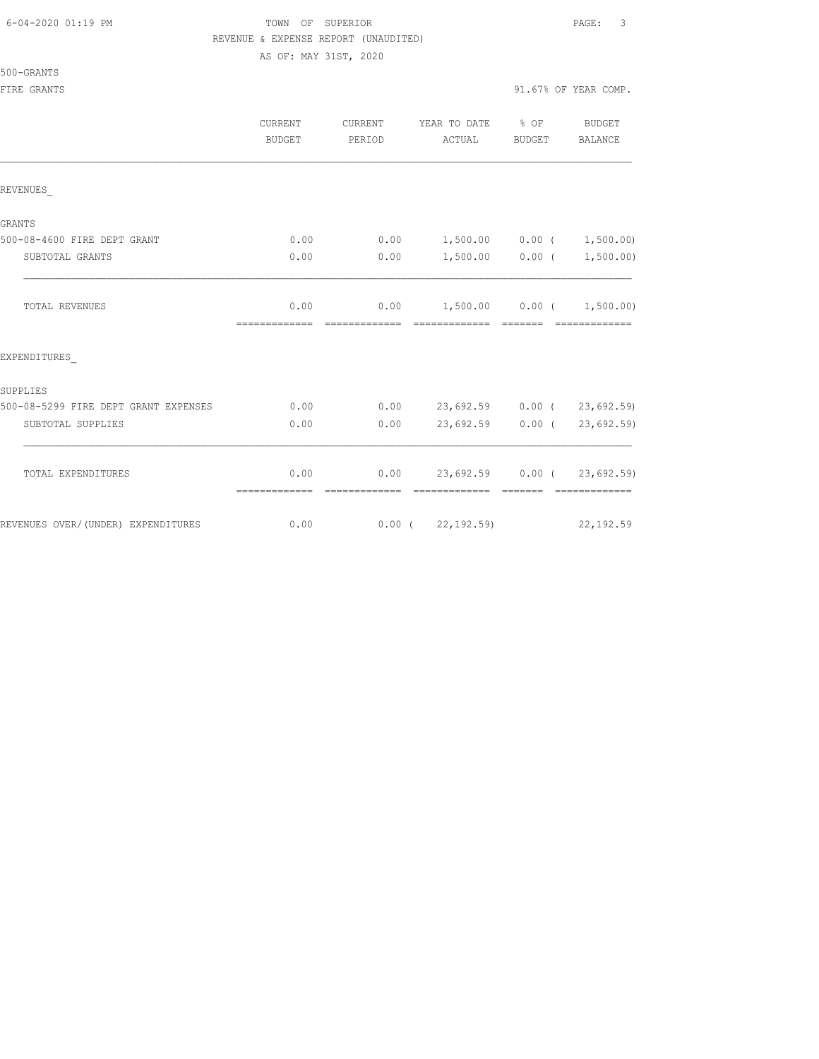## 6-04-2020 01:19 PM TOWN OF SUPERIOR PAGE: 3 REVENUE & EXPENSE REPORT (UNAUDITED)

AS OF: MAY 31ST, 2020

500-08-5299 FIRE DEPT GRANT EXPENSES 0.00 0.00 23,692.59 0.00 ( 23,692.59) SUBTOTAL SUPPLIES 0.00 0.00 23,692.59 0.00 ( 23,692.59)  $\mathcal{L}_\text{max}$ 

TOTAL EXPENDITURES 0.00 0.00 23,692.59 0.00 ( 23,692.59)

REVENUES OVER/(UNDER) EXPENDITURES 0.00 0.00 0.00 (22,192.59) 22,192.59

============= ============= ============= ======= =============

## 500-GRANTS

SUPPLIES

| JUU-GRANTS<br>FIRE GRANTS   |         |         |                                  |                   | 91.67% OF YEAR COMP. |
|-----------------------------|---------|---------|----------------------------------|-------------------|----------------------|
|                             |         |         |                                  |                   |                      |
|                             | CURRENT | CURRENT | YEAR TO DATE                     | $\frac{1}{6}$ OF  | BUDGET               |
|                             | BUDGET  | PERIOD  | ACTUAL                           | BUDGET            | BALANCE              |
|                             |         |         |                                  |                   |                      |
| REVENUES                    |         |         |                                  |                   |                      |
| GRANTS                      |         |         |                                  |                   |                      |
| 500-08-4600 FIRE DEPT GRANT | 0.00    |         | $0.00$ 1,500.00 0.00 ( 1,500.00) |                   |                      |
| SUBTOTAL GRANTS             | 0.00    | 0.00    |                                  | $1,500.00$ 0.00 ( | 1,500.00)            |
|                             |         |         |                                  |                   |                      |
| TOTAL REVENUES              | 0.00    |         | $0.00$ 1,500.00 0.00 ( 1,500.00) |                   |                      |
|                             |         |         |                                  |                   |                      |
| EXPENDITURES                |         |         |                                  |                   |                      |
|                             |         |         |                                  |                   |                      |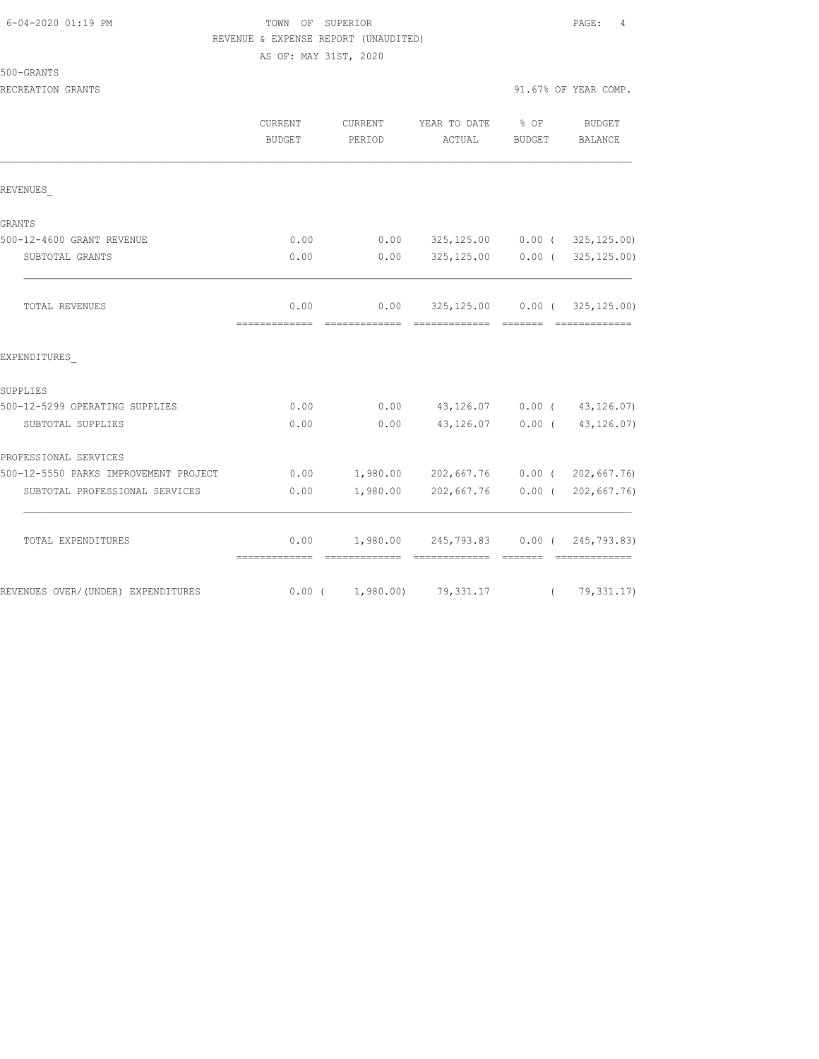## TOWN OF SUPERIOR **PAGE:** 4 REVENUE & EXPENSE REPORT (UNAUDITED) AS OF: MAY 31ST, 2020

|  | 500-GRANTS |
|--|------------|
|  |            |

|                   |                   |                        |        | 91.67% OF YEAR COMP.                                                                                                                                                                                                                                                                               |
|-------------------|-------------------|------------------------|--------|----------------------------------------------------------------------------------------------------------------------------------------------------------------------------------------------------------------------------------------------------------------------------------------------------|
| CURRENT<br>BUDGET | CURRENT<br>PERIOD | YEAR TO DATE<br>ACTUAL | BUDGET | BUDGET<br>BALANCE                                                                                                                                                                                                                                                                                  |
|                   |                   |                        |        |                                                                                                                                                                                                                                                                                                    |
|                   |                   |                        |        |                                                                                                                                                                                                                                                                                                    |
| 0.00              |                   |                        |        |                                                                                                                                                                                                                                                                                                    |
| 0.00              | 0.00              |                        |        |                                                                                                                                                                                                                                                                                                    |
| 0.00              | 0.00              |                        |        |                                                                                                                                                                                                                                                                                                    |
|                   |                   |                        |        |                                                                                                                                                                                                                                                                                                    |
|                   |                   |                        |        |                                                                                                                                                                                                                                                                                                    |
| 0.00              |                   |                        |        |                                                                                                                                                                                                                                                                                                    |
| 0.00              | 0.00              |                        |        |                                                                                                                                                                                                                                                                                                    |
|                   |                   |                        |        |                                                                                                                                                                                                                                                                                                    |
| 0.00              |                   |                        |        |                                                                                                                                                                                                                                                                                                    |
| 0.00              |                   |                        |        | $0.00$ ( 202,667.76)                                                                                                                                                                                                                                                                               |
|                   | =============     | =============          |        | $\frac{1}{6}$ OF<br>$0.00$ $325,125.00$ $0.00$ ( $325,125.00$ )<br>$325, 125, 00$ 0.00 (325, 125.00)<br>325,125.00   0.00   (   325,125.00)<br>- =======<br>$0.00$ 43,126.07 0.00 ( 43,126.07)<br>43, 126.07   0.00   43, 126.07)<br>1,980.00 202,667.76 0.00 ( 202,667.76)<br>1,980.00 202,667.76 |

TOTAL EXPENDITURES 0.00 1,980.00 245,793.83 0.00 ( 245,793.83)

REVENUES OVER/(UNDER) EXPENDITURES 0.00 ( 1,980.00) 79,331.17 ( 79,331.17)

============= ============= ============= ======= =============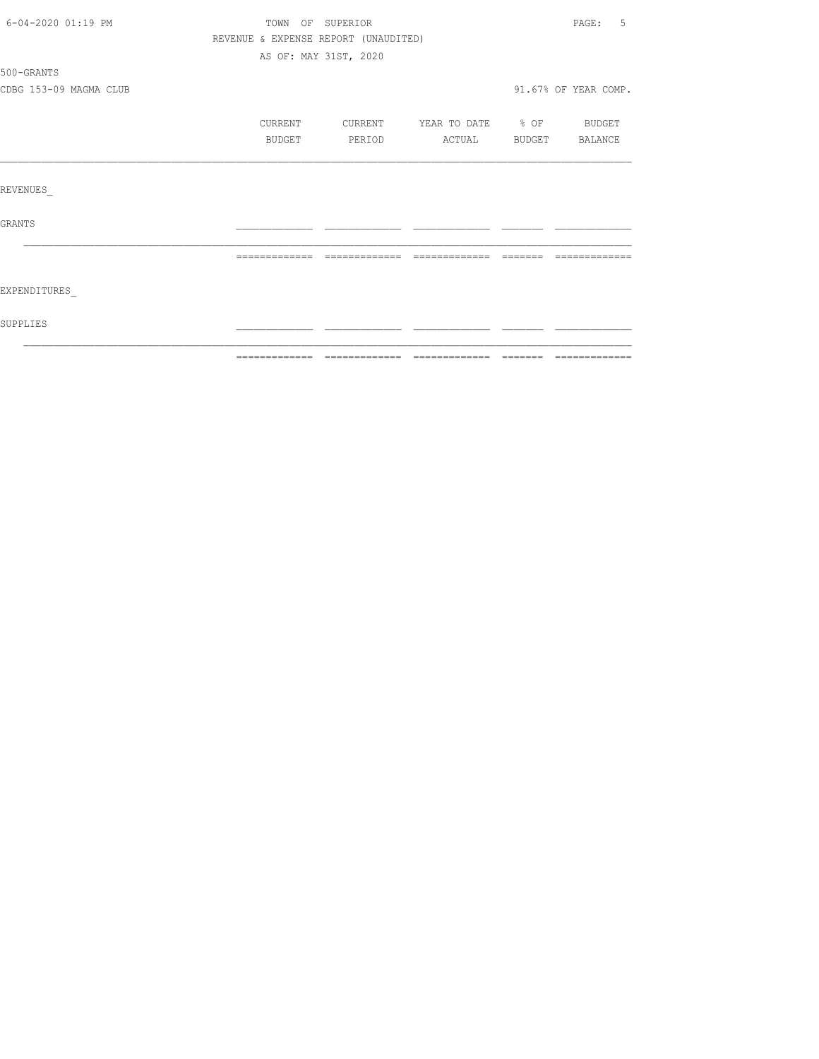| 6-04-2020 01:19 PM     | TOWN OF SUPERIOR                     |         |                          |               |                      |  |
|------------------------|--------------------------------------|---------|--------------------------|---------------|----------------------|--|
|                        | REVENUE & EXPENSE REPORT (UNAUDITED) |         |                          |               |                      |  |
|                        | AS OF: MAY 31ST, 2020                |         |                          |               |                      |  |
| 500-GRANTS             |                                      |         |                          |               |                      |  |
| CDBG 153-09 MAGMA CLUB |                                      |         |                          |               | 91.67% OF YEAR COMP. |  |
|                        | CURRENT                              | CURRENT | YEAR TO DATE % OF BUDGET |               |                      |  |
|                        | BUDGET                               | PERIOD  | ACTUAL                   | <b>BUDGET</b> | BALANCE              |  |
|                        |                                      |         |                          |               |                      |  |
| REVENUES               |                                      |         |                          |               |                      |  |
| <b>GRANTS</b>          |                                      |         |                          |               |                      |  |
|                        |                                      |         | $==$                     |               |                      |  |
| EXPENDITURES           |                                      |         |                          |               |                      |  |
| SUPPLIES               |                                      |         |                          |               |                      |  |
|                        |                                      |         |                          |               |                      |  |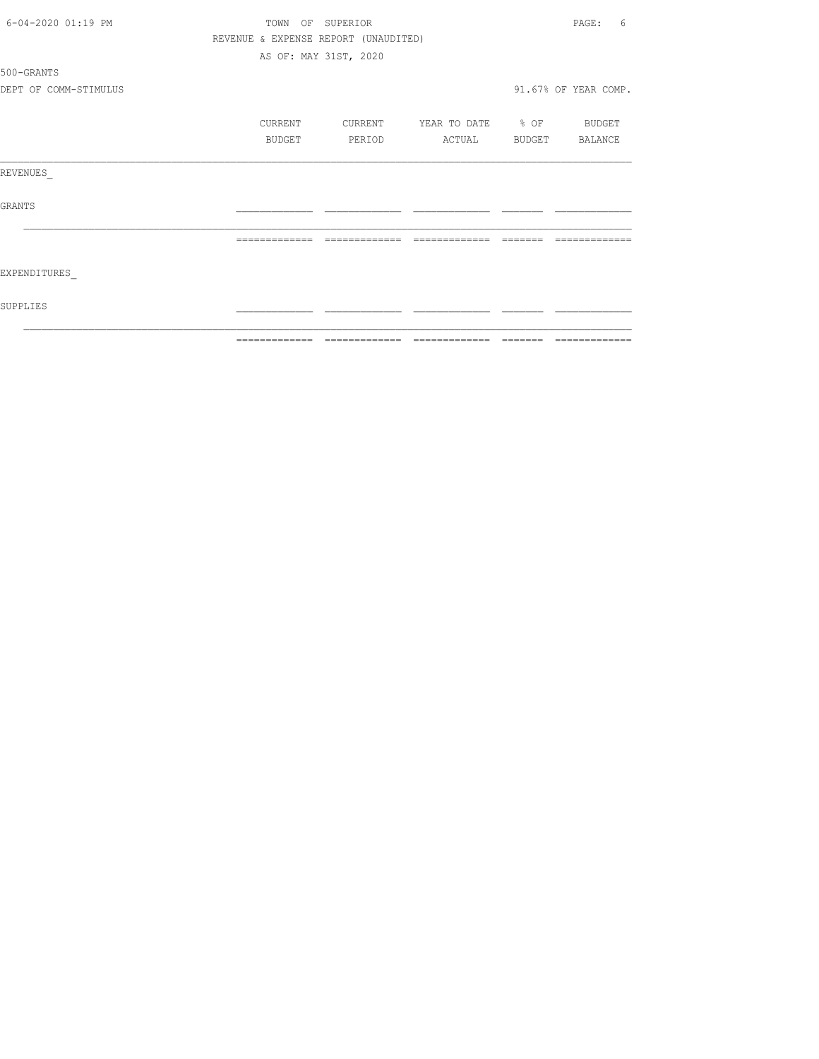| 6-04-2020 01:19 PM    | TOWN OF SUPERIOR |                                      |                          |                                                                  | PAGE:<br>6           |
|-----------------------|------------------|--------------------------------------|--------------------------|------------------------------------------------------------------|----------------------|
|                       |                  | REVENUE & EXPENSE REPORT (UNAUDITED) |                          |                                                                  |                      |
|                       |                  | AS OF: MAY 31ST, 2020                |                          |                                                                  |                      |
| 500-GRANTS            |                  |                                      |                          |                                                                  |                      |
| DEPT OF COMM-STIMULUS |                  |                                      |                          |                                                                  | 91.67% OF YEAR COMP. |
|                       | CURRENT          | CURRENT                              | YEAR TO DATE % OF BUDGET |                                                                  |                      |
|                       | BUDGET           | PERIOD                               | ACTUAL                   |                                                                  | BUDGET BALANCE       |
| REVENUES              |                  |                                      |                          |                                                                  |                      |
| GRANTS                |                  |                                      |                          |                                                                  |                      |
|                       | =============    | =============                        | =============            | $\qquad \qquad \equiv \equiv \equiv \equiv \equiv \equiv \equiv$ | -------------        |
| EXPENDITURES          |                  |                                      |                          |                                                                  |                      |
| SUPPLIES              |                  |                                      |                          |                                                                  |                      |
|                       |                  |                                      |                          |                                                                  |                      |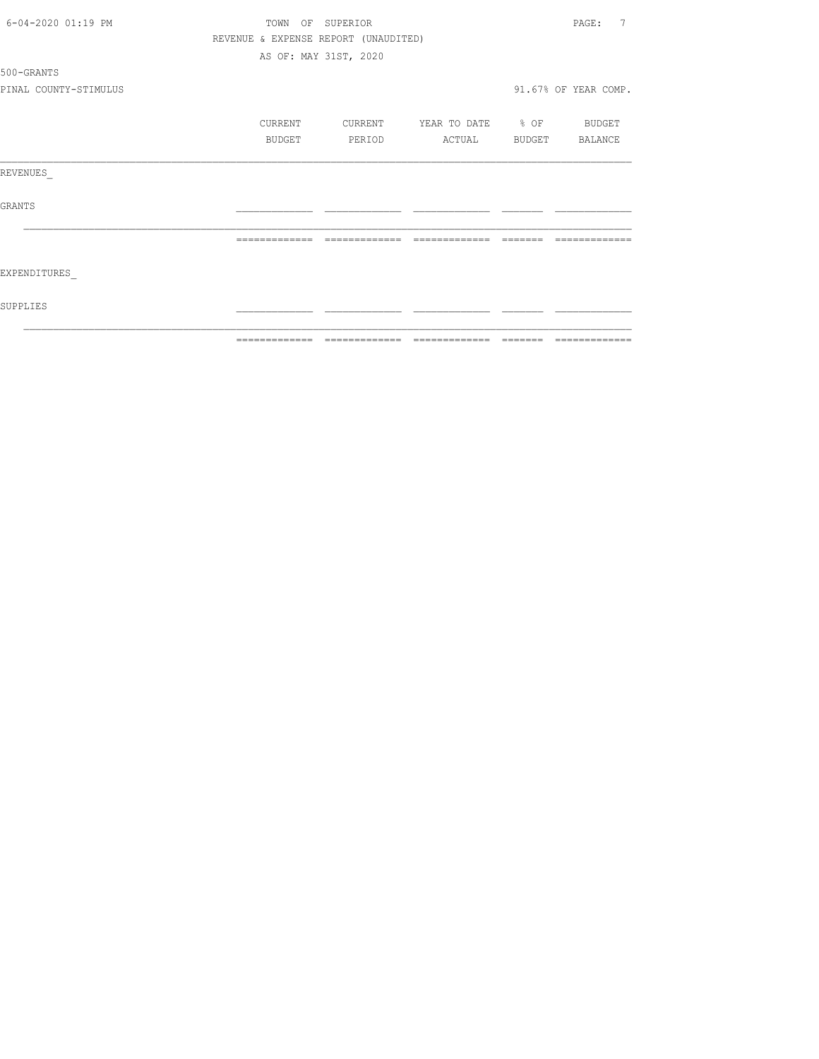| 6-04-2020 01:19 PM    | TOWN OF SUPERIOR |                |                                      |                       |          |                                                                                                                                                                                                                                                                                                                                                                                                                                                                                              |
|-----------------------|------------------|----------------|--------------------------------------|-----------------------|----------|----------------------------------------------------------------------------------------------------------------------------------------------------------------------------------------------------------------------------------------------------------------------------------------------------------------------------------------------------------------------------------------------------------------------------------------------------------------------------------------------|
|                       |                  |                | REVENUE & EXPENSE REPORT (UNAUDITED) |                       |          |                                                                                                                                                                                                                                                                                                                                                                                                                                                                                              |
|                       |                  |                | AS OF: MAY 31ST, 2020                |                       |          |                                                                                                                                                                                                                                                                                                                                                                                                                                                                                              |
| 500-GRANTS            |                  |                |                                      |                       |          |                                                                                                                                                                                                                                                                                                                                                                                                                                                                                              |
| PINAL COUNTY-STIMULUS |                  |                |                                      |                       |          | 91.67% OF YEAR COMP.                                                                                                                                                                                                                                                                                                                                                                                                                                                                         |
|                       |                  | CURRENT        | CURRENT                              | YEAR TO DATE % OF     |          | BUDGET                                                                                                                                                                                                                                                                                                                                                                                                                                                                                       |
|                       |                  | BUDGET         | PERIOD                               | ACTUAL                |          | BUDGET BALANCE                                                                                                                                                                                                                                                                                                                                                                                                                                                                               |
| REVENUES              |                  |                |                                      |                       |          |                                                                                                                                                                                                                                                                                                                                                                                                                                                                                              |
| GRANTS                |                  |                |                                      |                       |          |                                                                                                                                                                                                                                                                                                                                                                                                                                                                                              |
|                       |                  | -------------- | =============                        | =============         | -------- |                                                                                                                                                                                                                                                                                                                                                                                                                                                                                              |
| EXPENDITURES          |                  |                |                                      |                       |          |                                                                                                                                                                                                                                                                                                                                                                                                                                                                                              |
| SUPPLIES              |                  |                |                                      |                       |          |                                                                                                                                                                                                                                                                                                                                                                                                                                                                                              |
|                       |                  | =============  | -------------                        | -------------- ------ |          | $\begin{array}{c} \multicolumn{2}{c} {\textbf{1}} & \multicolumn{2}{c} {\textbf{2}} & \multicolumn{2}{c} {\textbf{3}} & \multicolumn{2}{c} {\textbf{4}} \\ \multicolumn{2}{c} {\textbf{5}} & \multicolumn{2}{c} {\textbf{6}} & \multicolumn{2}{c} {\textbf{7}} & \multicolumn{2}{c} {\textbf{8}} & \multicolumn{2}{c} {\textbf{9}} \\ \multicolumn{2}{c} {\textbf{1}} & \multicolumn{2}{c} {\textbf{1}} & \multicolumn{2}{c} {\textbf{1}} & \multicolumn{2}{c} {\textbf{1}} & \multicolumn{$ |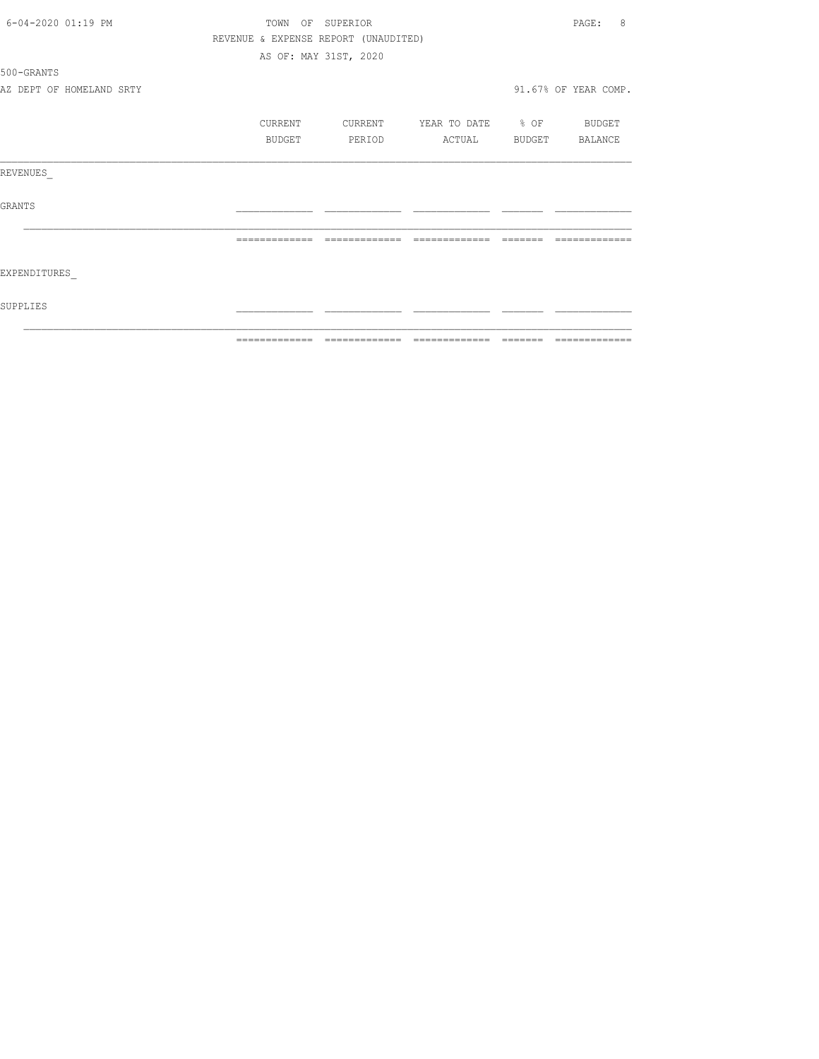| 6-04-2020 01:19 PM       |                                      | TOWN OF SUPERIOR      |                                  | 8<br>PAGE:           |
|--------------------------|--------------------------------------|-----------------------|----------------------------------|----------------------|
|                          | REVENUE & EXPENSE REPORT (UNAUDITED) |                       |                                  |                      |
|                          |                                      | AS OF: MAY 31ST, 2020 |                                  |                      |
| 500-GRANTS               |                                      |                       |                                  |                      |
| AZ DEPT OF HOMELAND SRTY |                                      |                       |                                  | 91.67% OF YEAR COMP. |
|                          | CURRENT                              |                       | CURRENT YEAR TO DATE % OF BUDGET |                      |
|                          | BUDGET                               | PERIOD                | ACTUAL BUDGET BALANCE            |                      |
| REVENUES                 |                                      |                       |                                  |                      |
| GRANTS                   |                                      |                       |                                  |                      |
|                          |                                      | =============         | =============                    |                      |
| EXPENDITURES             |                                      |                       |                                  |                      |
| SUPPLIES                 |                                      |                       |                                  |                      |
|                          |                                      |                       |                                  |                      |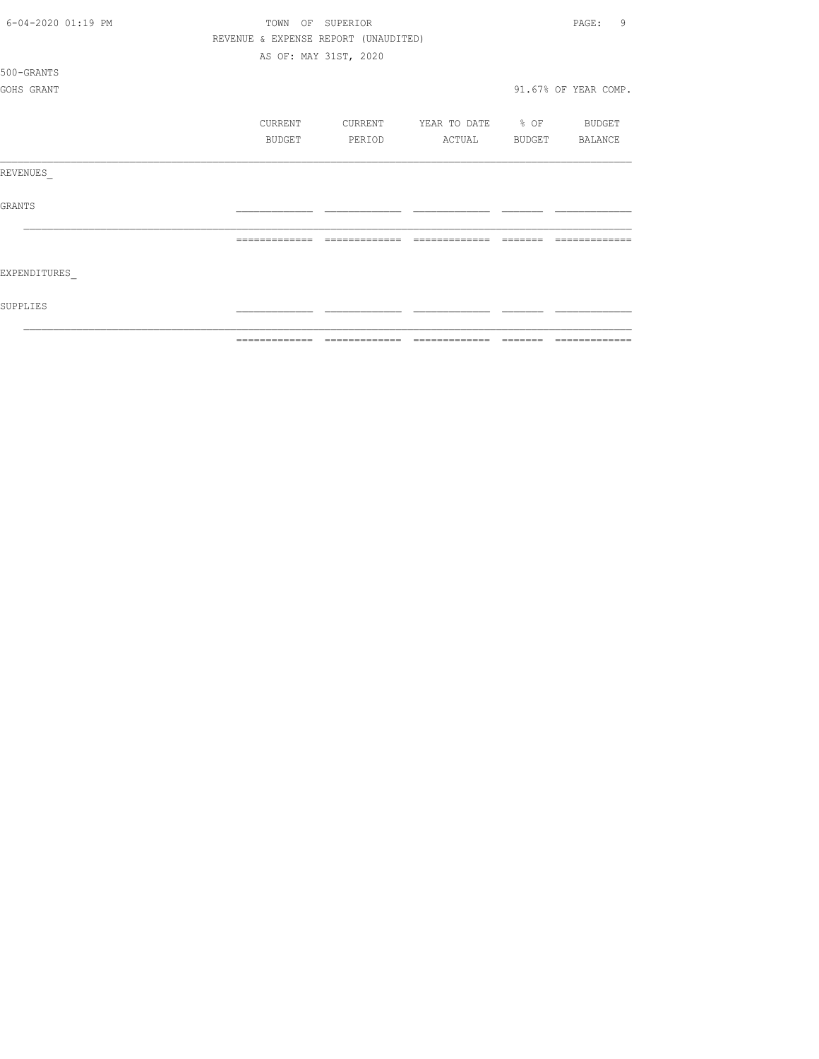| 6-04-2020 01:19 PM |                | TOWN OF SUPERIOR                     |                          |          | 9<br>PAGE:           |
|--------------------|----------------|--------------------------------------|--------------------------|----------|----------------------|
|                    |                | REVENUE & EXPENSE REPORT (UNAUDITED) |                          |          |                      |
|                    |                | AS OF: MAY 31ST, 2020                |                          |          |                      |
| 500-GRANTS         |                |                                      |                          |          |                      |
| GOHS GRANT         |                |                                      |                          |          | 91.67% OF YEAR COMP. |
|                    | CURRENT        | CURRENT                              | YEAR TO DATE % OF BUDGET |          |                      |
|                    | BUDGET         | PERIOD                               | ACTUAL                   |          | BUDGET BALANCE       |
| REVENUES           |                |                                      |                          |          |                      |
| <b>GRANTS</b>      |                |                                      |                          |          |                      |
|                    |                | -------------                        | =============            |          |                      |
| EXPENDITURES       |                |                                      |                          |          |                      |
| SUPPLIES           |                |                                      |                          |          |                      |
|                    | -------------- | -------------                        | --------------           | -------- | -------------        |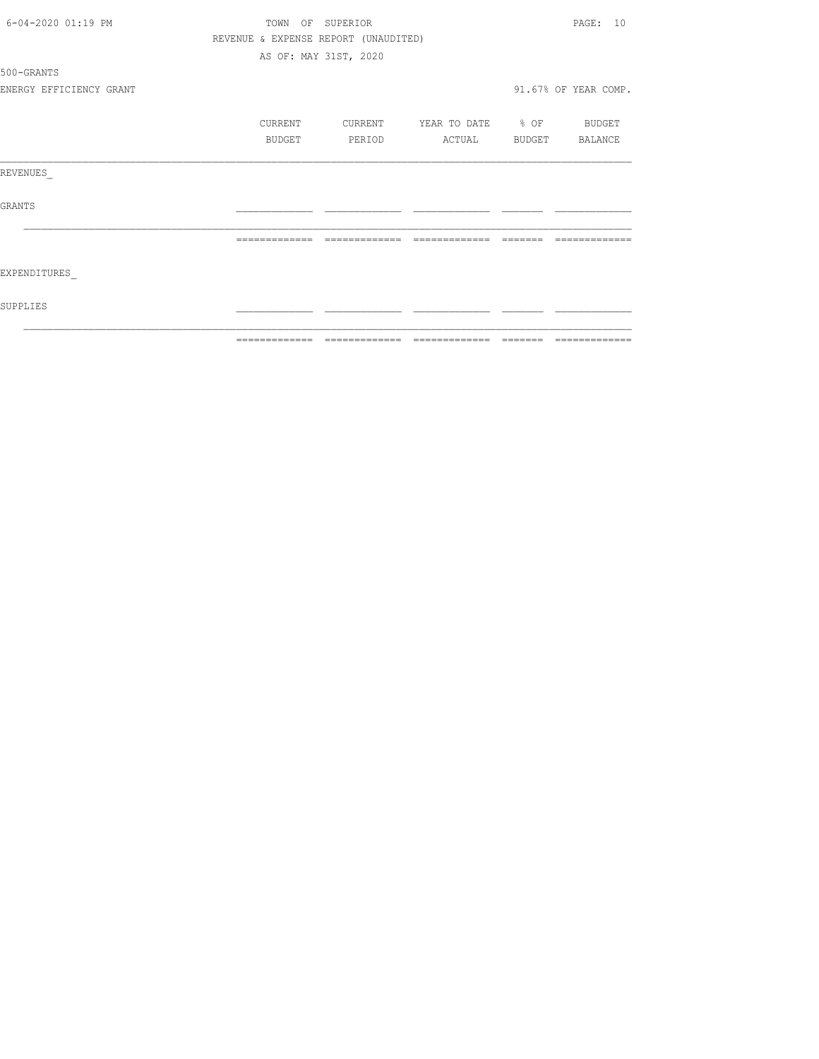| 6-04-2020 01:19 PM      | TOWN OF SUPERIOR                     |                       |         |                                 |         | PAGE: 10             |
|-------------------------|--------------------------------------|-----------------------|---------|---------------------------------|---------|----------------------|
|                         | REVENUE & EXPENSE REPORT (UNAUDITED) |                       |         |                                 |         |                      |
|                         |                                      | AS OF: MAY 31ST, 2020 |         |                                 |         |                      |
| 500-GRANTS              |                                      |                       |         |                                 |         |                      |
| ENERGY EFFICIENCY GRANT |                                      |                       |         |                                 |         | 91.67% OF YEAR COMP. |
|                         | <b>CURRENT</b>                       |                       | CURRENT | YEAR TO DATE % OF BUDGET        |         |                      |
|                         | BUDGET                               |                       | PERIOD  | ACTUAL                          |         | BUDGET BALANCE       |
| REVENUES                |                                      |                       |         |                                 |         |                      |
| GRANTS                  |                                      |                       |         |                                 |         |                      |
|                         |                                      |                       |         |                                 |         |                      |
| EXPENDITURES            |                                      |                       |         |                                 |         |                      |
| SUPPLIES                |                                      |                       |         |                                 |         |                      |
|                         | =============                        |                       |         | =============================== | ======= | =============        |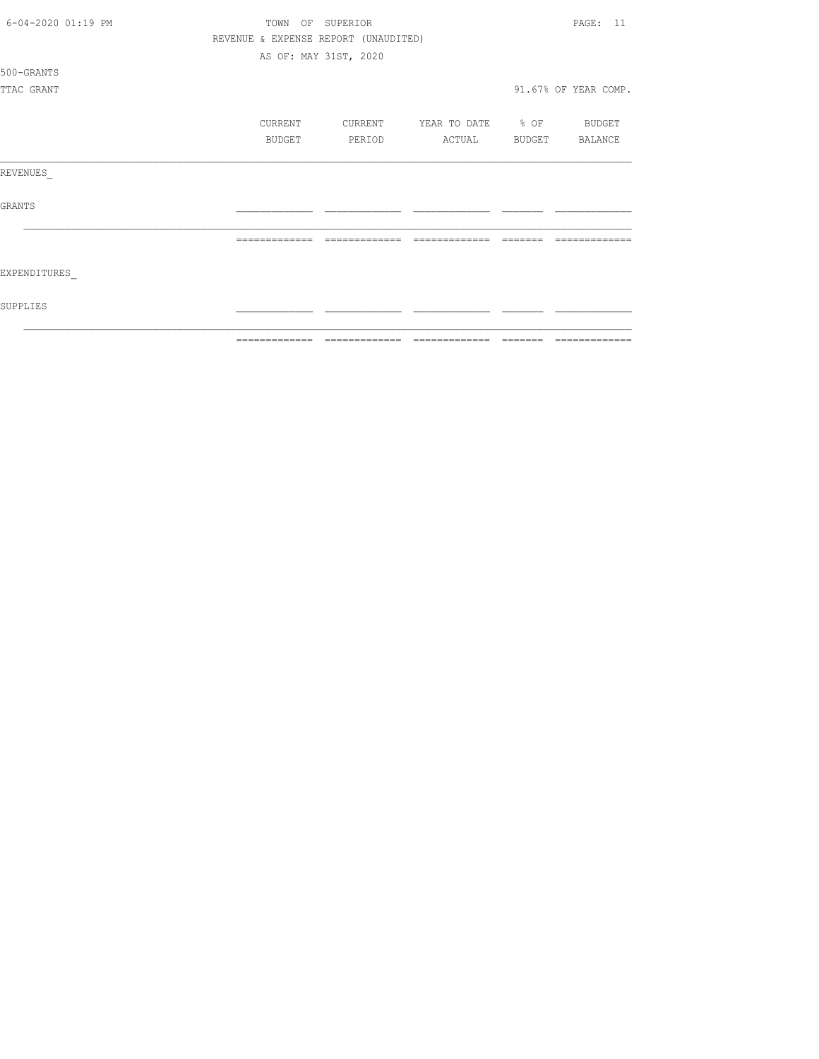| 6-04-2020 01:19 PM | TOWN          | OF SUPERIOR                          |                   |               | PAGE: 11             |
|--------------------|---------------|--------------------------------------|-------------------|---------------|----------------------|
|                    |               | REVENUE & EXPENSE REPORT (UNAUDITED) |                   |               |                      |
|                    |               | AS OF: MAY 31ST, 2020                |                   |               |                      |
| 500-GRANTS         |               |                                      |                   |               |                      |
| TTAC GRANT         |               |                                      |                   |               | 91.67% OF YEAR COMP. |
|                    |               |                                      |                   |               |                      |
|                    | CURRENT       | CURRENT                              | YEAR TO DATE % OF |               | BUDGET               |
|                    | BUDGET        | PERIOD                               | ACTUAL            | <b>BUDGET</b> | BALANCE              |
| REVENUES           |               |                                      |                   |               |                      |
| <b>GRANTS</b>      |               |                                      |                   |               |                      |
|                    | ============= | -------------                        | -------------     |               |                      |
| EXPENDITURES       |               |                                      |                   |               |                      |
| SUPPLIES           |               |                                      |                   |               |                      |
|                    | ------------- | -------------                        | -------------     | --------      | --------------       |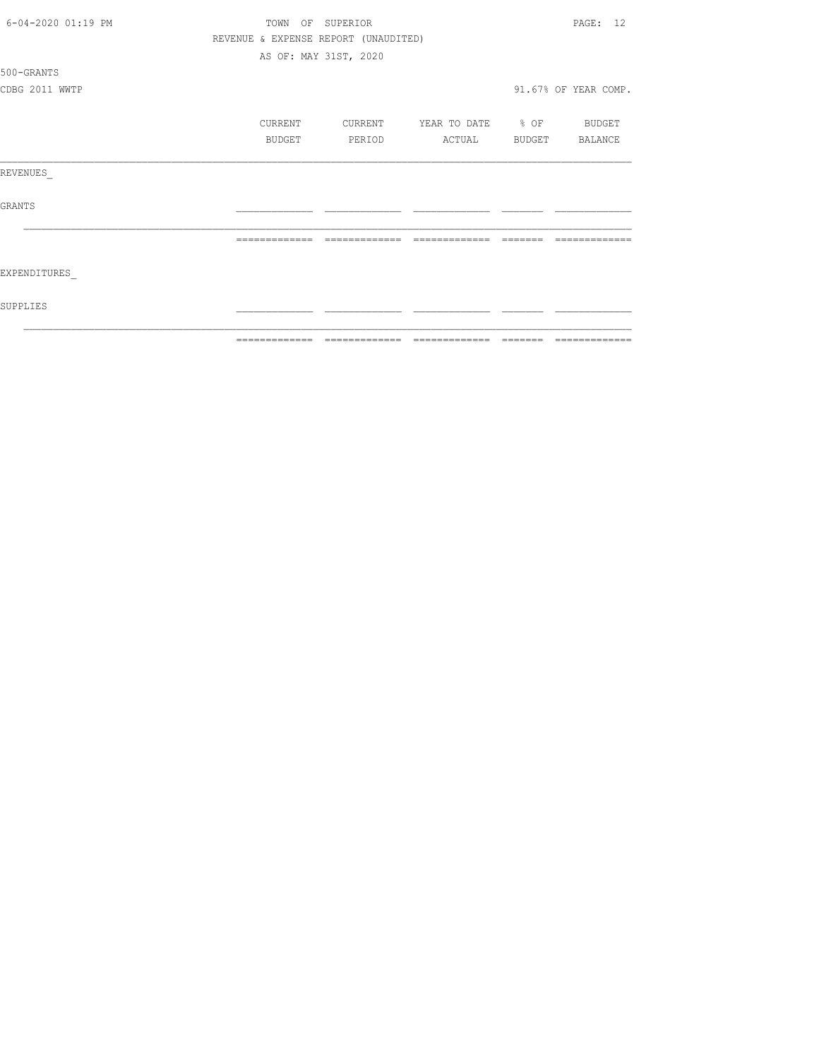| 6-04-2020 01:19 PM | TOWN OF SUPERIOR |               |                                      |                          |                         | PAGE: 12             |  |
|--------------------|------------------|---------------|--------------------------------------|--------------------------|-------------------------|----------------------|--|
|                    |                  |               | REVENUE & EXPENSE REPORT (UNAUDITED) |                          |                         |                      |  |
|                    |                  |               | AS OF: MAY 31ST, 2020                |                          |                         |                      |  |
| 500-GRANTS         |                  |               |                                      |                          |                         |                      |  |
| CDBG 2011 WWTP     |                  |               |                                      |                          |                         | 91.67% OF YEAR COMP. |  |
|                    |                  | CURRENT       | CURRENT                              | YEAR TO DATE % OF BUDGET |                         |                      |  |
|                    |                  | BUDGET        | PERIOD                               | ACTUAL                   | <b>BUDGET</b>           | BALANCE              |  |
| REVENUES           |                  |               |                                      |                          |                         |                      |  |
| <b>GRANTS</b>      |                  |               |                                      |                          |                         |                      |  |
|                    |                  |               |                                      |                          |                         |                      |  |
| EXPENDITURES       |                  |               |                                      |                          |                         |                      |  |
| SUPPLIES           |                  |               |                                      |                          |                         |                      |  |
|                    |                  | ------------- | =============                        | =============            | $=$ $=$ $=$ $=$ $=$ $=$ | =============        |  |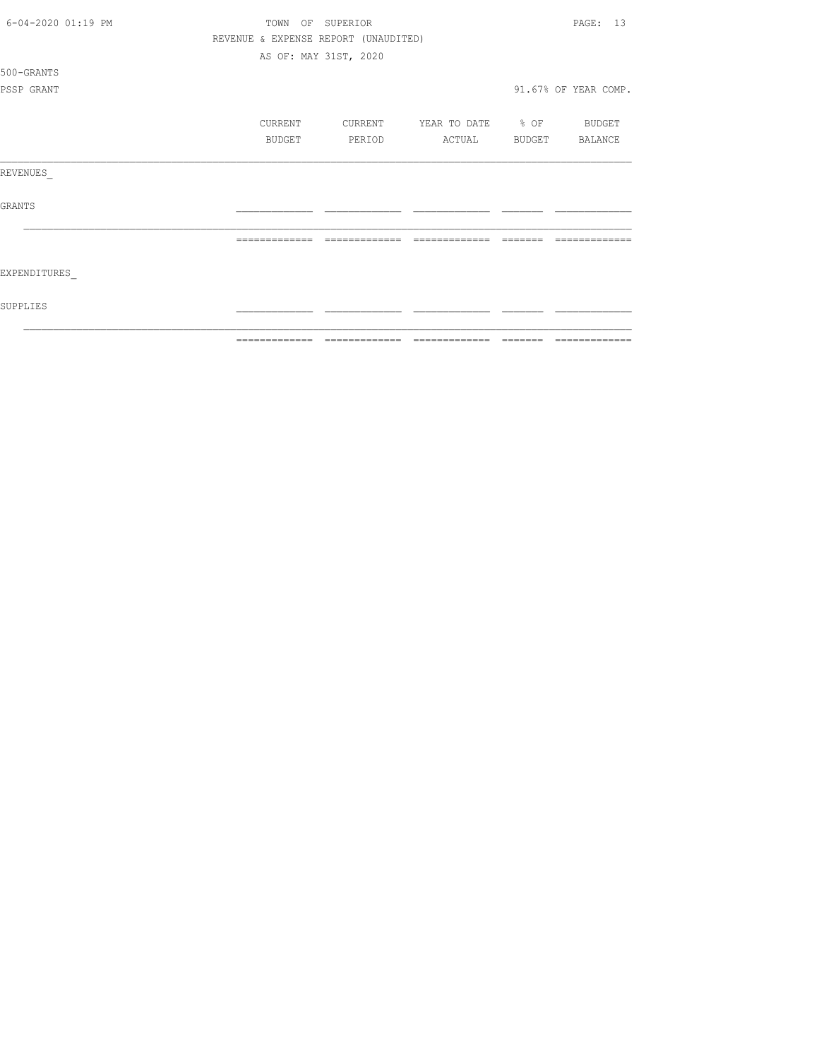| 6-04-2020 01:19 PM | TOWN          | OF SUPERIOR                          |                   |          | PAGE: 13             |
|--------------------|---------------|--------------------------------------|-------------------|----------|----------------------|
|                    |               | REVENUE & EXPENSE REPORT (UNAUDITED) |                   |          |                      |
|                    |               | AS OF: MAY 31ST, 2020                |                   |          |                      |
| 500-GRANTS         |               |                                      |                   |          |                      |
| PSSP GRANT         |               |                                      |                   |          | 91.67% OF YEAR COMP. |
|                    |               |                                      |                   |          |                      |
|                    | CURRENT       | CURRENT                              | YEAR TO DATE % OF |          | BUDGET               |
|                    | BUDGET        | PERIOD                               | ACTUAL            | BUDGET   | BALANCE              |
| REVENUES           |               |                                      |                   |          |                      |
| <b>GRANTS</b>      |               |                                      |                   |          |                      |
|                    | ============= | -------------                        | -------------     |          |                      |
| EXPENDITURES       |               |                                      |                   |          |                      |
| SUPPLIES           |               |                                      |                   |          |                      |
|                    | ------------- |                                      | -------------     | -------- | -------------        |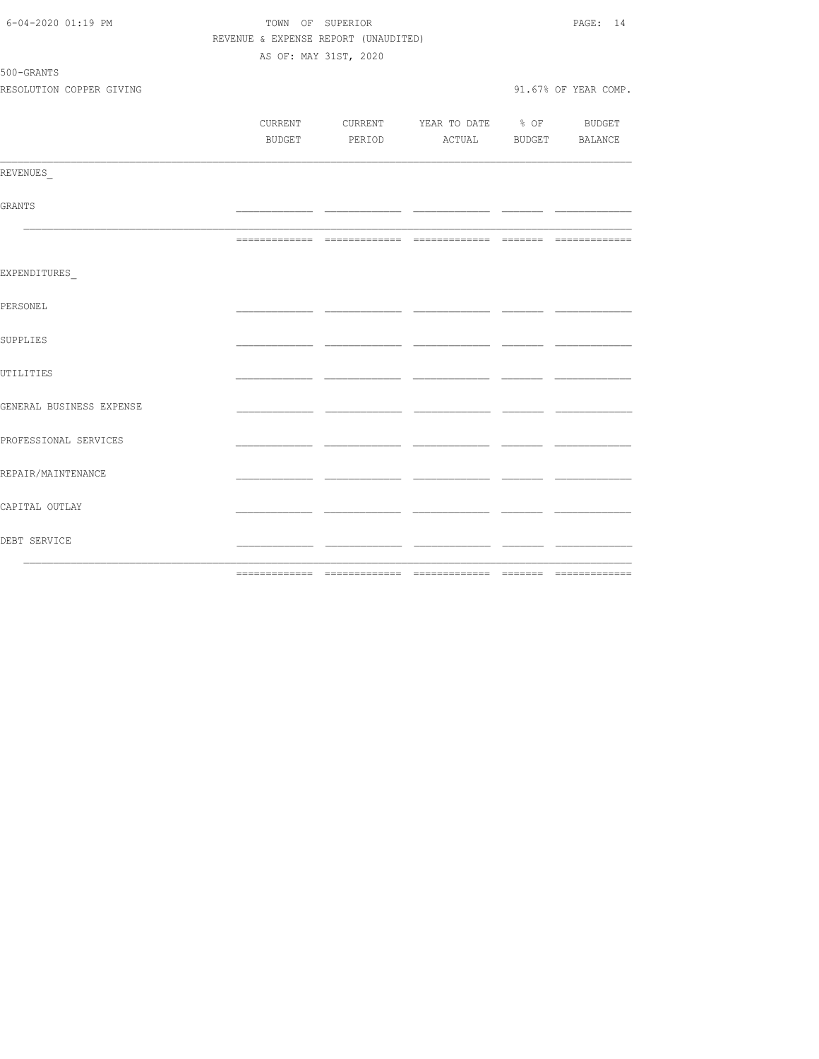| DEBT SERVICE                           |                                      |                       |                                          | _____ |                      |
|----------------------------------------|--------------------------------------|-----------------------|------------------------------------------|-------|----------------------|
| CAPITAL OUTLAY                         |                                      |                       |                                          |       |                      |
| REPAIR/MAINTENANCE                     |                                      |                       |                                          |       |                      |
| PROFESSIONAL SERVICES                  |                                      |                       |                                          |       |                      |
| GENERAL BUSINESS EXPENSE               |                                      |                       |                                          | ___   |                      |
| UTILITIES                              |                                      |                       |                                          |       |                      |
| SUPPLIES                               |                                      |                       |                                          |       |                      |
| PERSONEL                               |                                      |                       |                                          |       |                      |
| EXPENDITURES                           |                                      |                       |                                          |       |                      |
|                                        |                                      |                       |                                          |       |                      |
| GRANTS                                 |                                      |                       |                                          |       |                      |
| REVENUES                               |                                      |                       |                                          |       |                      |
|                                        |                                      |                       | BUDGET PERIOD ACTUAL BUDGET BALANCE      |       |                      |
|                                        |                                      |                       | CURRENT CURRENT YEAR TO DATE % OF BUDGET |       |                      |
| 500-GRANTS<br>RESOLUTION COPPER GIVING |                                      |                       |                                          |       | 91.67% OF YEAR COMP. |
|                                        |                                      | AS OF: MAY 31ST, 2020 |                                          |       |                      |
|                                        | REVENUE & EXPENSE REPORT (UNAUDITED) |                       |                                          |       |                      |
| 6-04-2020 01:19 PM                     |                                      | TOWN OF SUPERIOR      |                                          |       | PAGE: 14             |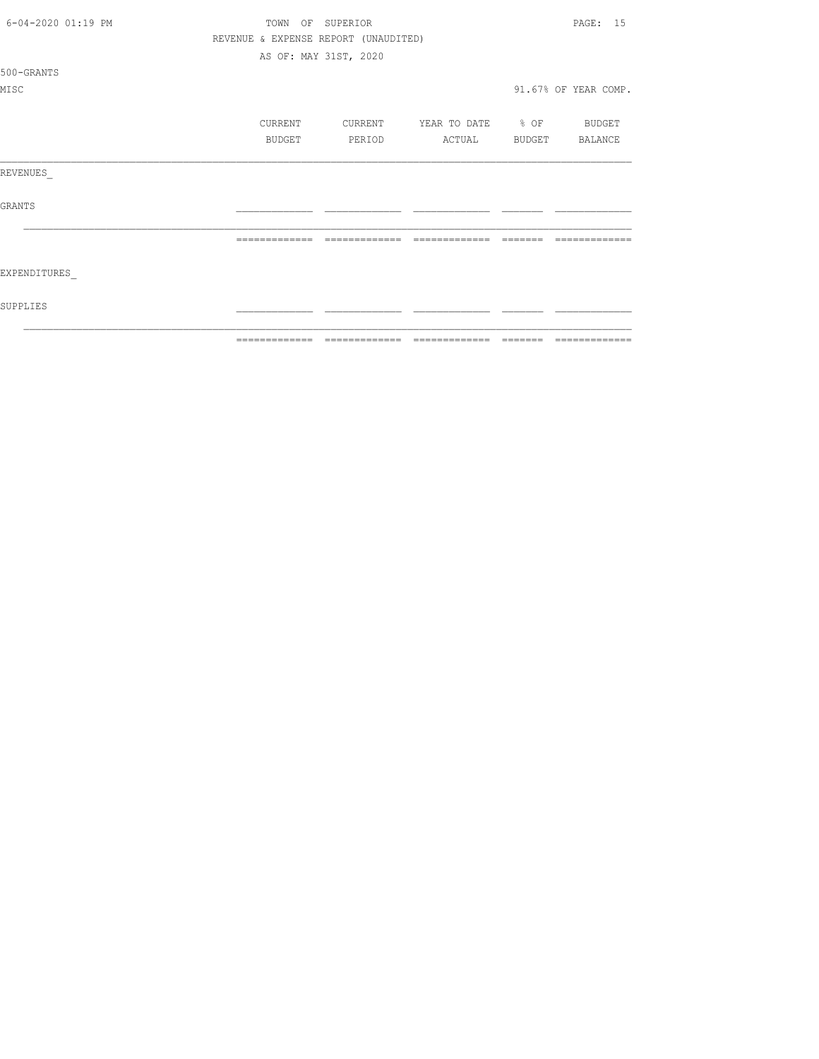| 6-04-2020 01:19 PM | TOWN           | OF SUPERIOR                          |                                  |          | PAGE: 15             |
|--------------------|----------------|--------------------------------------|----------------------------------|----------|----------------------|
|                    |                | REVENUE & EXPENSE REPORT (UNAUDITED) |                                  |          |                      |
|                    |                | AS OF: MAY 31ST, 2020                |                                  |          |                      |
| 500-GRANTS         |                |                                      |                                  |          |                      |
| MISC               |                |                                      |                                  |          | 91.67% OF YEAR COMP. |
|                    | CURRENT        |                                      | CURRENT YEAR TO DATE % OF BUDGET |          |                      |
|                    | BUDGET         | PERIOD                               | ACTUAL BUDGET                    |          | BALANCE              |
| REVENUES           |                |                                      |                                  |          |                      |
| <b>GRANTS</b>      |                |                                      |                                  |          |                      |
|                    | -------------- | -------------                        | -------------                    | -------- |                      |
| EXPENDITURES       |                |                                      |                                  |          |                      |
| SUPPLIES           |                |                                      |                                  |          |                      |
|                    | -------------- |                                      |                                  | ________ | --------------       |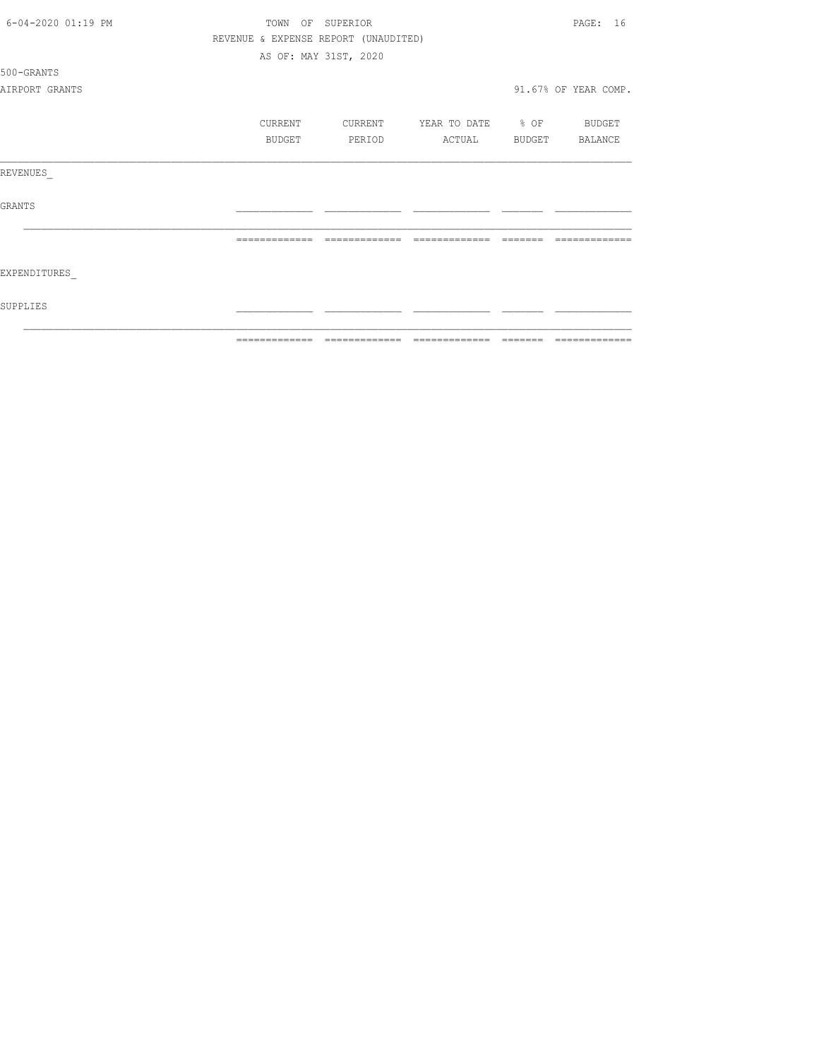| 6-04-2020 01:19 PM | TOWN OF SUPERIOR |                                      |                          |                | PAGE: 16             |
|--------------------|------------------|--------------------------------------|--------------------------|----------------|----------------------|
|                    |                  | REVENUE & EXPENSE REPORT (UNAUDITED) |                          |                |                      |
|                    |                  | AS OF: MAY 31ST, 2020                |                          |                |                      |
| 500-GRANTS         |                  |                                      |                          |                |                      |
| AIRPORT GRANTS     |                  |                                      |                          |                | 91.67% OF YEAR COMP. |
|                    | CURRENT          | CURRENT                              | YEAR TO DATE % OF BUDGET |                |                      |
|                    | BUDGET           | PERIOD                               | ACTUAL                   | BUDGET BALANCE |                      |
| REVENUES           |                  |                                      |                          |                |                      |
| GRANTS             |                  |                                      |                          |                |                      |
|                    |                  | -------------                        | -------------            |                |                      |
| EXPENDITURES       |                  |                                      |                          |                |                      |
| SUPPLIES           |                  |                                      |                          |                |                      |
|                    | -------------    |                                      | --------------           |                |                      |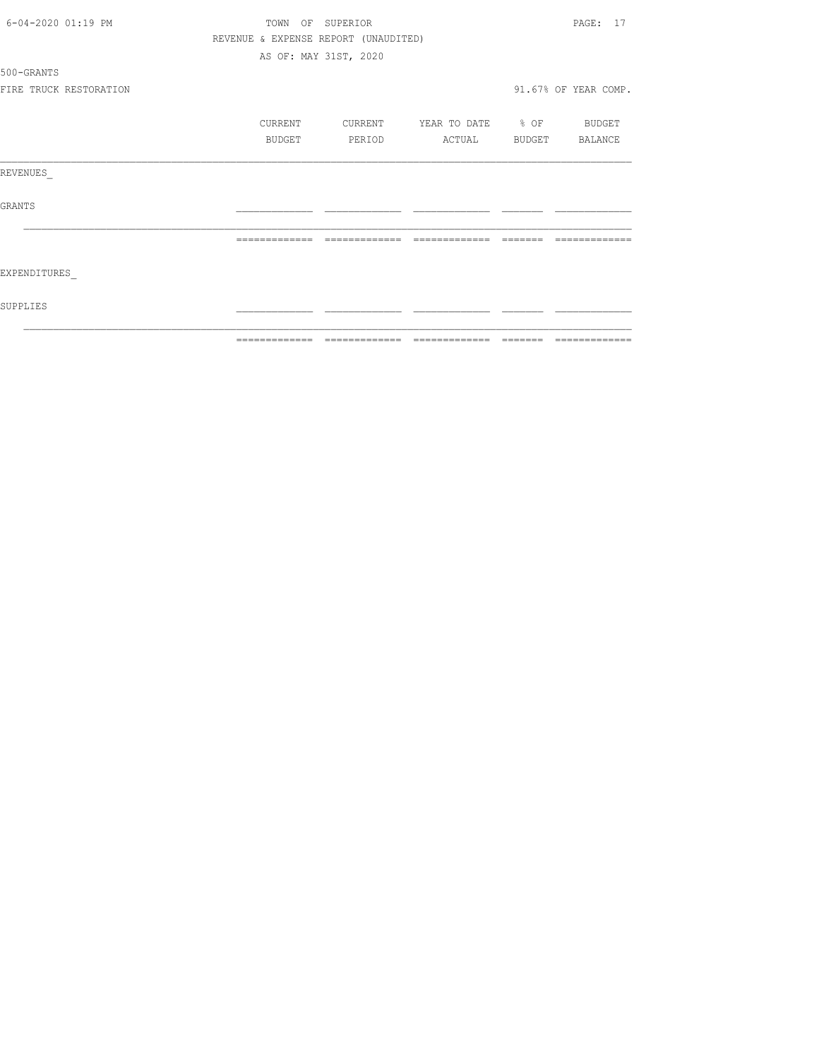|                    |                        | -------------- |                                      |                          |         |                      |
|--------------------|------------------------|----------------|--------------------------------------|--------------------------|---------|----------------------|
| SUPPLIES           |                        |                |                                      |                          |         |                      |
| EXPENDITURES       |                        |                |                                      |                          |         |                      |
|                    |                        | -------------- | --------------                       | --------------           | ------- |                      |
| GRANTS             |                        |                |                                      |                          |         |                      |
| REVENUES           |                        |                |                                      |                          |         |                      |
|                    |                        |                |                                      |                          |         |                      |
|                    |                        | BUDGET         | PERIOD                               | ACTUAL BUDGET BALANCE    |         |                      |
|                    |                        | CURRENT        | CURRENT                              | YEAR TO DATE % OF BUDGET |         |                      |
|                    | FIRE TRUCK RESTORATION |                |                                      |                          |         | 91.67% OF YEAR COMP. |
| 500-GRANTS         |                        |                |                                      |                          |         |                      |
|                    |                        |                | AS OF: MAY 31ST, 2020                |                          |         |                      |
|                    |                        |                | REVENUE & EXPENSE REPORT (UNAUDITED) |                          |         |                      |
| 6-04-2020 01:19 PM |                        |                | TOWN OF SUPERIOR                     |                          |         | PAGE: 17             |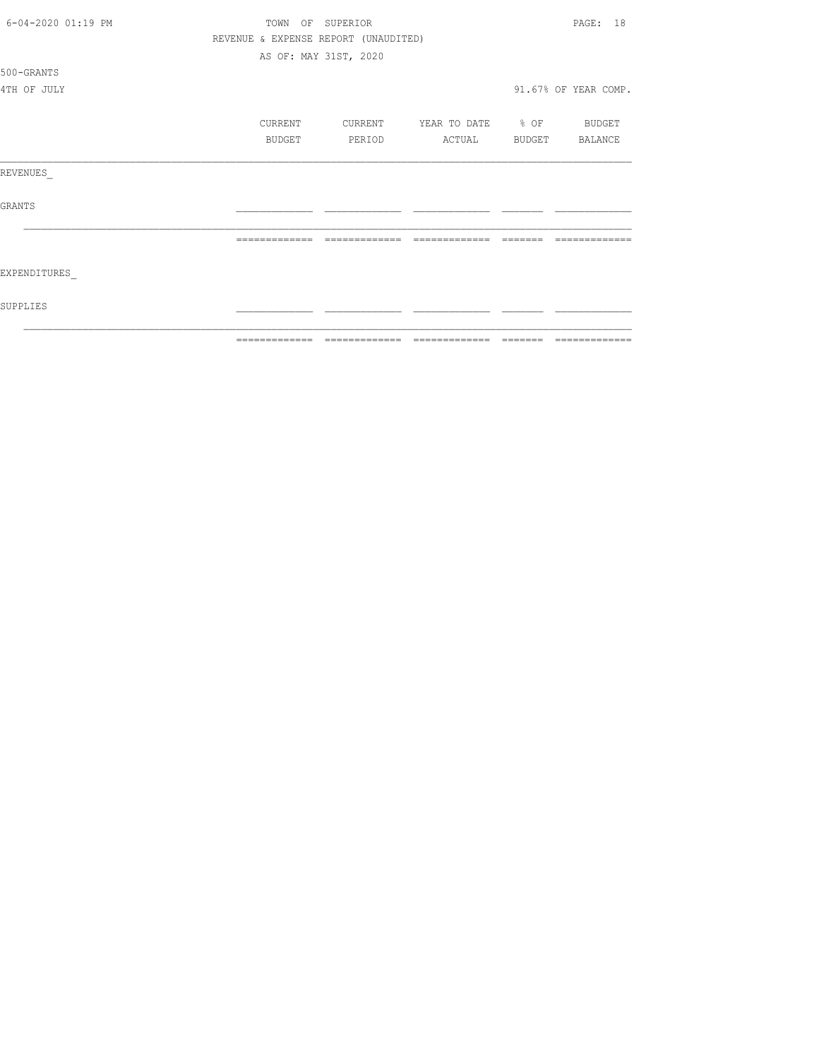| 6-04-2020 01:19 PM | TOWN           | OF SUPERIOR                          |                          |          | PAGE: 18             |
|--------------------|----------------|--------------------------------------|--------------------------|----------|----------------------|
|                    |                | REVENUE & EXPENSE REPORT (UNAUDITED) |                          |          |                      |
|                    |                | AS OF: MAY 31ST, 2020                |                          |          |                      |
| 500-GRANTS         |                |                                      |                          |          |                      |
| 4TH OF JULY        |                |                                      |                          |          | 91.67% OF YEAR COMP. |
|                    | CURRENT        | CURRENT                              | YEAR TO DATE % OF BUDGET |          |                      |
|                    | BUDGET         | PERIOD                               | ACTUAL BUDGET BALANCE    |          |                      |
| REVENUES           |                |                                      |                          |          |                      |
| <b>GRANTS</b>      |                |                                      |                          |          |                      |
|                    | -------------- | --------------                       | --------------           | -------- |                      |
| EXPENDITURES       |                |                                      |                          |          |                      |
| SUPPLIES           |                |                                      |                          |          |                      |
|                    | -------------  | -------------                        | --------------           | -------- | --------------       |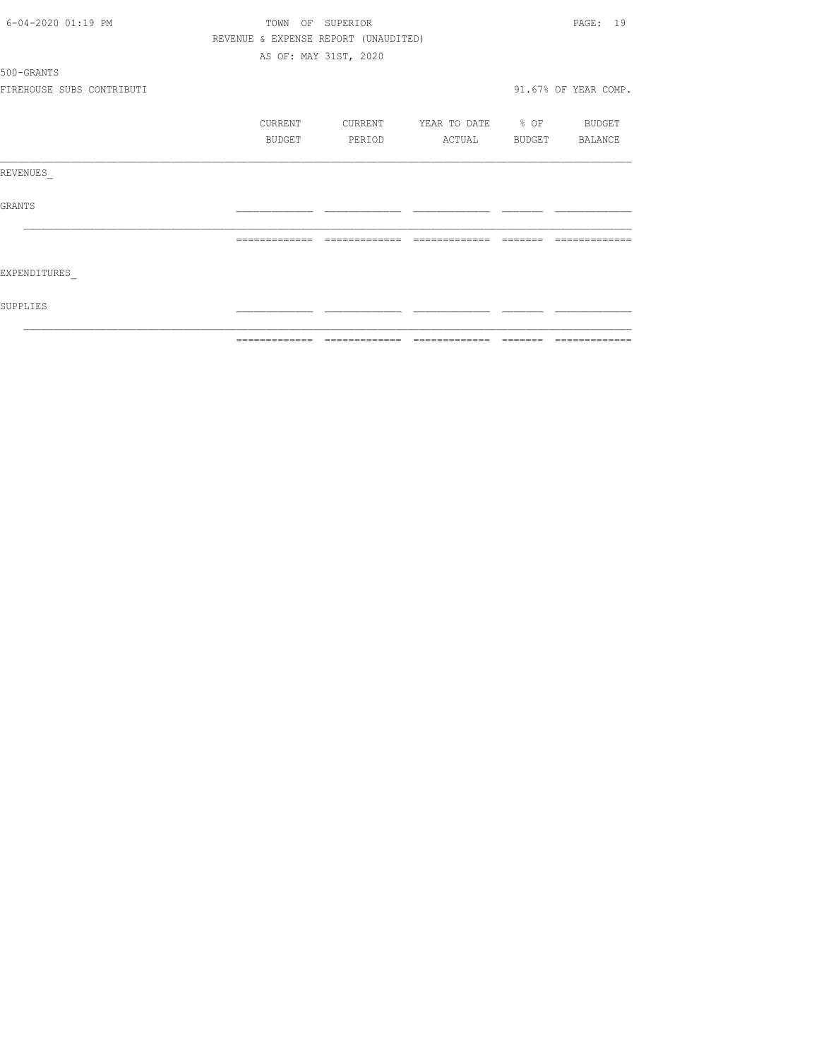| 6-04-2020 01:19 PM        | TOWN OF SUPERIOR |               |                                      |                          |          | PAGE: 19             |
|---------------------------|------------------|---------------|--------------------------------------|--------------------------|----------|----------------------|
|                           |                  |               | REVENUE & EXPENSE REPORT (UNAUDITED) |                          |          |                      |
|                           |                  |               | AS OF: MAY 31ST, 2020                |                          |          |                      |
| 500-GRANTS                |                  |               |                                      |                          |          |                      |
| FIREHOUSE SUBS CONTRIBUTI |                  |               |                                      |                          |          | 91.67% OF YEAR COMP. |
|                           |                  | CURRENT       | CURRENT                              | YEAR TO DATE % OF BUDGET |          |                      |
|                           |                  | BUDGET        | PERIOD                               | ACTUAL                   |          | BUDGET BALANCE       |
| REVENUES                  |                  |               |                                      |                          |          |                      |
| GRANTS                    |                  |               |                                      |                          |          |                      |
|                           |                  | ------------- | --------------                       | =============            | -------- |                      |
| EXPENDITURES              |                  |               |                                      |                          |          |                      |
| SUPPLIES                  |                  |               |                                      |                          |          |                      |
|                           |                  |               |                                      |                          |          |                      |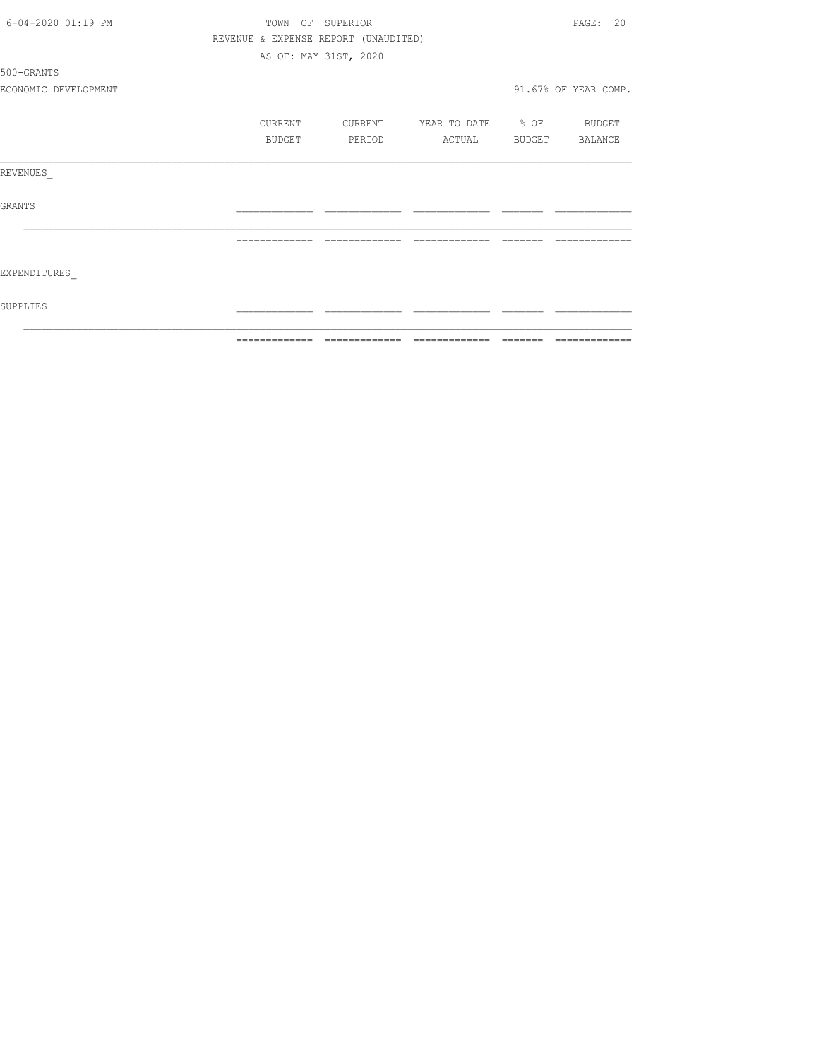|                      |                  | ============================         | --------------    | -------- | --------------       |
|----------------------|------------------|--------------------------------------|-------------------|----------|----------------------|
| SUPPLIES             |                  |                                      |                   |          |                      |
| EXPENDITURES         |                  |                                      |                   |          |                      |
|                      | --------------   | --------------                       | --------------    | -------- |                      |
| GRANTS               |                  |                                      |                   |          |                      |
| REVENUES             |                  |                                      |                   |          |                      |
|                      | BUDGET           | PERIOD                               | ACTUAL            | BUDGET   | BALANCE              |
|                      | CURRENT          | CURRENT                              | YEAR TO DATE % OF |          | BUDGET               |
| ECONOMIC DEVELOPMENT |                  |                                      |                   |          | 91.67% OF YEAR COMP. |
| 500-GRANTS           |                  |                                      |                   |          |                      |
|                      |                  | AS OF: MAY 31ST, 2020                |                   |          |                      |
|                      |                  | REVENUE & EXPENSE REPORT (UNAUDITED) |                   |          |                      |
| 6-04-2020 01:19 PM   | TOWN OF SUPERIOR |                                      |                   |          | PAGE: 20             |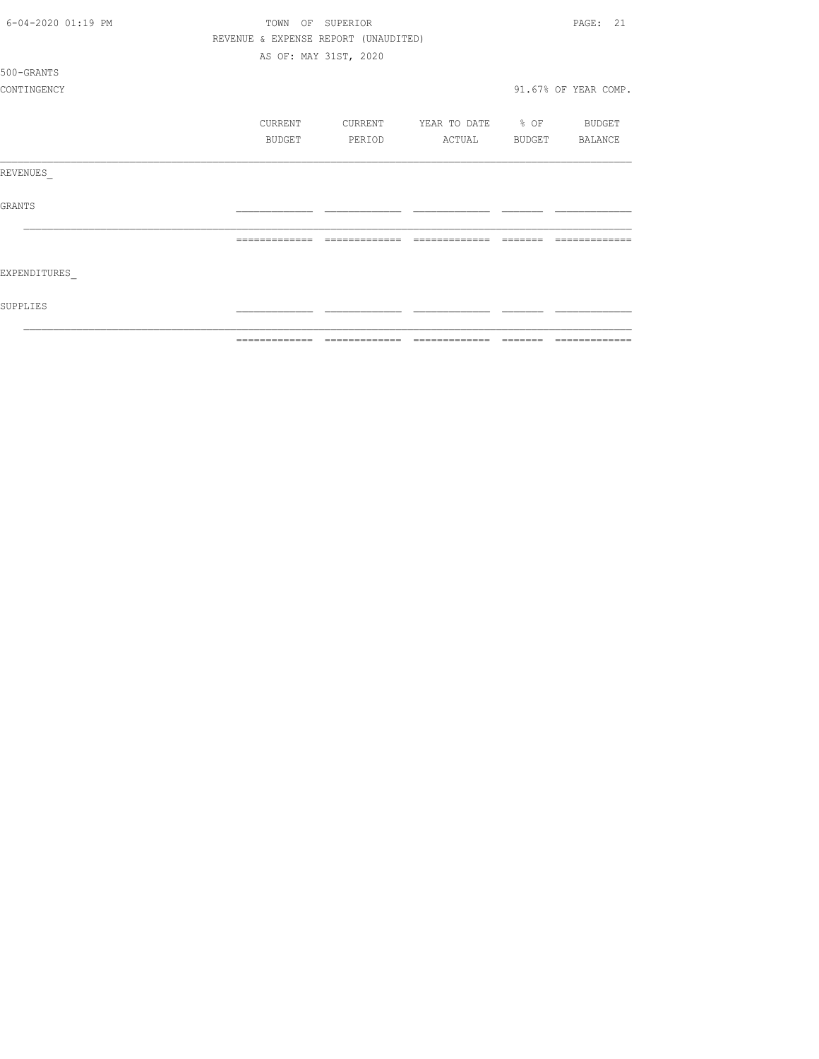| 6-04-2020 01:19 PM | TOWN    | OF SUPERIOR                          |                          |        | PAGE: 21             |
|--------------------|---------|--------------------------------------|--------------------------|--------|----------------------|
|                    |         | REVENUE & EXPENSE REPORT (UNAUDITED) |                          |        |                      |
|                    |         | AS OF: MAY 31ST, 2020                |                          |        |                      |
| 500-GRANTS         |         |                                      |                          |        |                      |
| CONTINGENCY        |         |                                      |                          |        | 91.67% OF YEAR COMP. |
|                    | CURRENT | CURRENT                              | YEAR TO DATE % OF BUDGET |        |                      |
|                    | BUDGET  | PERIOD                               | ACTUAL                   | BUDGET | BALANCE              |
| REVENUES           |         |                                      |                          |        |                      |
| GRANTS             |         |                                      |                          |        |                      |
|                    |         | --------------                       | --------------           |        |                      |
| EXPENDITURES       |         |                                      |                          |        |                      |
| SUPPLIES           |         |                                      |                          |        |                      |
|                    |         |                                      |                          |        |                      |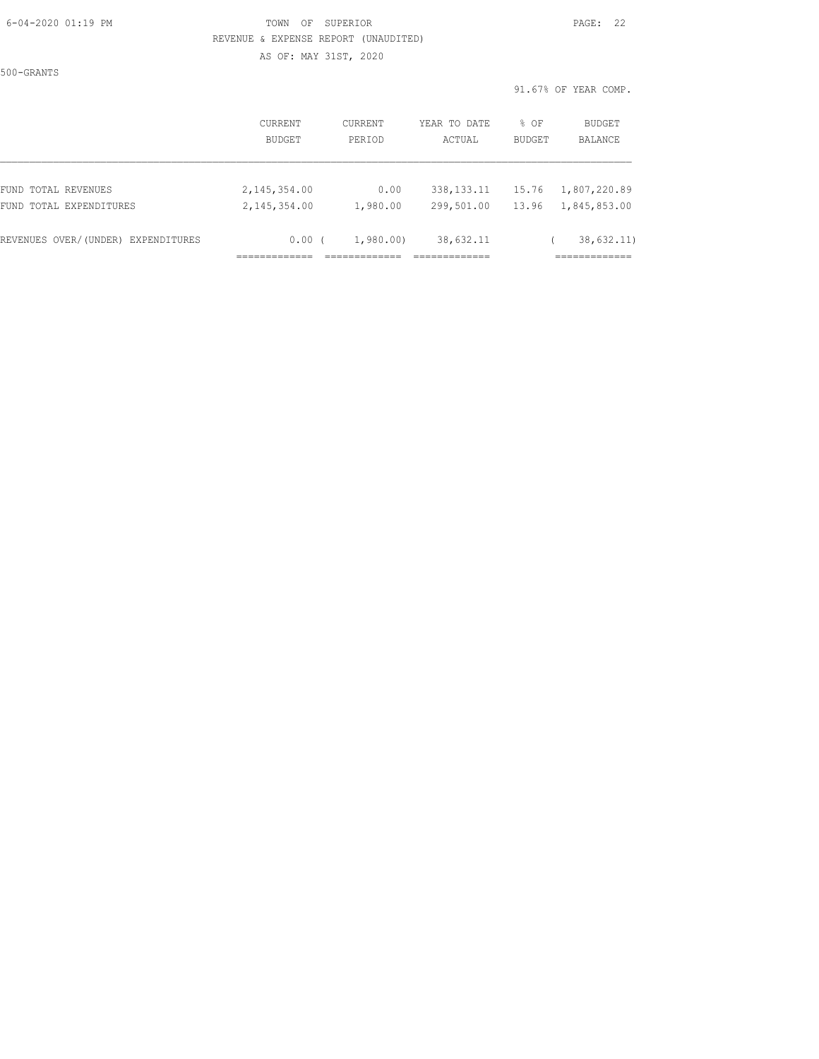#### 6-04-2020 01:19 PM TOWN OF SUPERIOR PAGE: 22 REVENUE & EXPENSE REPORT (UNAUDITED) AS OF: MAY 31ST, 2020

500-GRANTS

|                                    | CURRENT<br><b>BUDGET</b> | CURRENT<br>PERTOD | YEAR TO DATE<br>ACTUAL | $8$ OF<br>BUDGET | BUDGET<br>BALANCE |
|------------------------------------|--------------------------|-------------------|------------------------|------------------|-------------------|
| FUND TOTAL REVENUES                | 2,145,354.00             | 0.00              | 338, 133. 11           | 15.76            | 1,807,220.89      |
| FUND TOTAL EXPENDITURES            | 2, 145, 354, 00          | 1,980.00          | 299,501.00             | 13.96            | 1,845,853.00      |
| REVENUES OVER/(UNDER) EXPENDITURES | 0.00(                    | 1,980.00          | 38,632.11              |                  | 38,632.11)        |
|                                    |                          |                   |                        |                  |                   |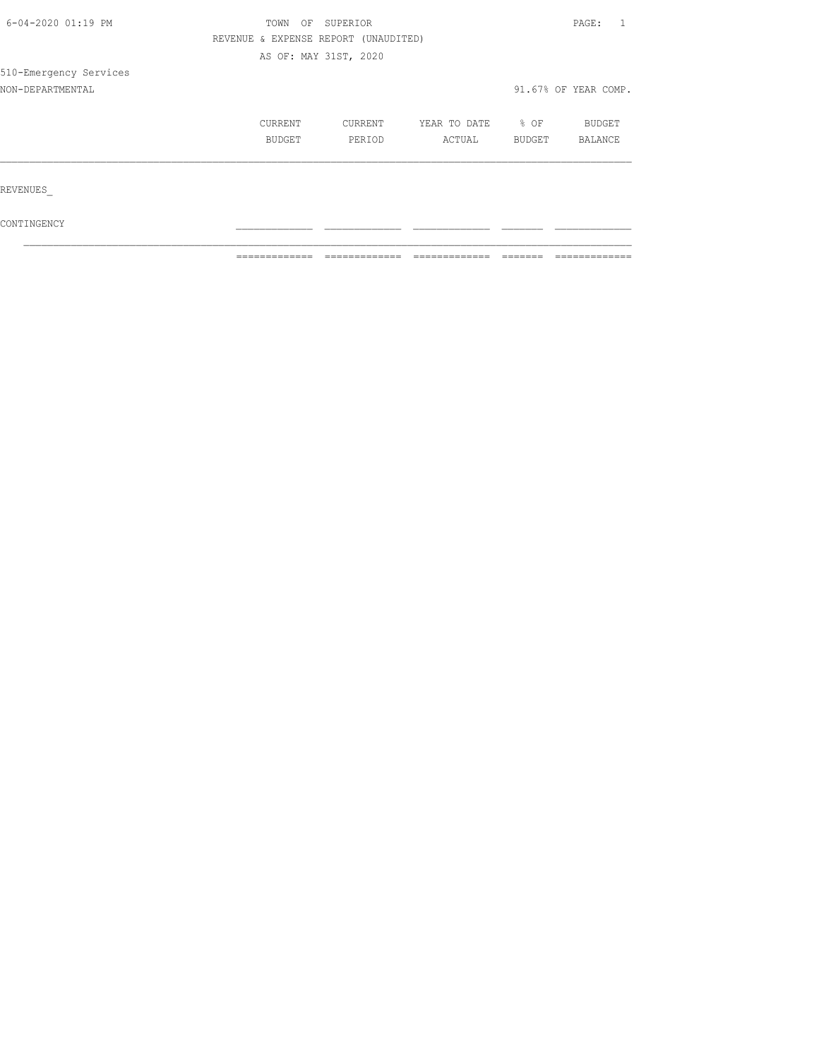| 6-04-2020 01:19 PM     | TOWN<br>OF                           | SUPERIOR |              |        |                      |  |
|------------------------|--------------------------------------|----------|--------------|--------|----------------------|--|
|                        | REVENUE & EXPENSE REPORT (UNAUDITED) |          |              |        |                      |  |
|                        | AS OF: MAY 31ST, 2020                |          |              |        |                      |  |
| 510-Emergency Services |                                      |          |              |        |                      |  |
| NON-DEPARTMENTAL       |                                      |          |              |        | 91.67% OF YEAR COMP. |  |
|                        | CURRENT                              | CURRENT  | YEAR TO DATE | % OF   | BUDGET               |  |
|                        | BUDGET                               | PERIOD   | ACTUAL       | BUDGET | BALANCE              |  |
| REVENUES               |                                      |          |              |        |                      |  |
|                        |                                      |          |              |        |                      |  |

 $\texttt{CONTINGENCY}$  $\mathcal{L}_\text{max}$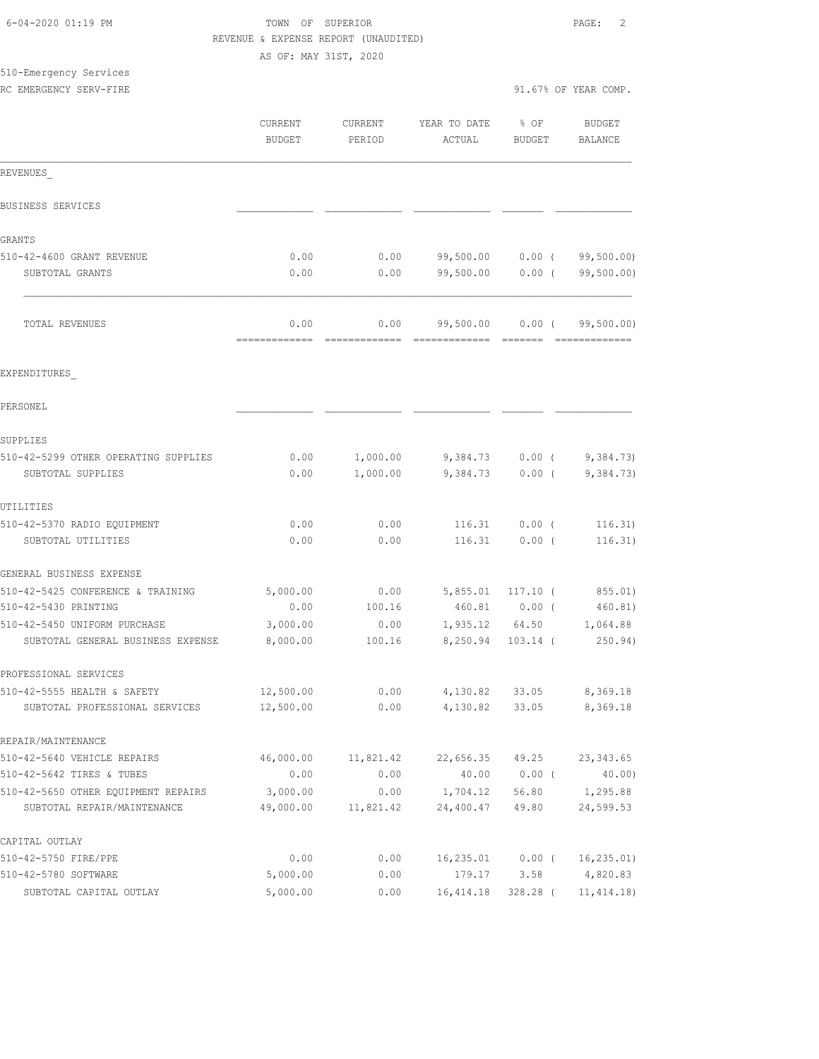|                                                  | REVENUE & EXPENSE REPORT (UNAUDITED) |                   |                        |                       |                                 |
|--------------------------------------------------|--------------------------------------|-------------------|------------------------|-----------------------|---------------------------------|
|                                                  | AS OF: MAY 31ST, 2020                |                   |                        |                       |                                 |
| 510-Emergency Services<br>RC EMERGENCY SERV-FIRE |                                      |                   |                        |                       | 91.67% OF YEAR COMP.            |
|                                                  | CURRENT<br><b>BUDGET</b>             | CURRENT<br>PERIOD | YEAR TO DATE<br>ACTUAL | % OF<br><b>BUDGET</b> | <b>BUDGET</b><br><b>BALANCE</b> |
| REVENUES                                         |                                      |                   |                        |                       |                                 |
| BUSINESS SERVICES                                |                                      |                   |                        |                       |                                 |
| GRANTS                                           |                                      |                   |                        |                       |                                 |
| 510-42-4600 GRANT REVENUE                        | 0.00                                 | 0.00              | 99,500.00 0.00 (       |                       | 99,500.00)                      |
| SUBTOTAL GRANTS                                  | 0.00                                 | 0.00              | 99,500.00              | 0.00(                 | 99,500.00)                      |
| TOTAL REVENUES                                   | 0.00<br>.                            | 0.00              | 99,500.00              | $0.00$ (<br>--------  | 99,500.00)                      |
| EXPENDITURES                                     |                                      |                   |                        |                       |                                 |
| PERSONEL                                         |                                      |                   |                        |                       |                                 |
| SUPPLIES                                         |                                      |                   |                        |                       |                                 |
| 510-42-5299 OTHER OPERATING SUPPLIES             | 0.00                                 | 1,000.00          |                        | $9,384.73$ 0.00 (     | 9,384.73)                       |
| SUBTOTAL SUPPLIES                                | 0.00                                 | 1,000.00          | 9,384.73               | $0.00$ (              | 9,384.73)                       |
| UTILITIES                                        |                                      |                   |                        |                       |                                 |
| 510-42-5370 RADIO EQUIPMENT                      | 0.00                                 | 0.00              | 116.31                 | $0.00$ (              | 116.31)                         |
| SUBTOTAL UTILITIES                               | 0.00                                 | 0.00              | 116.31                 | $0.00$ (              | 116.31)                         |
| GENERAL BUSINESS EXPENSE                         |                                      |                   |                        |                       |                                 |
| 510-42-5425 CONFERENCE & TRAINING                | 5,000.00                             | 0.00              | 5,855.01               | $117.10$ (            | 855.01)                         |
| 510-42-5430 PRINTING                             | 0.00                                 | 100.16            | 460.81                 | $0.00$ (              | 460.81)                         |
| 510-42-5450 UNIFORM PURCHASE                     | 3,000.00                             | 0.00              | 1,935.12               | 64.50                 | 1,064.88                        |
| SUBTOTAL GENERAL BUSINESS EXPENSE                | 8,000.00                             | 100.16            |                        | 8,250.94 103.14 (     | 250.94)                         |
| PROFESSIONAL SERVICES                            |                                      |                   |                        |                       |                                 |
| 510-42-5555 HEALTH & SAFETY                      | 12,500.00                            | 0.00              |                        | 4,130.82 33.05        | 8,369.18                        |
| SUBTOTAL PROFESSIONAL SERVICES                   | 12,500.00                            | 0.00              | 4,130.82               | 33.05                 | 8,369.18                        |
| REPAIR/MAINTENANCE                               |                                      |                   |                        |                       |                                 |
| 510-42-5640 VEHICLE REPAIRS                      | 46,000.00                            | 11,821.42         | 22,656.35 49.25        |                       | 23, 343.65                      |
| 510-42-5642 TIRES & TUBES                        | 0.00                                 | 0.00              |                        | 40.00 0.00 (          | 40.00)                          |
| 510-42-5650 OTHER EQUIPMENT REPAIRS              | 3,000.00                             | 0.00              | 1,704.12               | 56.80                 | 1,295.88                        |
| SUBTOTAL REPAIR/MAINTENANCE                      | 49,000.00                            | 11,821.42         | 24,400.47              | 49.80                 | 24,599.53                       |
| CAPITAL OUTLAY                                   |                                      |                   |                        |                       |                                 |
| 510-42-5750 FIRE/PPE                             | 0.00                                 | 0.00              | 16,235.01              | $0.00$ (              | 16, 235.01)                     |

510-42-5780 SOFTWARE 5,000.00 0.00 179.17 3.58 4,820.83 SUBTOTAL CAPITAL OUTLAY 5,000.00 0.00 16,414.18 328.28 ( 11,414.18)

6-04-2020 01:19 PM TOWN OF SUPERIOR PAGE: 2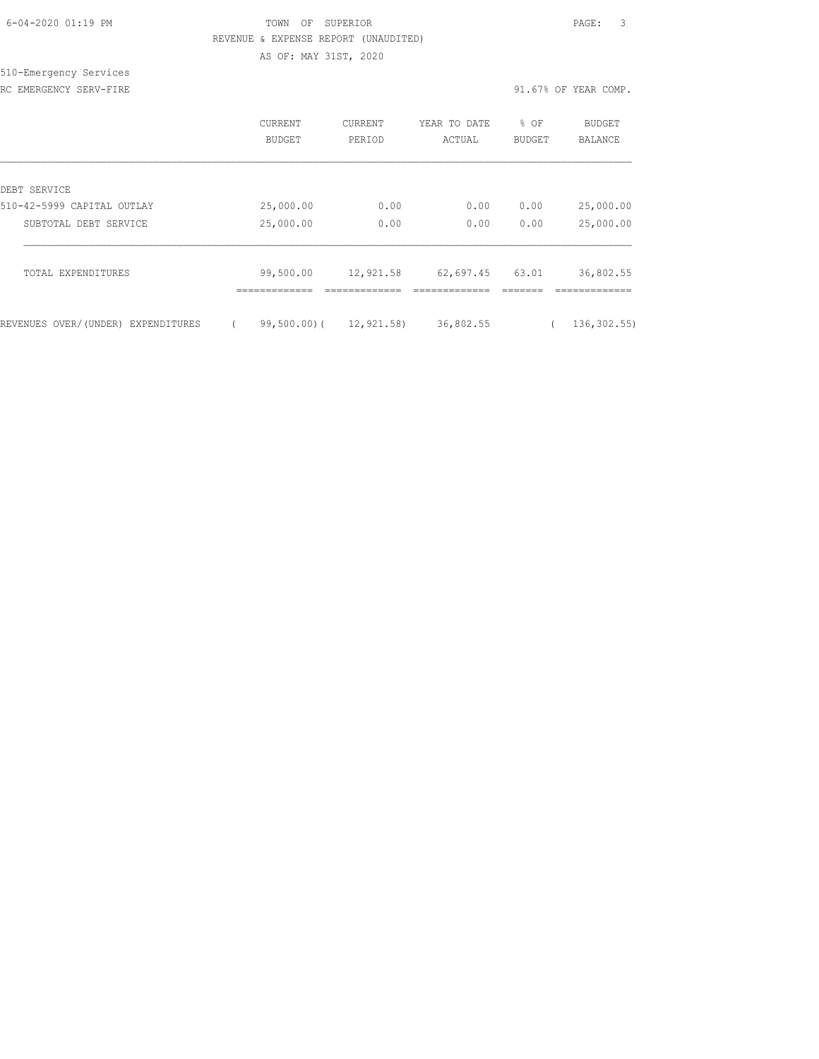| 6-04-2020 01:19 PM |  |
|--------------------|--|

### FOWN OF SUPERIOR **Example 2014** PAGE: 3 REVENUE & EXPENSE REPORT (UNAUDITED) AS OF: MAY 31ST, 2020

510-Emergency Services

RC EMERGENCY SERV-FIRE **1999** CHARGENCY SERV-FIRE

|                                    | CURRENT<br><b>BUDGET</b> | <b>CURRENT</b><br>PERIOD | YEAR TO DATE<br>ACTUAL | % OF<br><b>BUDGET</b> | BUDGET<br><b>BALANCE</b> |
|------------------------------------|--------------------------|--------------------------|------------------------|-----------------------|--------------------------|
| DEBT SERVICE                       |                          |                          |                        |                       |                          |
| 510-42-5999 CAPITAL OUTLAY         | 25,000.00                | 0.00                     | 0.00                   | 0.00                  | 25,000.00                |
| SUBTOTAL DEBT SERVICE              | 25,000.00                | 0.00                     | 0.00                   | 0.00                  | 25,000.00                |
| TOTAL EXPENDITURES                 | 99,500.00                | 12,921.58                | 62,697.45              | 63.01                 | 36,802.55                |
| REVENUES OVER/(UNDER) EXPENDITURES | 99,500.00)(              | 12,921.58)               | 36,802.55              |                       | 136, 302.55)             |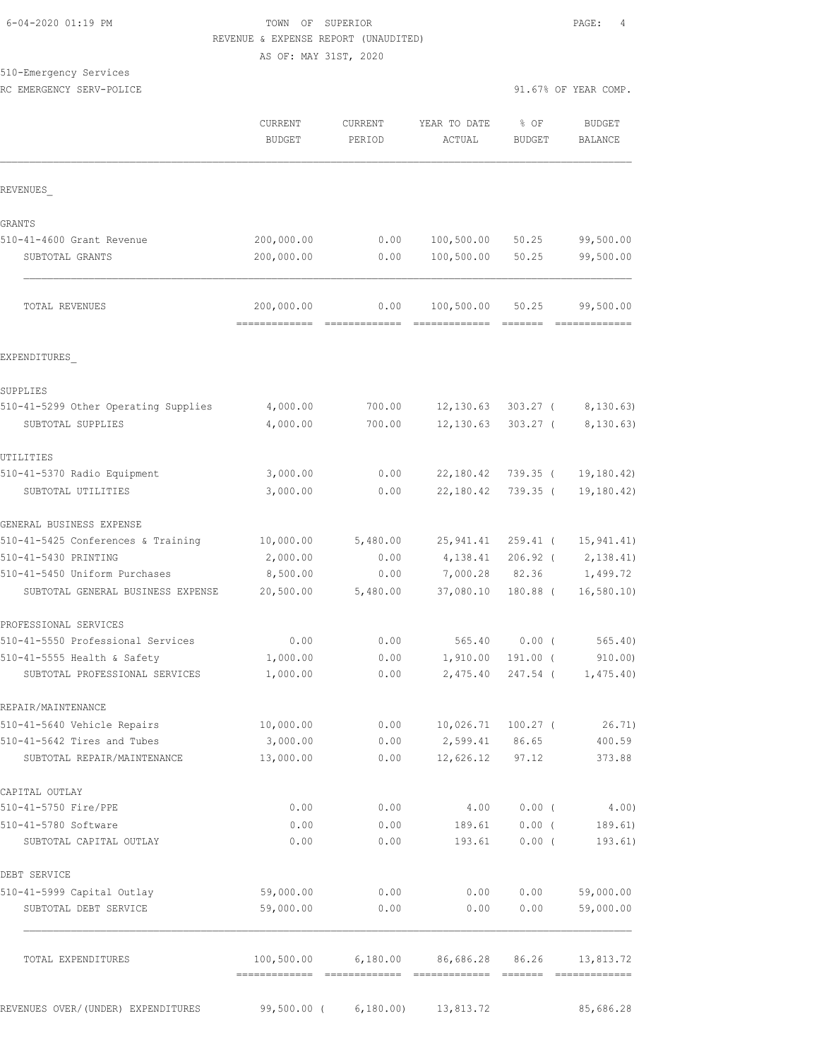#### TOWN OF SUPERIOR **Example 2020** PAGE: 4 REVENUE & EXPENSE REPORT (UNAUDITED) AS OF: MAY 31ST, 2020

510-Emergency Services

|                                                                    | <b>CURRENT</b><br><b>BUDGET</b> | <b>CURRENT</b><br>PERIOD | YEAR TO DATE<br>ACTUAL | % OF<br>BUDGET         | <b>BUDGET</b><br>BALANCE   |
|--------------------------------------------------------------------|---------------------------------|--------------------------|------------------------|------------------------|----------------------------|
| REVENUES                                                           |                                 |                          |                        |                        |                            |
| GRANTS                                                             |                                 |                          |                        |                        |                            |
| 510-41-4600 Grant Revenue                                          | 200,000.00                      | 0.00                     | 100,500.00             | 50.25                  | 99,500.00                  |
| SUBTOTAL GRANTS                                                    | 200,000.00                      | 0.00                     | 100,500.00             | 50.25                  | 99,500.00                  |
| TOTAL REVENUES                                                     | 200,000.00<br>=============     | 0.00                     | 100,500.00             | 50.25                  | 99,500.00<br>------------- |
| EXPENDITURES                                                       |                                 |                          |                        |                        |                            |
| SUPPLIES                                                           |                                 |                          |                        |                        |                            |
| 510-41-5299 Other Operating Supplies                               | 4,000.00                        | 700.00                   | 12, 130.63             | $303.27$ (             | 8,130.63)                  |
| SUBTOTAL SUPPLIES                                                  | 4,000.00                        | 700.00                   | 12, 130.63             | $303.27$ (             | 8,130.63)                  |
| UTILITIES                                                          |                                 |                          |                        |                        |                            |
| 510-41-5370 Radio Equipment                                        | 3,000.00                        | 0.00                     | 22,180.42              | 739.35 (               | 19, 180.42                 |
| SUBTOTAL UTILITIES                                                 | 3,000.00                        | 0.00                     | 22,180.42              | $739.35$ (             | 19, 180.42)                |
| GENERAL BUSINESS EXPENSE                                           |                                 |                          |                        |                        |                            |
| 510-41-5425 Conferences & Training                                 | 10,000.00                       | 5,480.00                 | 25,941.41              | $259.41$ (             | 15, 941.41)                |
| 510-41-5430 PRINTING                                               | 2,000.00                        | 0.00                     | 4,138.41               | $206.92$ (             | 2,138.41)                  |
| 510-41-5450 Uniform Purchases<br>SUBTOTAL GENERAL BUSINESS EXPENSE | 8,500.00<br>20,500.00           | 0.00<br>5,480.00         | 7,000.28<br>37,080.10  | 82.36<br>$180.88$ (    | 1,499.72<br>16, 580.10     |
|                                                                    |                                 |                          |                        |                        |                            |
| PROFESSIONAL SERVICES                                              |                                 |                          |                        |                        |                            |
| 510-41-5550 Professional Services                                  | 0.00                            | 0.00                     | 565.40                 | 0.00(                  | 565.40                     |
| 510-41-5555 Health & Safety<br>SUBTOTAL PROFESSIONAL SERVICES      | 1,000.00<br>1,000.00            | 0.00<br>0.00             | 1,910.00<br>2,475.40   | $191.00$ (<br>247.54 ( | 910.00<br>1,475.40)        |
| REPAIR/MAINTENANCE                                                 |                                 |                          |                        |                        |                            |
| 510-41-5640 Vehicle Repairs                                        | 10,000.00                       | 0.00                     | 10,026.71              | $100.27$ (             | 26.71)                     |
| 510-41-5642 Tires and Tubes                                        | 3,000.00                        | 0.00                     | 2,599.41               | 86.65                  | 400.59                     |
| SUBTOTAL REPAIR/MAINTENANCE                                        | 13,000.00                       | 0.00                     | 12,626.12              | 97.12                  | 373.88                     |
| CAPITAL OUTLAY                                                     |                                 |                          |                        |                        |                            |
| 510-41-5750 Fire/PPE                                               | 0.00                            | 0.00                     | 4.00                   | 0.00(                  | 4.00)                      |
| 510-41-5780 Software                                               | 0.00                            | 0.00                     | 189.61                 | $0.00$ (               | 189.61)                    |
| SUBTOTAL CAPITAL OUTLAY                                            | 0.00                            | 0.00                     | 193.61                 | 0.00(                  | 193.61)                    |
| DEBT SERVICE                                                       |                                 |                          |                        |                        |                            |
| 510-41-5999 Capital Outlay<br>SUBTOTAL DEBT SERVICE                | 59,000.00<br>59,000.00          | 0.00<br>0.00             | 0.00<br>0.00           | 0.00<br>0.00           | 59,000.00<br>59,000.00     |
| TOTAL EXPENDITURES                                                 | 100,500.00                      | 6,180.00                 | 86,686.28              | 86.26                  | 13,813.72                  |
| REVENUES OVER/(UNDER) EXPENDITURES                                 | 99,500.00 (                     | 6,180.00                 | 13,813.72              |                        | 85,686.28                  |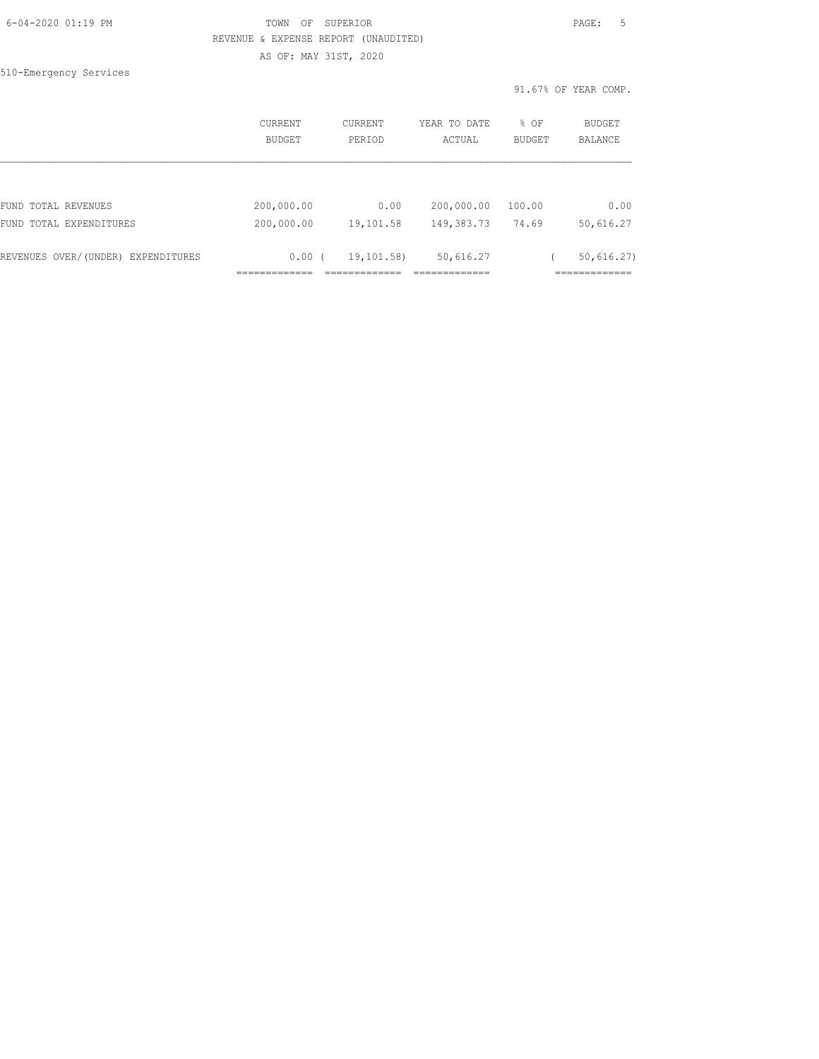| 6-04-2020 01:19 PM |  |
|--------------------|--|
|                    |  |

## FOWN OF SUPERIOR **Example 2014** PAGE: 5 REVENUE & EXPENSE REPORT (UNAUDITED)

AS OF: MAY 31ST, 2020

510-Emergency Services

|                                    | <b>CURRENT</b> | CURRENT    | YEAR TO DATE | % OF          | BUDGET         |
|------------------------------------|----------------|------------|--------------|---------------|----------------|
|                                    | <b>BUDGET</b>  | PERTOD     | ACTUAL       | <b>BUDGET</b> | <b>BALANCE</b> |
| FUND TOTAL REVENUES                | 200,000.00     | 0.00       | 200,000.00   | 100.00        | 0.00           |
| FUND TOTAL EXPENDITURES            | 200,000.00     | 19,101.58  | 149,383.73   | 74.69         | 50,616.27      |
| REVENUES OVER/(UNDER) EXPENDITURES | $0.00$ (       | 19,101.58) | 50,616.27    |               | 50,616.27)     |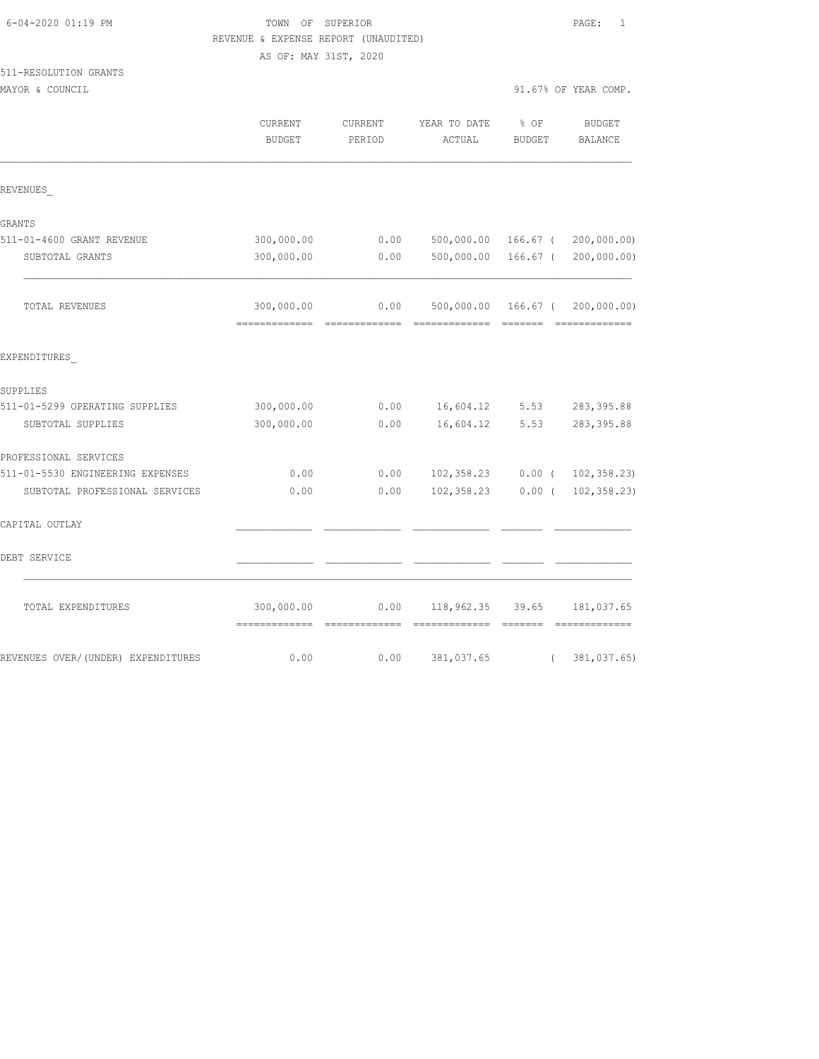| $-04-2020$ $01:19$ PM |  |  |
|-----------------------|--|--|
|                       |  |  |

## 6-04-2020 01:19 PM TOWN OF SUPERIOR PAGE: 1 REVENUE & EXPENSE REPORT (UNAUDITED) AS OF: MAY 31ST, 2020

## 511-RESOLUTION GRANTS

| MAYOR & COUNCIL                    |                              |                   |                                           |                       | 91.67% OF YEAR COMP.            |
|------------------------------------|------------------------------|-------------------|-------------------------------------------|-----------------------|---------------------------------|
|                                    | CURRENT<br><b>BUDGET</b>     | CURRENT<br>PERIOD | YEAR TO DATE<br>ACTUAL                    | % OF<br><b>BUDGET</b> | <b>BUDGET</b><br>BALANCE        |
| REVENUES                           |                              |                   |                                           |                       |                                 |
| GRANTS                             |                              |                   |                                           |                       |                                 |
| 511-01-4600 GRANT REVENUE          | 300,000.00                   | 0.00              |                                           |                       | 500,000.00 166.67 ( 200,000.00) |
| SUBTOTAL GRANTS                    | 300,000.00                   | 0.00              | 500,000.00                                | $166.67$ (            | 200,000.00)                     |
| TOTAL REVENUES                     | 300,000.00                   | 0.00              | 500,000.00 166.67 (                       |                       | 200,000.00)                     |
| EXPENDITURES                       |                              |                   |                                           |                       |                                 |
| SUPPLIES                           |                              |                   |                                           |                       |                                 |
| 511-01-5299 OPERATING SUPPLIES     | 300,000.00                   | 0.00              | 16,604.12                                 | 5.53                  | 283, 395.88                     |
| SUBTOTAL SUPPLIES                  | 300,000.00                   | 0.00              | 16,604.12                                 | 5.53                  | 283, 395.88                     |
| PROFESSIONAL SERVICES              |                              |                   |                                           |                       |                                 |
| 511-01-5530 ENGINEERING EXPENSES   | 0.00                         | 0.00              | 102,358.23                                |                       | $0.00$ ( $102,358.23$ )         |
| SUBTOTAL PROFESSIONAL SERVICES     | 0.00                         | 0.00              | 102,358.23                                | $0.00$ (              | 102, 358.23                     |
| CAPITAL OUTLAY                     |                              |                   |                                           |                       |                                 |
| DEBT SERVICE                       |                              |                   |                                           |                       |                                 |
| TOTAL EXPENDITURES                 | 300,000.00<br>-------------- | 0.00              | 118,962.35 39.65<br>-------------- ------ |                       | 181,037.65                      |
| REVENUES OVER/(UNDER) EXPENDITURES | 0.00                         | 0.00              | 381,037.65                                | $\left($              | 381,037.65)                     |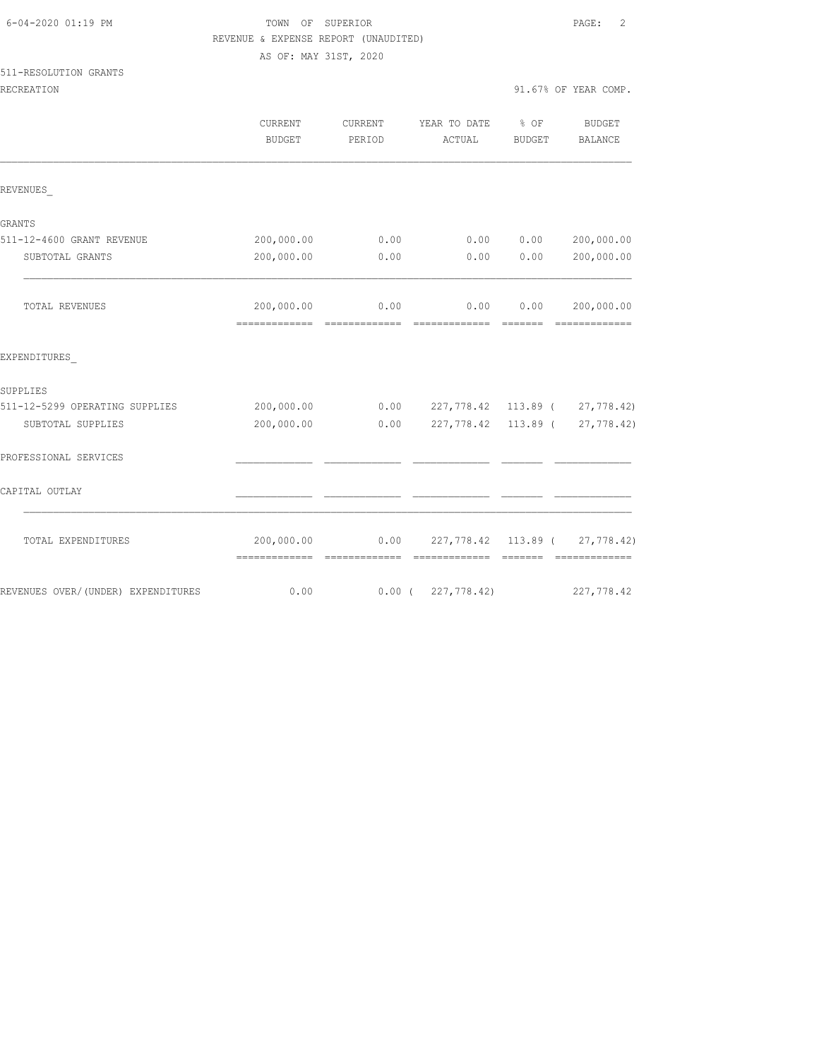|                                    | REVENUE & EXPENSE REPORT (UNAUDITED) |          |                     |               |                                                                                                                                                                                                                                                                                                                                                                                                                                                                                                                          |
|------------------------------------|--------------------------------------|----------|---------------------|---------------|--------------------------------------------------------------------------------------------------------------------------------------------------------------------------------------------------------------------------------------------------------------------------------------------------------------------------------------------------------------------------------------------------------------------------------------------------------------------------------------------------------------------------|
|                                    | AS OF: MAY 31ST, 2020                |          |                     |               |                                                                                                                                                                                                                                                                                                                                                                                                                                                                                                                          |
| 511-RESOLUTION GRANTS              |                                      |          |                     |               |                                                                                                                                                                                                                                                                                                                                                                                                                                                                                                                          |
| RECREATION                         |                                      |          |                     |               | 91.67% OF YEAR COMP.                                                                                                                                                                                                                                                                                                                                                                                                                                                                                                     |
|                                    | CURRENT                              | CURRENT  | YEAR TO DATE        | % OF          | BUDGET                                                                                                                                                                                                                                                                                                                                                                                                                                                                                                                   |
|                                    | <b>BUDGET</b>                        | PERIOD   | ACTUAL              | <b>BUDGET</b> | BALANCE                                                                                                                                                                                                                                                                                                                                                                                                                                                                                                                  |
|                                    |                                      |          |                     |               |                                                                                                                                                                                                                                                                                                                                                                                                                                                                                                                          |
| REVENUES                           |                                      |          |                     |               |                                                                                                                                                                                                                                                                                                                                                                                                                                                                                                                          |
| GRANTS                             |                                      |          |                     |               |                                                                                                                                                                                                                                                                                                                                                                                                                                                                                                                          |
| 511-12-4600 GRANT REVENUE          | 200,000.00                           | 0.00     | 0.00                | 0.00          | 200,000.00                                                                                                                                                                                                                                                                                                                                                                                                                                                                                                               |
| SUBTOTAL GRANTS                    | 200,000.00                           | 0.00     | 0.00                | 0.00          | 200,000.00                                                                                                                                                                                                                                                                                                                                                                                                                                                                                                               |
| TOTAL REVENUES                     | 200,000.00                           | 0.00     | 0.00                | 0.00          | 200,000.00                                                                                                                                                                                                                                                                                                                                                                                                                                                                                                               |
| EXPENDITURES                       |                                      |          |                     |               |                                                                                                                                                                                                                                                                                                                                                                                                                                                                                                                          |
| SUPPLIES                           |                                      |          |                     |               |                                                                                                                                                                                                                                                                                                                                                                                                                                                                                                                          |
| 511-12-5299 OPERATING SUPPLIES     | 200,000.00                           | 0.00     |                     |               | 227,778.42 113.89 ( 27,778.42)                                                                                                                                                                                                                                                                                                                                                                                                                                                                                           |
| SUBTOTAL SUPPLIES                  | 200,000.00                           | 0.00     | 227,778.42 113.89 ( |               | 27,778.42)                                                                                                                                                                                                                                                                                                                                                                                                                                                                                                               |
| PROFESSIONAL SERVICES              |                                      |          |                     |               |                                                                                                                                                                                                                                                                                                                                                                                                                                                                                                                          |
| CAPITAL OUTLAY                     |                                      |          |                     |               |                                                                                                                                                                                                                                                                                                                                                                                                                                                                                                                          |
| TOTAL EXPENDITURES                 | 200,000.00                           | 0.00     |                     |               | 227,778.42 113.89 ( 27,778.42)<br>$\begin{array}{cccccccccc} \multicolumn{2}{c}{} & \multicolumn{2}{c}{} & \multicolumn{2}{c}{} & \multicolumn{2}{c}{} & \multicolumn{2}{c}{} & \multicolumn{2}{c}{} & \multicolumn{2}{c}{} & \multicolumn{2}{c}{} & \multicolumn{2}{c}{} & \multicolumn{2}{c}{} & \multicolumn{2}{c}{} & \multicolumn{2}{c}{} & \multicolumn{2}{c}{} & \multicolumn{2}{c}{} & \multicolumn{2}{c}{} & \multicolumn{2}{c}{} & \multicolumn{2}{c}{} & \multicolumn{2}{c}{} & \multicolumn{2}{c}{} & \mult$ |
| REVENUES OVER/(UNDER) EXPENDITURES | 0.00                                 | $0.00$ ( | 227,778.42)         |               | 227,778.42                                                                                                                                                                                                                                                                                                                                                                                                                                                                                                               |

# 6-04-2020 01:19 PM TOWN OF SUPERIOR PAGE: 2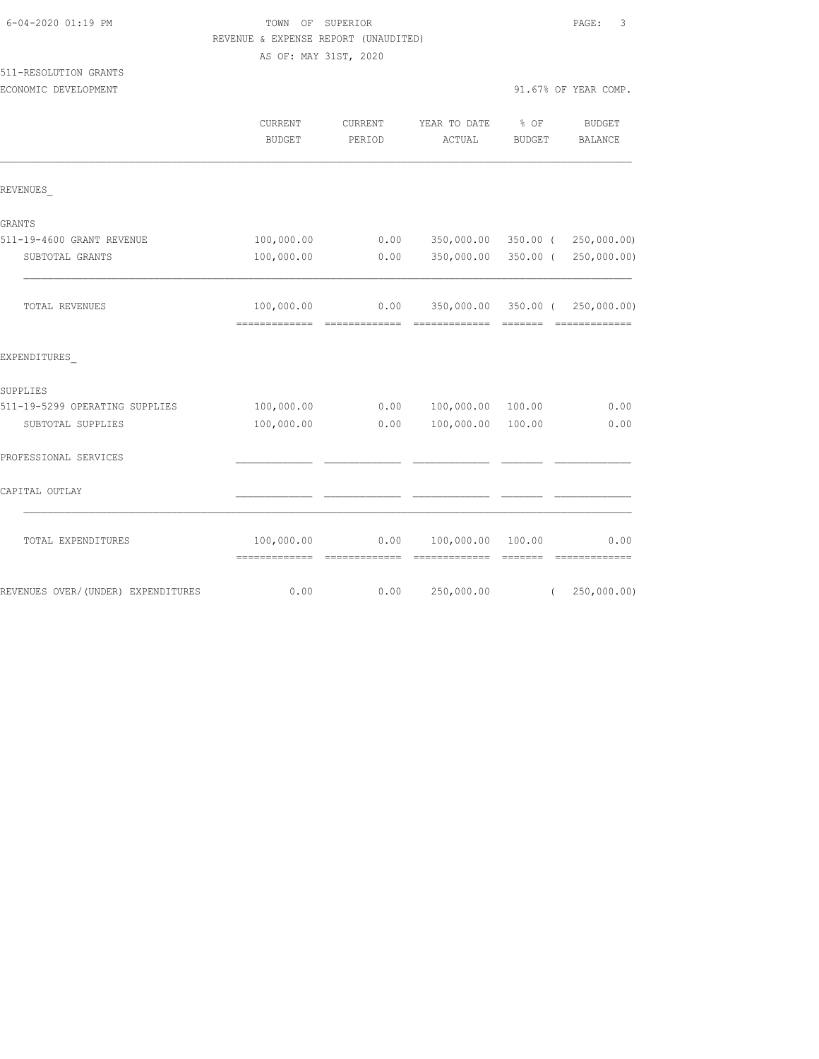| 6-04-2020 01:19 PM                            | TOWN OF SUPERIOR<br>REVENUE & EXPENSE REPORT (UNAUDITED)<br>AS OF: MAY 31ST, 2020 |                          |                                                                                                                                                                                                                                                                                                                                                                                                                                                                                                      |                                                                              | 3<br>PAGE:                                          |  |
|-----------------------------------------------|-----------------------------------------------------------------------------------|--------------------------|------------------------------------------------------------------------------------------------------------------------------------------------------------------------------------------------------------------------------------------------------------------------------------------------------------------------------------------------------------------------------------------------------------------------------------------------------------------------------------------------------|------------------------------------------------------------------------------|-----------------------------------------------------|--|
| 511-RESOLUTION GRANTS<br>ECONOMIC DEVELOPMENT |                                                                                   |                          |                                                                                                                                                                                                                                                                                                                                                                                                                                                                                                      |                                                                              | 91.67% OF YEAR COMP.                                |  |
|                                               | <b>CURRENT</b><br><b>BUDGET</b>                                                   | <b>CURRENT</b><br>PERIOD | YEAR TO DATE<br>ACTUAL                                                                                                                                                                                                                                                                                                                                                                                                                                                                               | % OF<br>BUDGET                                                               | BUDGET<br>BALANCE                                   |  |
| REVENUES                                      |                                                                                   |                          |                                                                                                                                                                                                                                                                                                                                                                                                                                                                                                      |                                                                              |                                                     |  |
| GRANTS                                        |                                                                                   |                          |                                                                                                                                                                                                                                                                                                                                                                                                                                                                                                      |                                                                              |                                                     |  |
| 511-19-4600 GRANT REVENUE                     | 100,000.00                                                                        | 0.00                     | 350,000.00                                                                                                                                                                                                                                                                                                                                                                                                                                                                                           | 350.00 (                                                                     | 250,000.00)                                         |  |
| SUBTOTAL GRANTS                               | 100,000.00                                                                        | 0.00                     | 350,000.00                                                                                                                                                                                                                                                                                                                                                                                                                                                                                           | $350.00$ (                                                                   | 250,000.00)                                         |  |
| TOTAL REVENUES                                | 100,000.00                                                                        | 0.00                     |                                                                                                                                                                                                                                                                                                                                                                                                                                                                                                      | <b>COOSECT</b>                                                               | 350,000.00 350.00 ( 250,000.00)<br>- ============== |  |
| EXPENDITURES                                  |                                                                                   |                          |                                                                                                                                                                                                                                                                                                                                                                                                                                                                                                      |                                                                              |                                                     |  |
| SUPPLIES                                      |                                                                                   |                          |                                                                                                                                                                                                                                                                                                                                                                                                                                                                                                      |                                                                              |                                                     |  |
| 511-19-5299 OPERATING SUPPLIES                | 100,000.00                                                                        | 0.00                     | 100,000.00                                                                                                                                                                                                                                                                                                                                                                                                                                                                                           | 100.00                                                                       | 0.00                                                |  |
| SUBTOTAL SUPPLIES                             | 100,000.00                                                                        | 0.00                     | 100,000.00                                                                                                                                                                                                                                                                                                                                                                                                                                                                                           | 100.00                                                                       | 0.00                                                |  |
| PROFESSIONAL SERVICES                         |                                                                                   |                          |                                                                                                                                                                                                                                                                                                                                                                                                                                                                                                      |                                                                              |                                                     |  |
| CAPITAL OUTLAY                                |                                                                                   |                          |                                                                                                                                                                                                                                                                                                                                                                                                                                                                                                      |                                                                              |                                                     |  |
| TOTAL EXPENDITURES                            | 100,000.00<br>-------------- -------------                                        | 0.00                     | 100,000.00<br>$\begin{array}{cccccccccccccc} \multicolumn{2}{c}{} & \multicolumn{2}{c}{} & \multicolumn{2}{c}{} & \multicolumn{2}{c}{} & \multicolumn{2}{c}{} & \multicolumn{2}{c}{} & \multicolumn{2}{c}{} & \multicolumn{2}{c}{} & \multicolumn{2}{c}{} & \multicolumn{2}{c}{} & \multicolumn{2}{c}{} & \multicolumn{2}{c}{} & \multicolumn{2}{c}{} & \multicolumn{2}{c}{} & \multicolumn{2}{c}{} & \multicolumn{2}{c}{} & \multicolumn{2}{c}{} & \multicolumn{2}{c}{} & \multicolumn{2}{c}{} & \$ | 100.00<br>$\begin{array}{c} \n \text{---} \text{---} \text{---} \end{array}$ | 0.00<br>=============                               |  |
| REVENUES OVER/(UNDER) EXPENDITURES            | 0.00                                                                              | 0.00                     | 250,000.00                                                                                                                                                                                                                                                                                                                                                                                                                                                                                           | $\left($                                                                     | 250,000.00)                                         |  |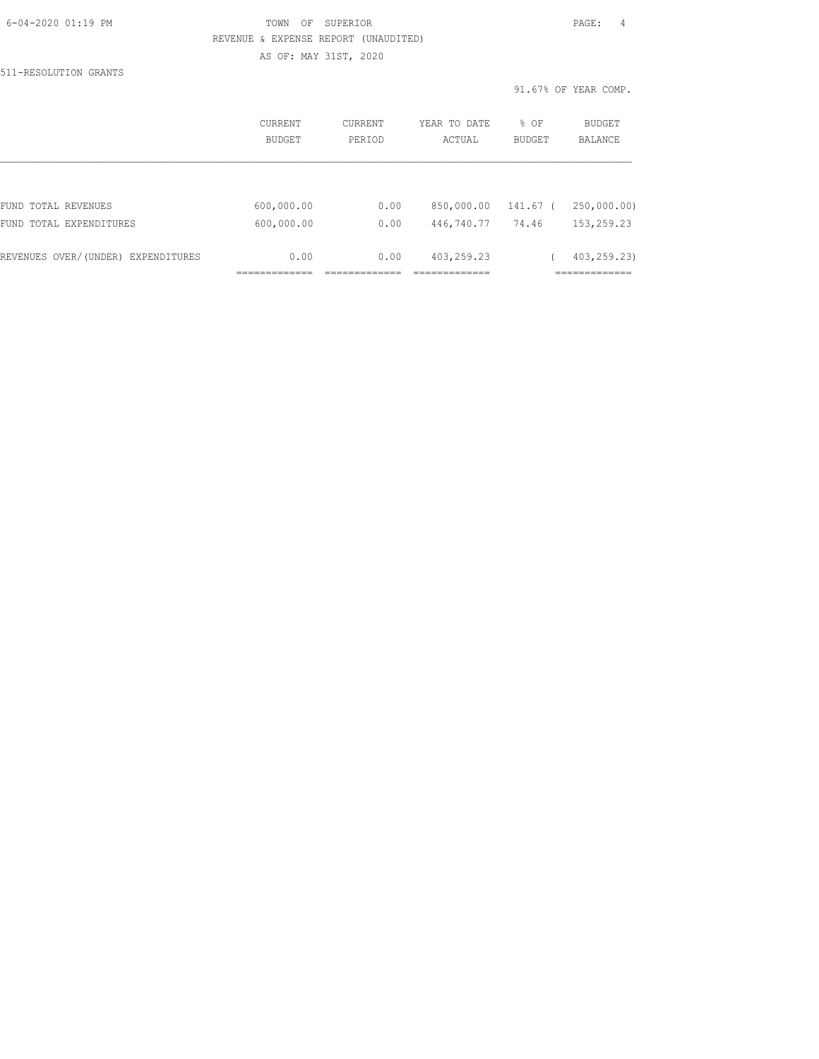#### 6-04-2020 01:19 PM TOWN OF SUPERIOR PAGE: 4 REVENUE & EXPENSE REPORT (UNAUDITED) AS OF: MAY 31ST, 2020

511-RESOLUTION GRANTS

|                                    | CURRENT<br>BUDGET | <b>CURRENT</b><br>PERIOD | YEAR TO DATE<br>ACTUAL | % OF<br><b>BUDGET</b> | <b>BUDGET</b><br><b>BALANCE</b> |
|------------------------------------|-------------------|--------------------------|------------------------|-----------------------|---------------------------------|
|                                    |                   |                          |                        |                       |                                 |
| FUND TOTAL REVENUES                | 600,000.00        | 0.00                     | 850,000.00             | 141.67 (              | 250,000.00)                     |
| FUND TOTAL EXPENDITURES            | 600,000.00        | 0.00                     | 446,740.77             | 74.46                 | 153,259.23                      |
| REVENUES OVER/(UNDER) EXPENDITURES | 0.00              | 0.00                     | 403,259.23             |                       | 403,259.23)                     |
|                                    |                   |                          |                        |                       |                                 |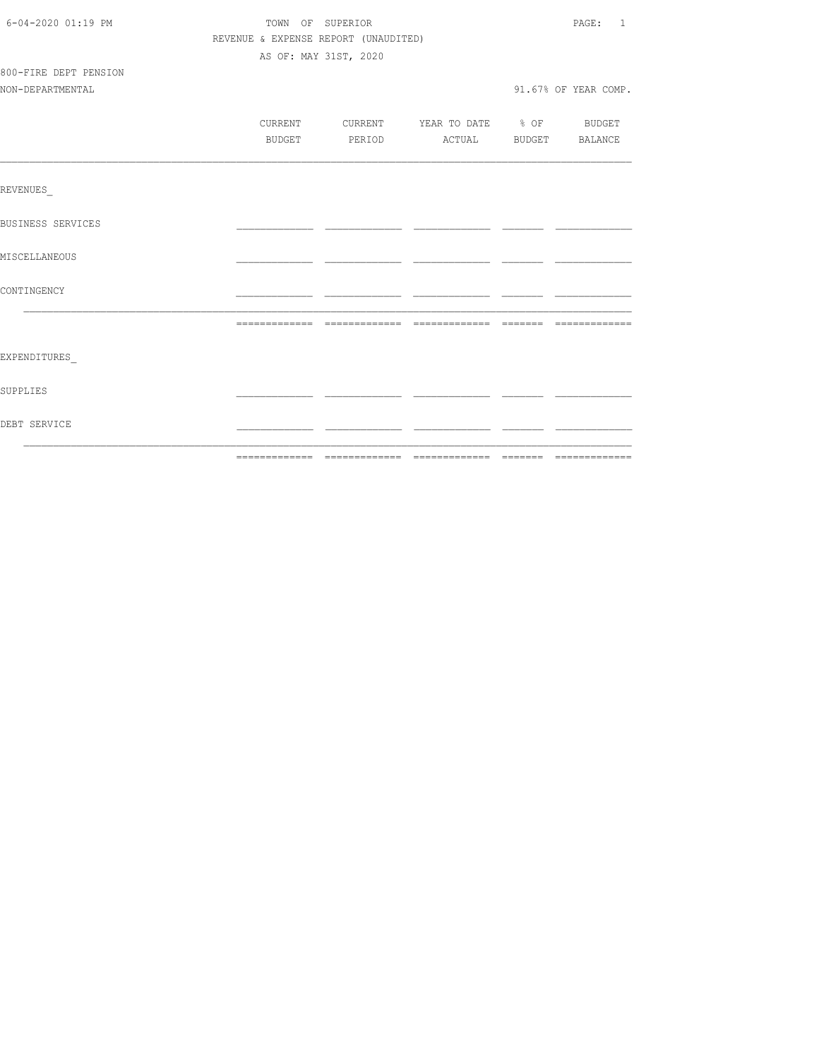| DEBT SERVICE             |                                      |                                          |  |                      |
|--------------------------|--------------------------------------|------------------------------------------|--|----------------------|
| SUPPLIES                 |                                      |                                          |  |                      |
| EXPENDITURES             |                                      |                                          |  |                      |
|                          |                                      |                                          |  |                      |
|                          |                                      |                                          |  |                      |
| CONTINGENCY              |                                      |                                          |  |                      |
| MISCELLANEOUS            |                                      |                                          |  |                      |
| <b>BUSINESS SERVICES</b> |                                      |                                          |  |                      |
|                          |                                      |                                          |  |                      |
| REVENUES                 |                                      |                                          |  |                      |
|                          | BUDGET                               | PERIOD ACTUAL BUDGET BALANCE             |  |                      |
|                          |                                      | CURRENT CURRENT YEAR TO DATE % OF BUDGET |  |                      |
| NON-DEPARTMENTAL         |                                      |                                          |  | 91.67% OF YEAR COMP. |
| 800-FIRE DEPT PENSION    |                                      |                                          |  |                      |
|                          |                                      | AS OF: MAY 31ST, 2020                    |  |                      |
|                          | REVENUE & EXPENSE REPORT (UNAUDITED) |                                          |  |                      |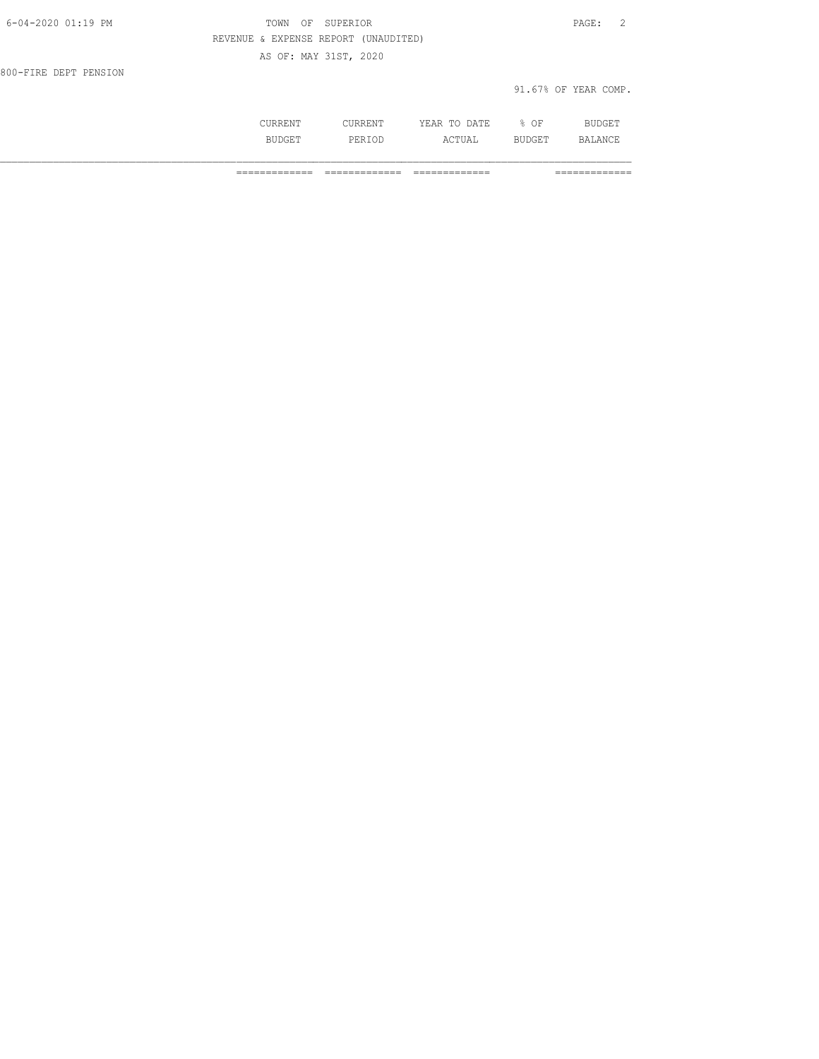| $6 - 04 - 2020$ $01:19$ PM | OF SUPERIOR<br>TOWN                  | PAGE: 2              |
|----------------------------|--------------------------------------|----------------------|
|                            | REVENUE & EXPENSE REPORT (UNAUDITED) |                      |
|                            | AS OF: MAY 31ST, 2020                |                      |
| 800-FIRE DEPT PENSION      |                                      |                      |
|                            |                                      | 91.67% OF YEAR COMP. |
|                            |                                      |                      |

 CURRENT CURRENT YEAR TO DATE % OF BUDGET BUDGET PERIOD ACTUAL BUDGET BALANCE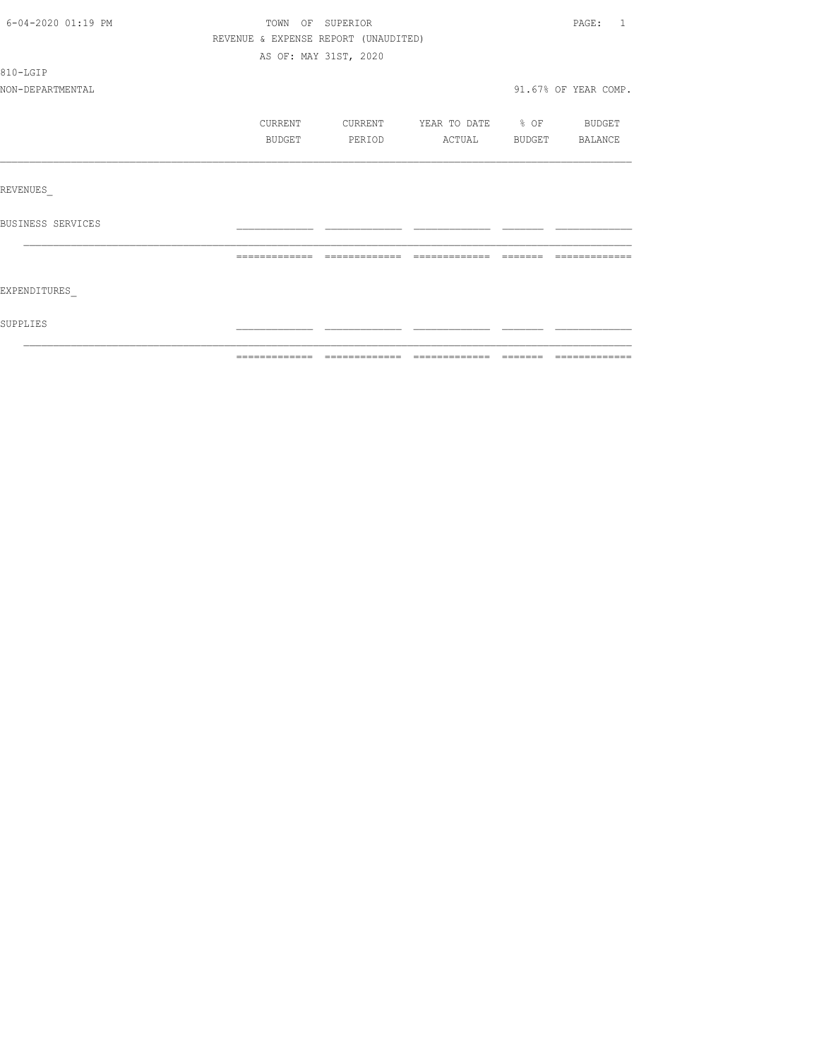| 6-04-2020 01:19 PM | TOWN OF SUPERIOR                     |         |                          |                | PAGE: 1              |
|--------------------|--------------------------------------|---------|--------------------------|----------------|----------------------|
|                    | REVENUE & EXPENSE REPORT (UNAUDITED) |         |                          |                |                      |
|                    | AS OF: MAY 31ST, 2020                |         |                          |                |                      |
| 810-LGIP           |                                      |         |                          |                |                      |
| NON-DEPARTMENTAL   |                                      |         |                          |                | 91.67% OF YEAR COMP. |
|                    | CURRENT                              | CURRENT | YEAR TO DATE % OF BUDGET |                |                      |
|                    | BUDGET                               | PERIOD  | ACTUAL                   | BUDGET BALANCE |                      |
|                    |                                      |         |                          |                |                      |
| REVENUES           |                                      |         |                          |                |                      |
| BUSINESS SERVICES  |                                      |         |                          |                |                      |
|                    |                                      |         |                          |                |                      |
| EXPENDITURES       |                                      |         |                          |                |                      |
| SUPPLIES           |                                      |         |                          |                |                      |
|                    |                                      |         |                          |                |                      |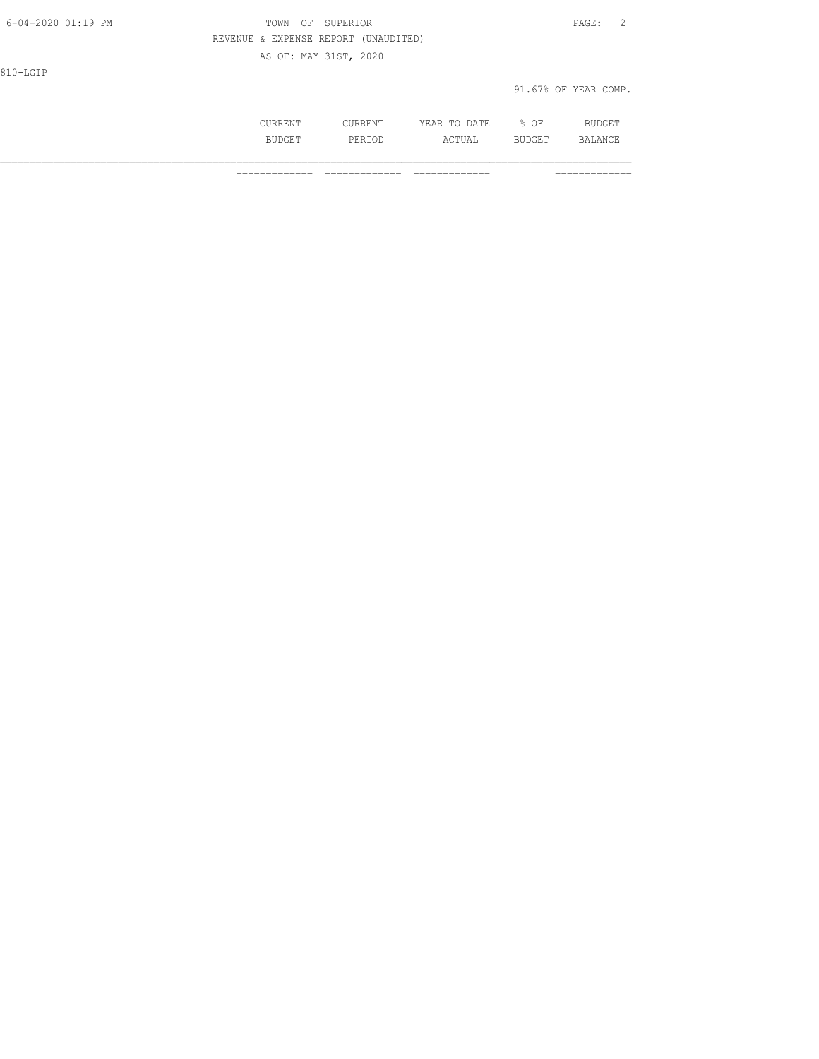| 6-04-2020 01:19 PM | TOWN<br>OF                           | SUPERIOR              |              |      | $\overline{2}$<br>$\texttt{PAGE}$ : |
|--------------------|--------------------------------------|-----------------------|--------------|------|-------------------------------------|
|                    | REVENUE & EXPENSE REPORT (UNAUDITED) |                       |              |      |                                     |
|                    |                                      | AS OF: MAY 31ST, 2020 |              |      |                                     |
| 810-LGIP           |                                      |                       |              |      |                                     |
|                    |                                      |                       |              |      | 91.67% OF YEAR COMP.                |
|                    |                                      |                       |              |      |                                     |
|                    | CURRENT                              | <b>CURRENT</b>        | YEAR TO DATE | % OF | BUDGET                              |

BUDGET PERIOD ACTUAL BUDGET BALANCE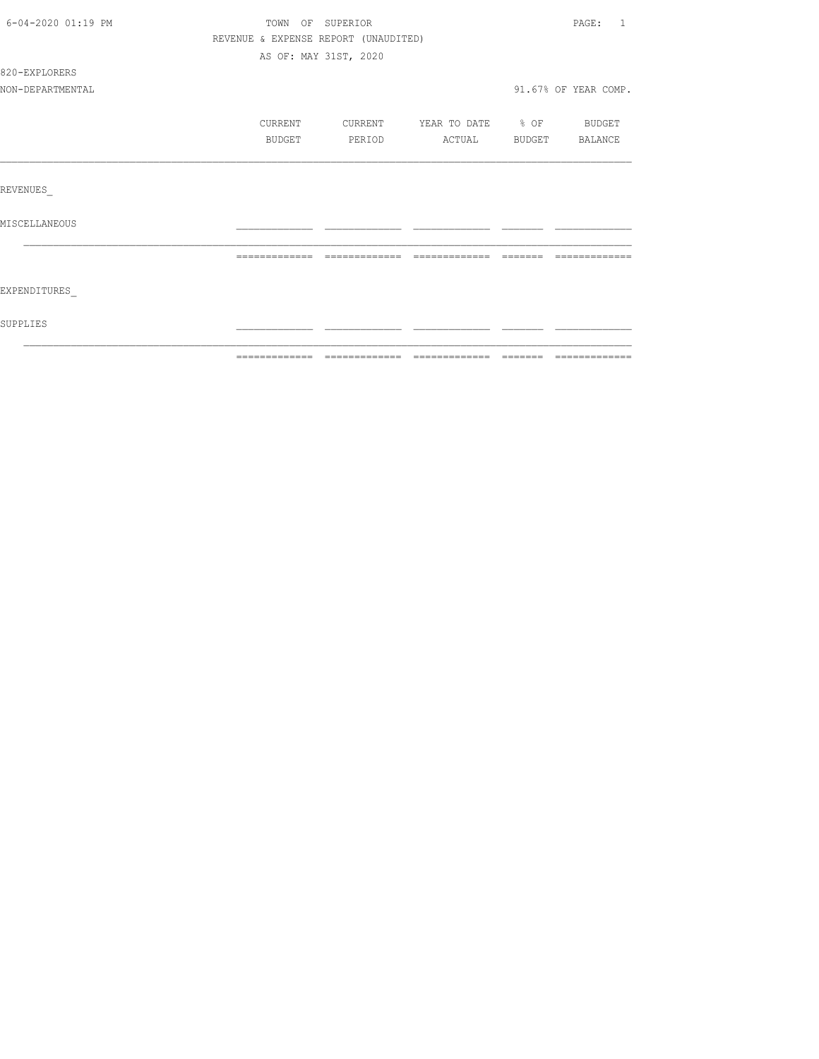| 6-04-2020 01:19 PM | TOWN OF SUPERIOR                     |         |                          | PAGE:<br>$\overline{1}$ |
|--------------------|--------------------------------------|---------|--------------------------|-------------------------|
|                    | REVENUE & EXPENSE REPORT (UNAUDITED) |         |                          |                         |
|                    | AS OF: MAY 31ST, 2020                |         |                          |                         |
| 820-EXPLORERS      |                                      |         |                          |                         |
| NON-DEPARTMENTAL   |                                      |         |                          | 91.67% OF YEAR COMP.    |
|                    | CURRENT                              | CURRENT | YEAR TO DATE % OF BUDGET |                         |
|                    | BUDGET                               | PERIOD  | ACTUAL                   | BUDGET BALANCE          |
|                    |                                      |         |                          |                         |
| REVENUES           |                                      |         |                          |                         |
| MISCELLANEOUS      |                                      |         |                          |                         |
|                    |                                      |         |                          |                         |
| EXPENDITURES       |                                      |         |                          |                         |
| SUPPLIES           |                                      |         |                          |                         |
|                    |                                      |         |                          |                         |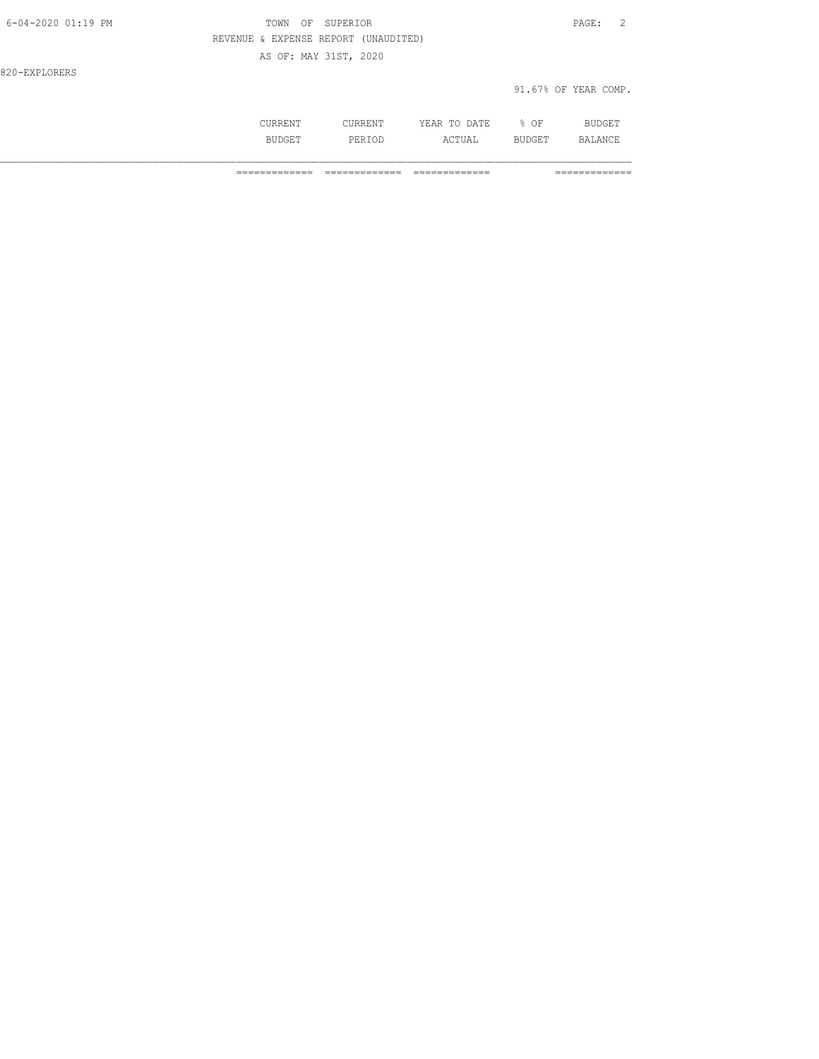| 6-04-2020 01:19 PM | TOWN<br>OF<br>SUPERIOR               | PAGE: 2              |
|--------------------|--------------------------------------|----------------------|
|                    | REVENUE & EXPENSE REPORT (UNAUDITED) |                      |
|                    | AS OF: MAY 31ST, 2020                |                      |
| 820-EXPLORERS      |                                      |                      |
|                    |                                      | 91.67% OF YEAR COMP. |
|                    |                                      |                      |

 CURRENT CURRENT YEAR TO DATE % OF BUDGET BUDGET PERIOD ACTUAL BUDGET BALANCE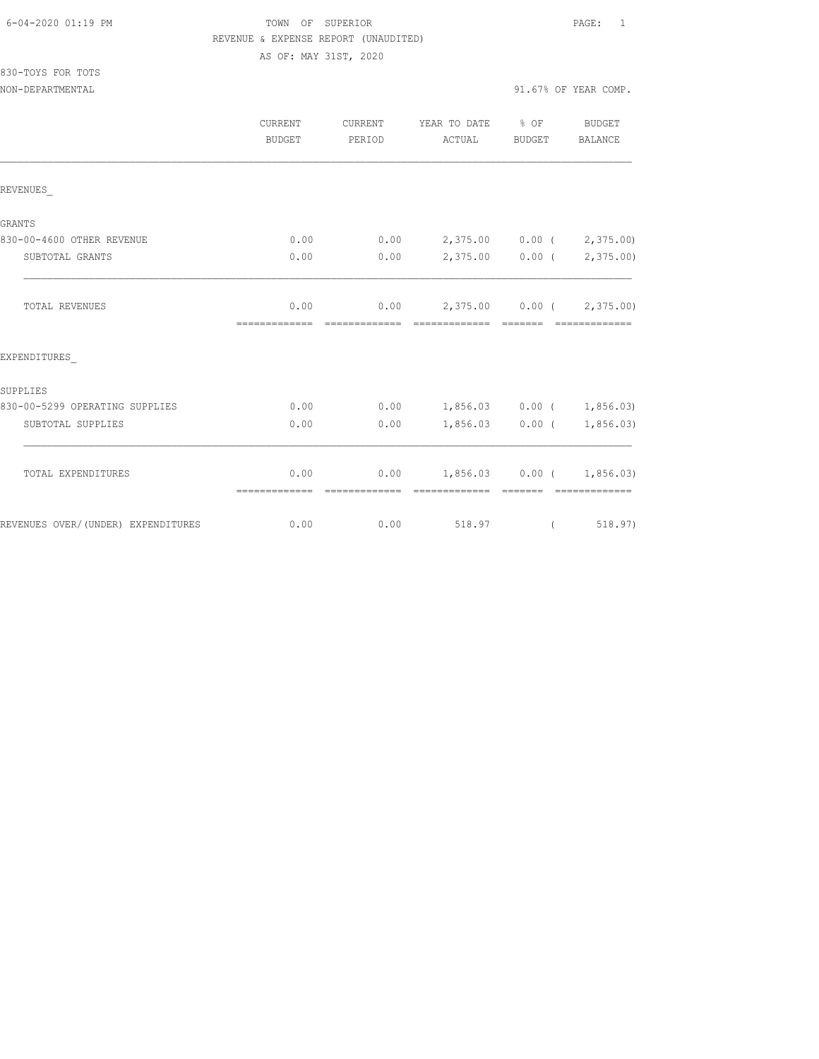### FOWN OF SUPERIOR **Example 2010** PAGE: 1 REVENUE & EXPENSE REPORT (UNAUDITED) AS OF: MAY 31ST, 2020

830-TOYS FOR TOTS

NON-DEPARTMENTAL 91.67% OF YEAR COMP.

|                                    | CURRENT<br><b>CURRENT</b><br><b>BUDGET</b><br>PERIOD |                        | YEAR TO DATE % OF<br>ACTUAL               | <b>BUDGET</b>     | <b>BUDGET</b><br><b>BALANCE</b> |  |
|------------------------------------|------------------------------------------------------|------------------------|-------------------------------------------|-------------------|---------------------------------|--|
| REVENUES                           |                                                      |                        |                                           |                   |                                 |  |
| <b>GRANTS</b>                      |                                                      |                        |                                           |                   |                                 |  |
| 830-00-4600 OTHER REVENUE          | 0.00                                                 | 0.00                   | 2,375.00 0.00 ( 2,375.00)                 |                   |                                 |  |
| SUBTOTAL GRANTS                    | 0.00                                                 | 0.00                   |                                           |                   | 2,375.00 0.00 ( 2,375.00)       |  |
| TOTAL REVENUES                     | 0.00<br>=============                                | 0.00<br>-------------- | 2,375.00 0.00 (2,375.00)<br>============= | --------          | --------------                  |  |
| EXPENDITURES                       |                                                      |                        |                                           |                   |                                 |  |
| SUPPLIES                           |                                                      |                        |                                           |                   |                                 |  |
| 830-00-5299 OPERATING SUPPLIES     | 0.00                                                 | 0.00                   | $1,856.03$ 0.00 ( 1,856.03)               |                   |                                 |  |
| SUBTOTAL SUPPLIES                  | 0.00                                                 | 0.00                   | 1,856.03                                  | $0.00$ (          | 1,856.03)                       |  |
| TOTAL EXPENDITURES                 | 0.00<br>=============                                | 0.00                   | ===========                               | $1,856.03$ 0.00 ( | 1,856.03)                       |  |
| REVENUES OVER/(UNDER) EXPENDITURES | 0.00                                                 | 0.00                   | 518.97                                    | $\left($          | 518.97)                         |  |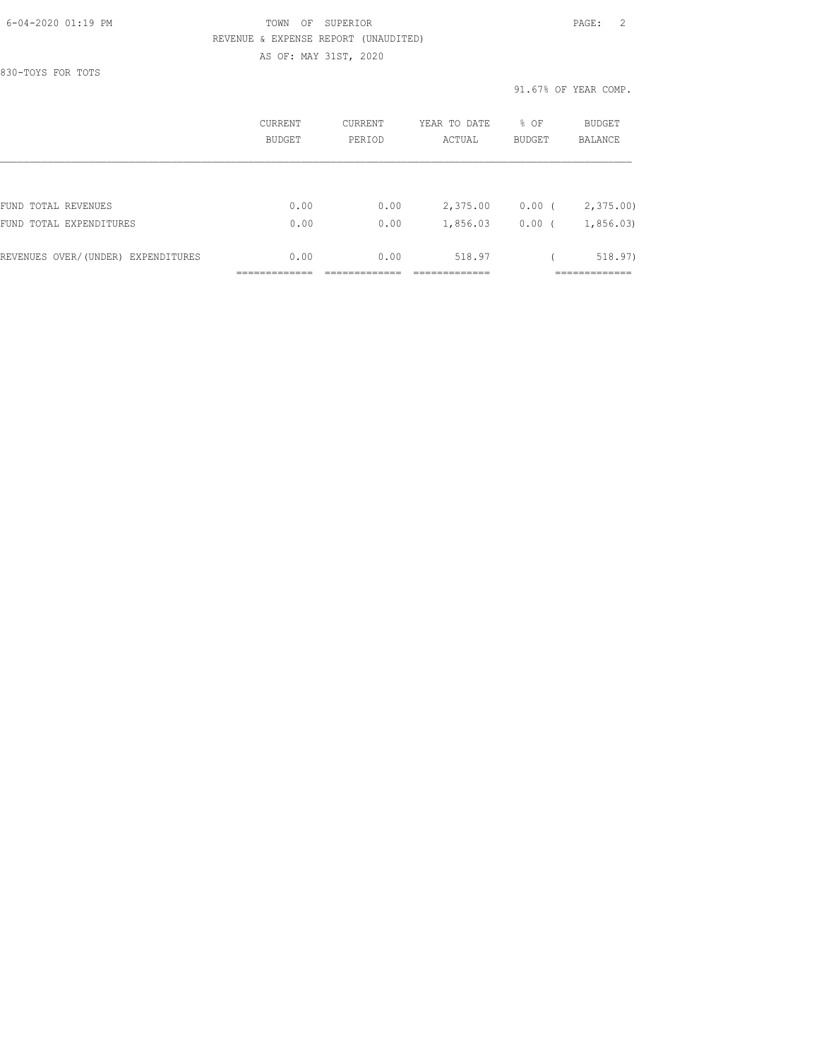#### 6-04-2020 01:19 PM TOWN OF SUPERIOR PAGE: 2 REVENUE & EXPENSE REPORT (UNAUDITED) AS OF: MAY 31ST, 2020

830-TOYS FOR TOTS

|                                    | CURRENT<br>CURRENT<br>PERIOD<br><b>BUDGET</b> |      | YEAR TO DATE<br>ACTUAL | % OF<br><b>BUDGET</b> | BUDGET<br><b>BALANCE</b> |  |
|------------------------------------|-----------------------------------------------|------|------------------------|-----------------------|--------------------------|--|
|                                    |                                               |      |                        |                       |                          |  |
| FUND TOTAL REVENUES                | 0.00                                          | 0.00 | 2,375.00               | $0.00$ (              | 2,375.00                 |  |
| FUND TOTAL EXPENDITURES            | 0.00                                          | 0.00 | 1,856.03               | 0.00                  | 1,856.03                 |  |
| REVENUES OVER/(UNDER) EXPENDITURES | 0.00                                          | 0.00 | 518.97                 |                       | 518.97)                  |  |
|                                    |                                               |      |                        |                       |                          |  |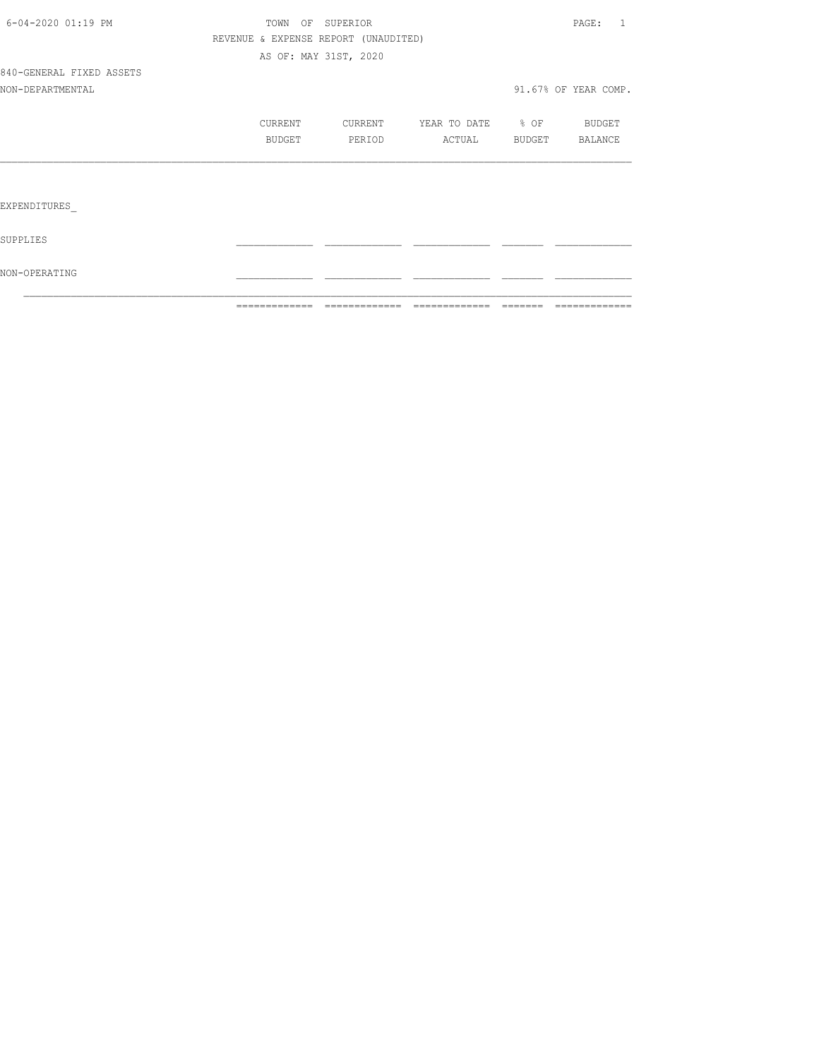|                          |                  | ============= | =============                        | =============         | -------- |                      |
|--------------------------|------------------|---------------|--------------------------------------|-----------------------|----------|----------------------|
| NON-OPERATING            |                  |               |                                      |                       |          |                      |
| SUPPLIES                 |                  |               |                                      |                       |          |                      |
| EXPENDITURES             |                  |               |                                      |                       |          |                      |
|                          |                  |               |                                      |                       |          |                      |
|                          |                  | BUDGET        | PERIOD                               | ACTUAL BUDGET BALANCE |          |                      |
|                          |                  | CURRENT       | CURRENT YEAR TO DATE % OF            |                       |          | <b>BUDGET</b>        |
| NON-DEPARTMENTAL         |                  |               |                                      |                       |          | 91.67% OF YEAR COMP. |
| 840-GENERAL FIXED ASSETS |                  |               |                                      |                       |          |                      |
|                          |                  |               | AS OF: MAY 31ST, 2020                |                       |          |                      |
|                          |                  |               | REVENUE & EXPENSE REPORT (UNAUDITED) |                       |          |                      |
| 6-04-2020 01:19 PM       | TOWN OF SUPERIOR |               |                                      |                       | PAGE: 1  |                      |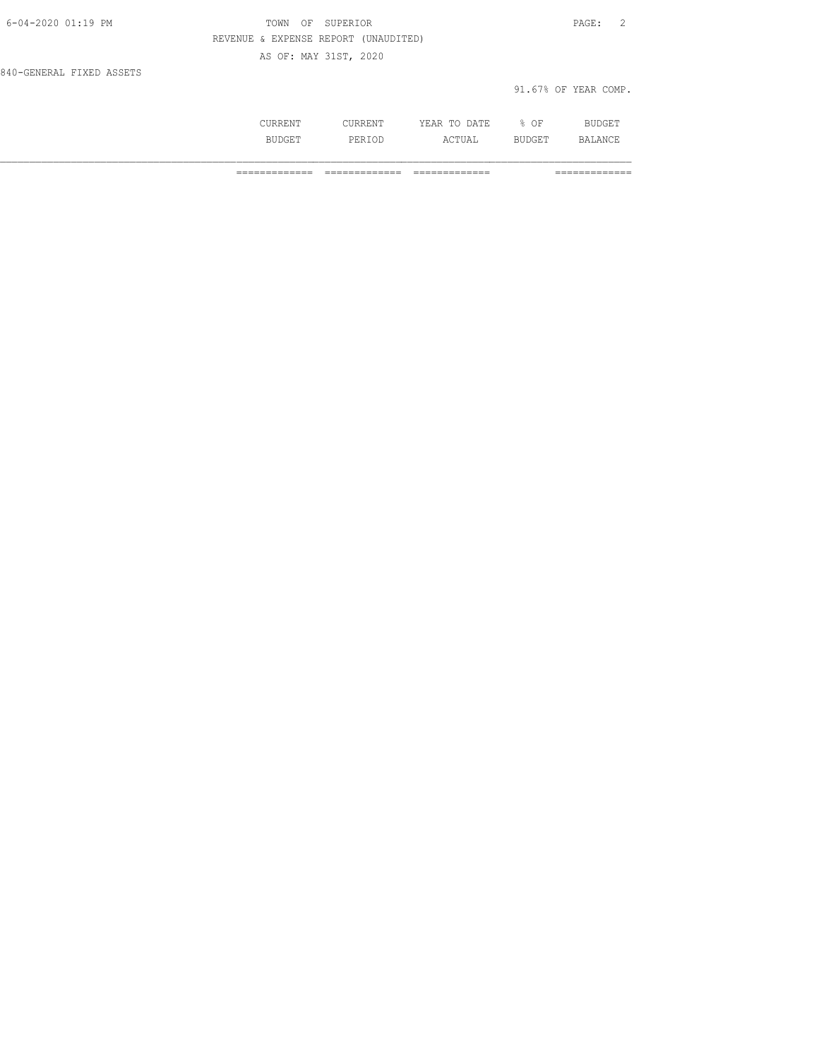| 6-04-2020 01:19 PM       | OF SUPERIOR<br>TOWN                  | PAGE: 2              |
|--------------------------|--------------------------------------|----------------------|
|                          | REVENUE & EXPENSE REPORT (UNAUDITED) |                      |
|                          | AS OF: MAY 31ST, 2020                |                      |
| 840-GENERAL FIXED ASSETS |                                      |                      |
|                          |                                      | 91.67% OF YEAR COMP. |
|                          |                                      |                      |

 CURRENT CURRENT YEAR TO DATE % OF BUDGET BUDGET PERIOD ACTUAL BUDGET BALANCE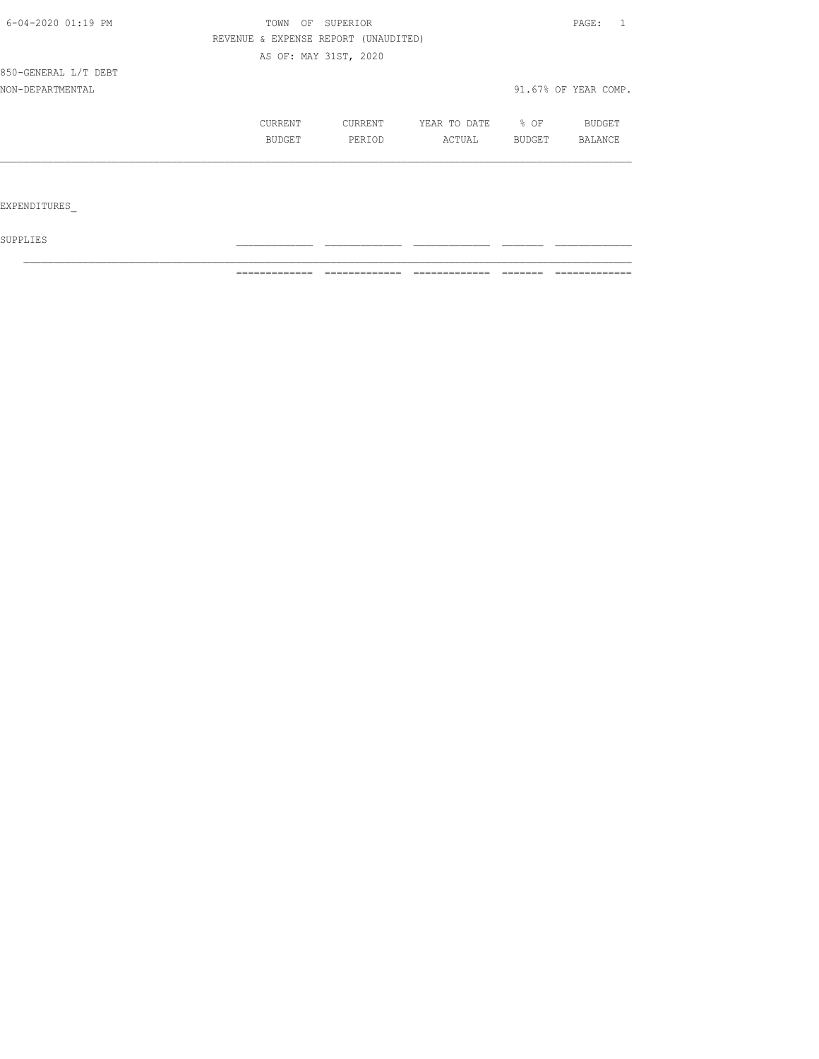| 6-04-2020 01:19 PM   | TOWN<br>OF<br>SUPERIOR |                                      |              |        | PAGE:                |  |
|----------------------|------------------------|--------------------------------------|--------------|--------|----------------------|--|
|                      |                        | REVENUE & EXPENSE REPORT (UNAUDITED) |              |        |                      |  |
|                      |                        | AS OF: MAY 31ST, 2020                |              |        |                      |  |
| 850-GENERAL L/T DEBT |                        |                                      |              |        |                      |  |
| NON-DEPARTMENTAL     |                        |                                      |              |        | 91.67% OF YEAR COMP. |  |
|                      | CURRENT                | CURRENT                              | YEAR TO DATE | $8$ OF | <b>BUDGET</b>        |  |
|                      | BUDGET                 | PERIOD                               | ACTUAL       | BUDGET | <b>BALANCE</b>       |  |
|                      |                        |                                      |              |        |                      |  |
| EXPENDITURES         |                        |                                      |              |        |                      |  |

 ${\tt SUPPLIES}$